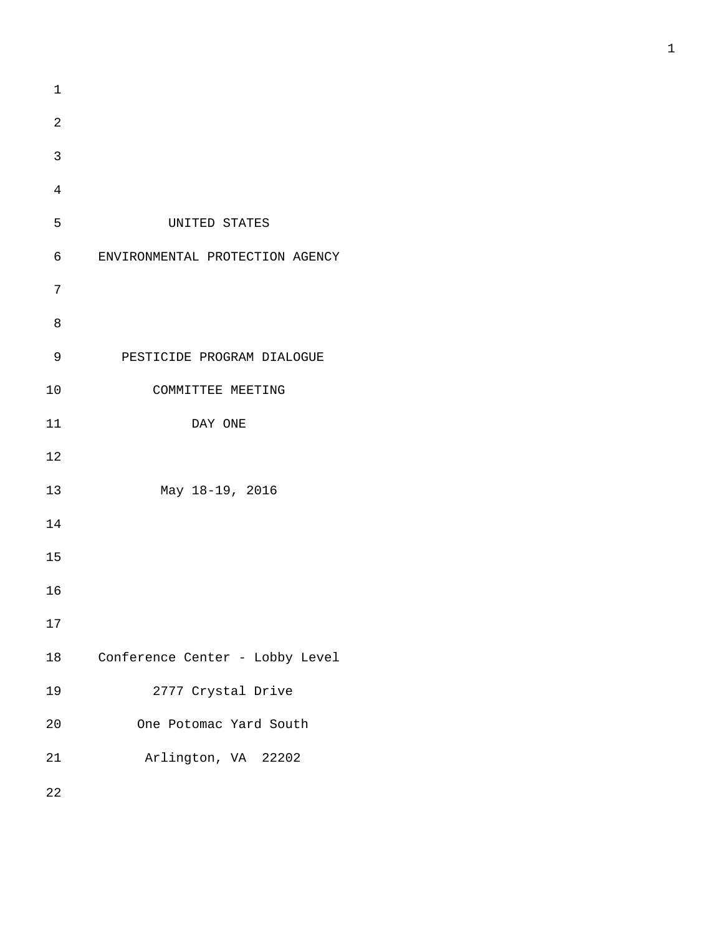1 2 3 4 5 UNITED STATES 6 ENVIRONMENTAL PROTECTION AGENCY 7 8 9 PESTICIDE PROGRAM DIALOGUE 10 COMMITTEE MEETING 11 DAY ONE 12 13 May 18-19, 2016 14 15 16 17 18 Conference Center - Lobby Level 19 2777 Crystal Drive 20 One Potomac Yard South 21 Arlington, VA 22202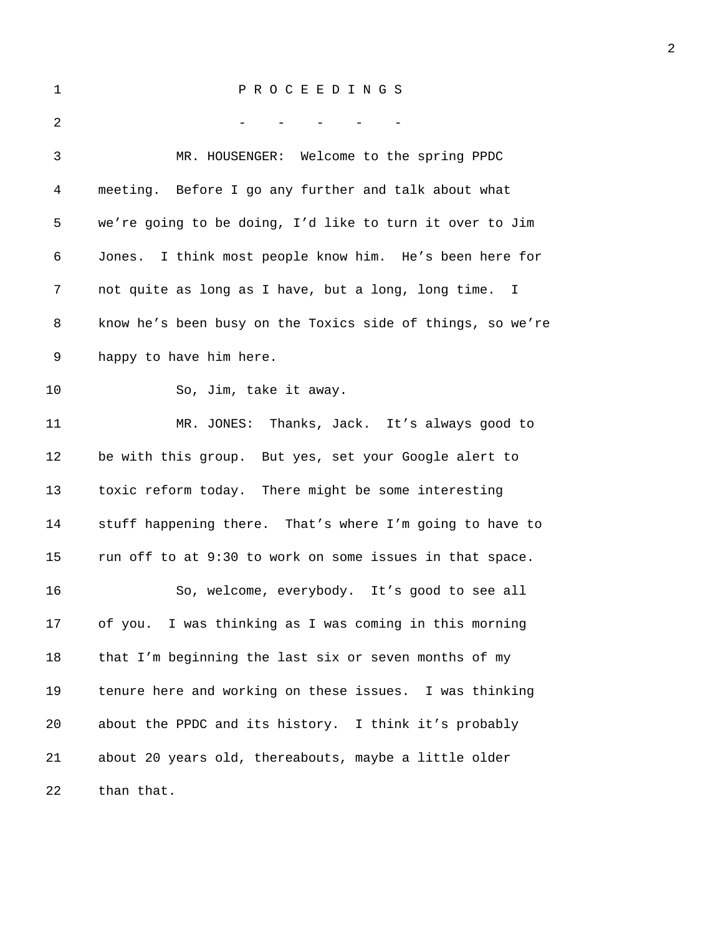## 1 P R O C E E D I N G S

| 2  |                                                            |
|----|------------------------------------------------------------|
| 3  | MR. HOUSENGER: Welcome to the spring PPDC                  |
| 4  | meeting. Before I go any further and talk about what       |
| 5  | we're going to be doing, I'd like to turn it over to Jim   |
| 6  | Jones. I think most people know him. He's been here for    |
| 7  | not quite as long as I have, but a long, long time. I      |
| 8  | know he's been busy on the Toxics side of things, so we're |
| 9  | happy to have him here.                                    |
| 10 | So, Jim, take it away.                                     |
| 11 | MR. JONES: Thanks, Jack. It's always good to               |
| 12 | be with this group. But yes, set your Google alert to      |
| 13 | toxic reform today. There might be some interesting        |
| 14 | stuff happening there. That's where I'm going to have to   |
| 15 | run off to at 9:30 to work on some issues in that space.   |
| 16 | So, welcome, everybody. It's good to see all               |
| 17 | I was thinking as I was coming in this morning<br>of you.  |
| 18 | that I'm beginning the last six or seven months of my      |
| 19 | tenure here and working on these issues. I was thinking    |
| 20 | about the PPDC and its history. I think it's probably      |
| 21 | about 20 years old, thereabouts, maybe a little older      |
| 22 | than that.                                                 |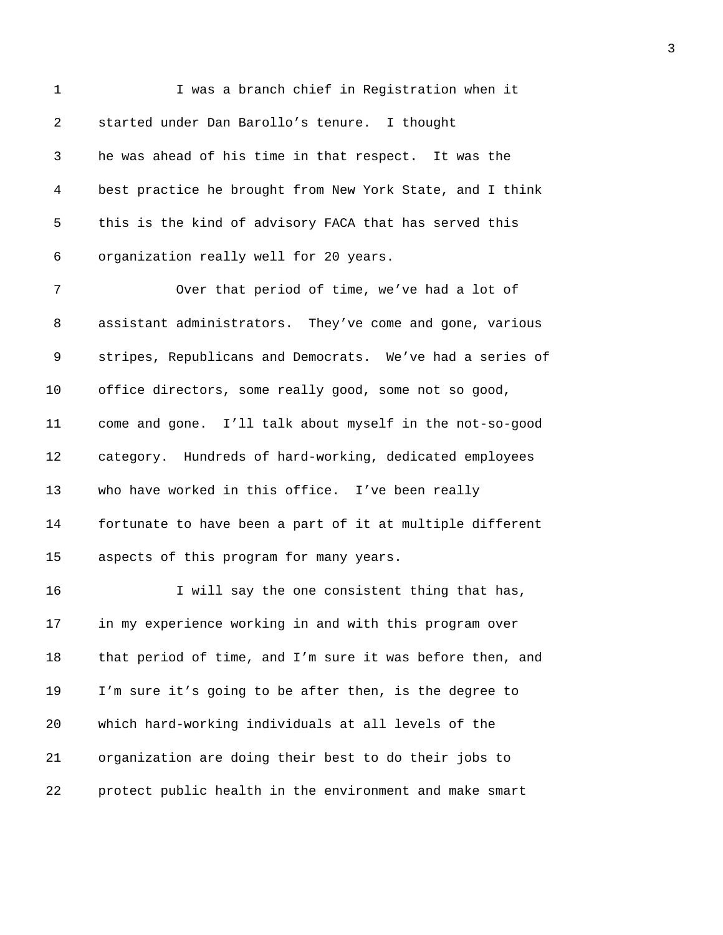| $\mathbf 1$ | I was a branch chief in Registration when it              |
|-------------|-----------------------------------------------------------|
| 2           | started under Dan Barollo's tenure. I thought             |
| 3           | he was ahead of his time in that respect. It was the      |
| 4           | best practice he brought from New York State, and I think |
| 5           | this is the kind of advisory FACA that has served this    |
| 6           | organization really well for 20 years.                    |
| 7           | Over that period of time, we've had a lot of              |
| 8           | assistant administrators. They've come and gone, various  |
| 9           | stripes, Republicans and Democrats. We've had a series of |
| 10          | office directors, some really good, some not so good,     |
| 11          | come and gone. I'll talk about myself in the not-so-good  |
| 12          | category. Hundreds of hard-working, dedicated employees   |
| 13          | who have worked in this office. I've been really          |
| 14          | fortunate to have been a part of it at multiple different |
| 15          | aspects of this program for many years.                   |
| 16          | I will say the one consistent thing that has,             |
| 17          | in my experience working in and with this program over    |
| 18          | that period of time, and I'm sure it was before then, and |
| 19          | I'm sure it's going to be after then, is the degree to    |
| 20          | which hard-working individuals at all levels of the       |
| 21          | organization are doing their best to do their jobs to     |
| 22          | protect public health in the environment and make smart   |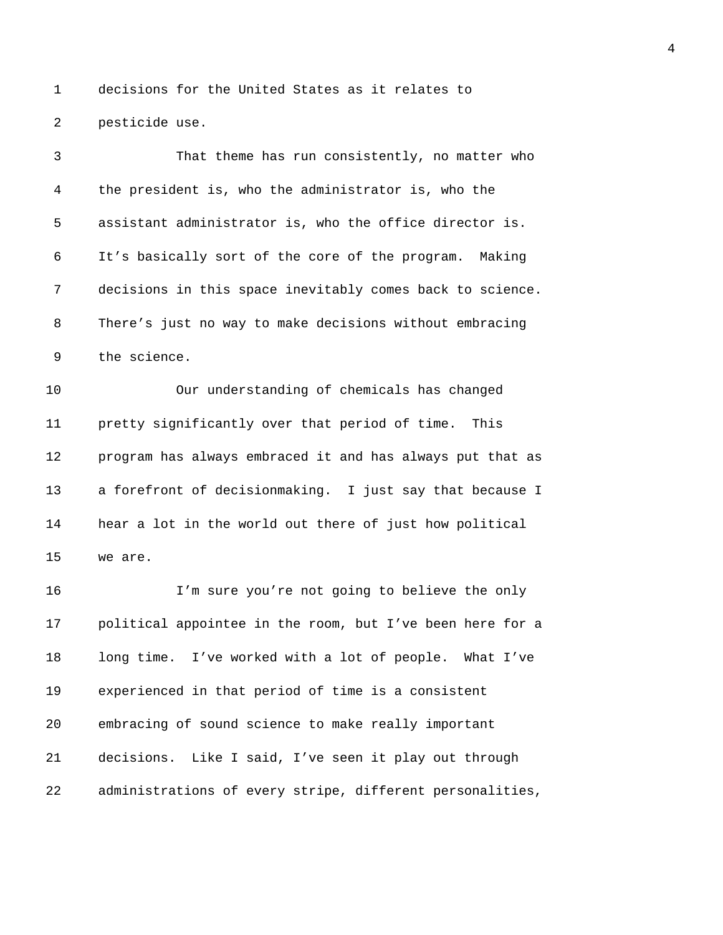1 decisions for the United States as it relates to 2 pesticide use.

| 3  | That theme has run consistently, no matter who            |
|----|-----------------------------------------------------------|
| 4  | the president is, who the administrator is, who the       |
| 5  | assistant administrator is, who the office director is.   |
| 6  | It's basically sort of the core of the program.<br>Making |
| 7  | decisions in this space inevitably comes back to science. |
| 8  | There's just no way to make decisions without embracing   |
| 9  | the science.                                              |
| 10 | Our understanding of chemicals has changed                |
| 11 | pretty significantly over that period of time. This       |
| 12 | program has always embraced it and has always put that as |
| 13 | a forefront of decisionmaking. I just say that because I  |
| 14 | hear a lot in the world out there of just how political   |
| 15 | we are.                                                   |
| 16 | I'm sure you're not going to believe the only             |
| 17 | political appointee in the room, but I've been here for a |
| 18 | long time. I've worked with a lot of people. What I've    |
| 19 | experienced in that period of time is a consistent        |
| 20 | embracing of sound science to make really important       |
| 21 | decisions. Like I said, I've seen it play out through     |
| 22 | administrations of every stripe, different personalities, |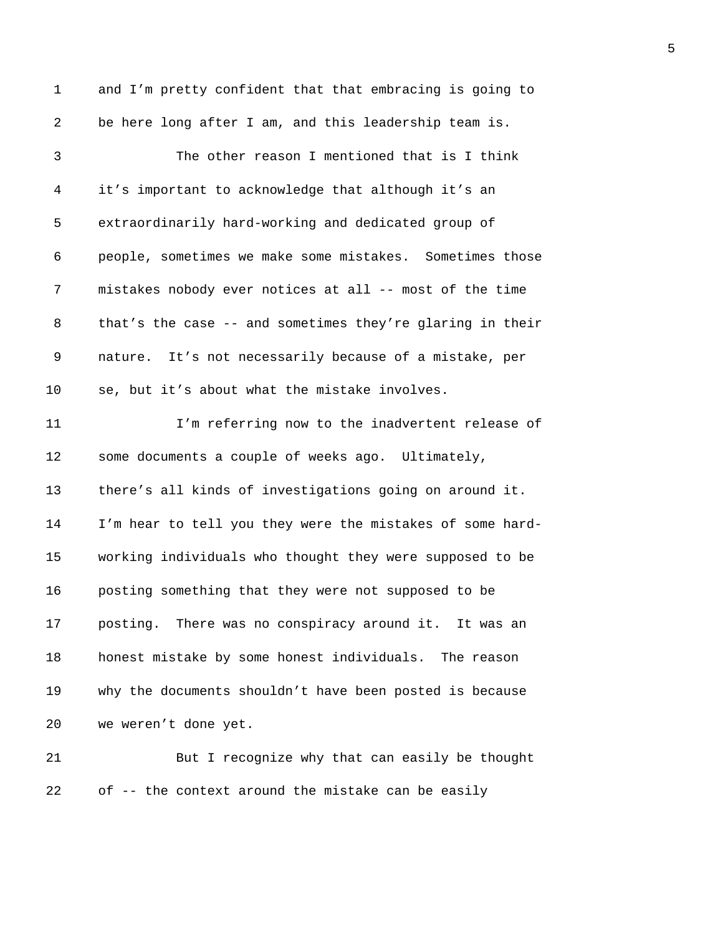| 1  | and I'm pretty confident that that embracing is going to  |
|----|-----------------------------------------------------------|
| 2  | be here long after I am, and this leadership team is.     |
| 3  | The other reason I mentioned that is I think              |
| 4  | it's important to acknowledge that although it's an       |
| 5  | extraordinarily hard-working and dedicated group of       |
| 6  | people, sometimes we make some mistakes. Sometimes those  |
| 7  | mistakes nobody ever notices at all -- most of the time   |
| 8  | that's the case -- and sometimes they're glaring in their |
| 9  | nature. It's not necessarily because of a mistake, per    |
| 10 | se, but it's about what the mistake involves.             |
| 11 | I'm referring now to the inadvertent release of           |
| 12 | some documents a couple of weeks ago. Ultimately,         |
| 13 | there's all kinds of investigations going on around it.   |
| 14 | I'm hear to tell you they were the mistakes of some hard- |
| 15 | working individuals who thought they were supposed to be  |
| 16 | posting something that they were not supposed to be       |
| 17 | posting. There was no conspiracy around it. It was an     |
| 18 | honest mistake by some honest individuals. The reason     |
| 19 | why the documents shouldn't have been posted is because   |
| 20 | we weren't done yet.                                      |
| 21 | But I recognize why that can easily be thought            |
| 22 | of -- the context around the mistake can be easily        |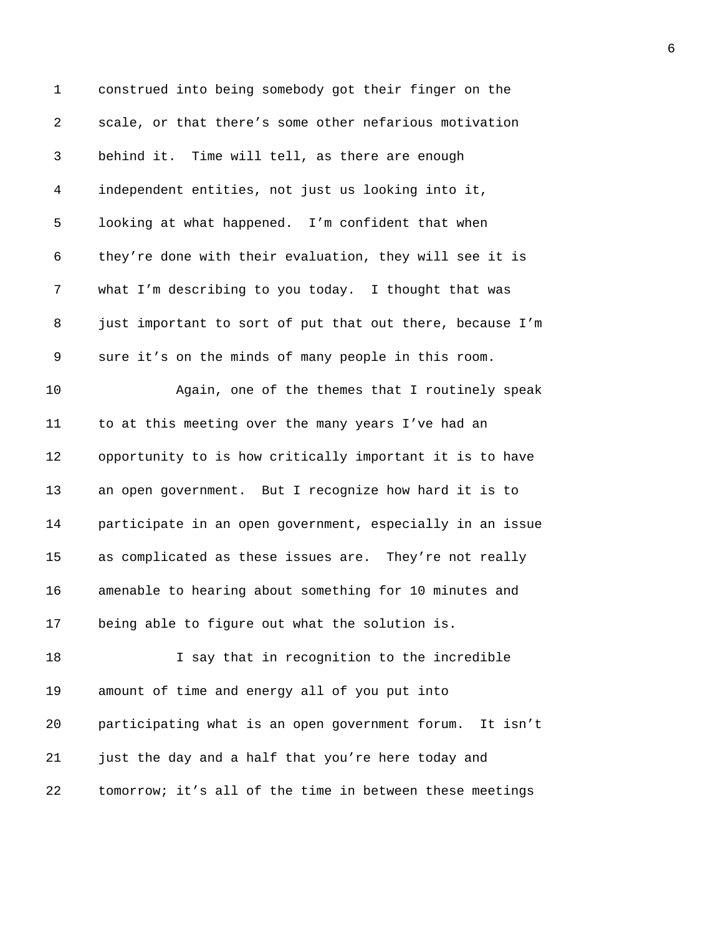| 1              | construed into being somebody got their finger on the       |
|----------------|-------------------------------------------------------------|
| $\overline{2}$ | scale, or that there's some other nefarious motivation      |
| 3              | behind it. Time will tell, as there are enough              |
| 4              | independent entities, not just us looking into it,          |
| 5              | looking at what happened. I'm confident that when           |
| 6              | they're done with their evaluation, they will see it is     |
| 7              | what I'm describing to you today. I thought that was        |
| 8              | just important to sort of put that out there, because I'm   |
| 9              | sure it's on the minds of many people in this room.         |
| 10             | Again, one of the themes that I routinely speak             |
| 11             | to at this meeting over the many years I've had an          |
| 12             | opportunity to is how critically important it is to have    |
| 13             | an open government. But I recognize how hard it is to       |
| 14             | participate in an open government, especially in an issue   |
| 15             | as complicated as these issues are. They're not really      |
| 16             | amenable to hearing about something for 10 minutes and      |
| 17             | being able to figure out what the solution is.              |
| 18             | I say that in recognition to the incredible                 |
| 19             | amount of time and energy all of you put into               |
| 20             | participating what is an open government forum.<br>It isn't |
| 21             | just the day and a half that you're here today and          |
| 22             | tomorrow; it's all of the time in between these meetings    |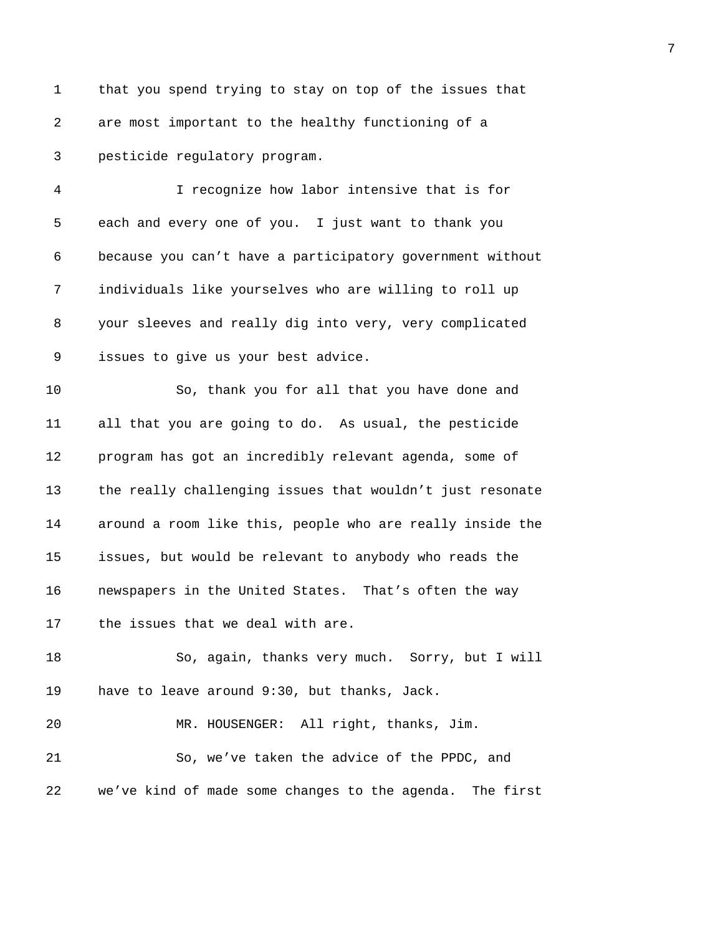1 that you spend trying to stay on top of the issues that 2 are most important to the healthy functioning of a 3 pesticide regulatory program.

4 I recognize how labor intensive that is for 5 each and every one of you. I just want to thank you 6 because you can't have a participatory government without 7 individuals like yourselves who are willing to roll up 8 your sleeves and really dig into very, very complicated 9 issues to give us your best advice.

10 So, thank you for all that you have done and 11 all that you are going to do. As usual, the pesticide 12 program has got an incredibly relevant agenda, some of 13 the really challenging issues that wouldn't just resonate 14 around a room like this, people who are really inside the 15 issues, but would be relevant to anybody who reads the 16 newspapers in the United States. That's often the way 17 the issues that we deal with are.

18 So, again, thanks very much. Sorry, but I will 19 have to leave around 9:30, but thanks, Jack.

21 So, we've taken the advice of the PPDC, and 22 we've kind of made some changes to the agenda. The first

20 MR. HOUSENGER: All right, thanks, Jim.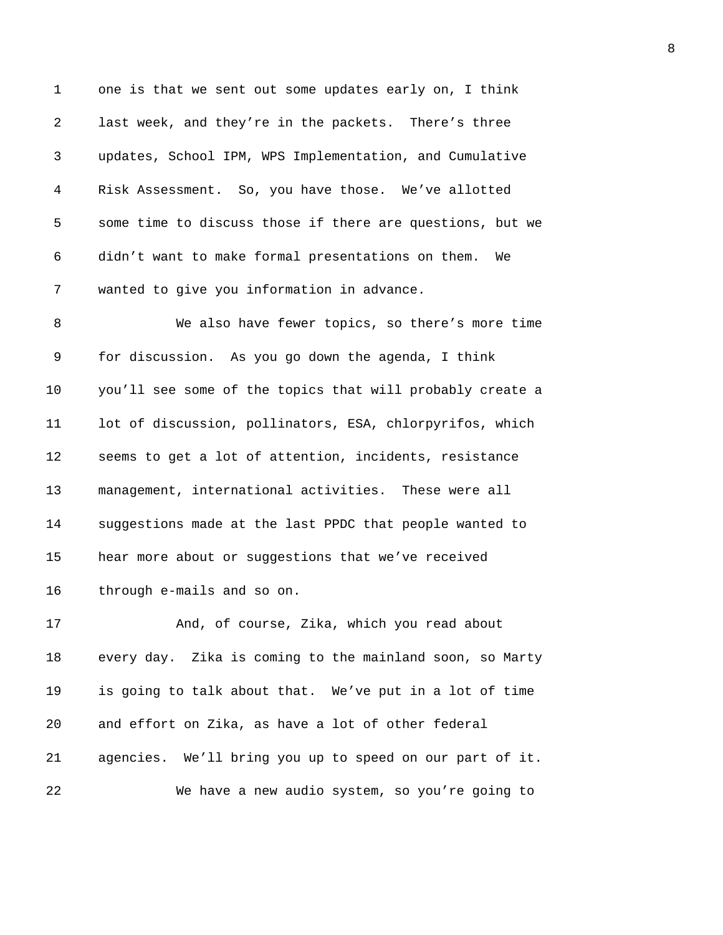1 one is that we sent out some updates early on, I think 2 last week, and they're in the packets. There's three 3 updates, School IPM, WPS Implementation, and Cumulative 4 Risk Assessment. So, you have those. We've allotted 5 some time to discuss those if there are questions, but we 6 didn't want to make formal presentations on them. We 7 wanted to give you information in advance.

8 We also have fewer topics, so there's more time 9 for discussion. As you go down the agenda, I think 10 you'll see some of the topics that will probably create a 11 lot of discussion, pollinators, ESA, chlorpyrifos, which 12 seems to get a lot of attention, incidents, resistance 13 management, international activities. These were all 14 suggestions made at the last PPDC that people wanted to 15 hear more about or suggestions that we've received 16 through e-mails and so on.

17 And, of course, Zika, which you read about 18 every day. Zika is coming to the mainland soon, so Marty 19 is going to talk about that. We've put in a lot of time 20 and effort on Zika, as have a lot of other federal 21 agencies. We'll bring you up to speed on our part of it. 22 We have a new audio system, so you're going to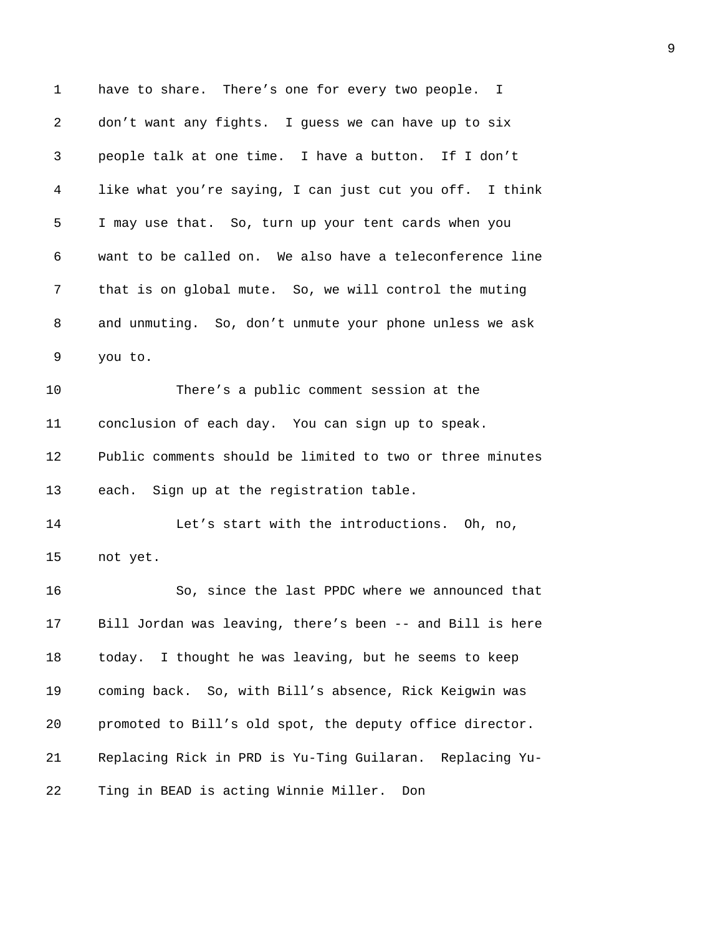1 have to share. There's one for every two people. I 2 don't want any fights. I guess we can have up to six 3 people talk at one time. I have a button. If I don't 4 like what you're saying, I can just cut you off. I think 5 I may use that. So, turn up your tent cards when you 6 want to be called on. We also have a teleconference line 7 that is on global mute. So, we will control the muting 8 and unmuting. So, don't unmute your phone unless we ask 9 you to. 10 There's a public comment session at the 11 conclusion of each day. You can sign up to speak. 12 Public comments should be limited to two or three minutes 13 each. Sign up at the registration table. 14 Let's start with the introductions. Oh, no, 15 not yet. 16 So, since the last PPDC where we announced that 17 Bill Jordan was leaving, there's been -- and Bill is here 18 today. I thought he was leaving, but he seems to keep 19 coming back. So, with Bill's absence, Rick Keigwin was 20 promoted to Bill's old spot, the deputy office director. 21 Replacing Rick in PRD is Yu-Ting Guilaran. Replacing Yu-22 Ting in BEAD is acting Winnie Miller. Don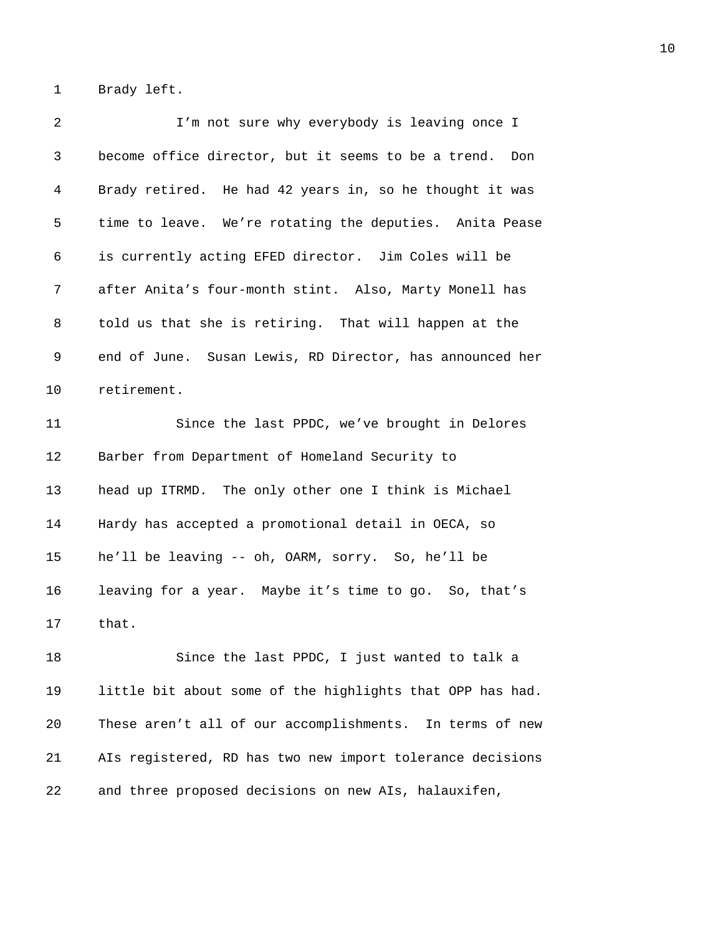1 Brady left.

| 2  | I'm not sure why everybody is leaving once I              |
|----|-----------------------------------------------------------|
| 3  | become office director, but it seems to be a trend. Don   |
| 4  | Brady retired. He had 42 years in, so he thought it was   |
| 5  | time to leave. We're rotating the deputies. Anita Pease   |
| 6  | is currently acting EFED director. Jim Coles will be      |
| 7  | after Anita's four-month stint. Also, Marty Monell has    |
| 8  | told us that she is retiring. That will happen at the     |
| 9  | end of June. Susan Lewis, RD Director, has announced her  |
| 10 | retirement.                                               |
| 11 | Since the last PPDC, we've brought in Delores             |
| 12 | Barber from Department of Homeland Security to            |
| 13 | head up ITRMD. The only other one I think is Michael      |
| 14 | Hardy has accepted a promotional detail in OECA, so       |
| 15 | he'll be leaving -- oh, OARM, sorry. So, he'll be         |
| 16 | leaving for a year. Maybe it's time to go. So, that's     |
| 17 | that.                                                     |
| 18 | Since the last PPDC, I just wanted to talk a              |
| 19 | little bit about some of the highlights that OPP has had. |
| 20 | These aren't all of our accomplishments. In terms of new  |
| 21 | AIs registered, RD has two new import tolerance decisions |
| 22 | and three proposed decisions on new AIs, halauxifen,      |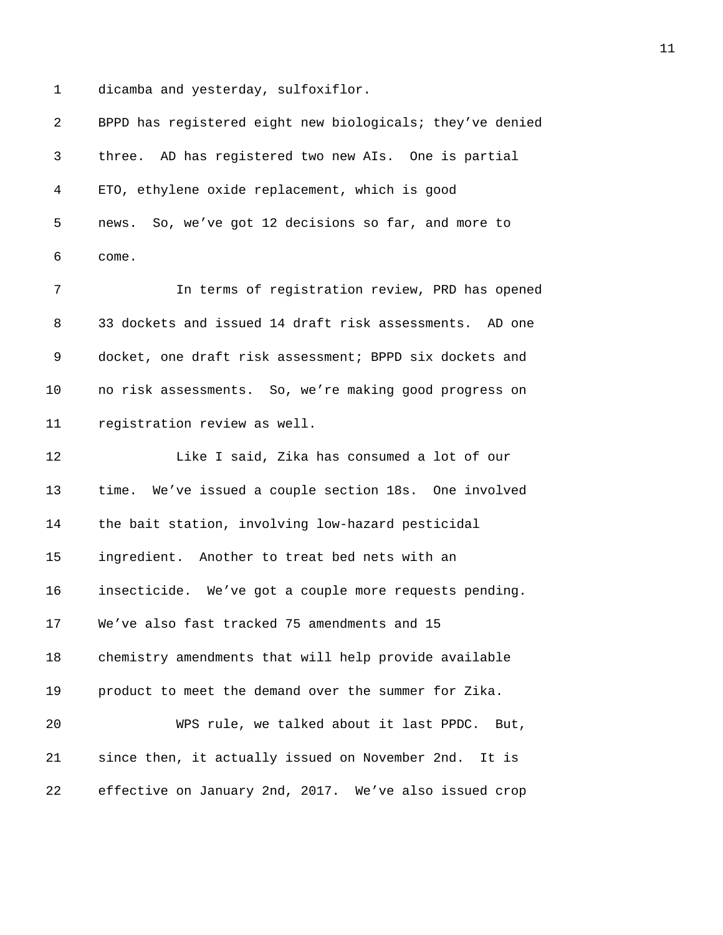1 dicamba and yesterday, sulfoxiflor.

| $\overline{2}$ | BPPD has registered eight new biologicals; they've denied |
|----------------|-----------------------------------------------------------|
| 3              | three. AD has registered two new AIs. One is partial      |
| 4              | ETO, ethylene oxide replacement, which is good            |
| 5              | news. So, we've got 12 decisions so far, and more to      |
| 6              | come.                                                     |
| 7              | In terms of registration review, PRD has opened           |
| 8              | 33 dockets and issued 14 draft risk assessments. AD one   |
| 9              | docket, one draft risk assessment; BPPD six dockets and   |
| 10             | no risk assessments. So, we're making good progress on    |
| 11             | registration review as well.                              |
| 12             | Like I said, Zika has consumed a lot of our               |
| 13             | time. We've issued a couple section 18s. One involved     |
| 14             | the bait station, involving low-hazard pesticidal         |
| 15             | ingredient. Another to treat bed nets with an             |
| 16             | insecticide. We've got a couple more requests pending.    |
| 17             | We've also fast tracked 75 amendments and 15              |
| 18             | chemistry amendments that will help provide available     |
| 19             | product to meet the demand over the summer for Zika.      |
| 20             | WPS rule, we talked about it last PPDC. But,              |
| 21             | since then, it actually issued on November 2nd. It is     |
| 22             | effective on January 2nd, 2017. We've also issued crop    |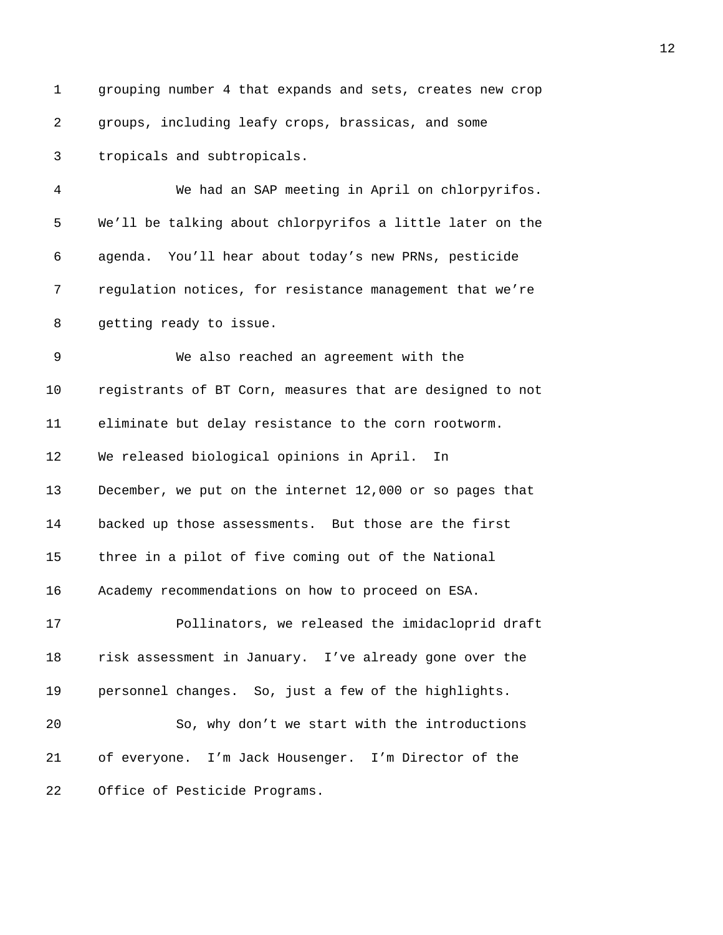1 grouping number 4 that expands and sets, creates new crop 2 groups, including leafy crops, brassicas, and some 3 tropicals and subtropicals. 4 We had an SAP meeting in April on chlorpyrifos. 5 We'll be talking about chlorpyrifos a little later on the 6 agenda. You'll hear about today's new PRNs, pesticide 7 regulation notices, for resistance management that we're 8 getting ready to issue. 9 We also reached an agreement with the 10 registrants of BT Corn, measures that are designed to not 11 eliminate but delay resistance to the corn rootworm. 12 We released biological opinions in April. In 13 December, we put on the internet 12,000 or so pages that 14 backed up those assessments. But those are the first 15 three in a pilot of five coming out of the National 16 Academy recommendations on how to proceed on ESA. 17 Pollinators, we released the imidacloprid draft 18 risk assessment in January. I've already gone over the 19 personnel changes. So, just a few of the highlights. 20 So, why don't we start with the introductions 21 of everyone. I'm Jack Housenger. I'm Director of the 22 Office of Pesticide Programs.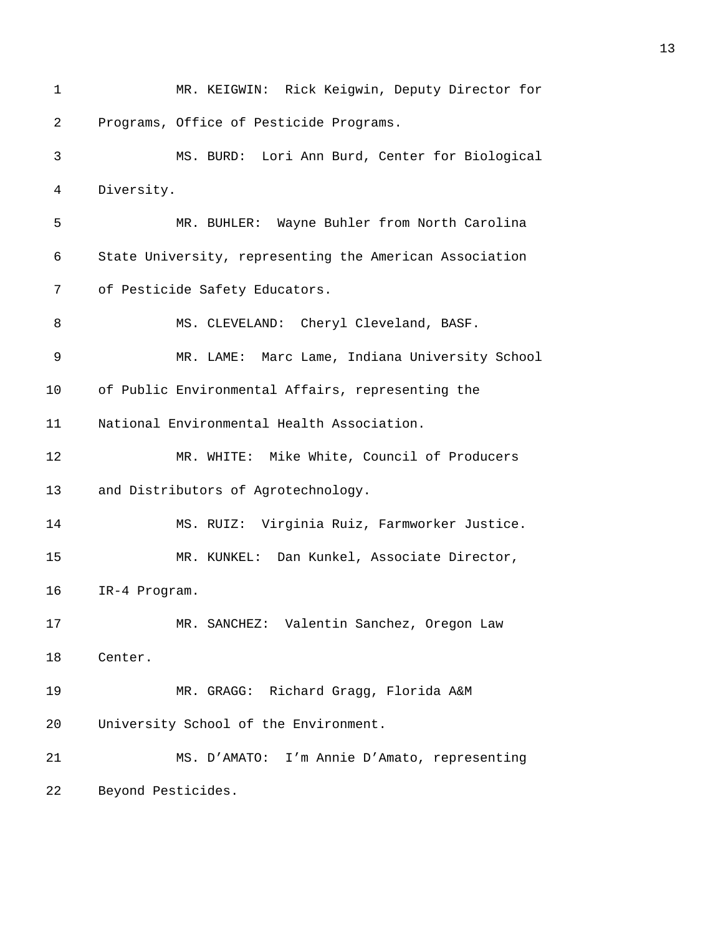1 MR. KEIGWIN: Rick Keigwin, Deputy Director for 2 Programs, Office of Pesticide Programs. 3 MS. BURD: Lori Ann Burd, Center for Biological 4 Diversity. 5 MR. BUHLER: Wayne Buhler from North Carolina 6 State University, representing the American Association 7 of Pesticide Safety Educators. 8 MS. CLEVELAND: Cheryl Cleveland, BASF. 9 MR. LAME: Marc Lame, Indiana University School 10 of Public Environmental Affairs, representing the 11 National Environmental Health Association. 12 MR. WHITE: Mike White, Council of Producers 13 and Distributors of Agrotechnology. 14 MS. RUIZ: Virginia Ruiz, Farmworker Justice. 15 MR. KUNKEL: Dan Kunkel, Associate Director, 16 IR-4 Program. 17 MR. SANCHEZ: Valentin Sanchez, Oregon Law 18 Center. 19 MR. GRAGG: Richard Gragg, Florida A&M 20 University School of the Environment. 21 MS. D'AMATO: I'm Annie D'Amato, representing 22 Beyond Pesticides.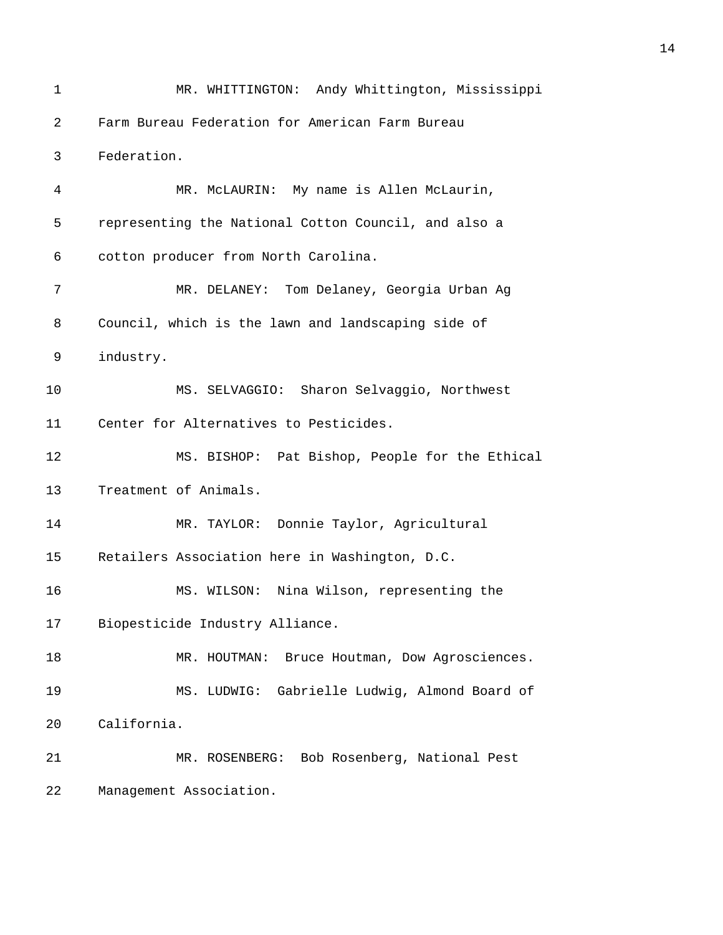1 MR. WHITTINGTON: Andy Whittington, Mississippi 2 Farm Bureau Federation for American Farm Bureau 3 Federation. 4 MR. McLAURIN: My name is Allen McLaurin, 5 representing the National Cotton Council, and also a 6 cotton producer from North Carolina. 7 MR. DELANEY: Tom Delaney, Georgia Urban Ag 8 Council, which is the lawn and landscaping side of 9 industry. 10 MS. SELVAGGIO: Sharon Selvaggio, Northwest 11 Center for Alternatives to Pesticides. 12 MS. BISHOP: Pat Bishop, People for the Ethical 13 Treatment of Animals. 14 MR. TAYLOR: Donnie Taylor, Agricultural 15 Retailers Association here in Washington, D.C. 16 MS. WILSON: Nina Wilson, representing the 17 Biopesticide Industry Alliance. 18 MR. HOUTMAN: Bruce Houtman, Dow Agrosciences. 19 MS. LUDWIG: Gabrielle Ludwig, Almond Board of 20 California. 21 MR. ROSENBERG: Bob Rosenberg, National Pest 22 Management Association.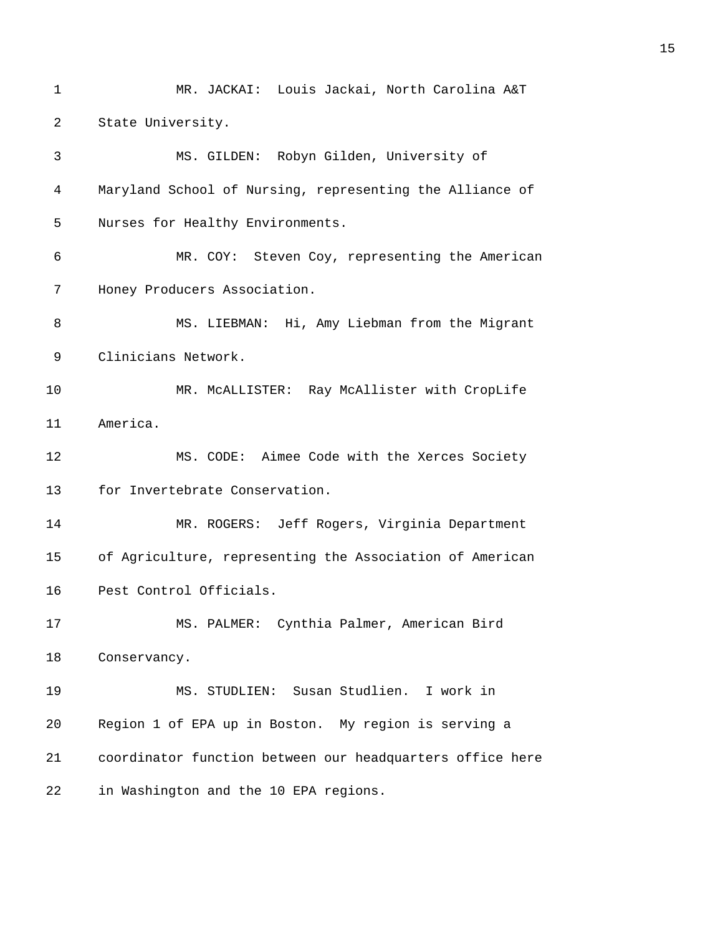1 MR. JACKAI: Louis Jackai, North Carolina A&T 2 State University. 3 MS. GILDEN: Robyn Gilden, University of 4 Maryland School of Nursing, representing the Alliance of 5 Nurses for Healthy Environments. 6 MR. COY: Steven Coy, representing the American 7 Honey Producers Association. 8 MS. LIEBMAN: Hi, Amy Liebman from the Migrant 9 Clinicians Network. 10 MR. McALLISTER: Ray McAllister with CropLife 11 America. 12 MS. CODE: Aimee Code with the Xerces Society 13 for Invertebrate Conservation. 14 MR. ROGERS: Jeff Rogers, Virginia Department 15 of Agriculture, representing the Association of American 16 Pest Control Officials. 17 MS. PALMER: Cynthia Palmer, American Bird 18 Conservancy. 19 MS. STUDLIEN: Susan Studlien. I work in 20 Region 1 of EPA up in Boston. My region is serving a 21 coordinator function between our headquarters office here 22 in Washington and the 10 EPA regions.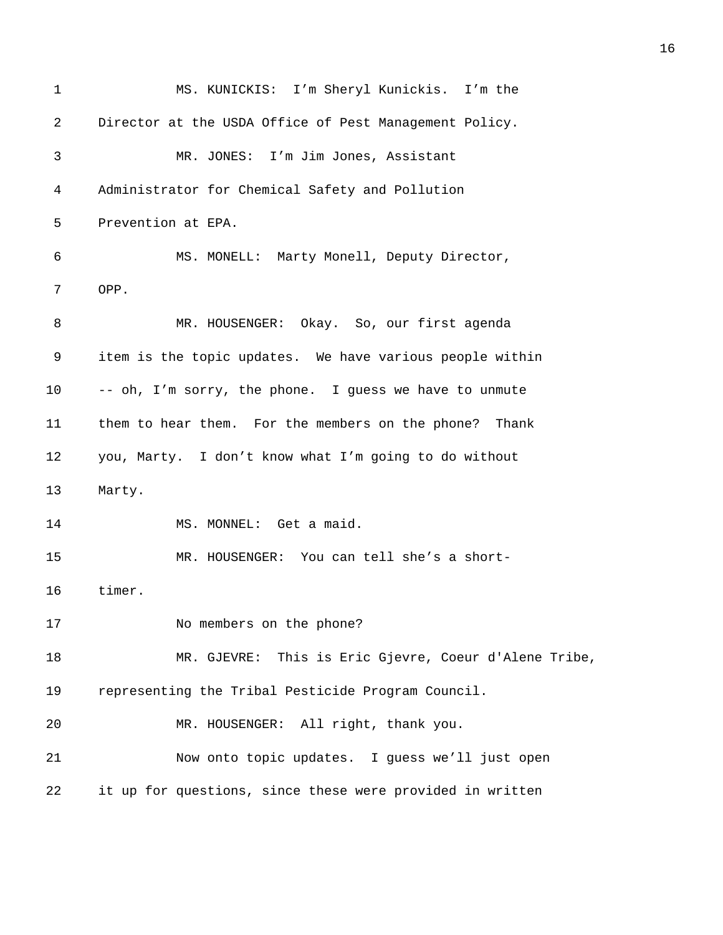1 MS. KUNICKIS: I'm Sheryl Kunickis. I'm the 2 Director at the USDA Office of Pest Management Policy. 3 MR. JONES: I'm Jim Jones, Assistant 4 Administrator for Chemical Safety and Pollution 5 Prevention at EPA. 6 MS. MONELL: Marty Monell, Deputy Director, 7 OPP. 8 MR. HOUSENGER: Okay. So, our first agenda 9 item is the topic updates. We have various people within 10 -- oh, I'm sorry, the phone. I guess we have to unmute 11 them to hear them. For the members on the phone? Thank 12 you, Marty. I don't know what I'm going to do without 13 Marty. 14 MS. MONNEL: Get a maid. 15 MR. HOUSENGER: You can tell she's a short-16 timer. 17 No members on the phone? 18 MR. GJEVRE: This is Eric Gjevre, Coeur d'Alene Tribe, 19 representing the Tribal Pesticide Program Council. 20 MR. HOUSENGER: All right, thank you. 21 Now onto topic updates. I guess we'll just open 22 it up for questions, since these were provided in written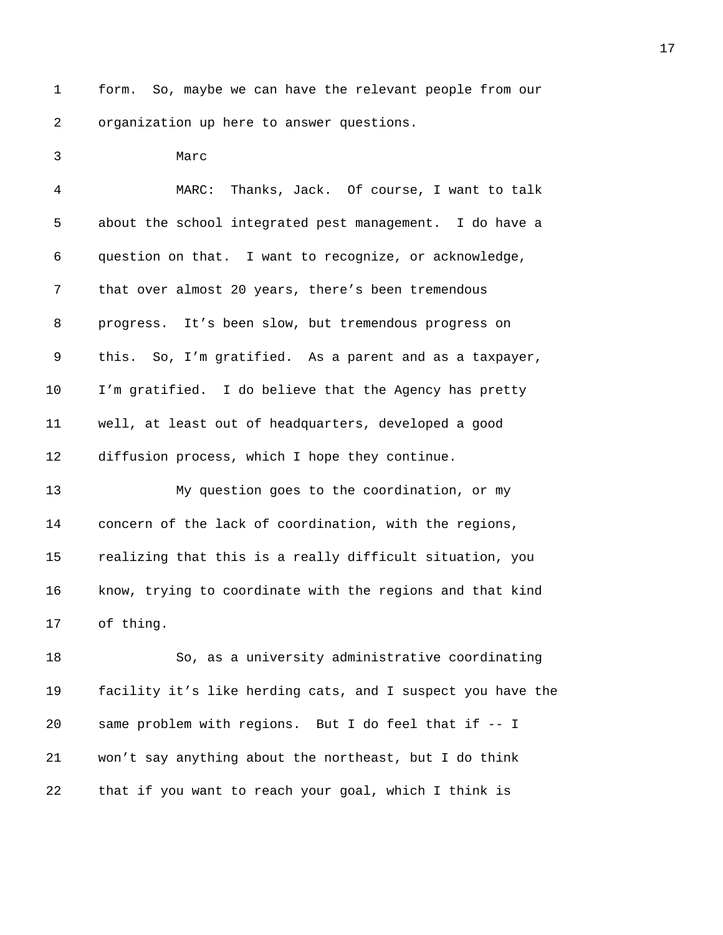1 form. So, maybe we can have the relevant people from our 2 organization up here to answer questions.

3 Marc

4 MARC: Thanks, Jack. Of course, I want to talk 5 about the school integrated pest management. I do have a 6 question on that. I want to recognize, or acknowledge, 7 that over almost 20 years, there's been tremendous 8 progress. It's been slow, but tremendous progress on 9 this. So, I'm gratified. As a parent and as a taxpayer, 10 I'm gratified. I do believe that the Agency has pretty 11 well, at least out of headquarters, developed a good 12 diffusion process, which I hope they continue.

13 My question goes to the coordination, or my 14 concern of the lack of coordination, with the regions, 15 realizing that this is a really difficult situation, you 16 know, trying to coordinate with the regions and that kind 17 of thing.

18 So, as a university administrative coordinating 19 facility it's like herding cats, and I suspect you have the 20 same problem with regions. But I do feel that if -- I 21 won't say anything about the northeast, but I do think 22 that if you want to reach your goal, which I think is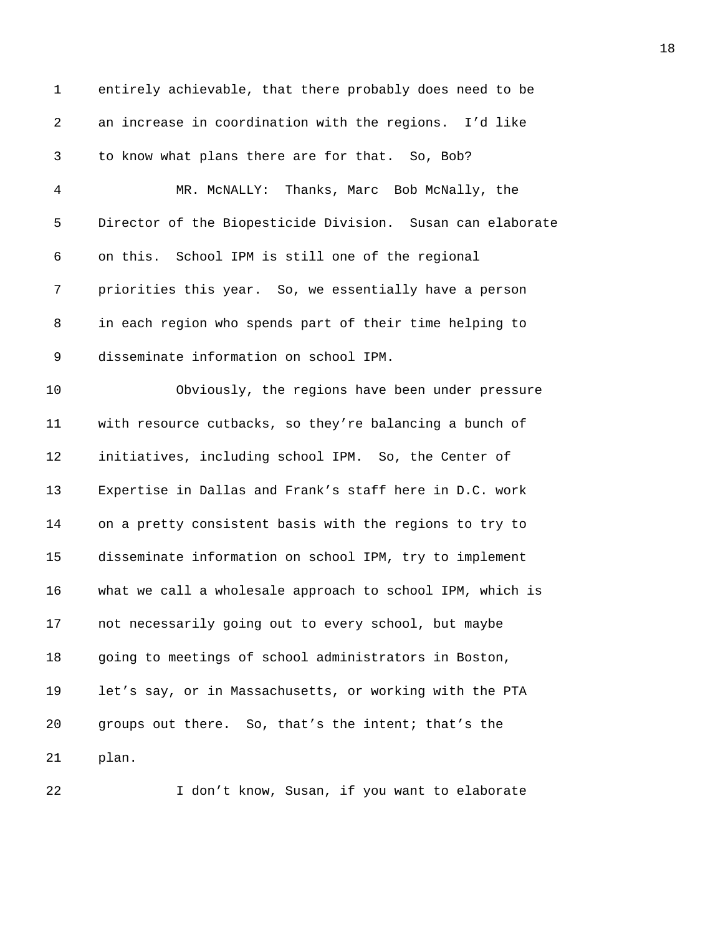1 entirely achievable, that there probably does need to be 2 an increase in coordination with the regions. I'd like 3 to know what plans there are for that. So, Bob? 4 MR. McNALLY: Thanks, Marc Bob McNally, the 5 Director of the Biopesticide Division. Susan can elaborate 6 on this. School IPM is still one of the regional 7 priorities this year. So, we essentially have a person 8 in each region who spends part of their time helping to 9 disseminate information on school IPM. 10 Obviously, the regions have been under pressure 11 with resource cutbacks, so they're balancing a bunch of 12 initiatives, including school IPM. So, the Center of 13 Expertise in Dallas and Frank's staff here in D.C. work 14 on a pretty consistent basis with the regions to try to 15 disseminate information on school IPM, try to implement 16 what we call a wholesale approach to school IPM, which is 17 not necessarily going out to every school, but maybe 18 going to meetings of school administrators in Boston, 19 let's say, or in Massachusetts, or working with the PTA 20 groups out there. So, that's the intent; that's the 21 plan.

22 I don't know, Susan, if you want to elaborate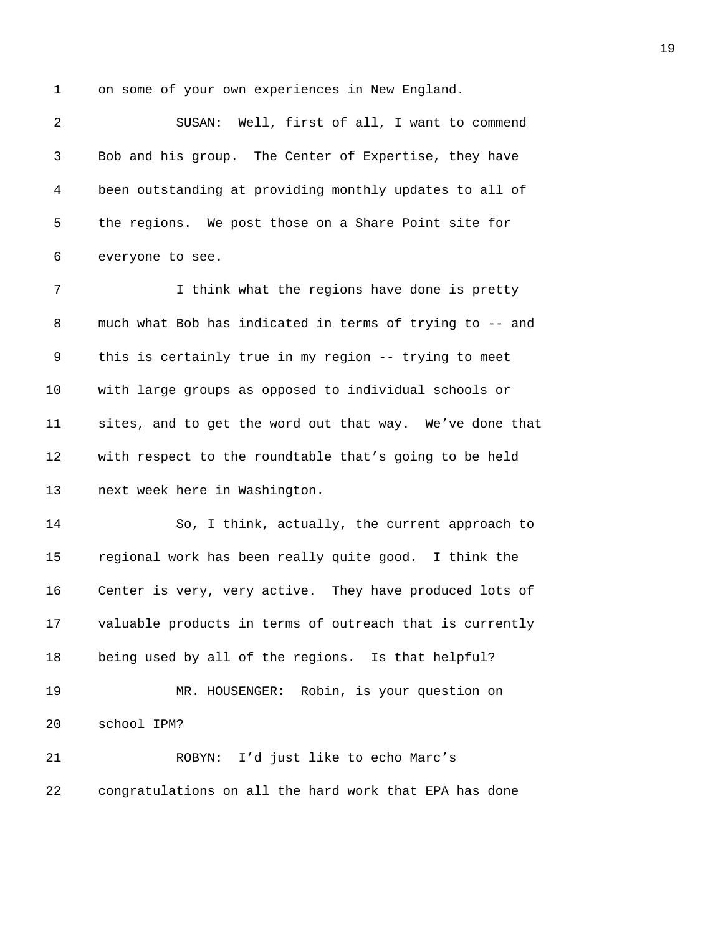1 on some of your own experiences in New England.

2 SUSAN: Well, first of all, I want to commend 3 Bob and his group. The Center of Expertise, they have 4 been outstanding at providing monthly updates to all of 5 the regions. We post those on a Share Point site for 6 everyone to see.

7 I think what the regions have done is pretty 8 much what Bob has indicated in terms of trying to -- and 9 this is certainly true in my region -- trying to meet 10 with large groups as opposed to individual schools or 11 sites, and to get the word out that way. We've done that 12 with respect to the roundtable that's going to be held 13 next week here in Washington.

14 So, I think, actually, the current approach to 15 regional work has been really quite good. I think the 16 Center is very, very active. They have produced lots of 17 valuable products in terms of outreach that is currently 18 being used by all of the regions. Is that helpful?

19 MR. HOUSENGER: Robin, is your question on 20 school IPM?

21 ROBYN: I'd just like to echo Marc's 22 congratulations on all the hard work that EPA has done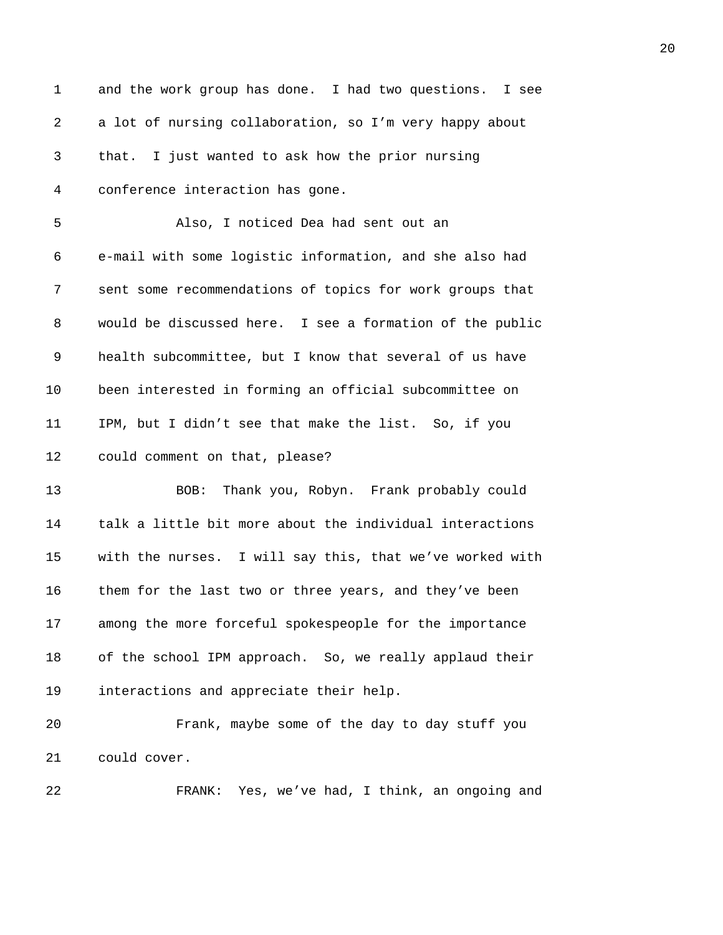| $\mathbf 1$ | and the work group has done. I had two questions. I see  |
|-------------|----------------------------------------------------------|
| 2           | a lot of nursing collaboration, so I'm very happy about  |
| 3           | that. I just wanted to ask how the prior nursing         |
| 4           | conference interaction has gone.                         |
| 5           | Also, I noticed Dea had sent out an                      |
| 6           | e-mail with some logistic information, and she also had  |
| 7           | sent some recommendations of topics for work groups that |
| 8           | would be discussed here. I see a formation of the public |
| 9           | health subcommittee, but I know that several of us have  |
| 10          | been interested in forming an official subcommittee on   |
| 11          | IPM, but I didn't see that make the list. So, if you     |
| 12          | could comment on that, please?                           |
| 13          | Thank you, Robyn. Frank probably could<br>BOB:           |
| 14          | talk a little bit more about the individual interactions |
| 15          | with the nurses. I will say this, that we've worked with |
| 16          | them for the last two or three years, and they've been   |
| 17          | among the more forceful spokespeople for the importance  |
| 18          | of the school IPM approach. So, we really applaud their  |
| 19          | interactions and appreciate their help.                  |
| 20          | Frank, maybe some of the day to day stuff you            |
| 21          | could cover.                                             |
| 22          | FRANK: Yes, we've had, I think, an ongoing and           |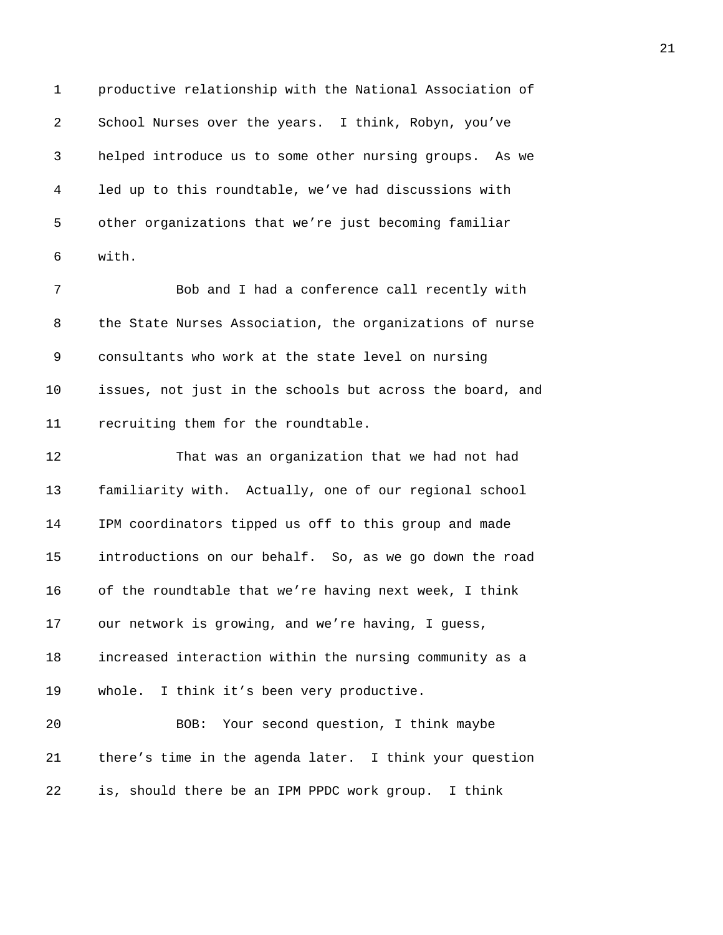1 productive relationship with the National Association of 2 School Nurses over the years. I think, Robyn, you've 3 helped introduce us to some other nursing groups. As we 4 led up to this roundtable, we've had discussions with 5 other organizations that we're just becoming familiar 6 with.

7 Bob and I had a conference call recently with 8 the State Nurses Association, the organizations of nurse 9 consultants who work at the state level on nursing 10 issues, not just in the schools but across the board, and 11 recruiting them for the roundtable.

12 That was an organization that we had not had 13 familiarity with. Actually, one of our regional school 14 IPM coordinators tipped us off to this group and made 15 introductions on our behalf. So, as we go down the road 16 of the roundtable that we're having next week, I think 17 our network is growing, and we're having, I guess, 18 increased interaction within the nursing community as a 19 whole. I think it's been very productive. 20 BOB: Your second question, I think maybe 21 there's time in the agenda later. I think your question

22 is, should there be an IPM PPDC work group. I think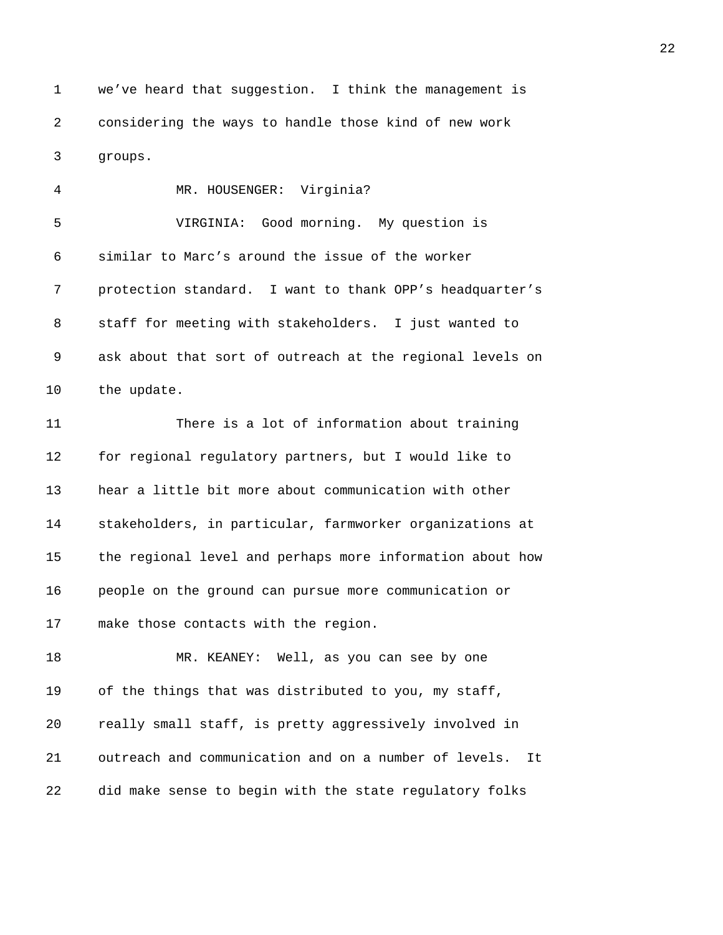1 we've heard that suggestion. I think the management is 2 considering the ways to handle those kind of new work 3 groups.

4 MR. HOUSENGER: Virginia? 5 VIRGINIA: Good morning. My question is 6 similar to Marc's around the issue of the worker 7 protection standard. I want to thank OPP's headquarter's 8 staff for meeting with stakeholders. I just wanted to 9 ask about that sort of outreach at the regional levels on 10 the update. 11 There is a lot of information about training 12 for regional regulatory partners, but I would like to 13 hear a little bit more about communication with other

14 stakeholders, in particular, farmworker organizations at 15 the regional level and perhaps more information about how 16 people on the ground can pursue more communication or 17 make those contacts with the region.

18 MR. KEANEY: Well, as you can see by one 19 of the things that was distributed to you, my staff, 20 really small staff, is pretty aggressively involved in 21 outreach and communication and on a number of levels. It 22 did make sense to begin with the state regulatory folks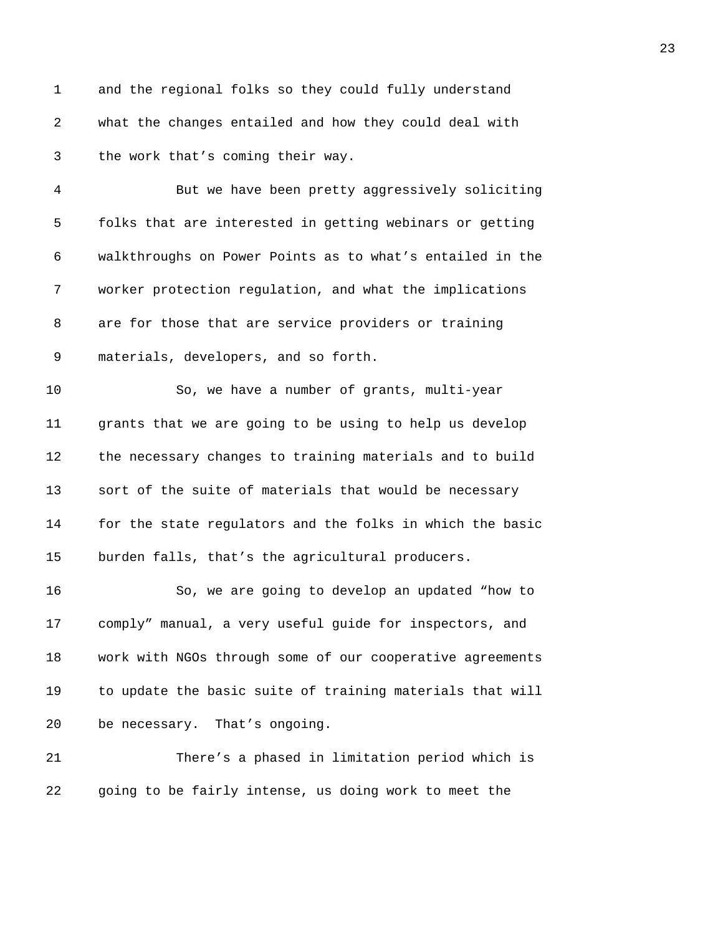1 and the regional folks so they could fully understand 2 what the changes entailed and how they could deal with 3 the work that's coming their way.

4 But we have been pretty aggressively soliciting 5 folks that are interested in getting webinars or getting 6 walkthroughs on Power Points as to what's entailed in the 7 worker protection regulation, and what the implications 8 are for those that are service providers or training 9 materials, developers, and so forth.

10 So, we have a number of grants, multi-year 11 grants that we are going to be using to help us develop 12 the necessary changes to training materials and to build 13 sort of the suite of materials that would be necessary 14 for the state regulators and the folks in which the basic 15 burden falls, that's the agricultural producers.

16 So, we are going to develop an updated "how to 17 comply" manual, a very useful guide for inspectors, and 18 work with NGOs through some of our cooperative agreements 19 to update the basic suite of training materials that will 20 be necessary. That's ongoing.

21 There's a phased in limitation period which is 22 going to be fairly intense, us doing work to meet the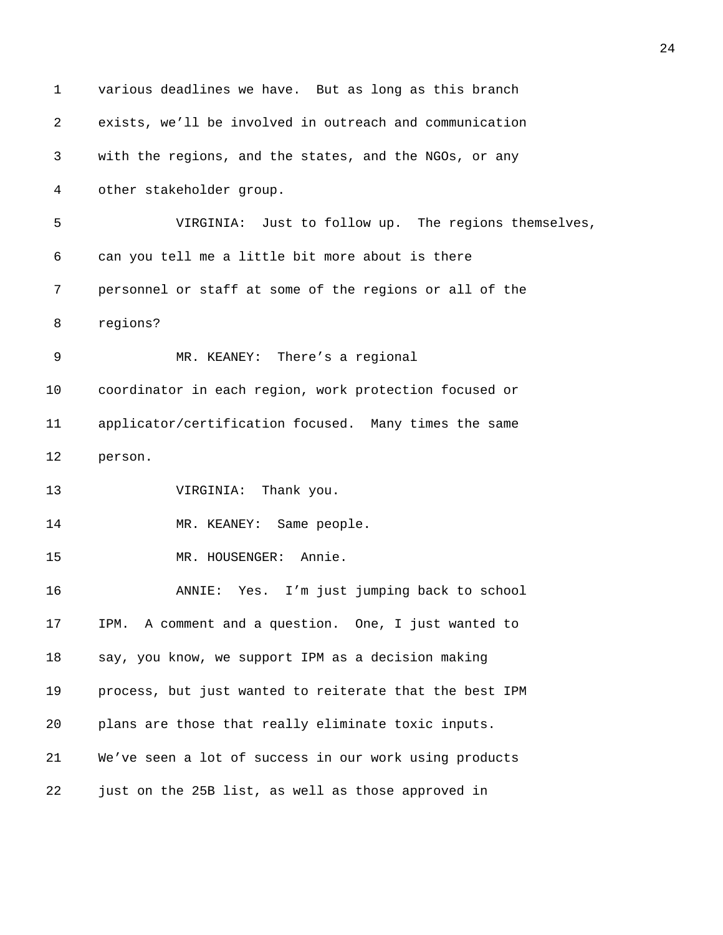| $\mathbf 1$ | various deadlines we have. But as long as this branch   |
|-------------|---------------------------------------------------------|
| 2           | exists, we'll be involved in outreach and communication |
| 3           | with the regions, and the states, and the NGOs, or any  |
| 4           | other stakeholder group.                                |
| 5           | VIRGINIA: Just to follow up. The regions themselves,    |
| 6           | can you tell me a little bit more about is there        |
| 7           | personnel or staff at some of the regions or all of the |
| 8           | regions?                                                |
| 9           | MR. KEANEY: There's a regional                          |
| 10          | coordinator in each region, work protection focused or  |
| 11          | applicator/certification focused. Many times the same   |
| 12          | person.                                                 |
| 13          | VIRGINIA: Thank you.                                    |
| 14          | MR. KEANEY: Same people.                                |
| 15          | MR. HOUSENGER: Annie.                                   |
| 16          | Yes. I'm just jumping back to school<br>ANNIE:          |
| 17          | IPM. A comment and a question. One, I just wanted to    |
| 18          | say, you know, we support IPM as a decision making      |
| 19          | process, but just wanted to reiterate that the best IPM |
| 20          | plans are those that really eliminate toxic inputs.     |
| 21          | We've seen a lot of success in our work using products  |
| 22          | just on the 25B list, as well as those approved in      |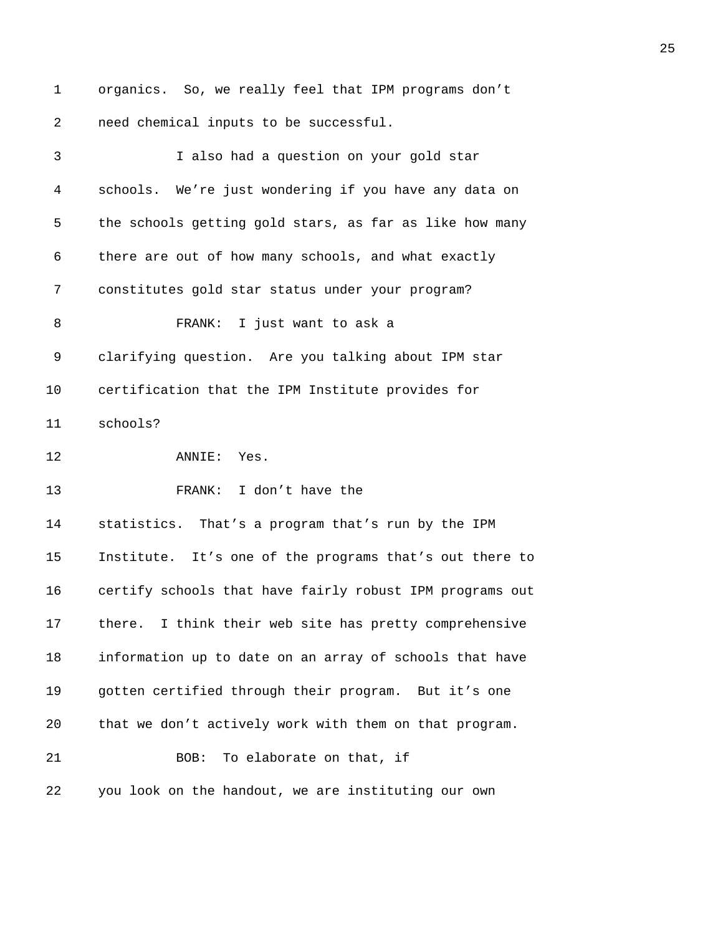1 organics. So, we really feel that IPM programs don't 2 need chemical inputs to be successful.

| 3                 | I also had a question on your gold star                  |
|-------------------|----------------------------------------------------------|
| 4                 | schools. We're just wondering if you have any data on    |
| 5                 | the schools getting gold stars, as far as like how many  |
| 6                 | there are out of how many schools, and what exactly      |
| 7                 | constitutes gold star status under your program?         |
| 8                 | FRANK: I just want to ask a                              |
| 9                 | clarifying question. Are you talking about IPM star      |
| 10                | certification that the IPM Institute provides for        |
| 11                | schools?                                                 |
| $12 \overline{ }$ | ANNIE: Yes.                                              |
| 13                | FRANK: I don't have the                                  |
| 14                | statistics. That's a program that's run by the IPM       |
| 15                | Institute. It's one of the programs that's out there to  |
| 16                | certify schools that have fairly robust IPM programs out |
| 17                | there. I think their web site has pretty comprehensive   |
| 18                | information up to date on an array of schools that have  |
| 19                | gotten certified through their program. But it's one     |
| 20                | that we don't actively work with them on that program.   |
| 21                | To elaborate on that, if<br>BOB:                         |
| 22                | you look on the handout, we are instituting our own      |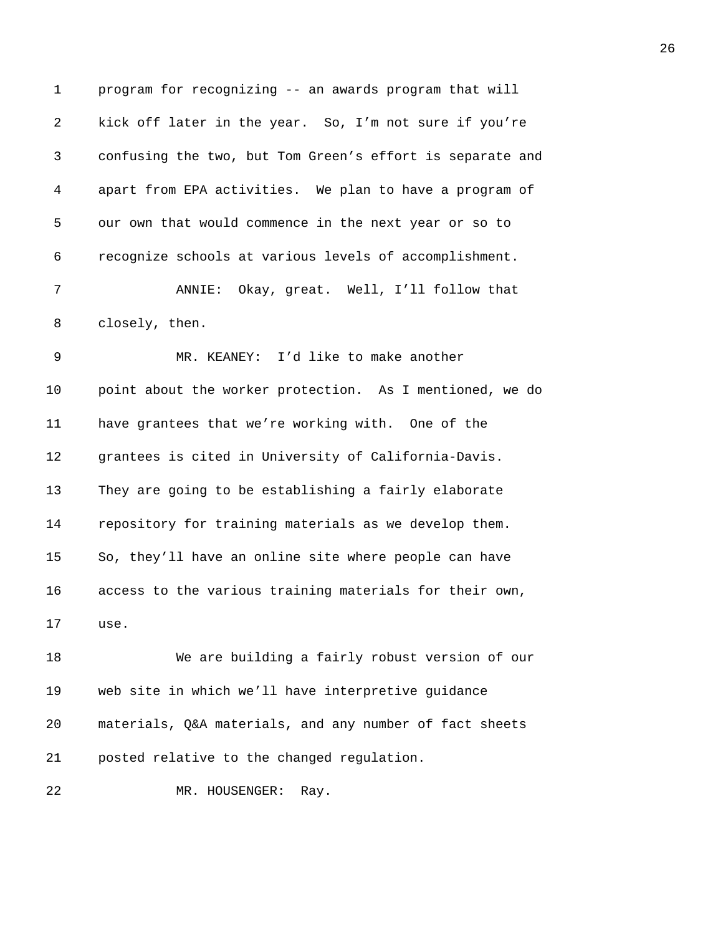| 1              | program for recognizing -- an awards program that will    |
|----------------|-----------------------------------------------------------|
| $\overline{a}$ | kick off later in the year. So, I'm not sure if you're    |
| 3              | confusing the two, but Tom Green's effort is separate and |
| 4              | apart from EPA activities. We plan to have a program of   |
| 5              | our own that would commence in the next year or so to     |
| 6              | recognize schools at various levels of accomplishment.    |
| 7              | ANNIE: Okay, great. Well, I'll follow that                |
| 8              | closely, then.                                            |
| 9              | MR. KEANEY: I'd like to make another                      |
| 10             | point about the worker protection. As I mentioned, we do  |
| 11             | have grantees that we're working with. One of the         |
| 12             | grantees is cited in University of California-Davis.      |
| 13             | They are going to be establishing a fairly elaborate      |
| 14             | repository for training materials as we develop them.     |
| 15             | So, they'll have an online site where people can have     |
| 16             | access to the various training materials for their own,   |
| 17             | use.                                                      |
| 18             | We are building a fairly robust version of our            |
| 19             | web site in which we'll have interpretive guidance        |
| 20             | materials, Q&A materials, and any number of fact sheets   |
| 21             | posted relative to the changed regulation.                |

22 MR. HOUSENGER: Ray.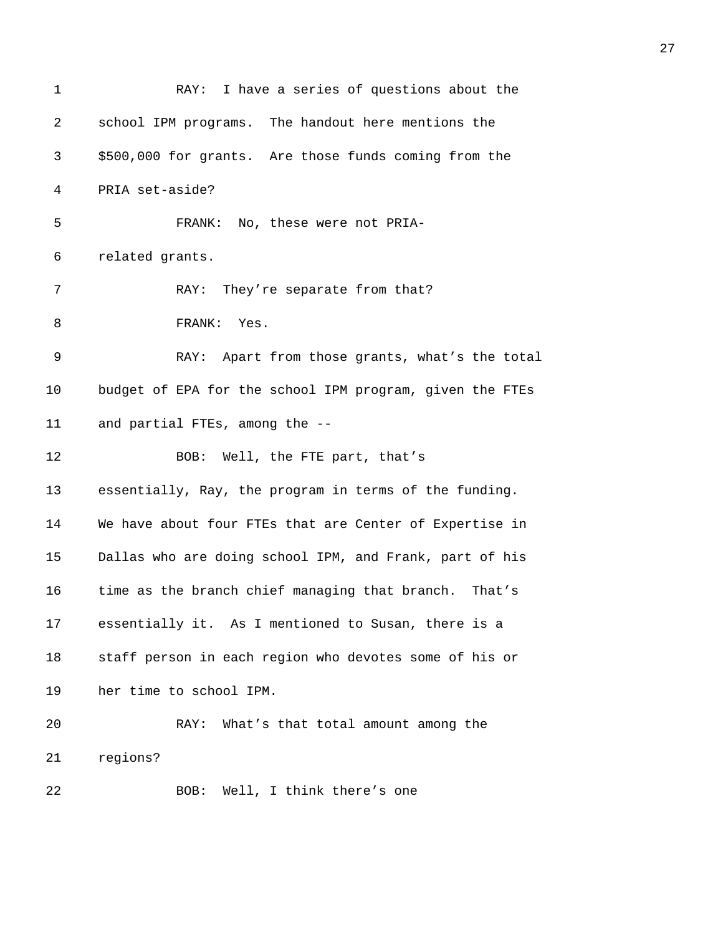| $\mathbf 1$ | RAY: I have a series of questions about the              |
|-------------|----------------------------------------------------------|
| 2           | school IPM programs. The handout here mentions the       |
| 3           | \$500,000 for grants. Are those funds coming from the    |
| 4           | PRIA set-aside?                                          |
| 5           | FRANK: No, these were not PRIA-                          |
| 6           | related grants.                                          |
| 7           | RAY: They're separate from that?                         |
| 8           | FRANK: Yes.                                              |
| 9           | RAY: Apart from those grants, what's the total           |
| 10          | budget of EPA for the school IPM program, given the FTEs |
| 11          | and partial FTEs, among the --                           |
| 12          | BOB: Well, the FTE part, that's                          |
| 13          | essentially, Ray, the program in terms of the funding.   |
| 14          | We have about four FTEs that are Center of Expertise in  |
| 15          | Dallas who are doing school IPM, and Frank, part of his  |
| 16          | time as the branch chief managing that branch. That's    |
| 17          | essentially it. As I mentioned to Susan, there is a      |
| 18          | staff person in each region who devotes some of his or   |
| 19          | her time to school IPM.                                  |
| 20          | What's that total amount among the<br>RAY:               |
| 21          | regions?                                                 |
| 22          | Well, I think there's one<br>BOB:                        |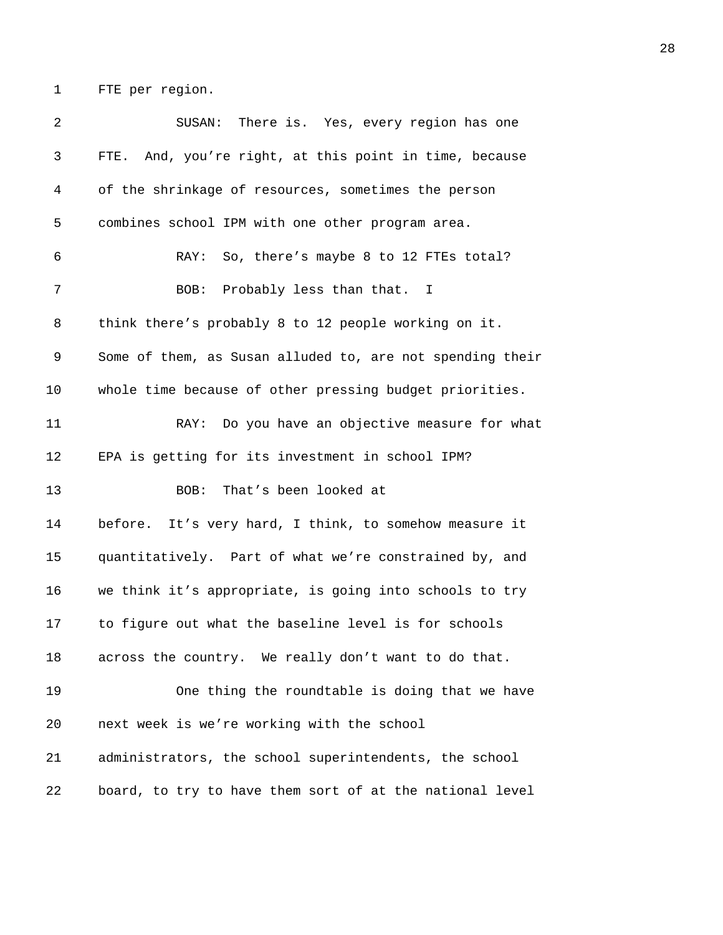1 FTE per region.

2 SUSAN: There is. Yes, every region has one 3 FTE. And, you're right, at this point in time, because 4 of the shrinkage of resources, sometimes the person 5 combines school IPM with one other program area. 6 RAY: So, there's maybe 8 to 12 FTEs total? 7 BOB: Probably less than that. I 8 think there's probably 8 to 12 people working on it. 9 Some of them, as Susan alluded to, are not spending their 10 whole time because of other pressing budget priorities. 11 RAY: Do you have an objective measure for what 12 EPA is getting for its investment in school IPM? 13 BOB: That's been looked at 14 before. It's very hard, I think, to somehow measure it 15 quantitatively. Part of what we're constrained by, and 16 we think it's appropriate, is going into schools to try 17 to figure out what the baseline level is for schools 18 across the country. We really don't want to do that. 19 One thing the roundtable is doing that we have 20 next week is we're working with the school 21 administrators, the school superintendents, the school 22 board, to try to have them sort of at the national level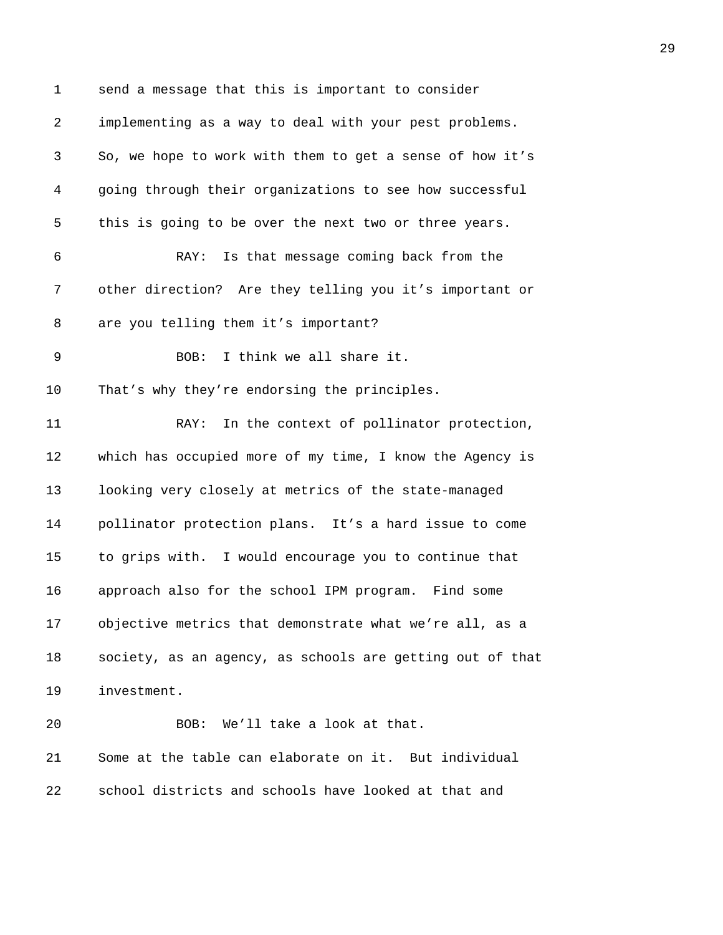1 send a message that this is important to consider 2 implementing as a way to deal with your pest problems. 3 So, we hope to work with them to get a sense of how it's 4 going through their organizations to see how successful 5 this is going to be over the next two or three years. 6 RAY: Is that message coming back from the 7 other direction? Are they telling you it's important or 8 are you telling them it's important? 9 BOB: I think we all share it. 10 That's why they're endorsing the principles. 11 RAY: In the context of pollinator protection, 12 which has occupied more of my time, I know the Agency is 13 looking very closely at metrics of the state-managed 14 pollinator protection plans. It's a hard issue to come 15 to grips with. I would encourage you to continue that 16 approach also for the school IPM program. Find some 17 objective metrics that demonstrate what we're all, as a 18 society, as an agency, as schools are getting out of that 19 investment. 20 BOB: We'll take a look at that. 21 Some at the table can elaborate on it. But individual 22 school districts and schools have looked at that and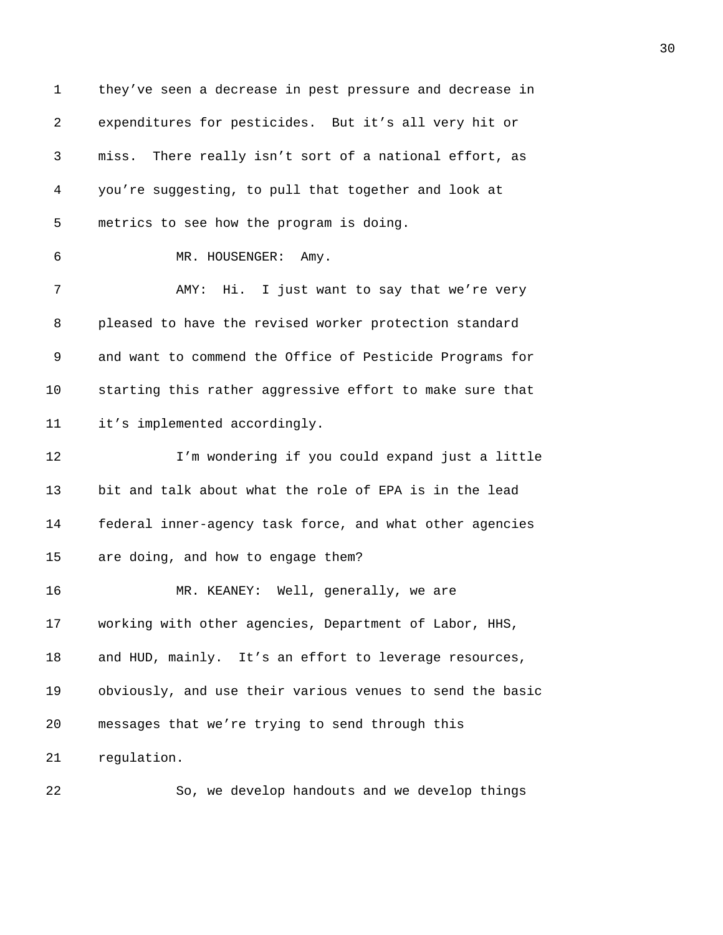1 they've seen a decrease in pest pressure and decrease in 2 expenditures for pesticides. But it's all very hit or 3 miss. There really isn't sort of a national effort, as 4 you're suggesting, to pull that together and look at 5 metrics to see how the program is doing. 6 MR. HOUSENGER: Amy. 7 AMY: Hi. I just want to say that we're very 8 pleased to have the revised worker protection standard 9 and want to commend the Office of Pesticide Programs for 10 starting this rather aggressive effort to make sure that 11 it's implemented accordingly. 12 I'm wondering if you could expand just a little 13 bit and talk about what the role of EPA is in the lead 14 federal inner-agency task force, and what other agencies 15 are doing, and how to engage them? 16 MR. KEANEY: Well, generally, we are 17 working with other agencies, Department of Labor, HHS, 18 and HUD, mainly. It's an effort to leverage resources, 19 obviously, and use their various venues to send the basic 20 messages that we're trying to send through this 21 regulation.

22 So, we develop handouts and we develop things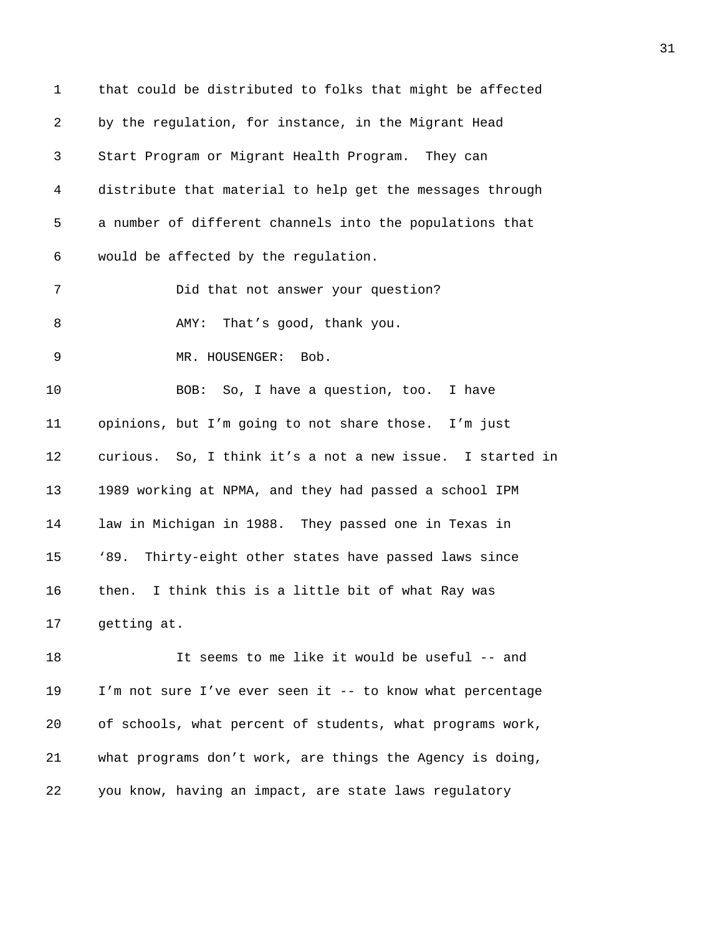1 that could be distributed to folks that might be affected 2 by the regulation, for instance, in the Migrant Head 3 Start Program or Migrant Health Program. They can 4 distribute that material to help get the messages through 5 a number of different channels into the populations that 6 would be affected by the regulation. 7 Did that not answer your question? 8 AMY: That's good, thank you. 9 MR. HOUSENGER: Bob. 10 BOB: So, I have a question, too. I have 11 opinions, but I'm going to not share those. I'm just 12 curious. So, I think it's a not a new issue. I started in 13 1989 working at NPMA, and they had passed a school IPM 14 law in Michigan in 1988. They passed one in Texas in 15 '89. Thirty-eight other states have passed laws since 16 then. I think this is a little bit of what Ray was 17 getting at. 18 It seems to me like it would be useful -- and 19 I'm not sure I've ever seen it -- to know what percentage 20 of schools, what percent of students, what programs work,

22 you know, having an impact, are state laws regulatory

21 what programs don't work, are things the Agency is doing,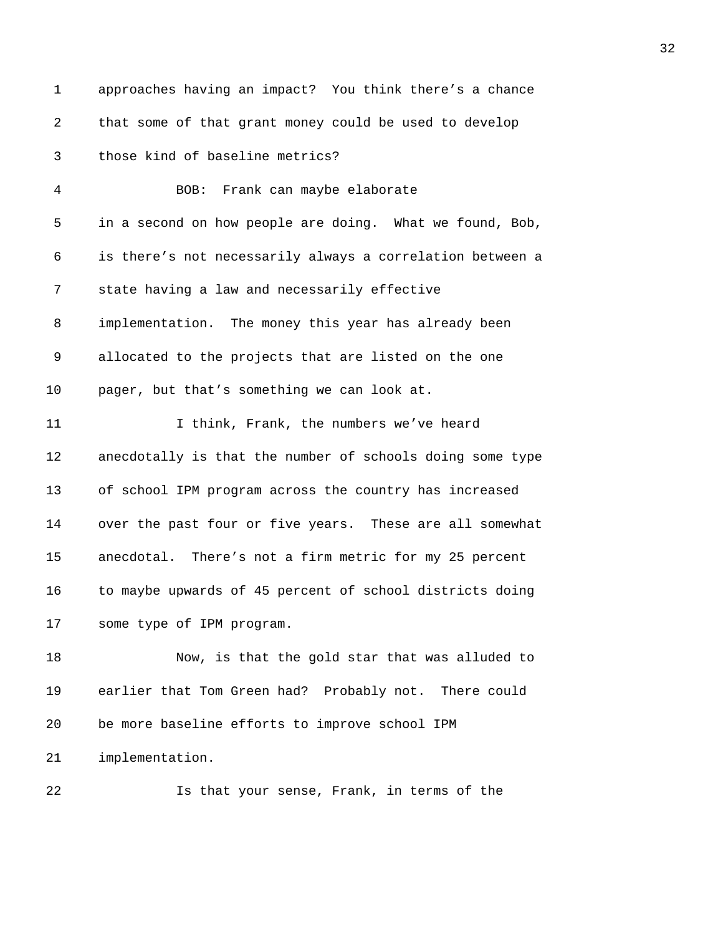1 approaches having an impact? You think there's a chance 2 that some of that grant money could be used to develop 3 those kind of baseline metrics? 4 BOB: Frank can maybe elaborate 5 in a second on how people are doing. What we found, Bob, 6 is there's not necessarily always a correlation between a 7 state having a law and necessarily effective 8 implementation. The money this year has already been 9 allocated to the projects that are listed on the one 10 pager, but that's something we can look at. 11 I think, Frank, the numbers we've heard 12 anecdotally is that the number of schools doing some type 13 of school IPM program across the country has increased 14 over the past four or five years. These are all somewhat 15 anecdotal. There's not a firm metric for my 25 percent 16 to maybe upwards of 45 percent of school districts doing 17 some type of IPM program. 18 Now, is that the gold star that was alluded to 19 earlier that Tom Green had? Probably not. There could 20 be more baseline efforts to improve school IPM 21 implementation. 22 Is that your sense, Frank, in terms of the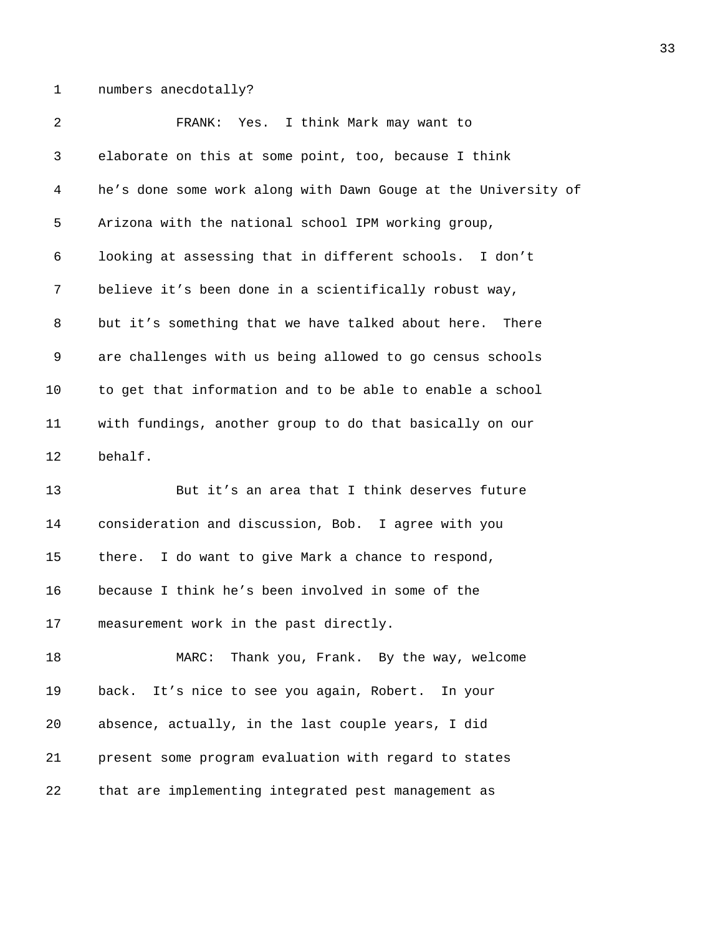1 numbers anecdotally?

2 FRANK: Yes. I think Mark may want to 3 elaborate on this at some point, too, because I think 4 he's done some work along with Dawn Gouge at the University of 5 Arizona with the national school IPM working group, 6 looking at assessing that in different schools. I don't 7 believe it's been done in a scientifically robust way, 8 but it's something that we have talked about here. There 9 are challenges with us being allowed to go census schools 10 to get that information and to be able to enable a school 11 with fundings, another group to do that basically on our 12 behalf. 13 But it's an area that I think deserves future 14 consideration and discussion, Bob. I agree with you 15 there. I do want to give Mark a chance to respond, 16 because I think he's been involved in some of the 17 measurement work in the past directly. 18 MARC: Thank you, Frank. By the way, welcome 19 back. It's nice to see you again, Robert. In your 20 absence, actually, in the last couple years, I did 21 present some program evaluation with regard to states 22 that are implementing integrated pest management as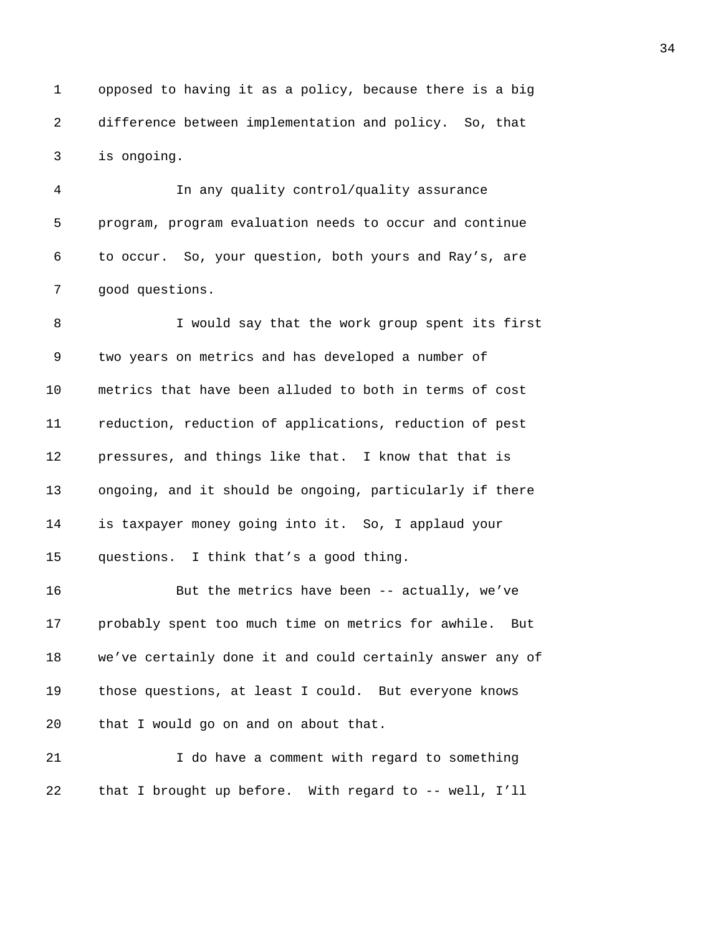1 opposed to having it as a policy, because there is a big 2 difference between implementation and policy. So, that 3 is ongoing.

4 In any quality control/quality assurance 5 program, program evaluation needs to occur and continue 6 to occur. So, your question, both yours and Ray's, are 7 good questions.

8 I would say that the work group spent its first 9 two years on metrics and has developed a number of 10 metrics that have been alluded to both in terms of cost 11 reduction, reduction of applications, reduction of pest 12 pressures, and things like that. I know that that is 13 ongoing, and it should be ongoing, particularly if there 14 is taxpayer money going into it. So, I applaud your 15 questions. I think that's a good thing.

16 But the metrics have been -- actually, we've 17 probably spent too much time on metrics for awhile. But 18 we've certainly done it and could certainly answer any of 19 those questions, at least I could. But everyone knows 20 that I would go on and on about that.

21 I do have a comment with regard to something 22 that I brought up before. With regard to -- well, I'll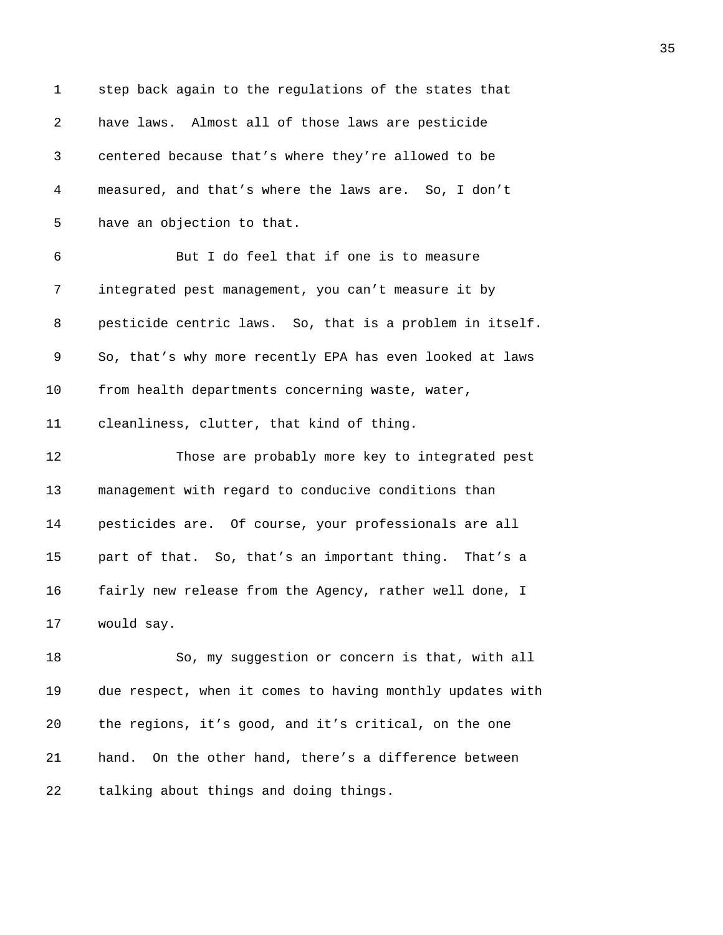| $\mathbf 1$ | step back again to the regulations of the states that     |
|-------------|-----------------------------------------------------------|
| 2           | have laws. Almost all of those laws are pesticide         |
| 3           | centered because that's where they're allowed to be       |
| 4           | measured, and that's where the laws are. So, I don't      |
| 5           | have an objection to that.                                |
| 6           | But I do feel that if one is to measure                   |
| 7           | integrated pest management, you can't measure it by       |
| 8           | pesticide centric laws. So, that is a problem in itself.  |
| 9           | So, that's why more recently EPA has even looked at laws  |
| 10          | from health departments concerning waste, water,          |
| 11          | cleanliness, clutter, that kind of thing.                 |
| 12          | Those are probably more key to integrated pest            |
| 13          | management with regard to conducive conditions than       |
| 14          | pesticides are. Of course, your professionals are all     |
| 15          | part of that. So, that's an important thing. That's a     |
| 16          | fairly new release from the Agency, rather well done, I   |
| 17          | would say.                                                |
| 18          | So, my suggestion or concern is that, with all            |
| 19          | due respect, when it comes to having monthly updates with |
| 20          | the regions, it's good, and it's critical, on the one     |
| 21          | On the other hand, there's a difference between<br>hand.  |
| 22          | talking about things and doing things.                    |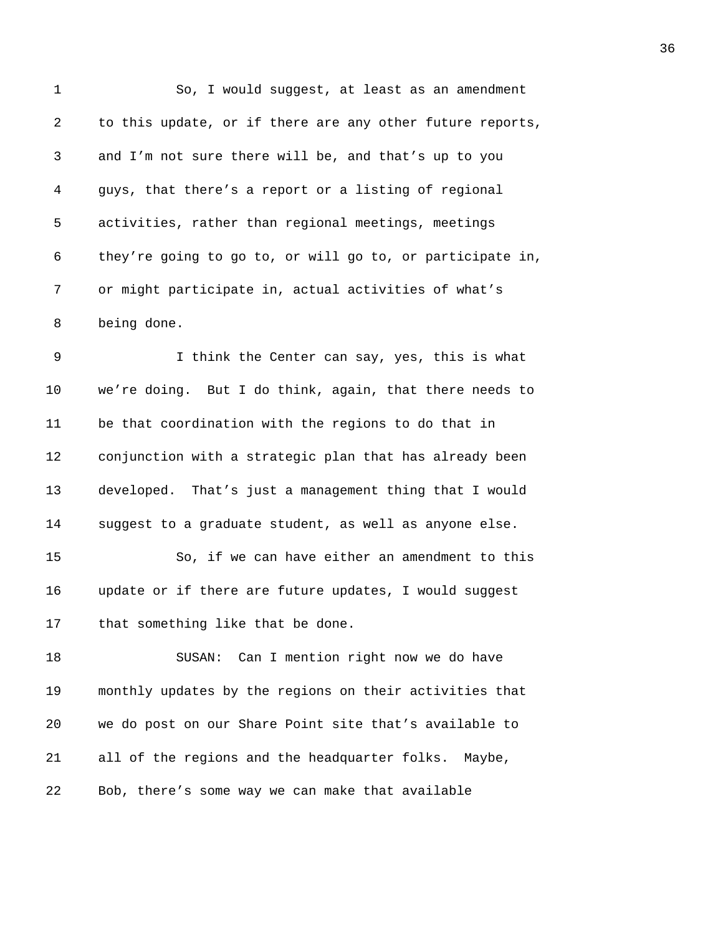| 1       | So, I would suggest, at least as an amendment             |
|---------|-----------------------------------------------------------|
| 2       | to this update, or if there are any other future reports, |
| 3       | and I'm not sure there will be, and that's up to you      |
| 4       | guys, that there's a report or a listing of regional      |
| 5       | activities, rather than regional meetings, meetings       |
| 6       | they're going to go to, or will go to, or participate in, |
| 7       | or might participate in, actual activities of what's      |
| 8       | being done.                                               |
| 9       | I think the Center can say, yes, this is what             |
| $10 \,$ | we're doing. But I do think, again, that there needs to   |
| 11      | be that coordination with the regions to do that in       |
| 12      | conjunction with a strategic plan that has already been   |
| 13      | developed. That's just a management thing that I would    |
| 14      | suggest to a graduate student, as well as anyone else.    |
| 15      | So, if we can have either an amendment to this            |
| 16      | update or if there are future updates, I would suggest    |
| 17      | that something like that be done.                         |
| 18      | Can I mention right now we do have<br>SUSAN:              |
| 19      | monthly updates by the regions on their activities that   |
| 20      | we do post on our Share Point site that's available to    |
| 21      | all of the regions and the headquarter folks. Maybe,      |
| 22      | Bob, there's some way we can make that available          |
|         |                                                           |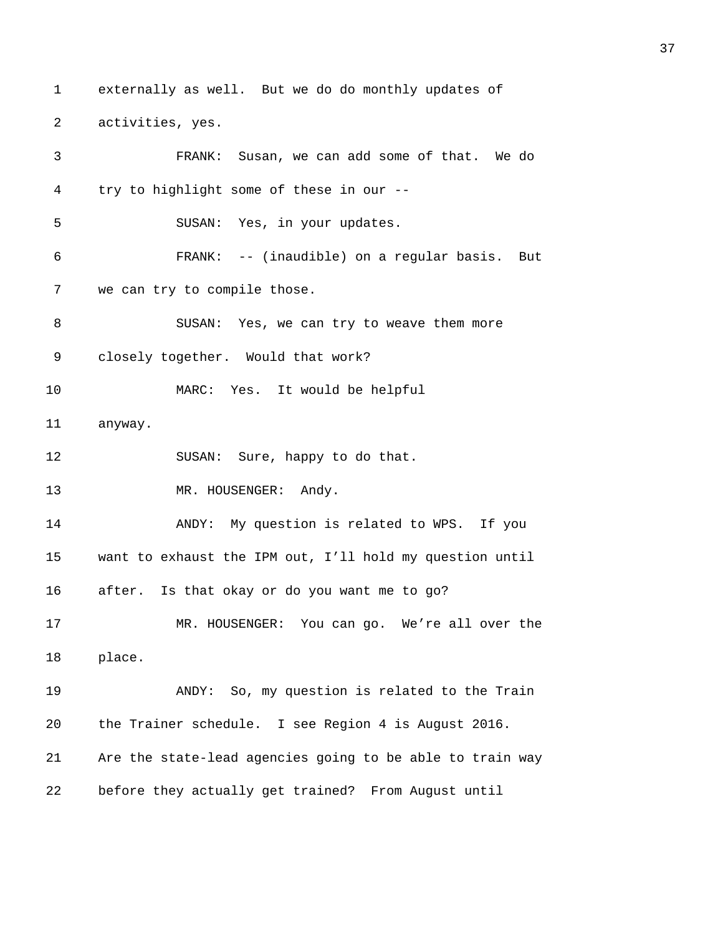1 externally as well. But we do do monthly updates of 2 activities, yes. 3 FRANK: Susan, we can add some of that. We do 4 try to highlight some of these in our -- 5 SUSAN: Yes, in your updates. 6 FRANK: -- (inaudible) on a regular basis. But 7 we can try to compile those. 8 SUSAN: Yes, we can try to weave them more 9 closely together. Would that work? 10 MARC: Yes. It would be helpful 11 anyway. 12 SUSAN: Sure, happy to do that. 13 MR. HOUSENGER: Andy. 14 ANDY: My question is related to WPS. If you 15 want to exhaust the IPM out, I'll hold my question until 16 after. Is that okay or do you want me to go? 17 MR. HOUSENGER: You can go. We're all over the 18 place. 19 ANDY: So, my question is related to the Train 20 the Trainer schedule. I see Region 4 is August 2016. 21 Are the state-lead agencies going to be able to train way 22 before they actually get trained? From August until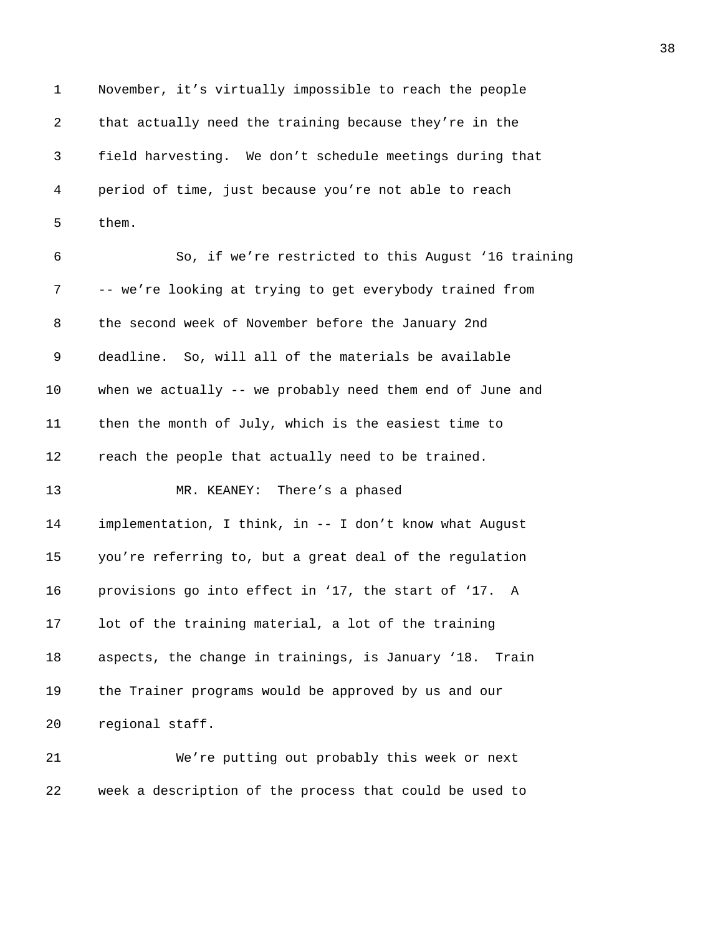1 November, it's virtually impossible to reach the people 2 that actually need the training because they're in the 3 field harvesting. We don't schedule meetings during that 4 period of time, just because you're not able to reach 5 them. 6 So, if we're restricted to this August '16 training 7 -- we're looking at trying to get everybody trained from 8 the second week of November before the January 2nd 9 deadline. So, will all of the materials be available 10 when we actually -- we probably need them end of June and 11 then the month of July, which is the easiest time to 12 reach the people that actually need to be trained. 13 MR. KEANEY: There's a phased 14 implementation, I think, in -- I don't know what August 15 you're referring to, but a great deal of the regulation 16 provisions go into effect in '17, the start of '17. A 17 lot of the training material, a lot of the training 18 aspects, the change in trainings, is January '18. Train 19 the Trainer programs would be approved by us and our 20 regional staff. 21 We're putting out probably this week or next

22 week a description of the process that could be used to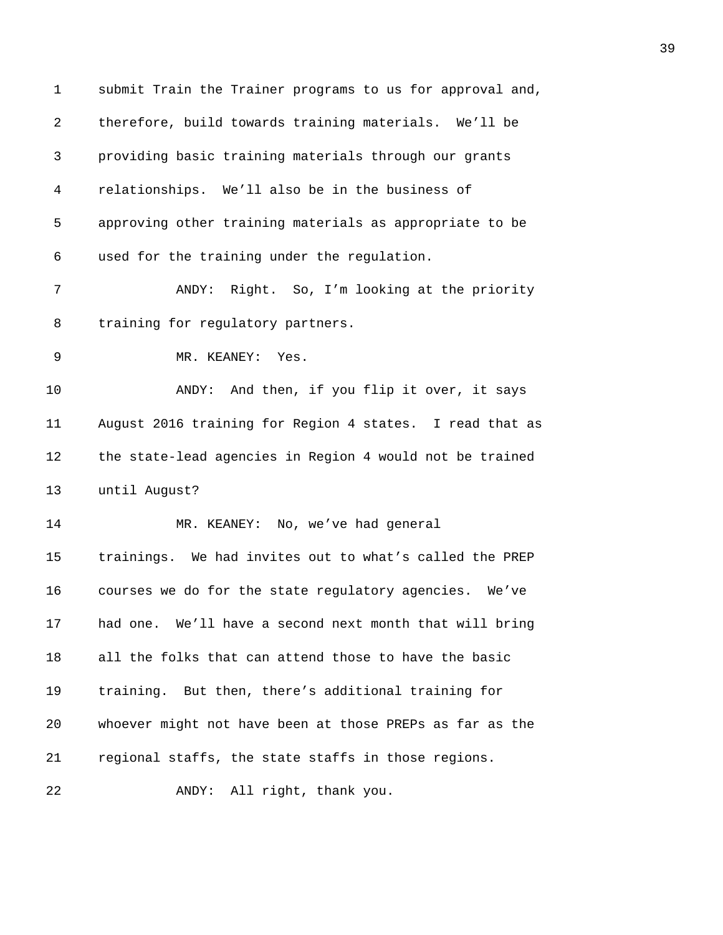| $\mathbf 1$ | submit Train the Trainer programs to us for approval and, |
|-------------|-----------------------------------------------------------|
| 2           | therefore, build towards training materials. We'll be     |
| 3           | providing basic training materials through our grants     |
| 4           | relationships. We'll also be in the business of           |
| 5           | approving other training materials as appropriate to be   |
| 6           | used for the training under the regulation.               |
| 7           | Right. So, I'm looking at the priority<br>ANDY:           |
| 8           | training for regulatory partners.                         |
| 9           | MR. KEANEY:<br>Yes.                                       |
| 10          | And then, if you flip it over, it says<br>ANDY:           |
| 11          | August 2016 training for Region 4 states. I read that as  |
| 12          | the state-lead agencies in Region 4 would not be trained  |
| 13          | until August?                                             |
| 14          | MR. KEANEY: No, we've had general                         |
| 15          | trainings. We had invites out to what's called the PREP   |
| 16          | courses we do for the state regulatory agencies.<br>We′ve |
| 17          | had one. We'll have a second next month that will bring   |
| 18          | all the folks that can attend those to have the basic     |
| 19          | training. But then, there's additional training for       |
| 20          | whoever might not have been at those PREPs as far as the  |
| 21          | regional staffs, the state staffs in those regions.       |
| 22          | All right, thank you.<br>ANDY:                            |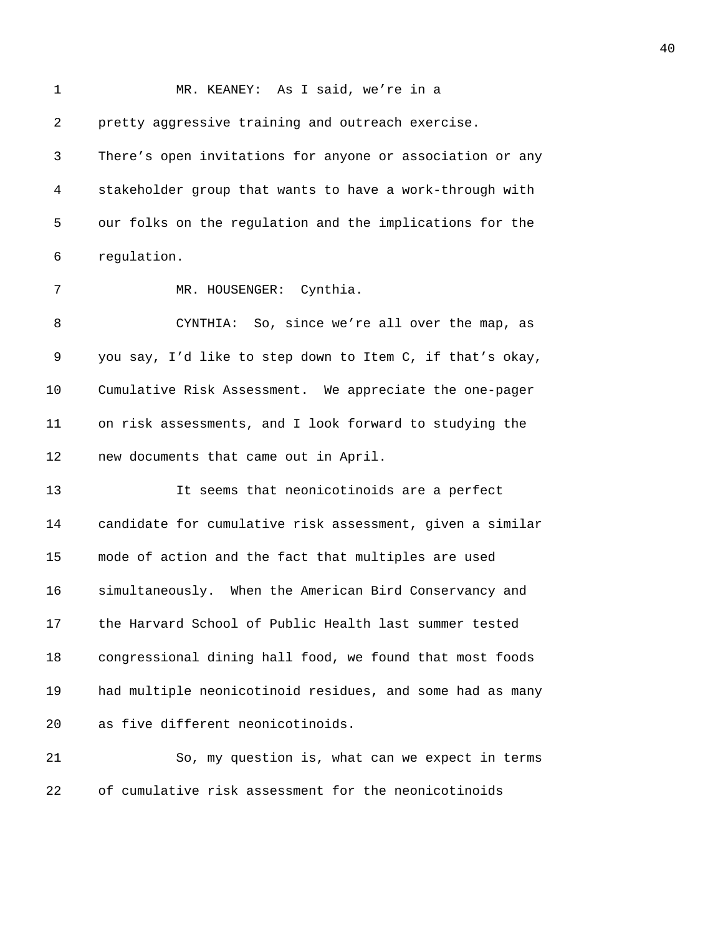| 1  | MR. KEANEY: As I said, we're in a                         |
|----|-----------------------------------------------------------|
| 2  | pretty aggressive training and outreach exercise.         |
| 3  | There's open invitations for anyone or association or any |
| 4  | stakeholder group that wants to have a work-through with  |
| 5  | our folks on the regulation and the implications for the  |
| 6  | regulation.                                               |
| 7  | MR. HOUSENGER: Cynthia.                                   |
| 8  | CYNTHIA: So, since we're all over the map, as             |
| 9  | you say, I'd like to step down to Item C, if that's okay, |
| 10 | Cumulative Risk Assessment. We appreciate the one-pager   |
| 11 | on risk assessments, and I look forward to studying the   |
| 12 | new documents that came out in April.                     |
| 13 | It seems that neonicotinoids are a perfect                |
| 14 | candidate for cumulative risk assessment, given a similar |
| 15 | mode of action and the fact that multiples are used       |
| 16 | simultaneously. When the American Bird Conservancy and    |
| 17 | the Harvard School of Public Health last summer tested    |
| 18 | congressional dining hall food, we found that most foods  |
| 19 | had multiple neonicotinoid residues, and some had as many |
| 20 | as five different neonicotinoids.                         |
| 21 | So, my question is, what can we expect in terms           |
| 22 | of cumulative risk assessment for the neonicotinoids      |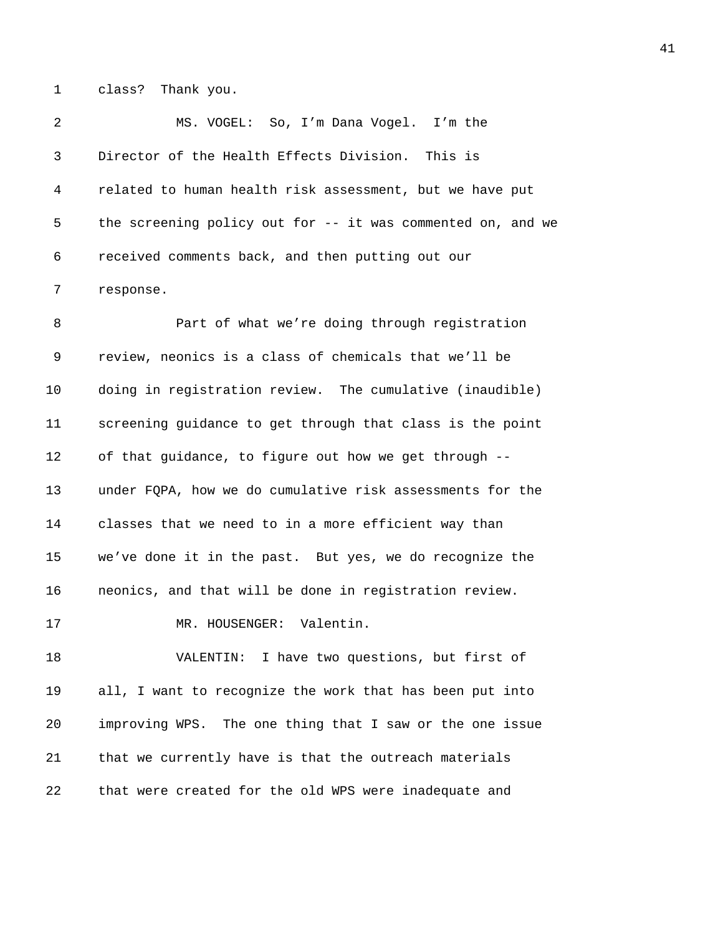1 class? Thank you.

| -2 | MS. VOGEL: So, I'm Dana Vogel. I'm the                      |
|----|-------------------------------------------------------------|
| 3  | Director of the Health Effects Division. This is            |
| 4  | related to human health risk assessment, but we have put    |
| 5  | the screening policy out for -- it was commented on, and we |
| 6  | received comments back, and then putting out our            |
|    | response.                                                   |

8 Part of what we're doing through registration 9 review, neonics is a class of chemicals that we'll be 10 doing in registration review. The cumulative (inaudible) 11 screening guidance to get through that class is the point 12 of that guidance, to figure out how we get through -- 13 under FQPA, how we do cumulative risk assessments for the 14 classes that we need to in a more efficient way than 15 we've done it in the past. But yes, we do recognize the 16 neonics, and that will be done in registration review.

17 MR. HOUSENGER: Valentin.

18 VALENTIN: I have two questions, but first of 19 all, I want to recognize the work that has been put into 20 improving WPS. The one thing that I saw or the one issue 21 that we currently have is that the outreach materials 22 that were created for the old WPS were inadequate and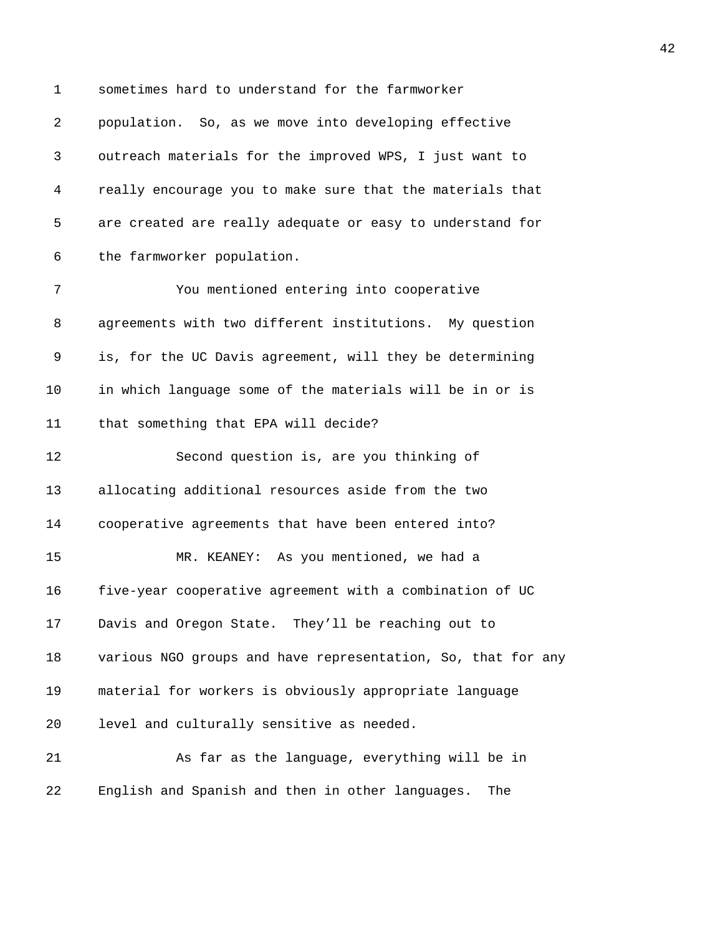| $\mathbf 1$ | sometimes hard to understand for the farmworker              |
|-------------|--------------------------------------------------------------|
| 2           | population. So, as we move into developing effective         |
| 3           | outreach materials for the improved WPS, I just want to      |
| 4           | really encourage you to make sure that the materials that    |
| 5           | are created are really adequate or easy to understand for    |
| 6           | the farmworker population.                                   |
| 7           | You mentioned entering into cooperative                      |
| 8           | agreements with two different institutions. My question      |
| 9           | is, for the UC Davis agreement, will they be determining     |
| 10          | in which language some of the materials will be in or is     |
| 11          | that something that EPA will decide?                         |
| 12          | Second question is, are you thinking of                      |
| 13          | allocating additional resources aside from the two           |
| 14          | cooperative agreements that have been entered into?          |
| 15          | MR. KEANEY: As you mentioned, we had a                       |
| 16          | five-year cooperative agreement with a combination of UC     |
| 17          | Davis and Oregon State. They'll be reaching out to           |
| 18          | various NGO groups and have representation, So, that for any |
| 19          | material for workers is obviously appropriate language       |
| 20          | level and culturally sensitive as needed.                    |
| 21          | As far as the language, everything will be in                |
| 22          | English and Spanish and then in other languages.<br>The      |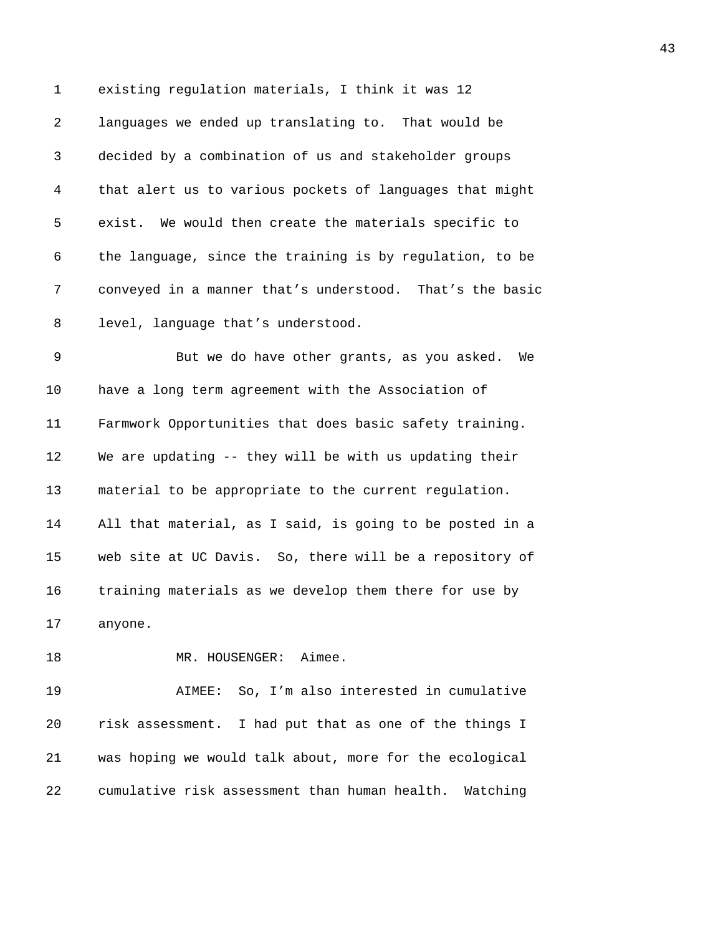| $\mathbf 1$    | existing regulation materials, I think it was 12         |
|----------------|----------------------------------------------------------|
| $\overline{a}$ | languages we ended up translating to. That would be      |
| 3              | decided by a combination of us and stakeholder groups    |
| $\overline{4}$ | that alert us to various pockets of languages that might |
| 5              | exist. We would then create the materials specific to    |
| 6              | the language, since the training is by regulation, to be |
| 7              | conveyed in a manner that's understood. That's the basic |
| 8              | level, language that's understood.                       |
| 9              | But we do have other grants, as you asked.<br>We         |
| 10             | have a long term agreement with the Association of       |
| 11             | Farmwork Opportunities that does basic safety training.  |
| 12             | We are updating -- they will be with us updating their   |
| 13             | material to be appropriate to the current regulation.    |
| 14             | All that material, as I said, is going to be posted in a |
| 15             | web site at UC Davis. So, there will be a repository of  |
| 16             | training materials as we develop them there for use by   |
| 17             | anyone.                                                  |
| 18             | Aimee.<br>MR. HOUSENGER:                                 |

19 AIMEE: So, I'm also interested in cumulative 20 risk assessment. I had put that as one of the things I 21 was hoping we would talk about, more for the ecological 22 cumulative risk assessment than human health. Watching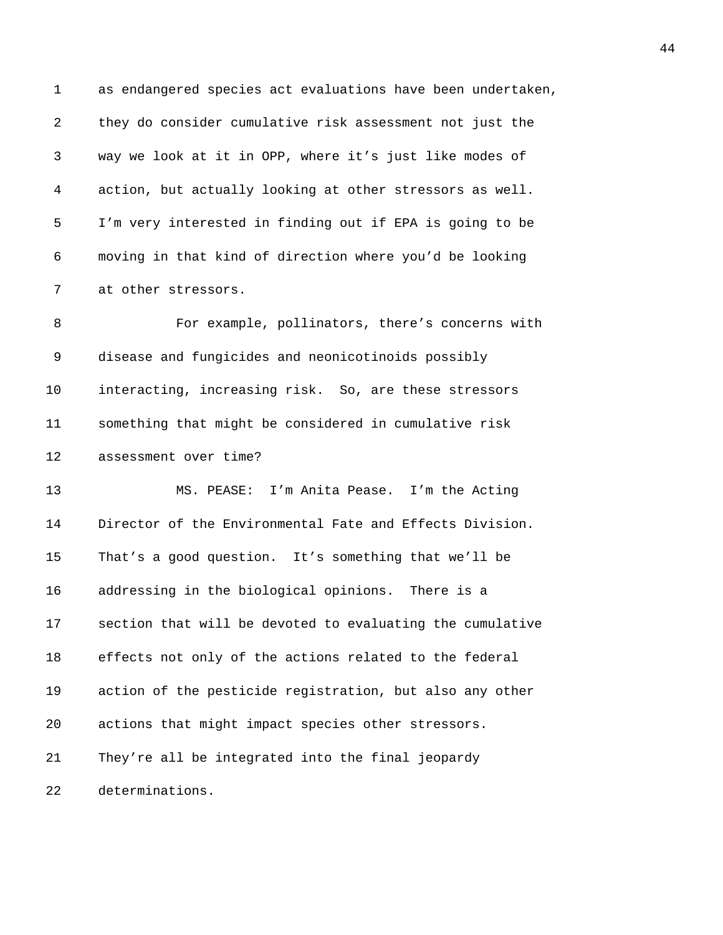1 as endangered species act evaluations have been undertaken, 2 they do consider cumulative risk assessment not just the 3 way we look at it in OPP, where it's just like modes of 4 action, but actually looking at other stressors as well. 5 I'm very interested in finding out if EPA is going to be 6 moving in that kind of direction where you'd be looking 7 at other stressors. 8 For example, pollinators, there's concerns with 9 disease and fungicides and neonicotinoids possibly 10 interacting, increasing risk. So, are these stressors 11 something that might be considered in cumulative risk 12 assessment over time? 13 MS. PEASE: I'm Anita Pease. I'm the Acting 14 Director of the Environmental Fate and Effects Division. 15 That's a good question. It's something that we'll be 16 addressing in the biological opinions. There is a 17 section that will be devoted to evaluating the cumulative 18 effects not only of the actions related to the federal 19 action of the pesticide registration, but also any other 20 actions that might impact species other stressors. 21 They're all be integrated into the final jeopardy 22 determinations.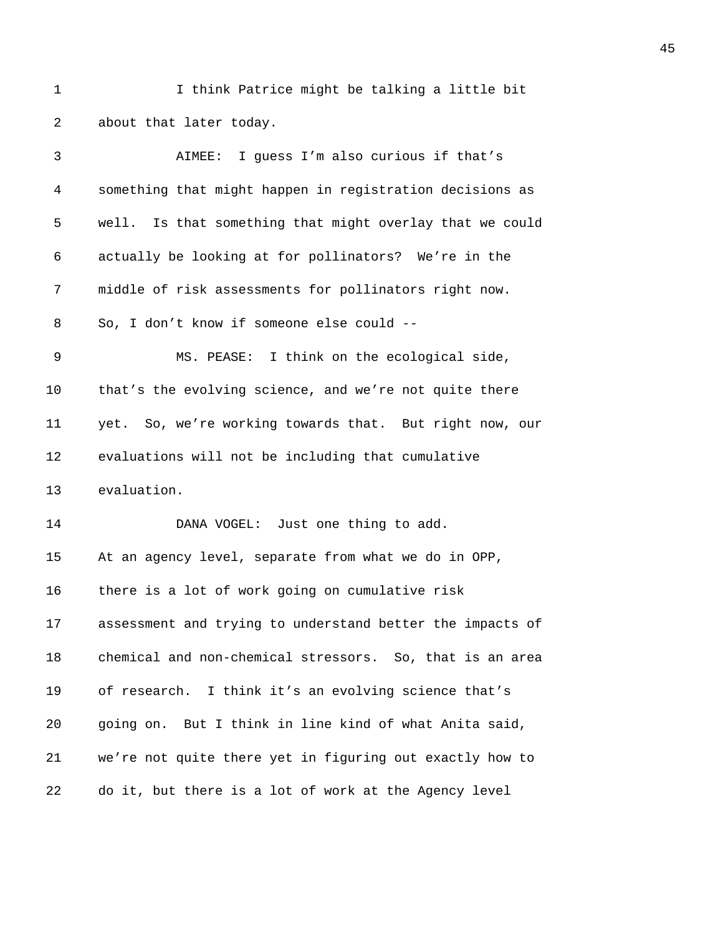1 I think Patrice might be talking a little bit 2 about that later today.

| 3       | AIMEE: I guess I'm also curious if that's                   |
|---------|-------------------------------------------------------------|
| 4       | something that might happen in registration decisions as    |
| 5       | Is that something that might overlay that we could<br>well. |
| 6       | actually be looking at for pollinators? We're in the        |
| 7       | middle of risk assessments for pollinators right now.       |
| 8       | So, I don't know if someone else could --                   |
| 9       | MS. PEASE: I think on the ecological side,                  |
| $10 \,$ | that's the evolving science, and we're not quite there      |
| 11      | yet. So, we're working towards that. But right now, our     |
| 12      | evaluations will not be including that cumulative           |
| 13      | evaluation.                                                 |
| 14      | DANA VOGEL: Just one thing to add.                          |
| 15      | At an agency level, separate from what we do in OPP,        |
| 16      | there is a lot of work going on cumulative risk             |
| 17      | assessment and trying to understand better the impacts of   |
| 18      | chemical and non-chemical stressors. So, that is an area    |
| 19      | of research. I think it's an evolving science that's        |
| 20      | going on. But I think in line kind of what Anita said,      |
| 21      | we're not quite there yet in figuring out exactly how to    |
| 22      | do it, but there is a lot of work at the Agency level       |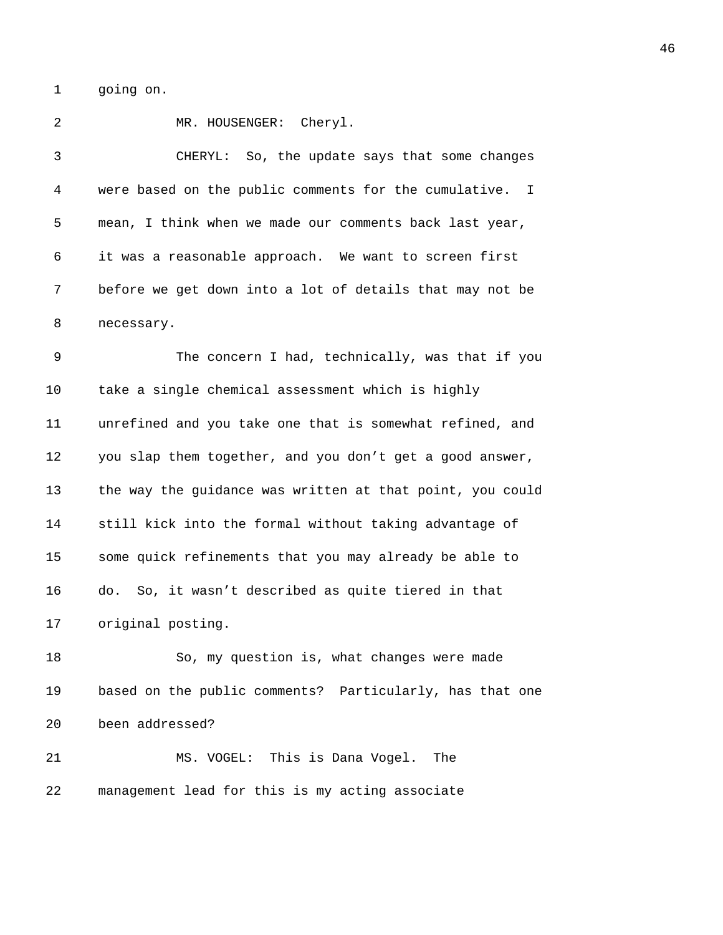1 going on.

2 MR. HOUSENGER: Cheryl. 3 CHERYL: So, the update says that some changes 4 were based on the public comments for the cumulative. I 5 mean, I think when we made our comments back last year, 6 it was a reasonable approach. We want to screen first 7 before we get down into a lot of details that may not be 8 necessary. 9 The concern I had, technically, was that if you 10 take a single chemical assessment which is highly 11 unrefined and you take one that is somewhat refined, and 12 you slap them together, and you don't get a good answer, 13 the way the guidance was written at that point, you could 14 still kick into the formal without taking advantage of 15 some quick refinements that you may already be able to 16 do. So, it wasn't described as quite tiered in that 17 original posting. 18 So, my question is, what changes were made 19 based on the public comments? Particularly, has that one 20 been addressed? 21 MS. VOGEL: This is Dana Vogel. The 22 management lead for this is my acting associate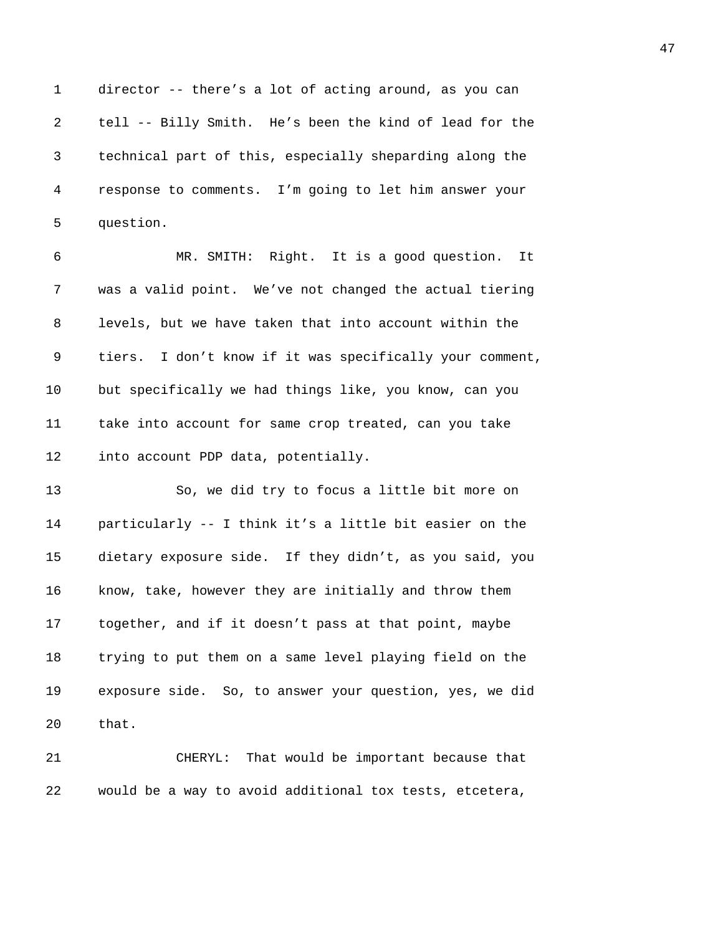1 director -- there's a lot of acting around, as you can 2 tell -- Billy Smith. He's been the kind of lead for the 3 technical part of this, especially sheparding along the 4 response to comments. I'm going to let him answer your 5 question.

6 MR. SMITH: Right. It is a good question. It 7 was a valid point. We've not changed the actual tiering 8 levels, but we have taken that into account within the 9 tiers. I don't know if it was specifically your comment, 10 but specifically we had things like, you know, can you 11 take into account for same crop treated, can you take 12 into account PDP data, potentially.

13 So, we did try to focus a little bit more on 14 particularly -- I think it's a little bit easier on the 15 dietary exposure side. If they didn't, as you said, you 16 know, take, however they are initially and throw them 17 together, and if it doesn't pass at that point, maybe 18 trying to put them on a same level playing field on the 19 exposure side. So, to answer your question, yes, we did 20 that.

21 CHERYL: That would be important because that 22 would be a way to avoid additional tox tests, etcetera,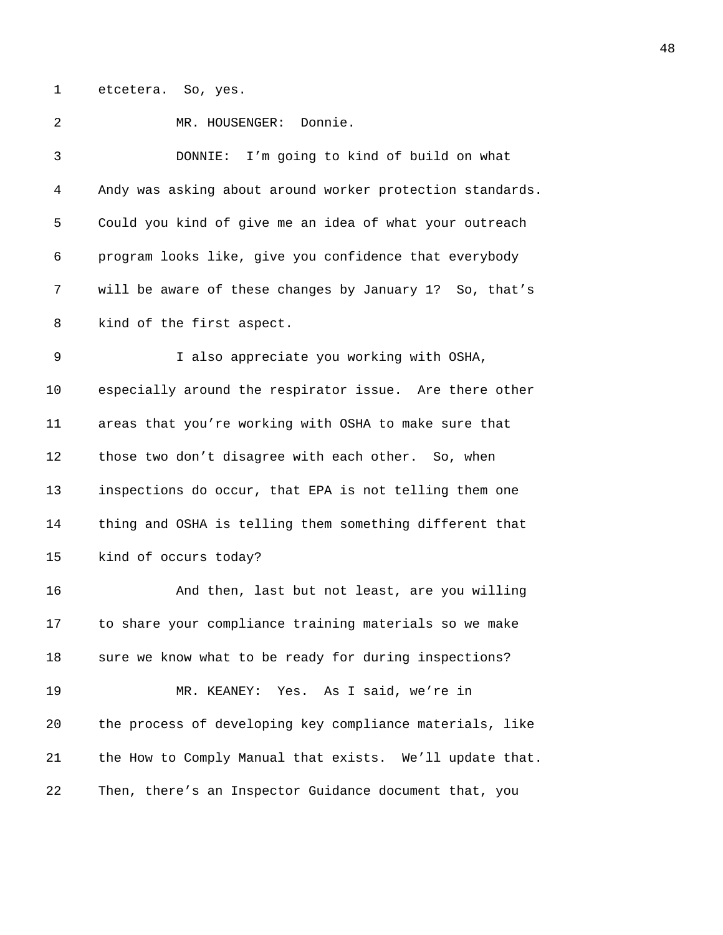1 etcetera. So, yes.

2 MR. HOUSENGER: Donnie. 3 DONNIE: I'm going to kind of build on what 4 Andy was asking about around worker protection standards. 5 Could you kind of give me an idea of what your outreach 6 program looks like, give you confidence that everybody 7 will be aware of these changes by January 1? So, that's 8 kind of the first aspect. 9 I also appreciate you working with OSHA, 10 especially around the respirator issue. Are there other 11 areas that you're working with OSHA to make sure that 12 those two don't disagree with each other. So, when 13 inspections do occur, that EPA is not telling them one 14 thing and OSHA is telling them something different that 15 kind of occurs today? 16 And then, last but not least, are you willing 17 to share your compliance training materials so we make 18 sure we know what to be ready for during inspections? 19 MR. KEANEY: Yes. As I said, we're in 20 the process of developing key compliance materials, like 21 the How to Comply Manual that exists. We'll update that. 22 Then, there's an Inspector Guidance document that, you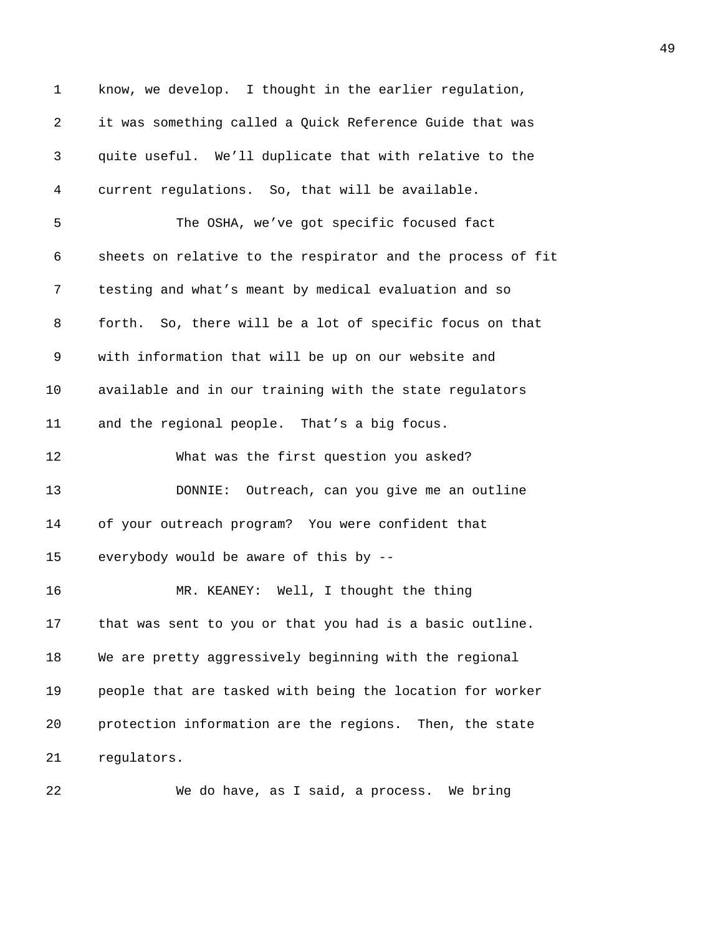1 know, we develop. I thought in the earlier regulation, 2 it was something called a Quick Reference Guide that was 3 quite useful. We'll duplicate that with relative to the 4 current regulations. So, that will be available. 5 The OSHA, we've got specific focused fact 6 sheets on relative to the respirator and the process of fit 7 testing and what's meant by medical evaluation and so 8 forth. So, there will be a lot of specific focus on that 9 with information that will be up on our website and 10 available and in our training with the state regulators 11 and the regional people. That's a big focus. 12 What was the first question you asked? 13 DONNIE: Outreach, can you give me an outline 14 of your outreach program? You were confident that 15 everybody would be aware of this by -- 16 MR. KEANEY: Well, I thought the thing 17 that was sent to you or that you had is a basic outline. 18 We are pretty aggressively beginning with the regional 19 people that are tasked with being the location for worker 20 protection information are the regions. Then, the state 21 regulators.

22 We do have, as I said, a process. We bring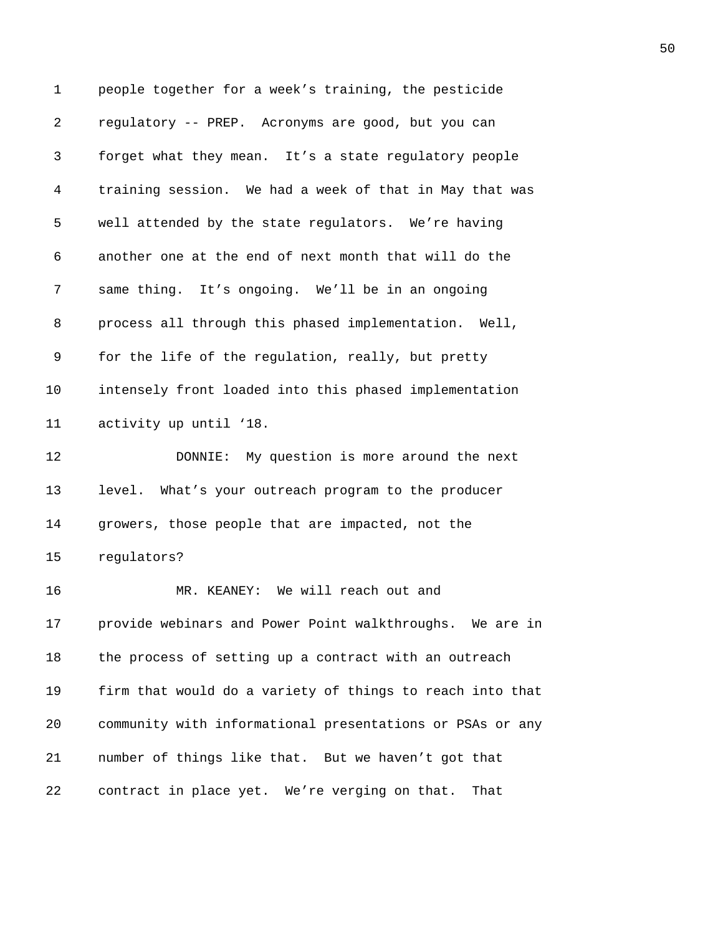1 people together for a week's training, the pesticide 2 regulatory -- PREP. Acronyms are good, but you can 3 forget what they mean. It's a state regulatory people 4 training session. We had a week of that in May that was 5 well attended by the state regulators. We're having 6 another one at the end of next month that will do the 7 same thing. It's ongoing. We'll be in an ongoing 8 process all through this phased implementation. Well, 9 for the life of the regulation, really, but pretty 10 intensely front loaded into this phased implementation 11 activity up until '18. 12 DONNIE: My question is more around the next 13 level. What's your outreach program to the producer 14 growers, those people that are impacted, not the 15 regulators? 16 MR. KEANEY: We will reach out and 17 provide webinars and Power Point walkthroughs. We are in 18 the process of setting up a contract with an outreach 19 firm that would do a variety of things to reach into that 20 community with informational presentations or PSAs or any 21 number of things like that. But we haven't got that 22 contract in place yet. We're verging on that. That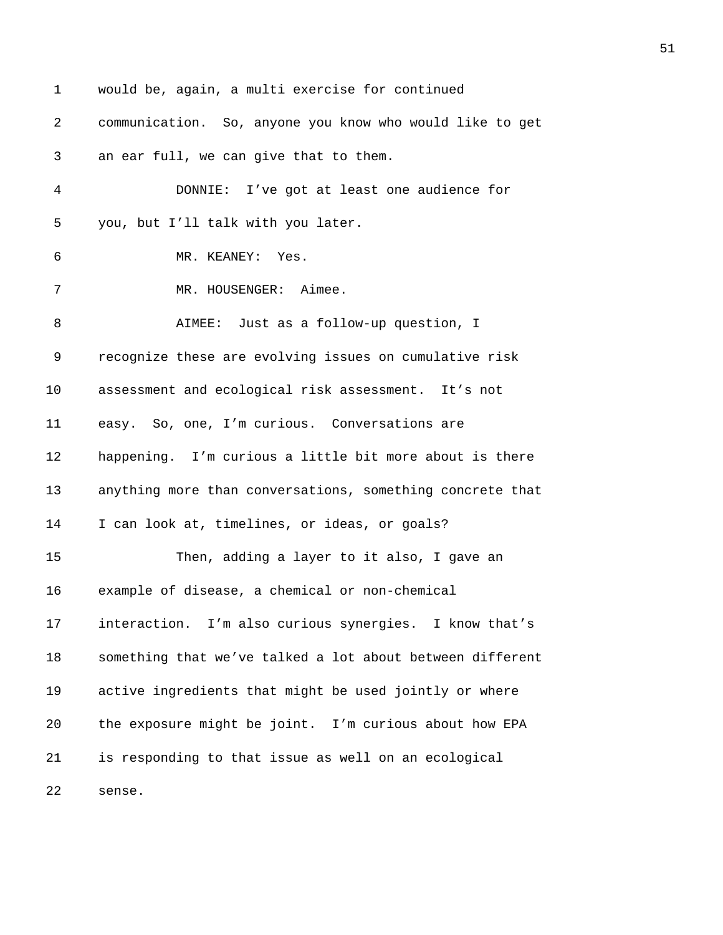1 would be, again, a multi exercise for continued 2 communication. So, anyone you know who would like to get 3 an ear full, we can give that to them. 4 DONNIE: I've got at least one audience for 5 you, but I'll talk with you later. 6 MR. KEANEY: Yes. 7 MR. HOUSENGER: Aimee. 8 AIMEE: Just as a follow-up question, I 9 recognize these are evolving issues on cumulative risk 10 assessment and ecological risk assessment. It's not 11 easy. So, one, I'm curious. Conversations are 12 happening. I'm curious a little bit more about is there 13 anything more than conversations, something concrete that 14 I can look at, timelines, or ideas, or goals? 15 Then, adding a layer to it also, I gave an 16 example of disease, a chemical or non-chemical 17 interaction. I'm also curious synergies. I know that's 18 something that we've talked a lot about between different 19 active ingredients that might be used jointly or where 20 the exposure might be joint. I'm curious about how EPA 21 is responding to that issue as well on an ecological 22 sense.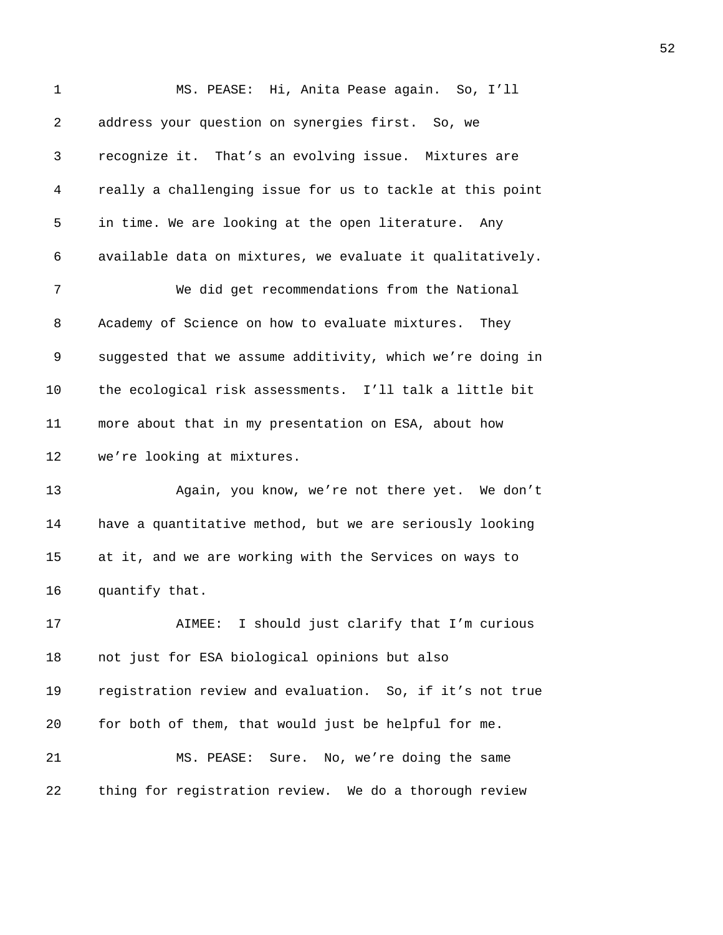| $\mathbf 1$ | MS. PEASE: Hi, Anita Pease again. So, I'll                |
|-------------|-----------------------------------------------------------|
| 2           | address your question on synergies first. So, we          |
| 3           | recognize it. That's an evolving issue. Mixtures are      |
| 4           | really a challenging issue for us to tackle at this point |
| 5           | in time. We are looking at the open literature. Any       |
| 6           | available data on mixtures, we evaluate it qualitatively. |
| 7           | We did get recommendations from the National              |
| 8           | Academy of Science on how to evaluate mixtures. They      |
| 9           | suggested that we assume additivity, which we're doing in |
| 10          | the ecological risk assessments. I'll talk a little bit   |
| 11          | more about that in my presentation on ESA, about how      |
| 12          | we're looking at mixtures.                                |
| 13          | Again, you know, we're not there yet. We don't            |
| 14          | have a quantitative method, but we are seriously looking  |
| 15          | at it, and we are working with the Services on ways to    |
| 16          | quantify that.                                            |
| 17          | AIMEE: I should just clarify that I'm curious             |
| 18          | not just for ESA biological opinions but also             |
| 19          | registration review and evaluation. So, if it's not true  |
| 20          | for both of them, that would just be helpful for me.      |
| 21          | MS. PEASE:<br>Sure. No, we're doing the same              |
| 22          | thing for registration review. We do a thorough review    |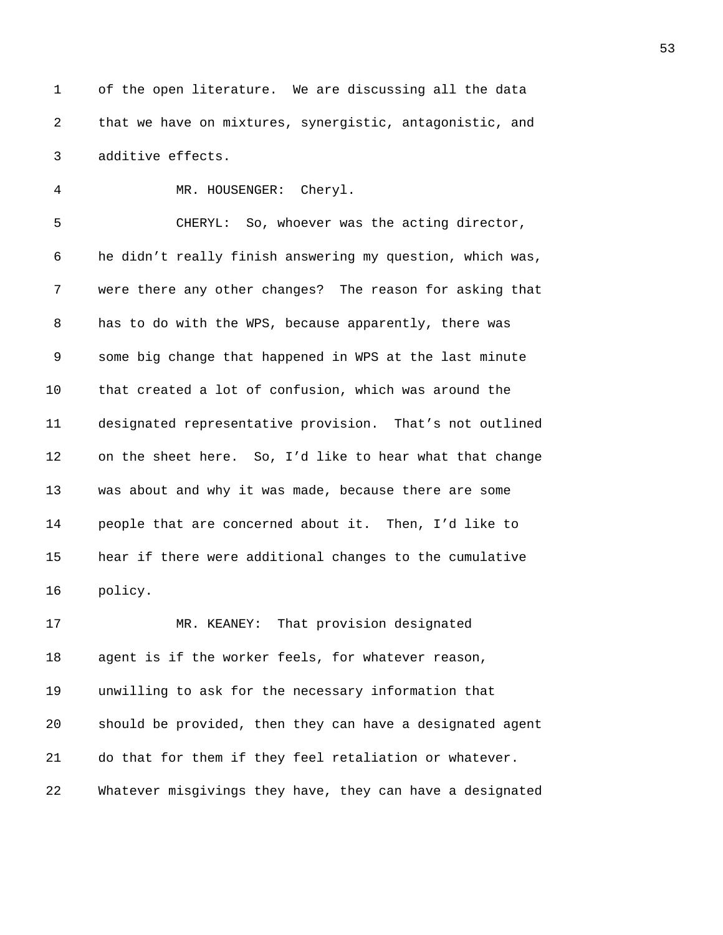```
1 of the open literature. We are discussing all the data
2 that we have on mixtures, synergistic, antagonistic, and
3 additive effects.
```
4 MR. HOUSENGER: Cheryl. 5 CHERYL: So, whoever was the acting director, 6 he didn't really finish answering my question, which was, 7 were there any other changes? The reason for asking that 8 has to do with the WPS, because apparently, there was 9 some big change that happened in WPS at the last minute 10 that created a lot of confusion, which was around the 11 designated representative provision. That's not outlined 12 on the sheet here. So, I'd like to hear what that change 13 was about and why it was made, because there are some 14 people that are concerned about it. Then, I'd like to 15 hear if there were additional changes to the cumulative 16 policy.

17 MR. KEANEY: That provision designated 18 agent is if the worker feels, for whatever reason, 19 unwilling to ask for the necessary information that 20 should be provided, then they can have a designated agent 21 do that for them if they feel retaliation or whatever. 22 Whatever misgivings they have, they can have a designated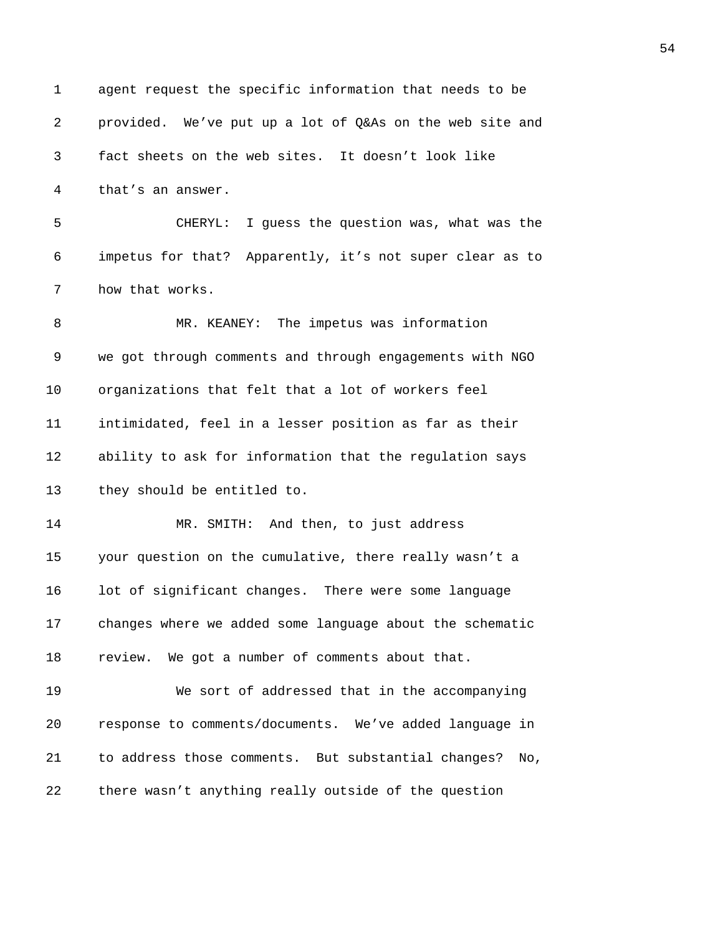1 agent request the specific information that needs to be 2 provided. We've put up a lot of Q&As on the web site and 3 fact sheets on the web sites. It doesn't look like 4 that's an answer. 5 CHERYL: I guess the question was, what was the 6 impetus for that? Apparently, it's not super clear as to 7 how that works. 8 MR. KEANEY: The impetus was information 9 we got through comments and through engagements with NGO 10 organizations that felt that a lot of workers feel 11 intimidated, feel in a lesser position as far as their 12 ability to ask for information that the regulation says 13 they should be entitled to. 14 MR. SMITH: And then, to just address 15 your question on the cumulative, there really wasn't a 16 lot of significant changes. There were some language 17 changes where we added some language about the schematic 18 review. We got a number of comments about that. 19 We sort of addressed that in the accompanying 20 response to comments/documents. We've added language in 21 to address those comments. But substantial changes? No, 22 there wasn't anything really outside of the question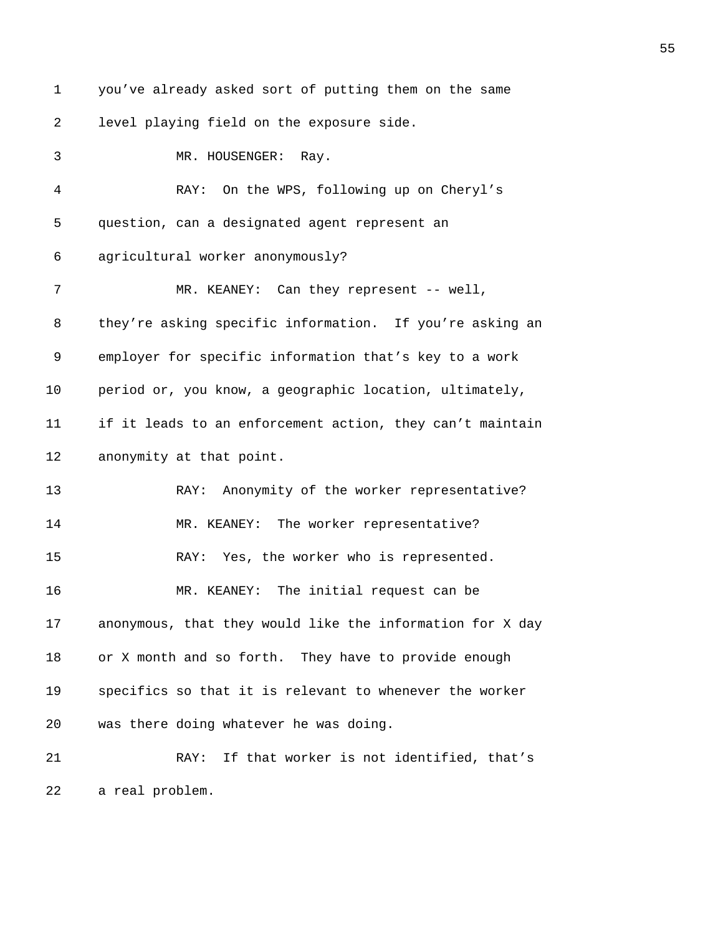1 you've already asked sort of putting them on the same 2 level playing field on the exposure side. 3 MR. HOUSENGER: Ray. 4 RAY: On the WPS, following up on Cheryl's 5 question, can a designated agent represent an 6 agricultural worker anonymously? 7 MR. KEANEY: Can they represent -- well, 8 they're asking specific information. If you're asking an 9 employer for specific information that's key to a work 10 period or, you know, a geographic location, ultimately, 11 if it leads to an enforcement action, they can't maintain 12 anonymity at that point. 13 RAY: Anonymity of the worker representative? 14 MR. KEANEY: The worker representative? 15 RAY: Yes, the worker who is represented. 16 MR. KEANEY: The initial request can be 17 anonymous, that they would like the information for X day 18 or X month and so forth. They have to provide enough 19 specifics so that it is relevant to whenever the worker 20 was there doing whatever he was doing. 21 RAY: If that worker is not identified, that's 22 a real problem.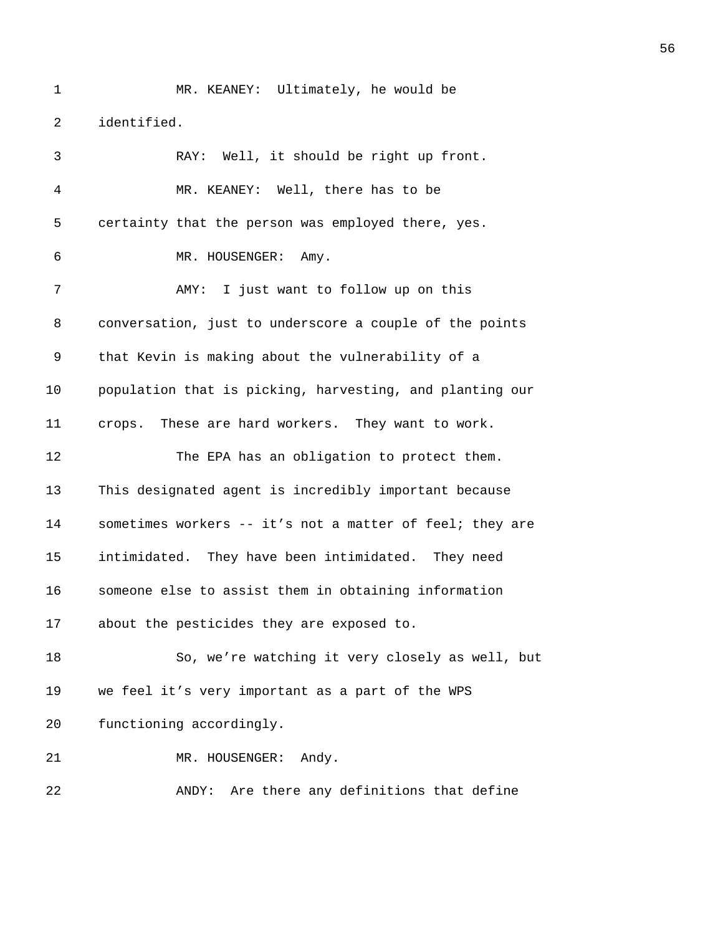2 identified.

| 3              | RAY: Well, it should be right up front.                  |
|----------------|----------------------------------------------------------|
| $\overline{4}$ | MR. KEANEY: Well, there has to be                        |
| 5              | certainty that the person was employed there, yes.       |
| 6              | MR. HOUSENGER: Amy.                                      |
| 7              | AMY: I just want to follow up on this                    |
| 8              | conversation, just to underscore a couple of the points  |
| 9              | that Kevin is making about the vulnerability of a        |
| 10             | population that is picking, harvesting, and planting our |
| 11             | crops. These are hard workers. They want to work.        |
| 12             | The EPA has an obligation to protect them.               |
| 13             | This designated agent is incredibly important because    |
| 14             | sometimes workers -- it's not a matter of feel; they are |
| 15             | intimidated. They have been intimidated. They need       |
| 16             | someone else to assist them in obtaining information     |
| 17             | about the pesticides they are exposed to.                |
| 18             | So, we're watching it very closely as well, but          |
| 19             | we feel it's very important as a part of the WPS         |
| 20             | functioning accordingly.                                 |
| 21             | MR. HOUSENGER:<br>Andy.                                  |
| 22             | Are there any definitions that define<br>ANDY:           |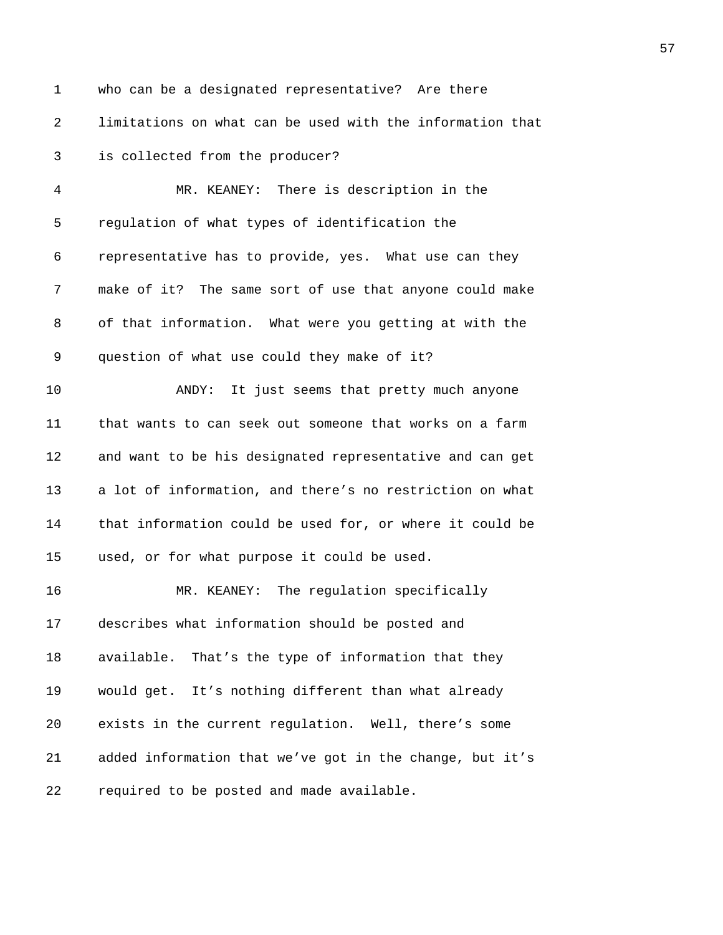1 who can be a designated representative? Are there 2 limitations on what can be used with the information that 3 is collected from the producer? 4 MR. KEANEY: There is description in the 5 regulation of what types of identification the 6 representative has to provide, yes. What use can they 7 make of it? The same sort of use that anyone could make 8 of that information. What were you getting at with the 9 question of what use could they make of it? 10 ANDY: It just seems that pretty much anyone 11 that wants to can seek out someone that works on a farm 12 and want to be his designated representative and can get 13 a lot of information, and there's no restriction on what 14 that information could be used for, or where it could be 15 used, or for what purpose it could be used. 16 MR. KEANEY: The regulation specifically 17 describes what information should be posted and 18 available. That's the type of information that they 19 would get. It's nothing different than what already 20 exists in the current regulation. Well, there's some 21 added information that we've got in the change, but it's 22 required to be posted and made available.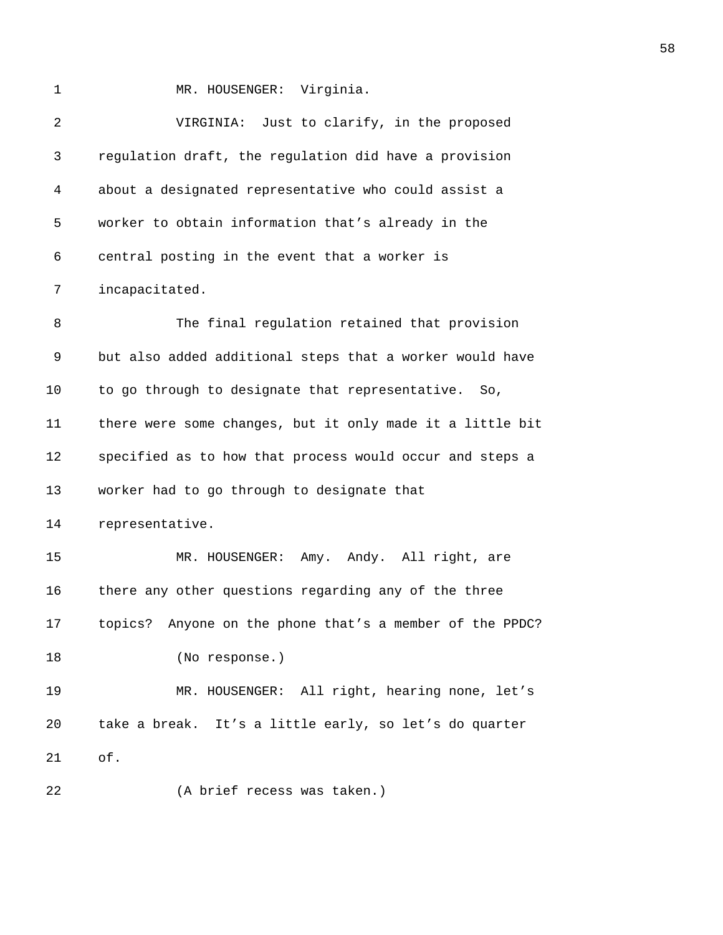1 MR. HOUSENGER: Virginia.

| 2  | VIRGINIA: Just to clarify, in the proposed                |
|----|-----------------------------------------------------------|
| 3  | regulation draft, the regulation did have a provision     |
| 4  | about a designated representative who could assist a      |
| 5  | worker to obtain information that's already in the        |
| 6  | central posting in the event that a worker is             |
| 7  | incapacitated.                                            |
| 8  | The final regulation retained that provision              |
| 9  | but also added additional steps that a worker would have  |
| 10 | to go through to designate that representative. So,       |
| 11 | there were some changes, but it only made it a little bit |
| 12 | specified as to how that process would occur and steps a  |
| 13 | worker had to go through to designate that                |
| 14 | representative.                                           |
| 15 | MR. HOUSENGER: Amy. Andy. All right, are                  |
| 16 | there any other questions regarding any of the three      |
| 17 | topics? Anyone on the phone that's a member of the PPDC?  |
| 18 | (No response.)                                            |
| 19 | MR. HOUSENGER: All right, hearing none, let's             |
| 20 | take a break. It's a little early, so let's do quarter    |
| 21 | of.                                                       |
| 22 | (A brief recess was taken.)                               |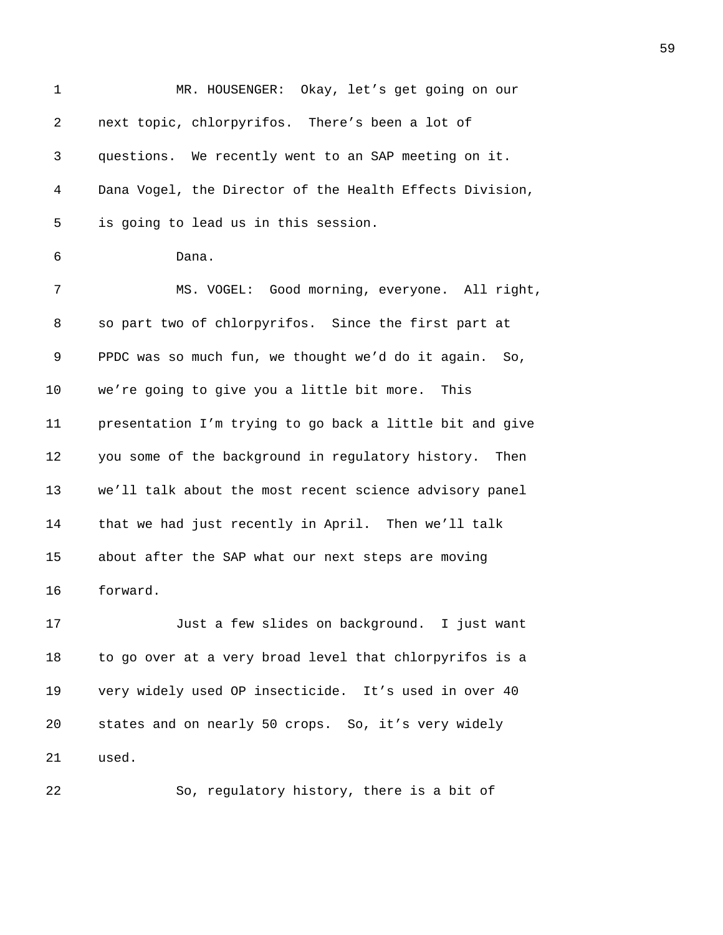| $\mathbf 1$ | MR. HOUSENGER: Okay, let's get going on our              |
|-------------|----------------------------------------------------------|
| 2           | next topic, chlorpyrifos. There's been a lot of          |
| 3           | questions. We recently went to an SAP meeting on it.     |
| 4           | Dana Vogel, the Director of the Health Effects Division, |
| 5           | is going to lead us in this session.                     |
| 6           | Dana.                                                    |
| 7           | MS. VOGEL: Good morning, everyone. All right,            |
| 8           | so part two of chlorpyrifos. Since the first part at     |
| 9           | PPDC was so much fun, we thought we'd do it again. So,   |
| 10          | we're going to give you a little bit more. This          |
| 11          | presentation I'm trying to go back a little bit and give |
| 12          | you some of the background in regulatory history. Then   |
| 13          | we'll talk about the most recent science advisory panel  |
| 14          | that we had just recently in April. Then we'll talk      |
| 15          | about after the SAP what our next steps are moving       |
| 16          | forward.                                                 |
| 17          | Just a few slides on background. I just want             |
| 18          | to go over at a very broad level that chlorpyrifos is a  |
| 19          | very widely used OP insecticide. It's used in over 40    |
| 20          | states and on nearly 50 crops. So, it's very widely      |
| 21          | used.                                                    |
| 22          | So, regulatory history, there is a bit of                |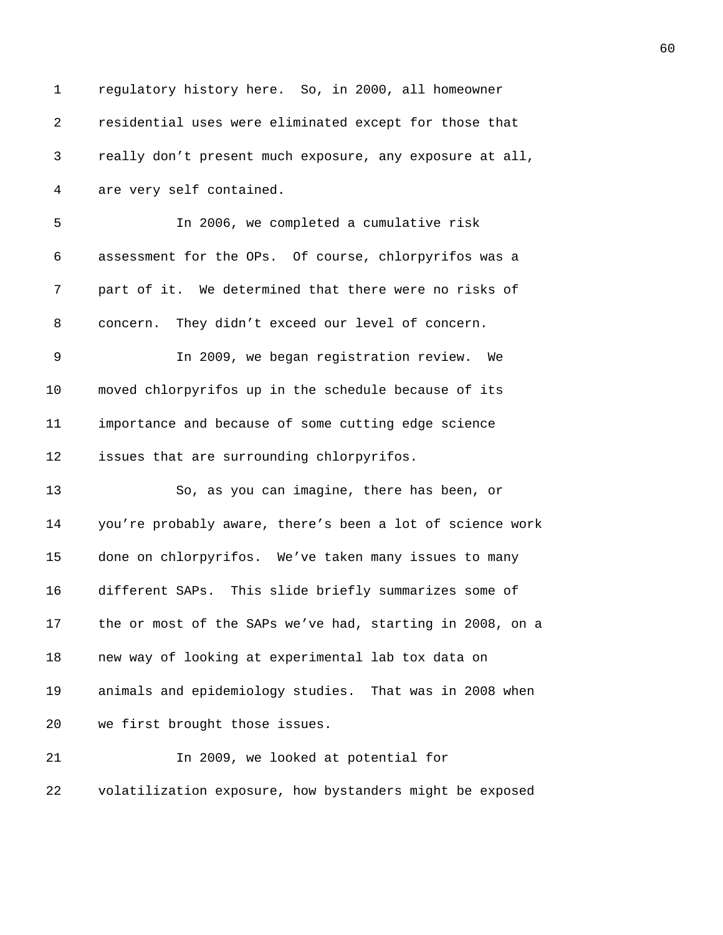| 1  | regulatory history here. So, in 2000, all homeowner       |
|----|-----------------------------------------------------------|
| 2  | residential uses were eliminated except for those that    |
| 3  | really don't present much exposure, any exposure at all,  |
| 4  | are very self contained.                                  |
| 5  | In 2006, we completed a cumulative risk                   |
| 6  | assessment for the OPs. Of course, chlorpyrifos was a     |
| 7  | part of it. We determined that there were no risks of     |
| 8  | concern. They didn't exceed our level of concern.         |
| 9  | In 2009, we began registration review. We                 |
| 10 | moved chlorpyrifos up in the schedule because of its      |
| 11 | importance and because of some cutting edge science       |
| 12 | issues that are surrounding chlorpyrifos.                 |
| 13 | So, as you can imagine, there has been, or                |
| 14 | you're probably aware, there's been a lot of science work |
| 15 | done on chlorpyrifos. We've taken many issues to many     |
| 16 | different SAPs. This slide briefly summarizes some of     |
| 17 | the or most of the SAPs we've had, starting in 2008, on a |
| 18 | new way of looking at experimental lab tox data on        |
| 19 | animals and epidemiology studies. That was in 2008 when   |
| 20 | we first brought those issues.                            |
| 21 | In 2009, we looked at potential for                       |
| 22 | volatilization exposure, how bystanders might be exposed  |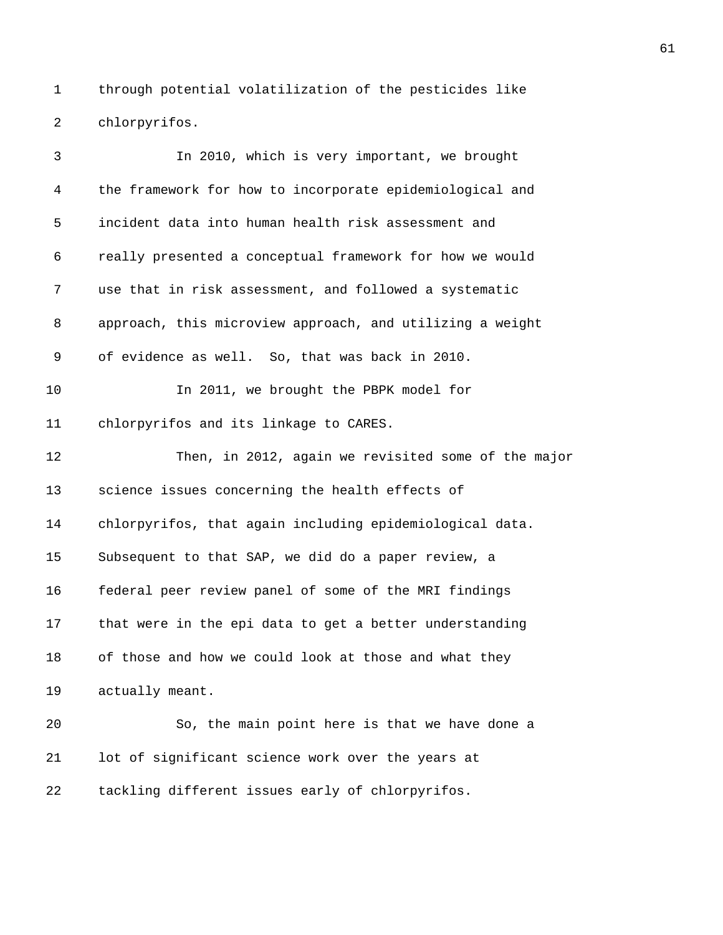1 through potential volatilization of the pesticides like 2 chlorpyrifos.

| 3  | In 2010, which is very important, we brought              |
|----|-----------------------------------------------------------|
| 4  | the framework for how to incorporate epidemiological and  |
| 5  | incident data into human health risk assessment and       |
| 6  | really presented a conceptual framework for how we would  |
| 7  | use that in risk assessment, and followed a systematic    |
| 8  | approach, this microview approach, and utilizing a weight |
| 9  | of evidence as well. So, that was back in 2010.           |
| 10 | In 2011, we brought the PBPK model for                    |
| 11 | chlorpyrifos and its linkage to CARES.                    |
| 12 | Then, in 2012, again we revisited some of the major       |
| 13 | science issues concerning the health effects of           |
| 14 | chlorpyrifos, that again including epidemiological data.  |
| 15 | Subsequent to that SAP, we did do a paper review, a       |
| 16 | federal peer review panel of some of the MRI findings     |
| 17 | that were in the epi data to get a better understanding   |
| 18 | of those and how we could look at those and what they     |
| 19 | actually meant.                                           |
| 20 | So, the main point here is that we have done a            |
| 21 | lot of significant science work over the years at         |
| 22 | tackling different issues early of chlorpyrifos.          |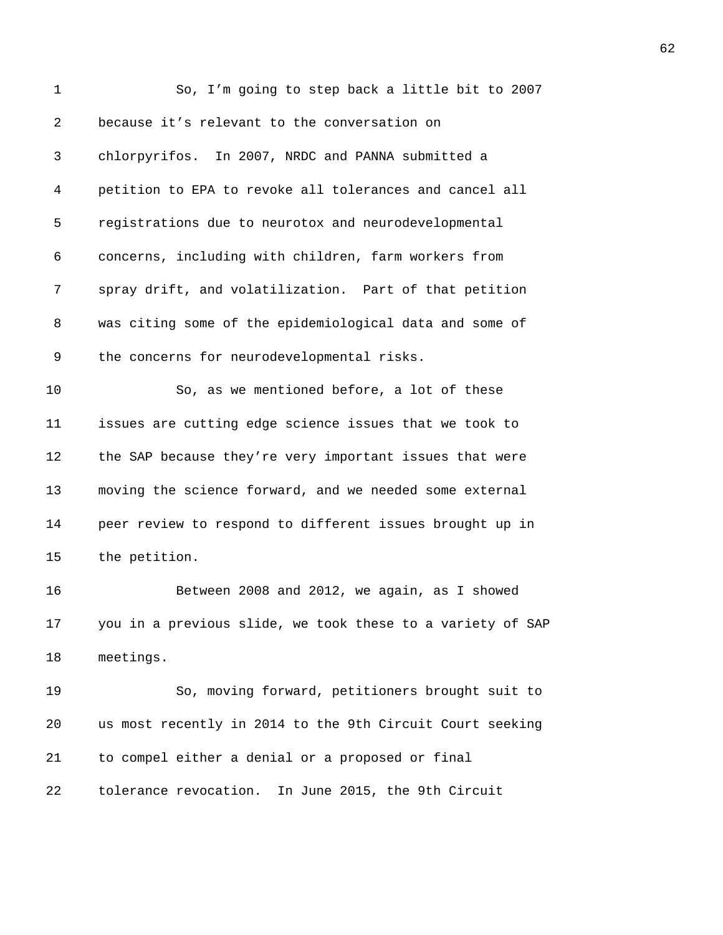| 1  | So, I'm going to step back a little bit to 2007            |
|----|------------------------------------------------------------|
| 2  | because it's relevant to the conversation on               |
| 3  | chlorpyrifos. In 2007, NRDC and PANNA submitted a          |
| 4  | petition to EPA to revoke all tolerances and cancel all    |
| 5  | registrations due to neurotox and neurodevelopmental       |
| 6  | concerns, including with children, farm workers from       |
| 7  | spray drift, and volatilization. Part of that petition     |
| 8  | was citing some of the epidemiological data and some of    |
| 9  | the concerns for neurodevelopmental risks.                 |
| 10 | So, as we mentioned before, a lot of these                 |
| 11 | issues are cutting edge science issues that we took to     |
| 12 | the SAP because they're very important issues that were    |
| 13 | moving the science forward, and we needed some external    |
| 14 | peer review to respond to different issues brought up in   |
| 15 | the petition.                                              |
| 16 | Between 2008 and 2012, we again, as I showed               |
| 17 | you in a previous slide, we took these to a variety of SAP |
| 18 | meetings.                                                  |
| 19 | So, moving forward, petitioners brought suit to            |
| 20 | us most recently in 2014 to the 9th Circuit Court seeking  |
| 21 | to compel either a denial or a proposed or final           |
| 22 | tolerance revocation. In June 2015, the 9th Circuit        |
|    |                                                            |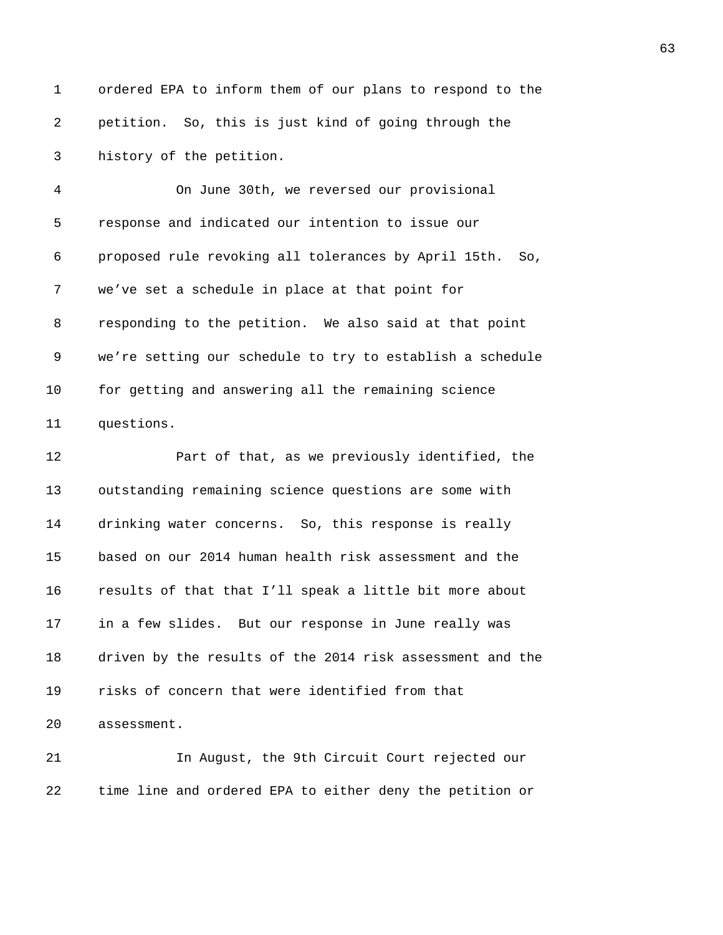1 ordered EPA to inform them of our plans to respond to the 2 petition. So, this is just kind of going through the 3 history of the petition.

4 On June 30th, we reversed our provisional 5 response and indicated our intention to issue our 6 proposed rule revoking all tolerances by April 15th. So, 7 we've set a schedule in place at that point for 8 responding to the petition. We also said at that point 9 we're setting our schedule to try to establish a schedule 10 for getting and answering all the remaining science 11 questions.

12 Part of that, as we previously identified, the 13 outstanding remaining science questions are some with 14 drinking water concerns. So, this response is really 15 based on our 2014 human health risk assessment and the 16 results of that that I'll speak a little bit more about 17 in a few slides. But our response in June really was 18 driven by the results of the 2014 risk assessment and the 19 risks of concern that were identified from that 20 assessment.

21 In August, the 9th Circuit Court rejected our 22 time line and ordered EPA to either deny the petition or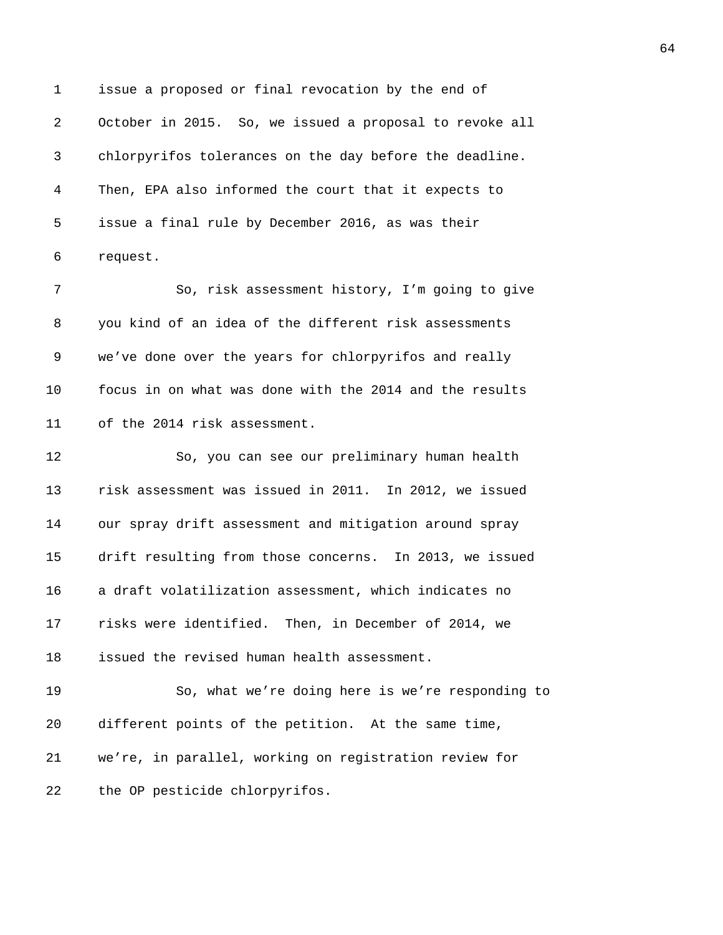1 issue a proposed or final revocation by the end of 2 October in 2015. So, we issued a proposal to revoke all 3 chlorpyrifos tolerances on the day before the deadline. 4 Then, EPA also informed the court that it expects to 5 issue a final rule by December 2016, as was their 6 request.

7 So, risk assessment history, I'm going to give 8 you kind of an idea of the different risk assessments 9 we've done over the years for chlorpyrifos and really 10 focus in on what was done with the 2014 and the results 11 of the 2014 risk assessment.

12 So, you can see our preliminary human health 13 risk assessment was issued in 2011. In 2012, we issued 14 our spray drift assessment and mitigation around spray 15 drift resulting from those concerns. In 2013, we issued 16 a draft volatilization assessment, which indicates no 17 risks were identified. Then, in December of 2014, we 18 issued the revised human health assessment.

19 So, what we're doing here is we're responding to 20 different points of the petition. At the same time, 21 we're, in parallel, working on registration review for 22 the OP pesticide chlorpyrifos.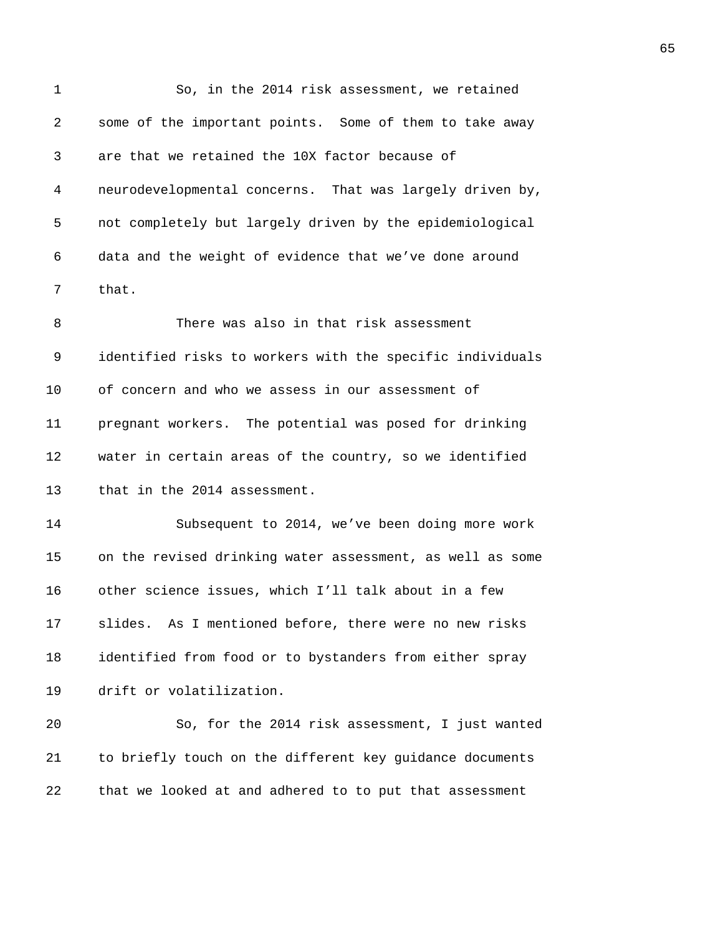| 1  | So, in the 2014 risk assessment, we retained              |
|----|-----------------------------------------------------------|
| 2  | some of the important points. Some of them to take away   |
| 3  | are that we retained the 10X factor because of            |
| 4  | neurodevelopmental concerns. That was largely driven by,  |
| 5  | not completely but largely driven by the epidemiological  |
| 6  | data and the weight of evidence that we've done around    |
| 7  | that.                                                     |
| 8  | There was also in that risk assessment                    |
| 9  | identified risks to workers with the specific individuals |
| 10 | of concern and who we assess in our assessment of         |
| 11 | pregnant workers. The potential was posed for drinking    |
| 12 | water in certain areas of the country, so we identified   |
| 13 | that in the 2014 assessment.                              |
| 14 | Subsequent to 2014, we've been doing more work            |
| 15 | on the revised drinking water assessment, as well as some |
| 16 | other science issues, which I'll talk about in a few      |
| 17 | slides. As I mentioned before, there were no new risks    |
| 18 | identified from food or to bystanders from either spray   |
| 19 | drift or volatilization.                                  |
| 20 | So, for the 2014 risk assessment, I just wanted           |
| 21 | to briefly touch on the different key guidance documents  |
| 22 | that we looked at and adhered to to put that assessment   |
|    |                                                           |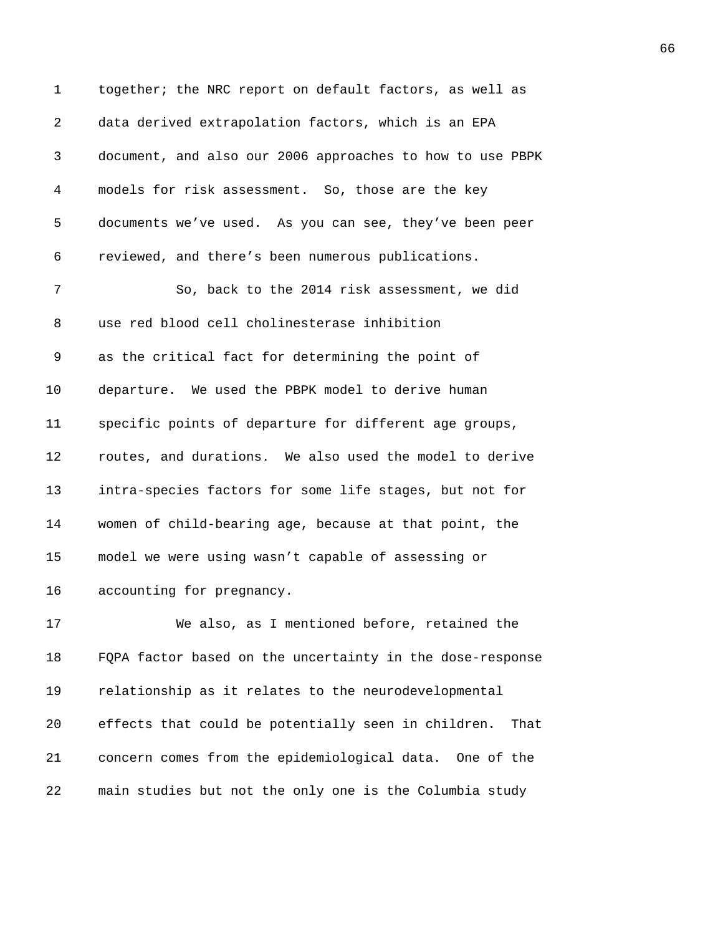| $\mathbf 1$    | together; the NRC report on default factors, as well as   |
|----------------|-----------------------------------------------------------|
| $\overline{2}$ | data derived extrapolation factors, which is an EPA       |
| 3              | document, and also our 2006 approaches to how to use PBPK |
| 4              | models for risk assessment. So, those are the key         |
| 5              | documents we've used. As you can see, they've been peer   |
| 6              | reviewed, and there's been numerous publications.         |
| 7              | So, back to the 2014 risk assessment, we did              |
| 8              | use red blood cell cholinesterase inhibition              |
| 9              | as the critical fact for determining the point of         |
| 10             | departure. We used the PBPK model to derive human         |
| 11             | specific points of departure for different age groups,    |
| 12             | routes, and durations. We also used the model to derive   |
| 13             | intra-species factors for some life stages, but not for   |
| 14             | women of child-bearing age, because at that point, the    |
| 15             | model we were using wasn't capable of assessing or        |
| 16             | accounting for pregnancy.                                 |
| 17             | We also, as I mentioned before, retained the              |

18 FQPA factor based on the uncertainty in the dose-response 19 relationship as it relates to the neurodevelopmental 20 effects that could be potentially seen in children. That 21 concern comes from the epidemiological data. One of the 22 main studies but not the only one is the Columbia study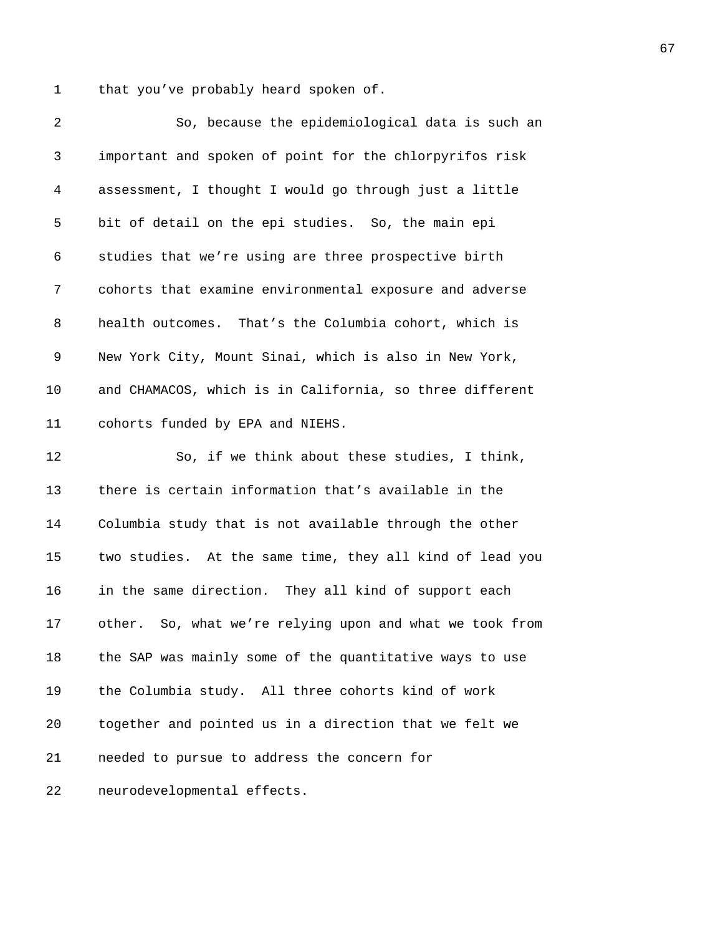1 that you've probably heard spoken of.

| 2            | So, because the epidemiological data is such an          |
|--------------|----------------------------------------------------------|
| $\mathsf{3}$ | important and spoken of point for the chlorpyrifos risk  |
| 4            | assessment, I thought I would go through just a little   |
| 5            | bit of detail on the epi studies. So, the main epi       |
| 6            | studies that we're using are three prospective birth     |
| 7            | cohorts that examine environmental exposure and adverse  |
| 8            | health outcomes. That's the Columbia cohort, which is    |
| 9            | New York City, Mount Sinai, which is also in New York,   |
| 10           | and CHAMACOS, which is in California, so three different |
| 11           | cohorts funded by EPA and NIEHS.                         |
| 12           | So, if we think about these studies, I think,            |
| 13           | there is certain information that's available in the     |
| 14           | Columbia study that is not available through the other   |
| 15           | two studies. At the same time, they all kind of lead you |
| 16           | in the same direction. They all kind of support each     |
| 17           | other. So, what we're relying upon and what we took from |
| 18           | the SAP was mainly some of the quantitative ways to use  |
| 19           | the Columbia study. All three cohorts kind of work       |
| 20           | together and pointed us in a direction that we felt we   |
| 21           | needed to pursue to address the concern for              |
| 22           | neurodevelopmental effects.                              |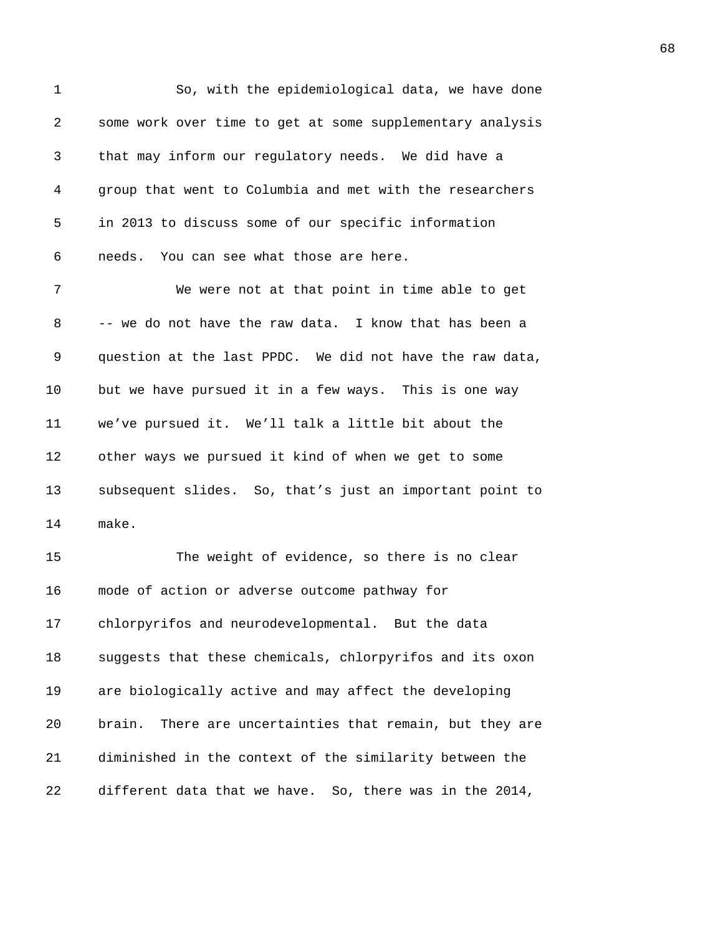| $\mathbf 1$ | So, with the epidemiological data, we have done             |
|-------------|-------------------------------------------------------------|
| 2           | some work over time to get at some supplementary analysis   |
| 3           | that may inform our regulatory needs. We did have a         |
| 4           | group that went to Columbia and met with the researchers    |
| 5           | in 2013 to discuss some of our specific information         |
| 6           | needs. You can see what those are here.                     |
| 7           | We were not at that point in time able to get               |
| 8           | -- we do not have the raw data. I know that has been a      |
| 9           | question at the last PPDC. We did not have the raw data,    |
| 10          | but we have pursued it in a few ways. This is one way       |
| 11          | we've pursued it. We'll talk a little bit about the         |
| 12          | other ways we pursued it kind of when we get to some        |
| 13          | subsequent slides. So, that's just an important point to    |
| 14          | make.                                                       |
| 15          | The weight of evidence, so there is no clear                |
| 16          | mode of action or adverse outcome pathway for               |
| 17          | chlorpyrifos and neurodevelopmental. But the data           |
| 18          | suggests that these chemicals, chlorpyrifos and its oxon    |
| 19          | are biologically active and may affect the developing       |
| 20          | There are uncertainties that remain, but they are<br>brain. |
| 21          | diminished in the context of the similarity between the     |
| 22          | different data that we have. So, there was in the 2014,     |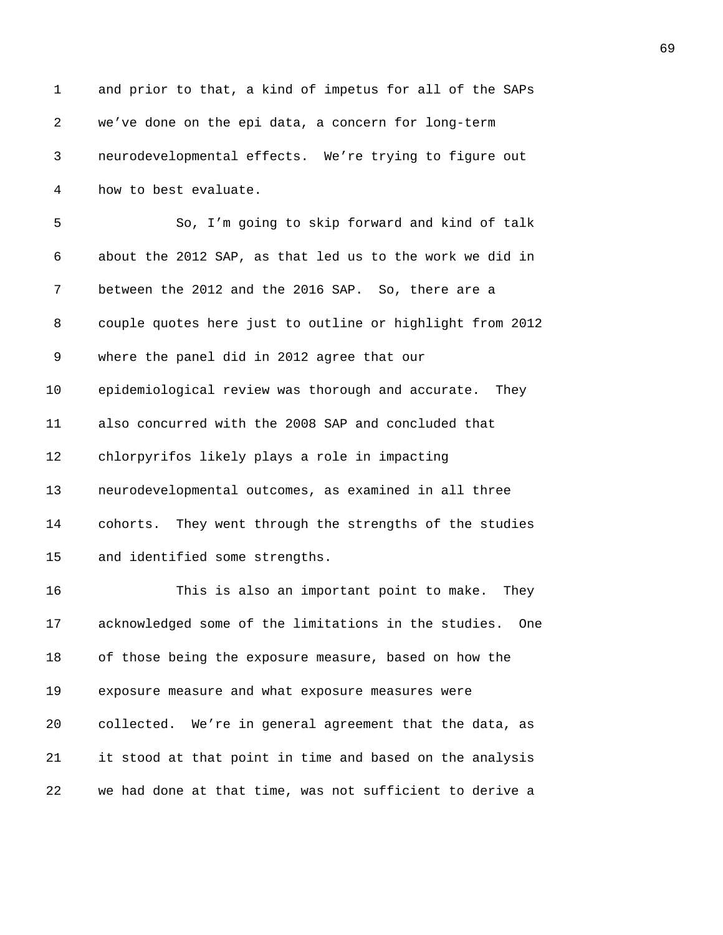| $\mathbf 1$ | and prior to that, a kind of impetus for all of the SAPs    |
|-------------|-------------------------------------------------------------|
| 2           | we've done on the epi data, a concern for long-term         |
| 3           | neurodevelopmental effects. We're trying to figure out      |
| 4           | how to best evaluate.                                       |
| 5           | So, I'm going to skip forward and kind of talk              |
| 6           | about the 2012 SAP, as that led us to the work we did in    |
| 7           | between the 2012 and the 2016 SAP. So, there are a          |
| 8           | couple quotes here just to outline or highlight from 2012   |
| 9           | where the panel did in 2012 agree that our                  |
| 10          | epidemiological review was thorough and accurate. They      |
| 11          | also concurred with the 2008 SAP and concluded that         |
| 12          | chlorpyrifos likely plays a role in impacting               |
| 13          | neurodevelopmental outcomes, as examined in all three       |
| 14          | cohorts. They went through the strengths of the studies     |
| 15          | and identified some strengths.                              |
| 16          | This is also an important point to make.<br>They            |
| 17          | acknowledged some of the limitations in the studies.<br>One |
| 18          | of those being the exposure measure, based on how the       |
| 19          | exposure measure and what exposure measures were            |
| 20          | collected. We're in general agreement that the data, as     |
|             |                                                             |
| 21          | it stood at that point in time and based on the analysis    |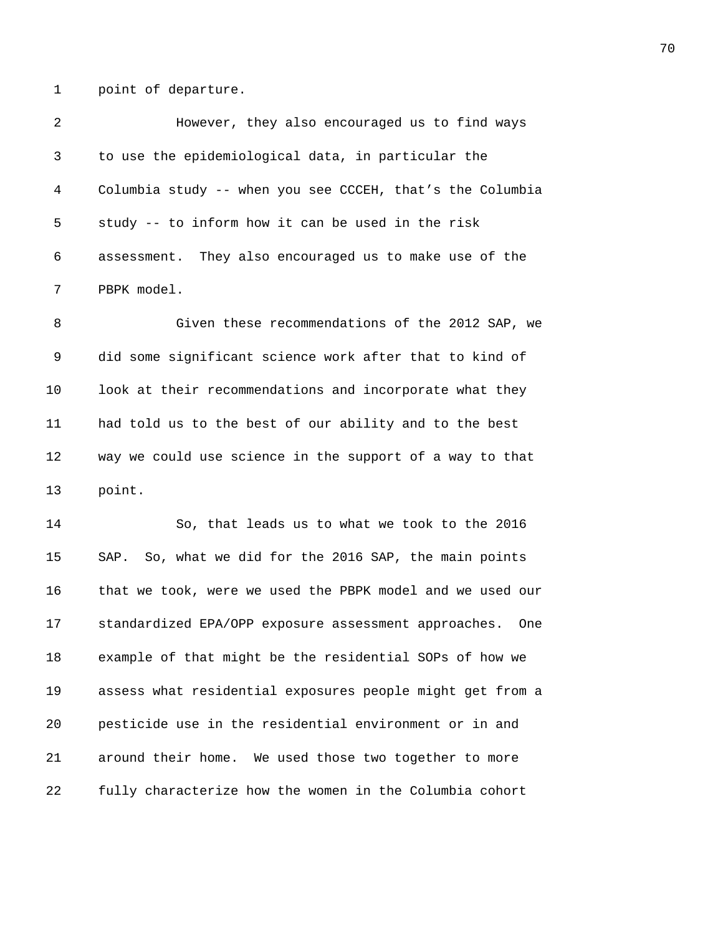1 point of departure.

| 2  | However, they also encouraged us to find ways               |
|----|-------------------------------------------------------------|
| 3  | to use the epidemiological data, in particular the          |
| 4  | Columbia study -- when you see CCCEH, that's the Columbia   |
| 5  | study -- to inform how it can be used in the risk           |
| 6  | assessment. They also encouraged us to make use of the      |
| 7  | PBPK model.                                                 |
| 8  | Given these recommendations of the 2012 SAP, we             |
| 9  | did some significant science work after that to kind of     |
| 10 | look at their recommendations and incorporate what they     |
| 11 | had told us to the best of our ability and to the best      |
| 12 | way we could use science in the support of a way to that    |
| 13 | point.                                                      |
| 14 | So, that leads us to what we took to the 2016               |
| 15 | SAP. So, what we did for the 2016 SAP, the main points      |
| 16 | that we took, were we used the PBPK model and we used our   |
| 17 | standardized EPA/OPP exposure assessment approaches.<br>One |
| 18 | example of that might be the residential SOPs of how we     |
| 19 | assess what residential exposures people might get from a   |
| 20 | pesticide use in the residential environment or in and      |
| 21 | around their home. We used those two together to more       |
| 22 | fully characterize how the women in the Columbia cohort     |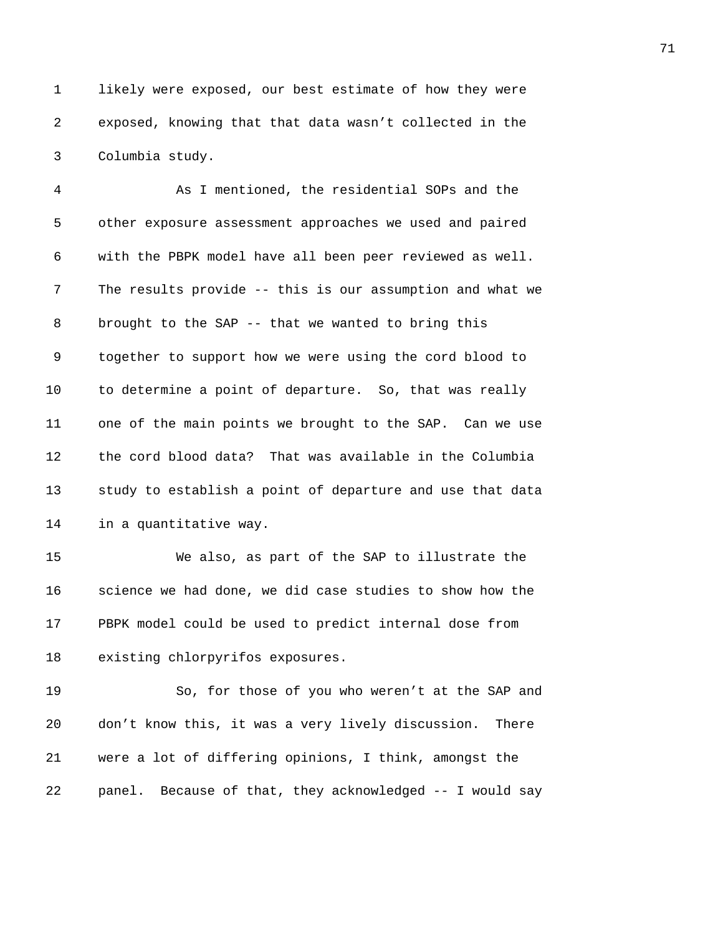1 likely were exposed, our best estimate of how they were 2 exposed, knowing that that data wasn't collected in the 3 Columbia study.

4 As I mentioned, the residential SOPs and the 5 other exposure assessment approaches we used and paired 6 with the PBPK model have all been peer reviewed as well. 7 The results provide -- this is our assumption and what we 8 brought to the SAP -- that we wanted to bring this 9 together to support how we were using the cord blood to 10 to determine a point of departure. So, that was really 11 one of the main points we brought to the SAP. Can we use 12 the cord blood data? That was available in the Columbia 13 study to establish a point of departure and use that data 14 in a quantitative way.

15 We also, as part of the SAP to illustrate the 16 science we had done, we did case studies to show how the 17 PBPK model could be used to predict internal dose from 18 existing chlorpyrifos exposures.

19 So, for those of you who weren't at the SAP and 20 don't know this, it was a very lively discussion. There 21 were a lot of differing opinions, I think, amongst the 22 panel. Because of that, they acknowledged -- I would say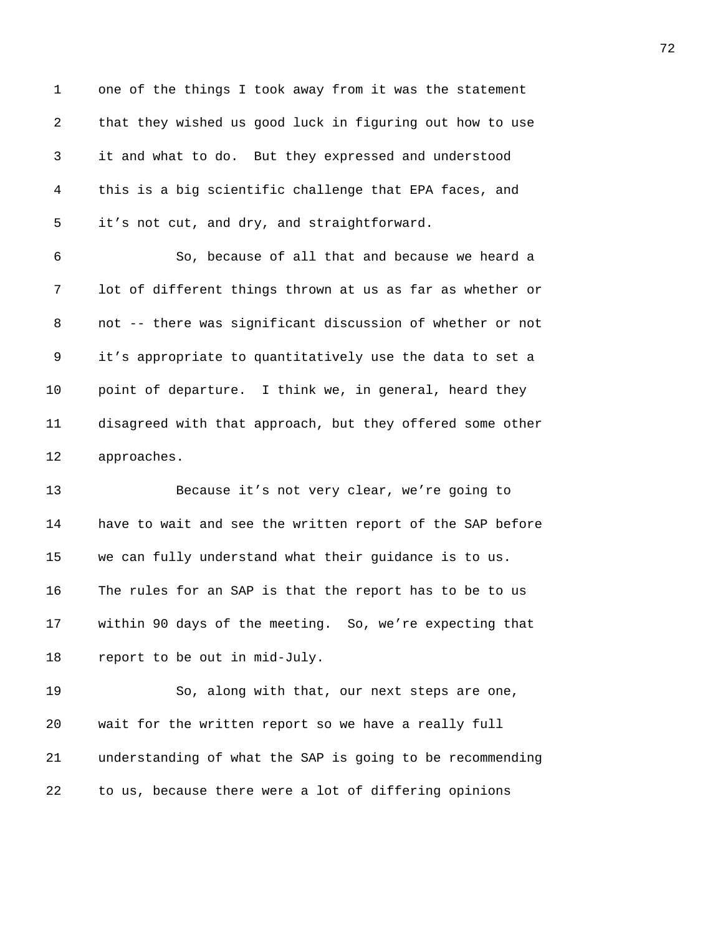1 one of the things I took away from it was the statement 2 that they wished us good luck in figuring out how to use 3 it and what to do. But they expressed and understood 4 this is a big scientific challenge that EPA faces, and 5 it's not cut, and dry, and straightforward. 6 So, because of all that and because we heard a 7 lot of different things thrown at us as far as whether or 8 not -- there was significant discussion of whether or not 9 it's appropriate to quantitatively use the data to set a 10 point of departure. I think we, in general, heard they 11 disagreed with that approach, but they offered some other 12 approaches. 13 Because it's not very clear, we're going to 14 have to wait and see the written report of the SAP before 15 we can fully understand what their guidance is to us. 16 The rules for an SAP is that the report has to be to us 17 within 90 days of the meeting. So, we're expecting that 18 report to be out in mid-July. 19 So, along with that, our next steps are one, 20 wait for the written report so we have a really full 21 understanding of what the SAP is going to be recommending

22 to us, because there were a lot of differing opinions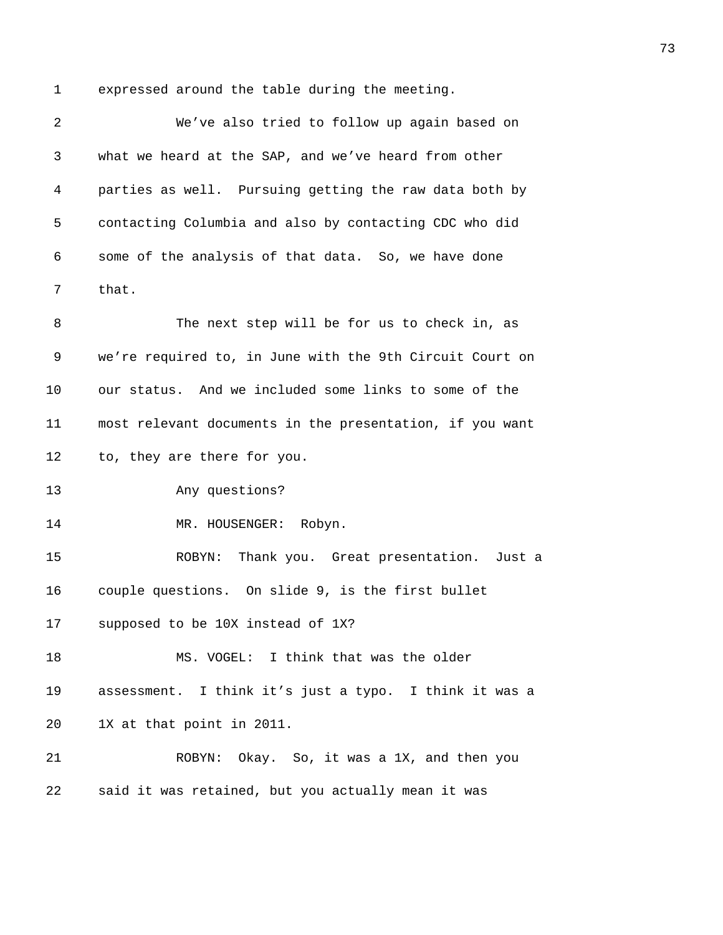1 expressed around the table during the meeting.

2 We've also tried to follow up again based on 3 what we heard at the SAP, and we've heard from other 4 parties as well. Pursuing getting the raw data both by 5 contacting Columbia and also by contacting CDC who did 6 some of the analysis of that data. So, we have done 7 that. 8 The next step will be for us to check in, as 9 we're required to, in June with the 9th Circuit Court on 10 our status. And we included some links to some of the 11 most relevant documents in the presentation, if you want 12 to, they are there for you. 13 Any questions? 14 MR. HOUSENGER: Robyn. 15 ROBYN: Thank you. Great presentation. Just a 16 couple questions. On slide 9, is the first bullet 17 supposed to be 10X instead of 1X? 18 MS. VOGEL: I think that was the older 19 assessment. I think it's just a typo. I think it was a 20 1X at that point in 2011. 21 ROBYN: Okay. So, it was a 1X, and then you 22 said it was retained, but you actually mean it was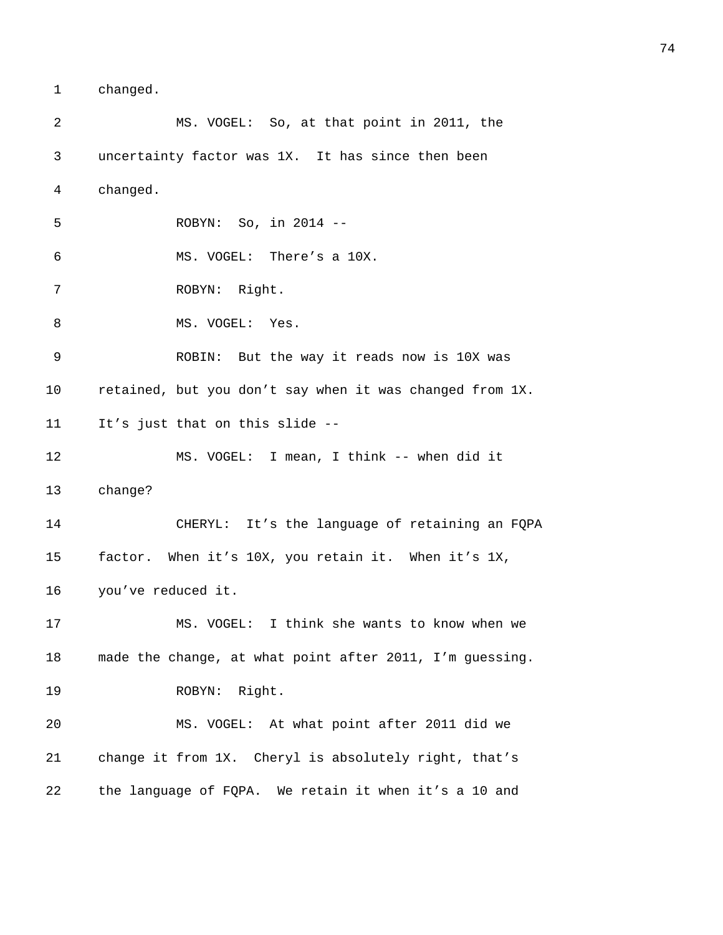1 changed.

2 MS. VOGEL: So, at that point in 2011, the 3 uncertainty factor was 1X. It has since then been 4 changed. 5 ROBYN: So, in 2014 -- 6 MS. VOGEL: There's a 10X. 7 ROBYN: Right. 8 MS. VOGEL: Yes. 9 ROBIN: But the way it reads now is 10X was 10 retained, but you don't say when it was changed from 1X. 11 It's just that on this slide -- 12 MS. VOGEL: I mean, I think -- when did it 13 change? 14 CHERYL: It's the language of retaining an FQPA 15 factor. When it's 10X, you retain it. When it's 1X, 16 you've reduced it. 17 MS. VOGEL: I think she wants to know when we 18 made the change, at what point after 2011, I'm guessing. 19 ROBYN: Right. 20 MS. VOGEL: At what point after 2011 did we 21 change it from 1X. Cheryl is absolutely right, that's 22 the language of FQPA. We retain it when it's a 10 and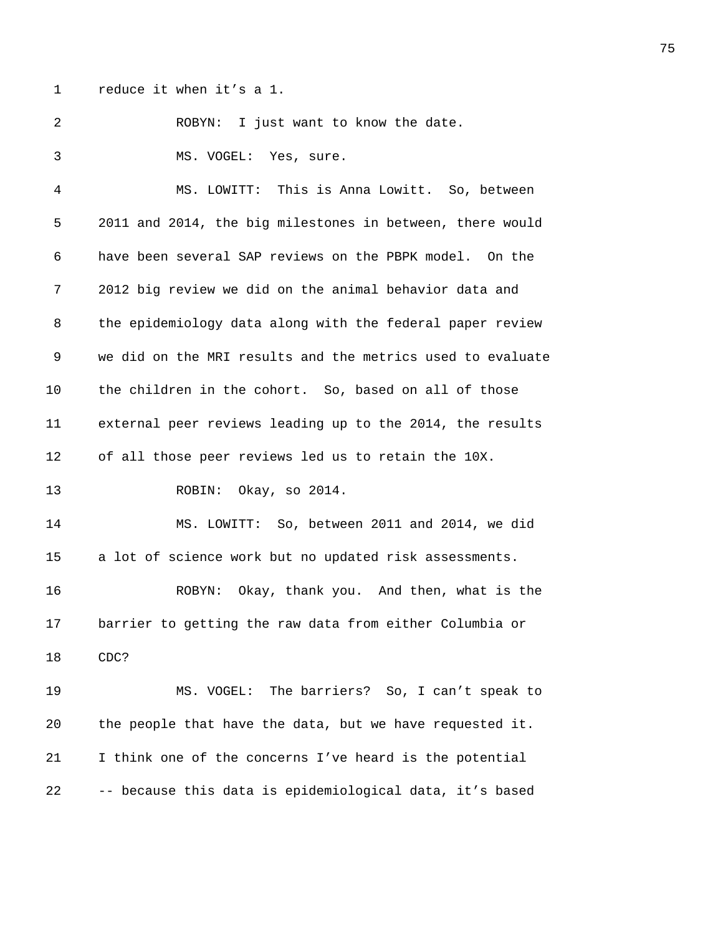1 reduce it when it's a 1.

2 ROBYN: I just want to know the date.

3 MS. VOGEL: Yes, sure.

4 MS. LOWITT: This is Anna Lowitt. So, between 5 2011 and 2014, the big milestones in between, there would 6 have been several SAP reviews on the PBPK model. On the 7 2012 big review we did on the animal behavior data and 8 the epidemiology data along with the federal paper review 9 we did on the MRI results and the metrics used to evaluate 10 the children in the cohort. So, based on all of those 11 external peer reviews leading up to the 2014, the results 12 of all those peer reviews led us to retain the 10X. 13 ROBIN: Okay, so 2014.

14 MS. LOWITT: So, between 2011 and 2014, we did 15 a lot of science work but no updated risk assessments.

16 ROBYN: Okay, thank you. And then, what is the 17 barrier to getting the raw data from either Columbia or 18 CDC?

19 MS. VOGEL: The barriers? So, I can't speak to 20 the people that have the data, but we have requested it. 21 I think one of the concerns I've heard is the potential 22 -- because this data is epidemiological data, it's based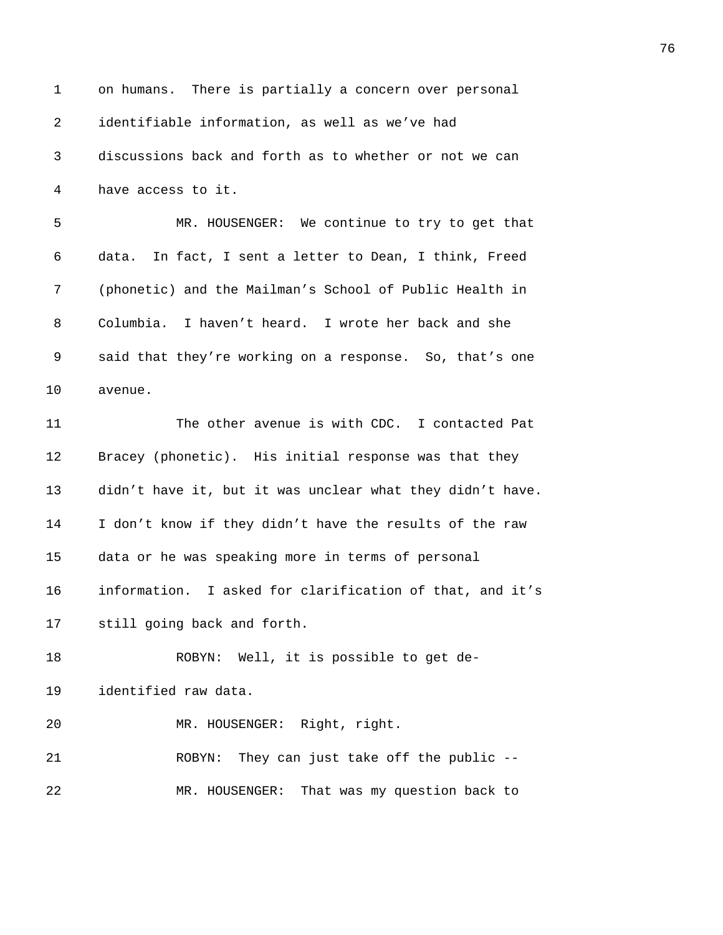| $\mathbf 1$ | on humans. There is partially a concern over personal     |
|-------------|-----------------------------------------------------------|
| 2           | identifiable information, as well as we've had            |
| 3           | discussions back and forth as to whether or not we can    |
| 4           | have access to it.                                        |
| 5           | MR. HOUSENGER: We continue to try to get that             |
| 6           | data. In fact, I sent a letter to Dean, I think, Freed    |
| 7           | (phonetic) and the Mailman's School of Public Health in   |
| 8           | Columbia. I haven't heard. I wrote her back and she       |
| 9           | said that they're working on a response. So, that's one   |
| 10          | avenue.                                                   |
| 11          | The other avenue is with CDC. I contacted Pat             |
| 12          | Bracey (phonetic). His initial response was that they     |
| 13          | didn't have it, but it was unclear what they didn't have. |
| 14          | I don't know if they didn't have the results of the raw   |
| 15          | data or he was speaking more in terms of personal         |
| 16          | information. I asked for clarification of that, and it's  |
| 17          | still going back and forth.                               |
| 18          | ROBYN: Well, it is possible to get de-                    |
| 19          | identified raw data.                                      |
| 20          | MR. HOUSENGER: Right, right.                              |
| 21          | ROBYN: They can just take off the public --               |
| 22          | That was my question back to<br>MR. HOUSENGER:            |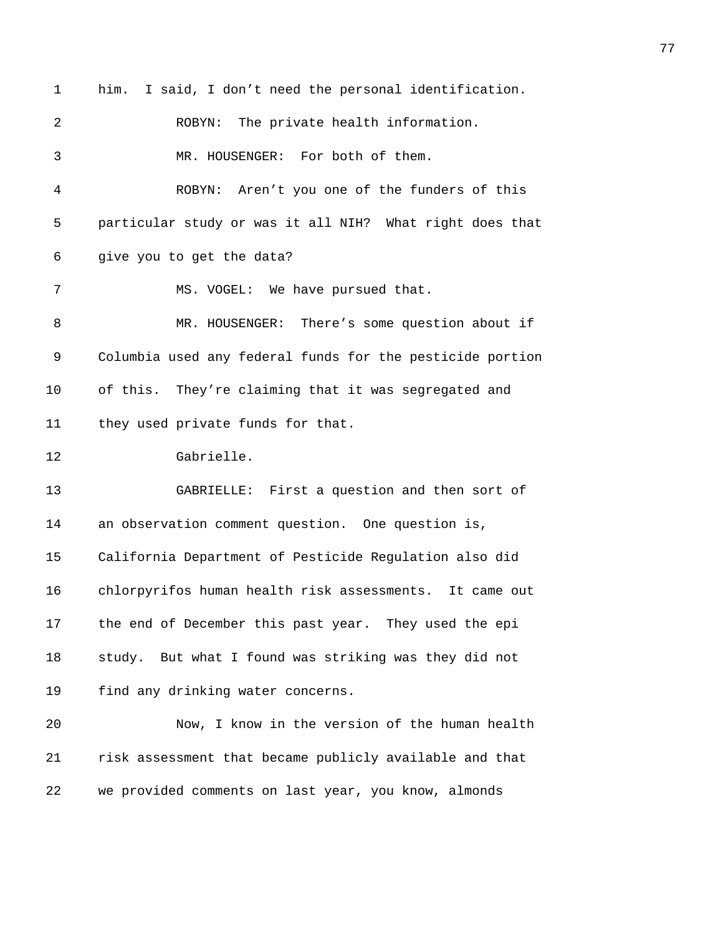1 him. I said, I don't need the personal identification. 2 ROBYN: The private health information. 3 MR. HOUSENGER: For both of them. 4 ROBYN: Aren't you one of the funders of this 5 particular study or was it all NIH? What right does that 6 give you to get the data? 7 MS. VOGEL: We have pursued that. 8 MR. HOUSENGER: There's some question about if 9 Columbia used any federal funds for the pesticide portion 10 of this. They're claiming that it was segregated and 11 they used private funds for that. 12 Gabrielle. 13 GABRIELLE: First a question and then sort of 14 an observation comment question. One question is, 15 California Department of Pesticide Regulation also did 16 chlorpyrifos human health risk assessments. It came out 17 the end of December this past year. They used the epi 18 study. But what I found was striking was they did not 19 find any drinking water concerns. 20 Now, I know in the version of the human health 21 risk assessment that became publicly available and that 22 we provided comments on last year, you know, almonds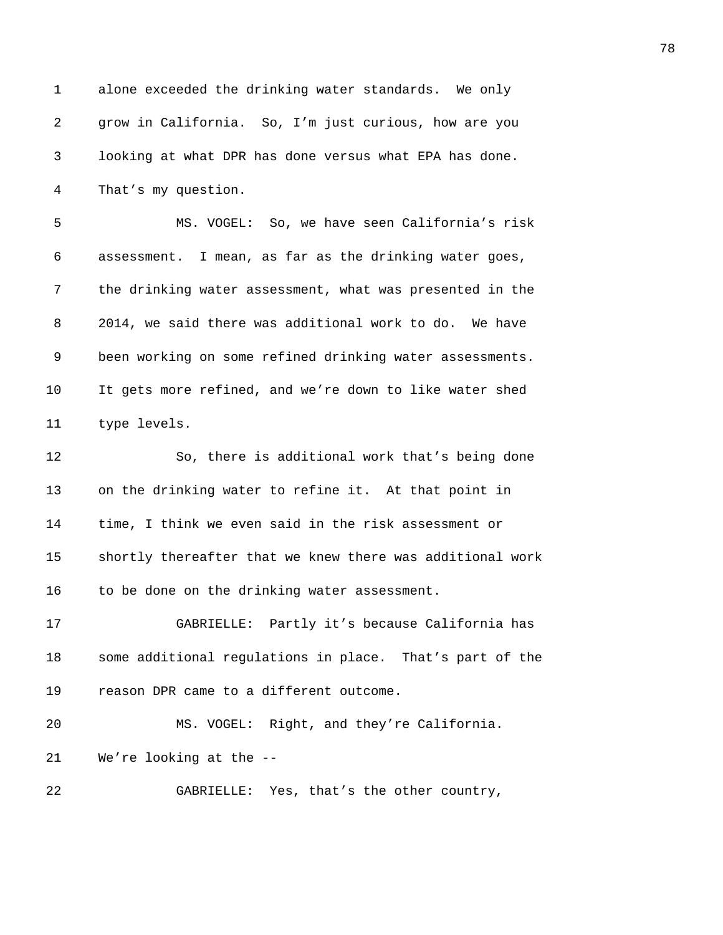1 alone exceeded the drinking water standards. We only 2 grow in California. So, I'm just curious, how are you 3 looking at what DPR has done versus what EPA has done. 4 That's my question. 5 MS. VOGEL: So, we have seen California's risk 6 assessment. I mean, as far as the drinking water goes, 7 the drinking water assessment, what was presented in the 8 2014, we said there was additional work to do. We have 9 been working on some refined drinking water assessments. 10 It gets more refined, and we're down to like water shed 11 type levels. 12 So, there is additional work that's being done 13 on the drinking water to refine it. At that point in 14 time, I think we even said in the risk assessment or 15 shortly thereafter that we knew there was additional work 16 to be done on the drinking water assessment. 17 GABRIELLE: Partly it's because California has 18 some additional regulations in place. That's part of the 19 reason DPR came to a different outcome. 20 MS. VOGEL: Right, and they're California. 21 We're looking at the -- 22 GABRIELLE: Yes, that's the other country,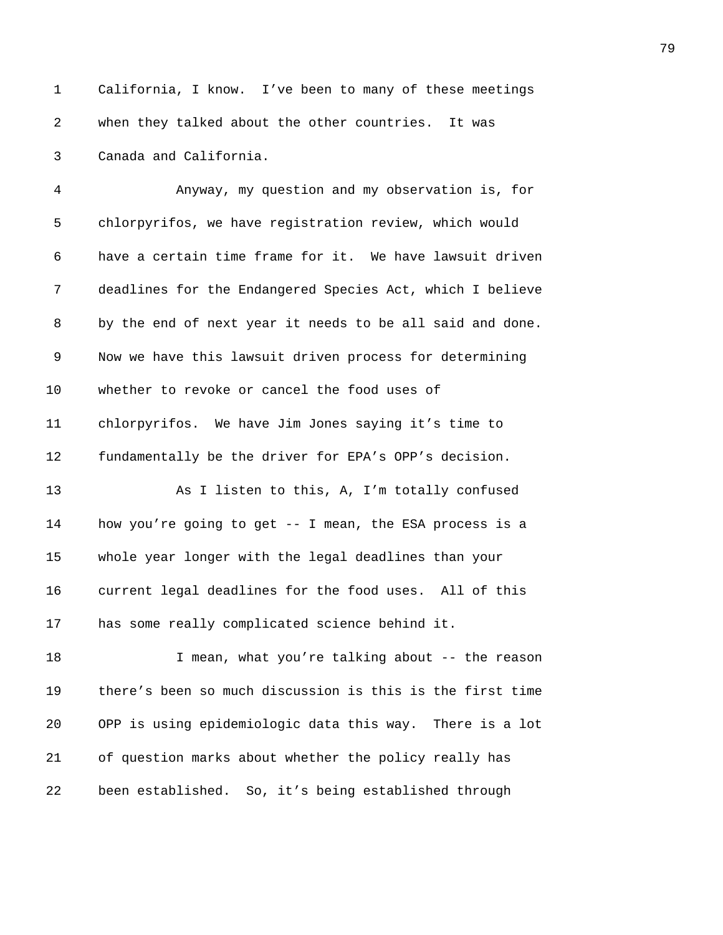1 California, I know. I've been to many of these meetings 2 when they talked about the other countries. It was 3 Canada and California.

4 Anyway, my question and my observation is, for 5 chlorpyrifos, we have registration review, which would 6 have a certain time frame for it. We have lawsuit driven 7 deadlines for the Endangered Species Act, which I believe 8 by the end of next year it needs to be all said and done. 9 Now we have this lawsuit driven process for determining 10 whether to revoke or cancel the food uses of 11 chlorpyrifos. We have Jim Jones saying it's time to 12 fundamentally be the driver for EPA's OPP's decision. 13 As I listen to this, A, I'm totally confused 14 how you're going to get -- I mean, the ESA process is a 15 whole year longer with the legal deadlines than your 16 current legal deadlines for the food uses. All of this

17 has some really complicated science behind it.

18 I mean, what you're talking about -- the reason 19 there's been so much discussion is this is the first time 20 OPP is using epidemiologic data this way. There is a lot 21 of question marks about whether the policy really has 22 been established. So, it's being established through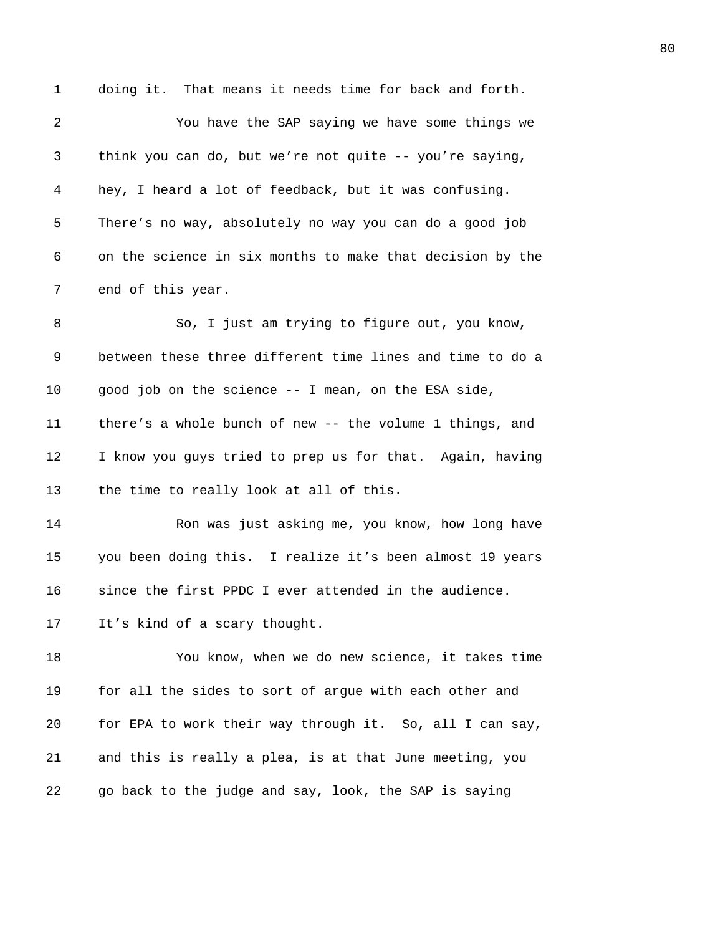1 doing it. That means it needs time for back and forth. 2 You have the SAP saying we have some things we 3 think you can do, but we're not quite -- you're saying, 4 hey, I heard a lot of feedback, but it was confusing. 5 There's no way, absolutely no way you can do a good job 6 on the science in six months to make that decision by the 7 end of this year. 8 So, I just am trying to figure out, you know, 9 between these three different time lines and time to do a 10 good job on the science -- I mean, on the ESA side, 11 there's a whole bunch of new -- the volume 1 things, and 12 I know you guys tried to prep us for that. Again, having 13 the time to really look at all of this. 14 Ron was just asking me, you know, how long have 15 you been doing this. I realize it's been almost 19 years 16 since the first PPDC I ever attended in the audience. 17 It's kind of a scary thought. 18 You know, when we do new science, it takes time 19 for all the sides to sort of argue with each other and 20 for EPA to work their way through it. So, all I can say, 21 and this is really a plea, is at that June meeting, you 22 go back to the judge and say, look, the SAP is saying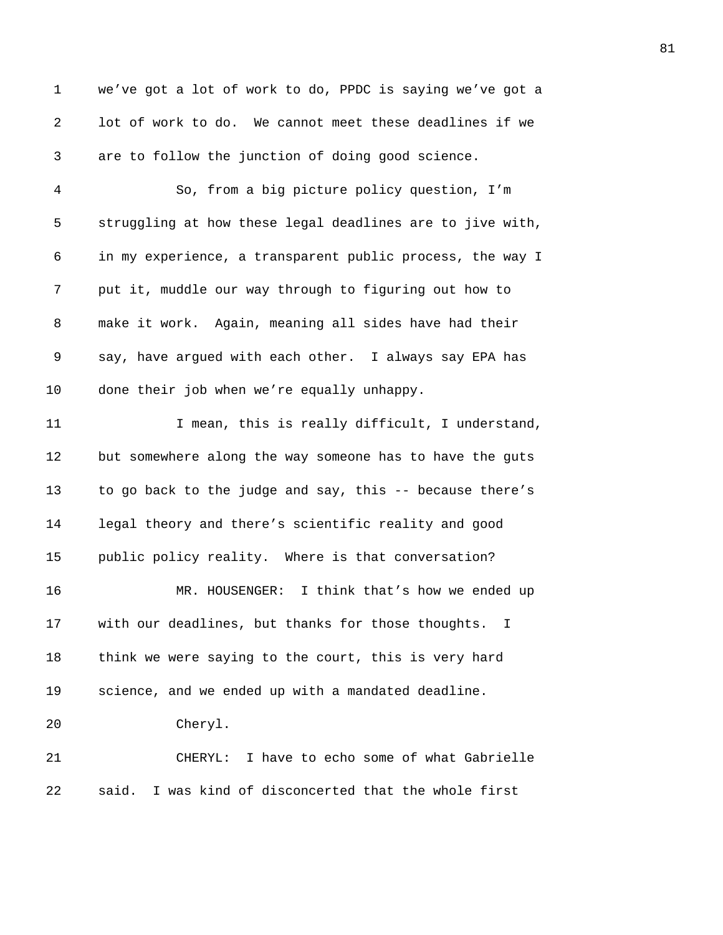1 we've got a lot of work to do, PPDC is saying we've got a 2 lot of work to do. We cannot meet these deadlines if we 3 are to follow the junction of doing good science. 4 So, from a big picture policy question, I'm 5 struggling at how these legal deadlines are to jive with, 6 in my experience, a transparent public process, the way I 7 put it, muddle our way through to figuring out how to 8 make it work. Again, meaning all sides have had their 9 say, have argued with each other. I always say EPA has 10 done their job when we're equally unhappy. 11 11 I mean, this is really difficult, I understand, 12 but somewhere along the way someone has to have the guts 13 to go back to the judge and say, this -- because there's 14 legal theory and there's scientific reality and good 15 public policy reality. Where is that conversation? 16 MR. HOUSENGER: I think that's how we ended up 17 with our deadlines, but thanks for those thoughts. I 18 think we were saying to the court, this is very hard 19 science, and we ended up with a mandated deadline. 20 Cheryl. 21 CHERYL: I have to echo some of what Gabrielle 22 said. I was kind of disconcerted that the whole first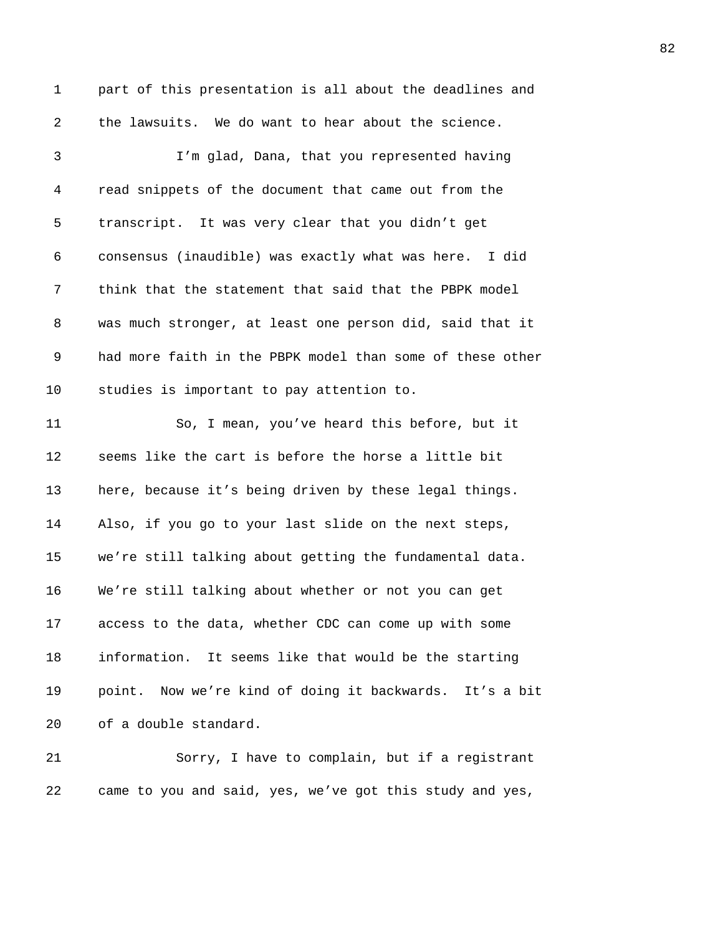1 part of this presentation is all about the deadlines and 2 the lawsuits. We do want to hear about the science. 3 I'm glad, Dana, that you represented having 4 read snippets of the document that came out from the 5 transcript. It was very clear that you didn't get 6 consensus (inaudible) was exactly what was here. I did 7 think that the statement that said that the PBPK model 8 was much stronger, at least one person did, said that it 9 had more faith in the PBPK model than some of these other 10 studies is important to pay attention to. 11 So, I mean, you've heard this before, but it 12 seems like the cart is before the horse a little bit 13 here, because it's being driven by these legal things. 14 Also, if you go to your last slide on the next steps, 15 we're still talking about getting the fundamental data. 16 We're still talking about whether or not you can get 17 access to the data, whether CDC can come up with some 18 information. It seems like that would be the starting 19 point. Now we're kind of doing it backwards. It's a bit 20 of a double standard. 21 Sorry, I have to complain, but if a registrant

22 came to you and said, yes, we've got this study and yes,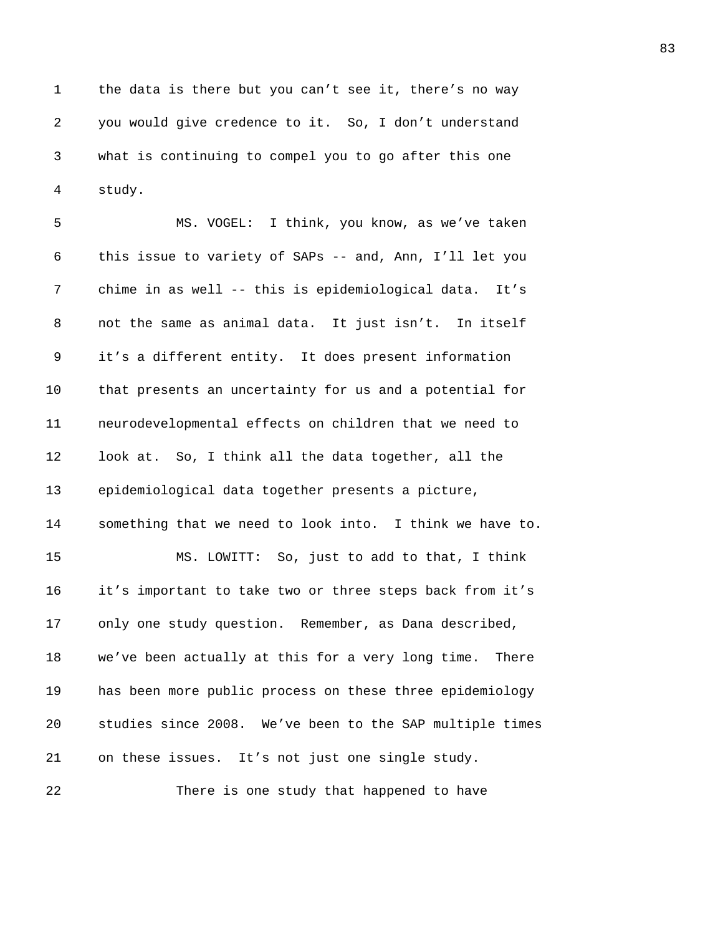1 the data is there but you can't see it, there's no way 2 you would give credence to it. So, I don't understand 3 what is continuing to compel you to go after this one 4 study.

5 MS. VOGEL: I think, you know, as we've taken 6 this issue to variety of SAPs -- and, Ann, I'll let you 7 chime in as well -- this is epidemiological data. It's 8 not the same as animal data. It just isn't. In itself 9 it's a different entity. It does present information 10 that presents an uncertainty for us and a potential for 11 neurodevelopmental effects on children that we need to 12 look at. So, I think all the data together, all the 13 epidemiological data together presents a picture, 14 something that we need to look into. I think we have to. 15 MS. LOWITT: So, just to add to that, I think 16 it's important to take two or three steps back from it's 17 only one study question. Remember, as Dana described, 18 we've been actually at this for a very long time. There 19 has been more public process on these three epidemiology 20 studies since 2008. We've been to the SAP multiple times 21 on these issues. It's not just one single study.

22 There is one study that happened to have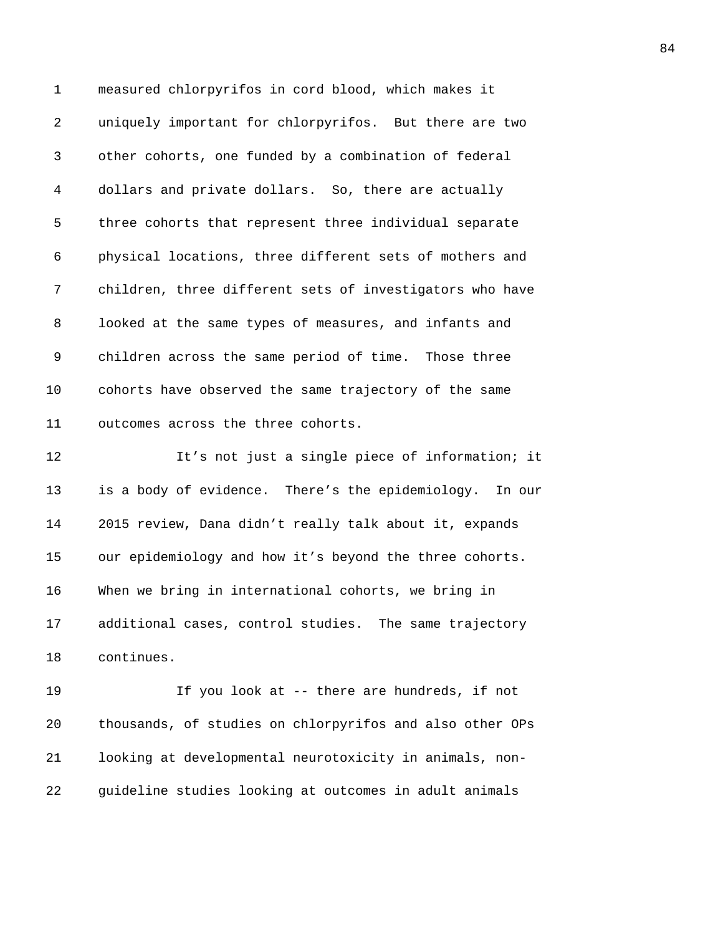1 measured chlorpyrifos in cord blood, which makes it 2 uniquely important for chlorpyrifos. But there are two 3 other cohorts, one funded by a combination of federal 4 dollars and private dollars. So, there are actually 5 three cohorts that represent three individual separate 6 physical locations, three different sets of mothers and 7 children, three different sets of investigators who have 8 looked at the same types of measures, and infants and 9 children across the same period of time. Those three 10 cohorts have observed the same trajectory of the same 11 outcomes across the three cohorts. 12 It's not just a single piece of information; it 13 is a body of evidence. There's the epidemiology. In our 14 2015 review, Dana didn't really talk about it, expands

15 our epidemiology and how it's beyond the three cohorts. 16 When we bring in international cohorts, we bring in 17 additional cases, control studies. The same trajectory 18 continues.

19 If you look at -- there are hundreds, if not 20 thousands, of studies on chlorpyrifos and also other OPs 21 looking at developmental neurotoxicity in animals, non-22 guideline studies looking at outcomes in adult animals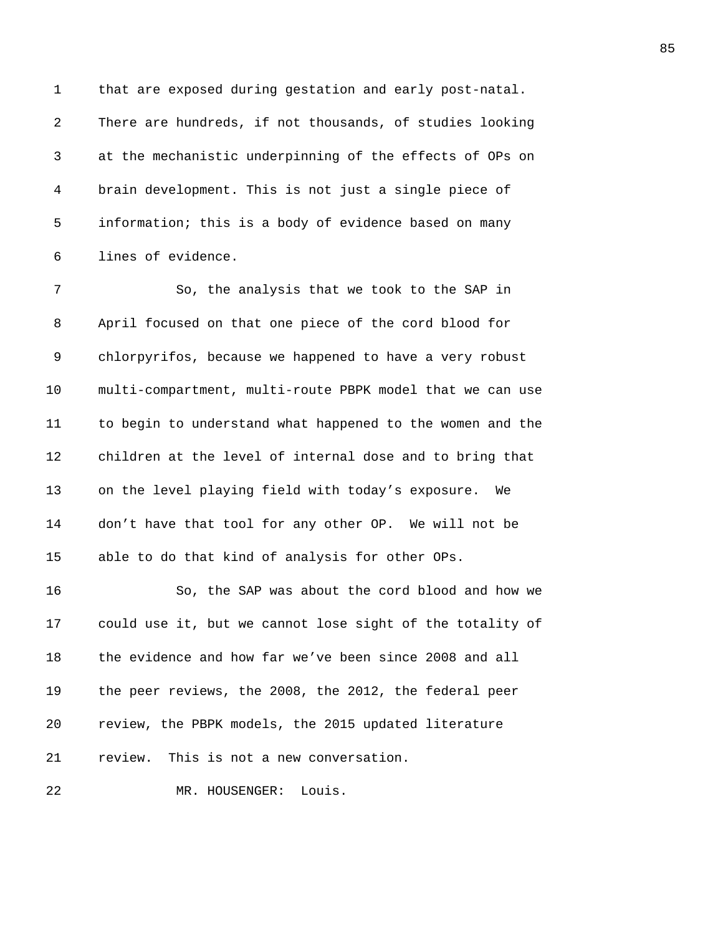1 that are exposed during gestation and early post-natal. 2 There are hundreds, if not thousands, of studies looking 3 at the mechanistic underpinning of the effects of OPs on 4 brain development. This is not just a single piece of 5 information; this is a body of evidence based on many 6 lines of evidence.

7 So, the analysis that we took to the SAP in 8 April focused on that one piece of the cord blood for 9 chlorpyrifos, because we happened to have a very robust 10 multi-compartment, multi-route PBPK model that we can use 11 to begin to understand what happened to the women and the 12 children at the level of internal dose and to bring that 13 on the level playing field with today's exposure. We 14 don't have that tool for any other OP. We will not be 15 able to do that kind of analysis for other OPs.

16 So, the SAP was about the cord blood and how we 17 could use it, but we cannot lose sight of the totality of 18 the evidence and how far we've been since 2008 and all 19 the peer reviews, the 2008, the 2012, the federal peer 20 review, the PBPK models, the 2015 updated literature 21 review. This is not a new conversation.

22 MR. HOUSENGER: Louis.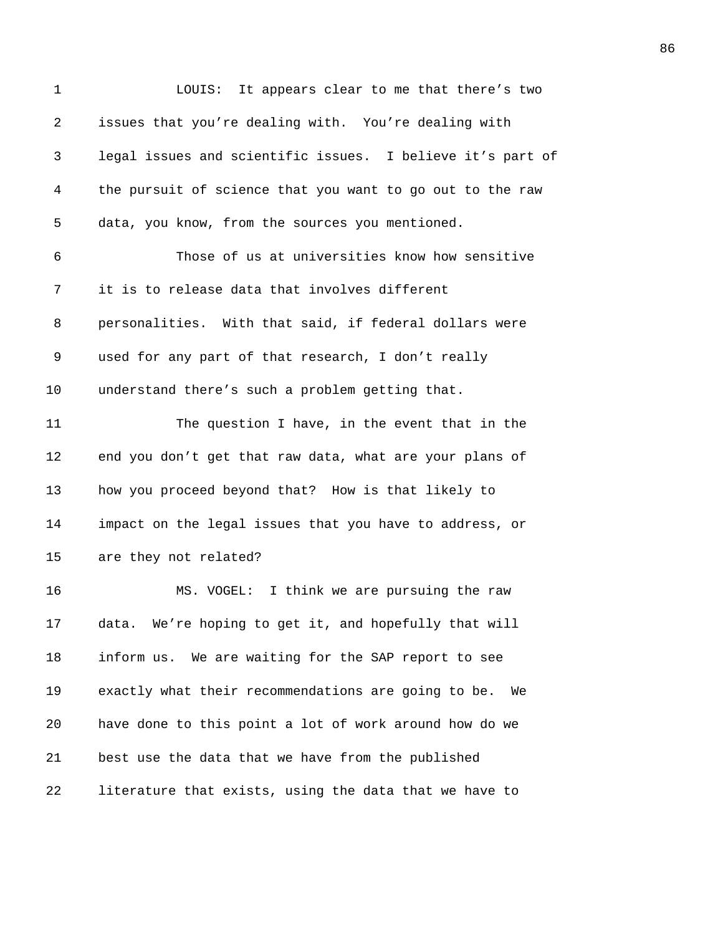| $\mathbf 1$ | LOUIS: It appears clear to me that there's two             |
|-------------|------------------------------------------------------------|
| 2           | issues that you're dealing with. You're dealing with       |
| 3           | legal issues and scientific issues. I believe it's part of |
| 4           | the pursuit of science that you want to go out to the raw  |
| 5           | data, you know, from the sources you mentioned.            |
| 6           | Those of us at universities know how sensitive             |
| 7           | it is to release data that involves different              |
| 8           | personalities. With that said, if federal dollars were     |
| 9           | used for any part of that research, I don't really         |
| 10          | understand there's such a problem getting that.            |
| 11          | The question I have, in the event that in the              |
| 12          | end you don't get that raw data, what are your plans of    |
| 13          | how you proceed beyond that? How is that likely to         |
| 14          | impact on the legal issues that you have to address, or    |
| 15          | are they not related?                                      |
| 16          | MS. VOGEL: I think we are pursuing the raw                 |
| 17          | data. We're hoping to get it, and hopefully that will      |
| 18          | inform us. We are waiting for the SAP report to see        |
| 19          | exactly what their recommendations are going to be.<br>We  |
| 20          | have done to this point a lot of work around how do we     |
| 21          | best use the data that we have from the published          |
| 22          | literature that exists, using the data that we have to     |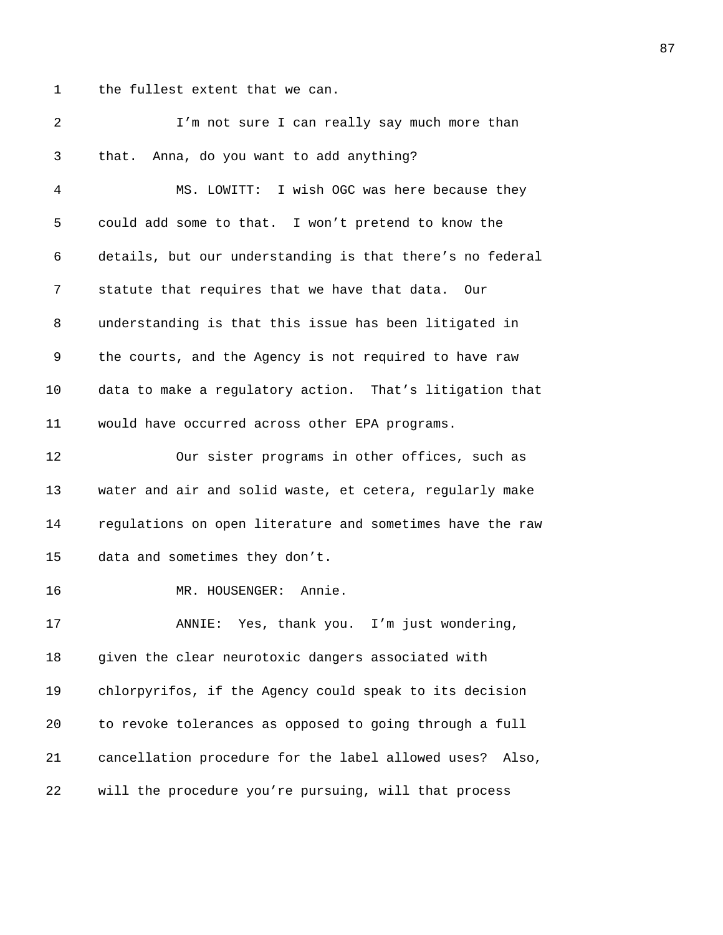1 the fullest extent that we can.

| 2  | I'm not sure I can really say much more than                |
|----|-------------------------------------------------------------|
| 3  | that. Anna, do you want to add anything?                    |
| 4  | MS. LOWITT: I wish OGC was here because they                |
| 5  | could add some to that. I won't pretend to know the         |
| 6  | details, but our understanding is that there's no federal   |
| 7  | statute that requires that we have that data. Our           |
| 8  | understanding is that this issue has been litigated in      |
| 9  | the courts, and the Agency is not required to have raw      |
| 10 | data to make a regulatory action. That's litigation that    |
| 11 | would have occurred across other EPA programs.              |
| 12 | Our sister programs in other offices, such as               |
| 13 | water and air and solid waste, et cetera, regularly make    |
| 14 | regulations on open literature and sometimes have the raw   |
| 15 | data and sometimes they don't.                              |
| 16 | MR. HOUSENGER: Annie.                                       |
| 17 | ANNIE: Yes, thank you. I'm just wondering,                  |
| 18 | given the clear neurotoxic dangers associated with          |
| 19 | chlorpyrifos, if the Agency could speak to its decision     |
| 20 | to revoke tolerances as opposed to going through a full     |
| 21 | cancellation procedure for the label allowed uses?<br>Also, |
| 22 | will the procedure you're pursuing, will that process       |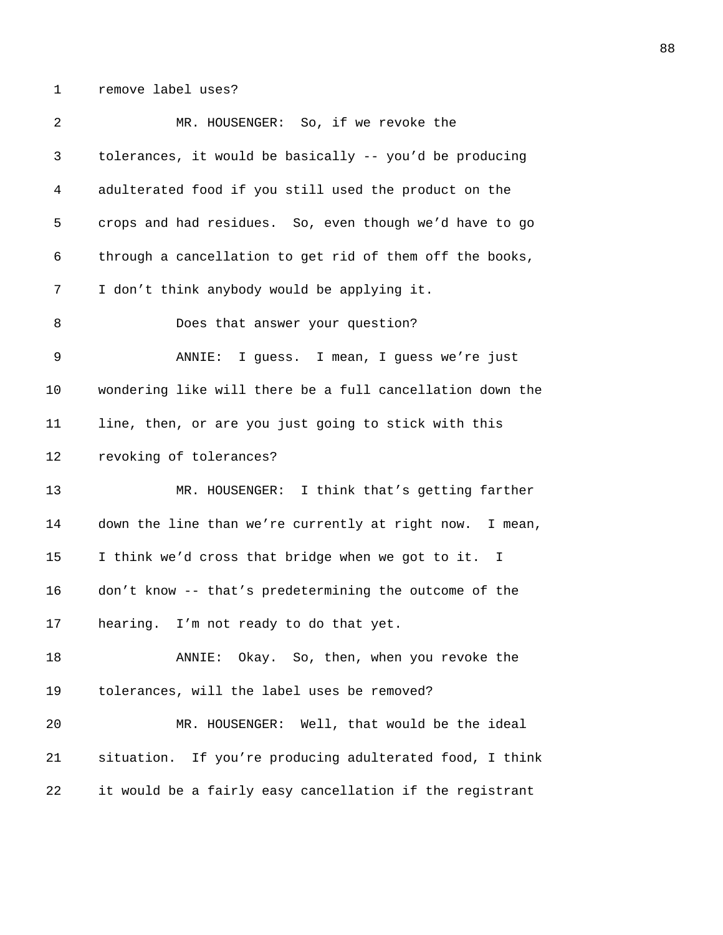1 remove label uses?

| 2  | MR. HOUSENGER: So, if we revoke the                       |
|----|-----------------------------------------------------------|
| 3  | tolerances, it would be basically -- you'd be producing   |
| 4  | adulterated food if you still used the product on the     |
| 5  | crops and had residues. So, even though we'd have to go   |
| 6  | through a cancellation to get rid of them off the books,  |
| 7  | I don't think anybody would be applying it.               |
| 8  | Does that answer your question?                           |
| 9  | I guess. I mean, I guess we're just<br>ANNIE:             |
| 10 | wondering like will there be a full cancellation down the |
| 11 | line, then, or are you just going to stick with this      |
| 12 | revoking of tolerances?                                   |
| 13 | MR. HOUSENGER: I think that's getting farther             |
| 14 | down the line than we're currently at right now. I mean,  |
| 15 | I think we'd cross that bridge when we got to it. I       |
| 16 | don't know -- that's predetermining the outcome of the    |
| 17 | hearing. I'm not ready to do that yet.                    |
| 18 | Okay. So, then, when you revoke the<br>ANNIE:             |
| 19 | tolerances, will the label uses be removed?               |
| 20 | MR. HOUSENGER: Well, that would be the ideal              |
| 21 | situation. If you're producing adulterated food, I think  |
| 22 | it would be a fairly easy cancellation if the registrant  |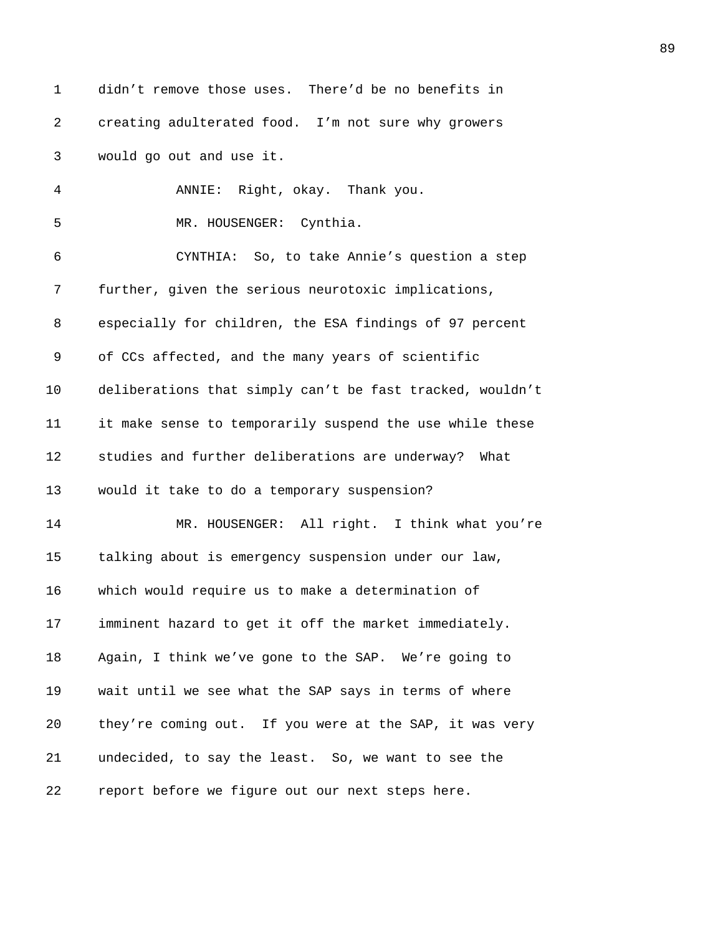1 didn't remove those uses. There'd be no benefits in 2 creating adulterated food. I'm not sure why growers 3 would go out and use it. 4 ANNIE: Right, okay. Thank you. 5 MR. HOUSENGER: Cynthia. 6 CYNTHIA: So, to take Annie's question a step 7 further, given the serious neurotoxic implications, 8 especially for children, the ESA findings of 97 percent 9 of CCs affected, and the many years of scientific 10 deliberations that simply can't be fast tracked, wouldn't 11 it make sense to temporarily suspend the use while these 12 studies and further deliberations are underway? What 13 would it take to do a temporary suspension? 14 MR. HOUSENGER: All right. I think what you're 15 talking about is emergency suspension under our law, 16 which would require us to make a determination of 17 imminent hazard to get it off the market immediately. 18 Again, I think we've gone to the SAP. We're going to 19 wait until we see what the SAP says in terms of where 20 they're coming out. If you were at the SAP, it was very 21 undecided, to say the least. So, we want to see the 22 report before we figure out our next steps here.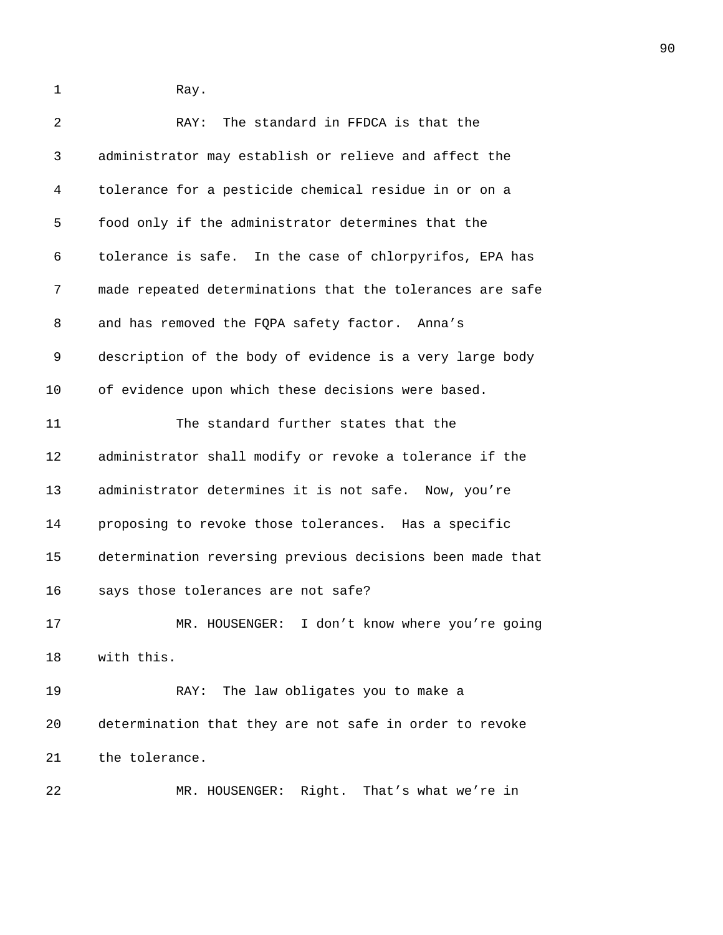1 Ray.

| 2                 | The standard in FFDCA is that the<br>RAY:                 |
|-------------------|-----------------------------------------------------------|
| 3                 | administrator may establish or relieve and affect the     |
| 4                 | tolerance for a pesticide chemical residue in or on a     |
| 5                 | food only if the administrator determines that the        |
| 6                 | tolerance is safe. In the case of chlorpyrifos, EPA has   |
| 7                 | made repeated determinations that the tolerances are safe |
| 8                 | and has removed the FQPA safety factor. Anna's            |
| 9                 | description of the body of evidence is a very large body  |
| 10                | of evidence upon which these decisions were based.        |
| 11                | The standard further states that the                      |
| $12 \overline{ }$ | administrator shall modify or revoke a tolerance if the   |
| 13                | administrator determines it is not safe. Now, you're      |
| 14                | proposing to revoke those tolerances. Has a specific      |
| 15                | determination reversing previous decisions been made that |
| 16                | says those tolerances are not safe?                       |
| 17                | MR. HOUSENGER: I don't know where you're going            |
| 18                | with this.                                                |
| 19                | The law obligates you to make a<br>RAY:                   |
| 20                | determination that they are not safe in order to revoke   |
| 21                | the tolerance.                                            |
|                   |                                                           |

22 MR. HOUSENGER: Right. That's what we're in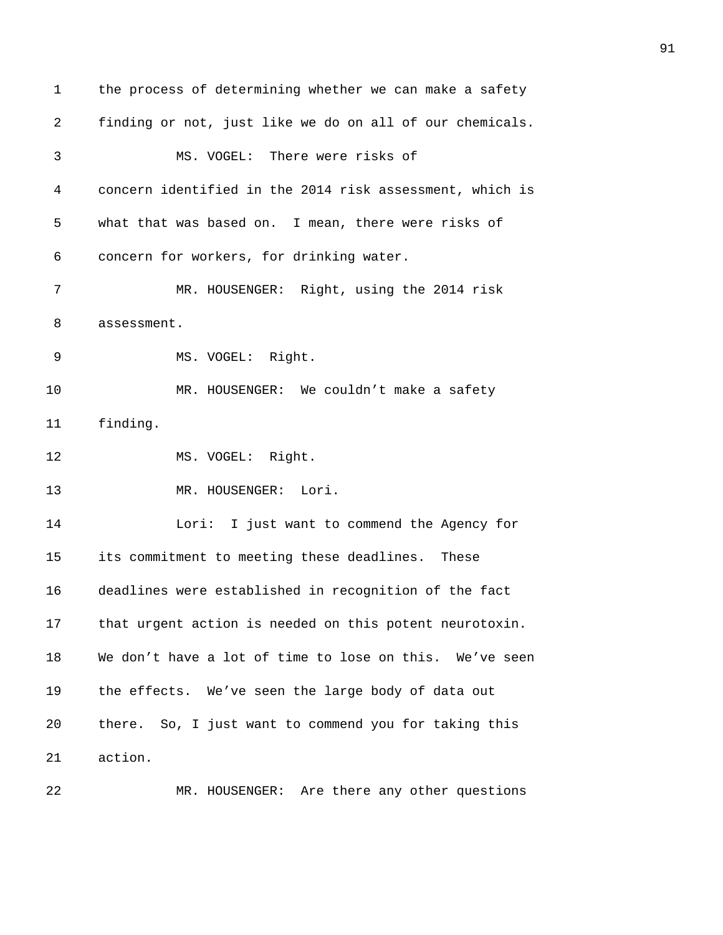1 the process of determining whether we can make a safety 2 finding or not, just like we do on all of our chemicals. 3 MS. VOGEL: There were risks of 4 concern identified in the 2014 risk assessment, which is 5 what that was based on. I mean, there were risks of 6 concern for workers, for drinking water. 7 MR. HOUSENGER: Right, using the 2014 risk 8 assessment. 9 MS. VOGEL: Right. 10 MR. HOUSENGER: We couldn't make a safety 11 finding. 12 MS. VOGEL: Right. 13 MR. HOUSENGER: Lori. 14 Lori: I just want to commend the Agency for 15 its commitment to meeting these deadlines. These 16 deadlines were established in recognition of the fact 17 that urgent action is needed on this potent neurotoxin. 18 We don't have a lot of time to lose on this. We've seen 19 the effects. We've seen the large body of data out 20 there. So, I just want to commend you for taking this 21 action. 22 MR. HOUSENGER: Are there any other questions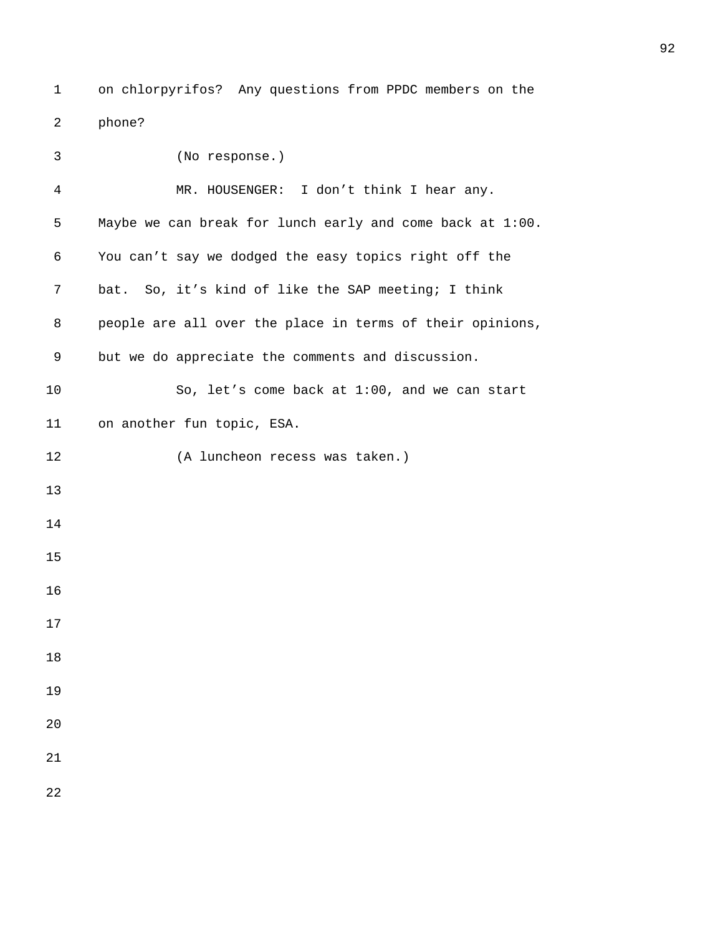1 on chlorpyrifos? Any questions from PPDC members on the 2 phone?

| 3              | (No response.)                                            |
|----------------|-----------------------------------------------------------|
| $\overline{4}$ | MR. HOUSENGER: I don't think I hear any.                  |
| 5              | Maybe we can break for lunch early and come back at 1:00. |
| 6              | You can't say we dodged the easy topics right off the     |
| 7              | bat. So, it's kind of like the SAP meeting; I think       |
| 8              | people are all over the place in terms of their opinions, |
| 9              | but we do appreciate the comments and discussion.         |
| 10             | So, let's come back at 1:00, and we can start             |
| 11             | on another fun topic, ESA.                                |
| 12             | (A luncheon recess was taken.)                            |
| 13             |                                                           |
| 14             |                                                           |
| 15             |                                                           |
| 16             |                                                           |
| 17             |                                                           |
| 18             |                                                           |
| 19             |                                                           |
| 20             |                                                           |
| 21             |                                                           |
| 22             |                                                           |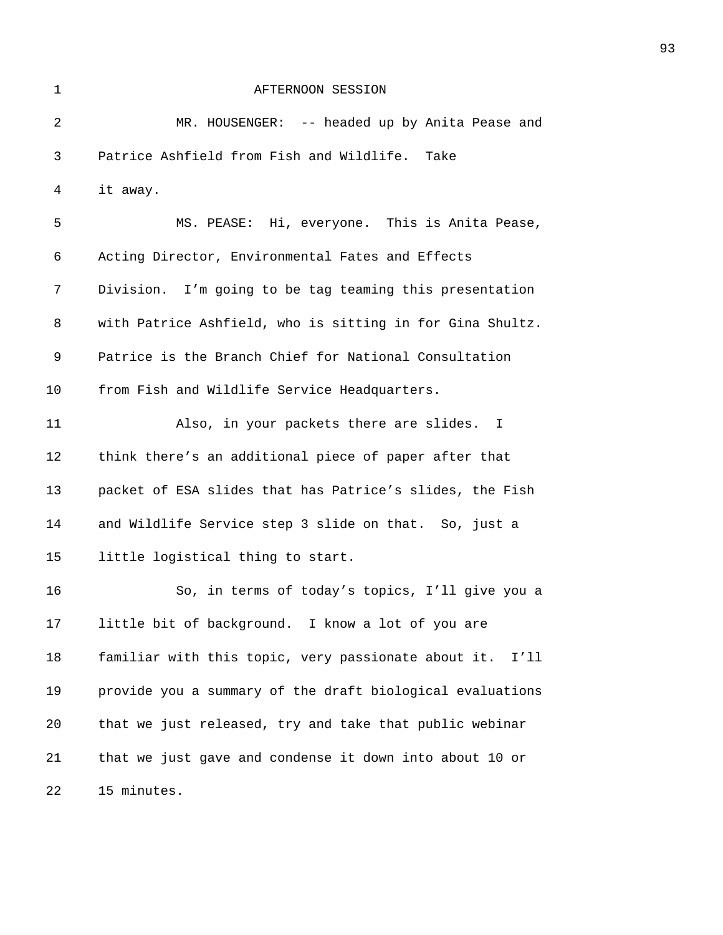| $\mathbf{1}$ | AFTERNOON SESSION                                         |
|--------------|-----------------------------------------------------------|
| 2            | MR. HOUSENGER: -- headed up by Anita Pease and            |
| 3            | Patrice Ashfield from Fish and Wildlife.<br>Take          |
| 4            | it away.                                                  |
| 5            | MS. PEASE: Hi, everyone. This is Anita Pease,             |
| 6            | Acting Director, Environmental Fates and Effects          |
| 7            | Division. I'm going to be tag teaming this presentation   |
| 8            | with Patrice Ashfield, who is sitting in for Gina Shultz. |
| 9            | Patrice is the Branch Chief for National Consultation     |
| 10           | from Fish and Wildlife Service Headquarters.              |
| 11           | Also, in your packets there are slides. I                 |
| 12           | think there's an additional piece of paper after that     |
| 13           | packet of ESA slides that has Patrice's slides, the Fish  |
| 14           | and Wildlife Service step 3 slide on that. So, just a     |
| 15           | little logistical thing to start.                         |
| 16           | So, in terms of today's topics, I'll give you a           |
| 17           | little bit of background. I know a lot of you are         |
| 18           | familiar with this topic, very passionate about it. I'll  |
| 19           | provide you a summary of the draft biological evaluations |
| 20           | that we just released, try and take that public webinar   |
| 21           | that we just gave and condense it down into about 10 or   |
| 22           | 15 minutes.                                               |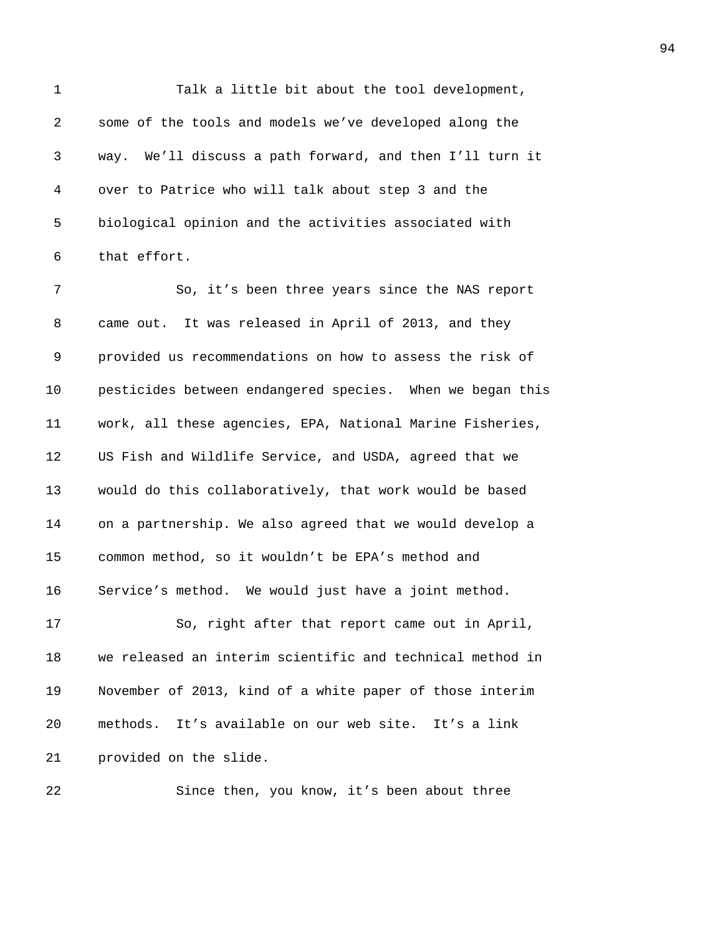1 Talk a little bit about the tool development, 2 some of the tools and models we've developed along the 3 way. We'll discuss a path forward, and then I'll turn it 4 over to Patrice who will talk about step 3 and the 5 biological opinion and the activities associated with 6 that effort. 7 So, it's been three years since the NAS report

8 came out. It was released in April of 2013, and they 9 provided us recommendations on how to assess the risk of 10 pesticides between endangered species. When we began this 11 work, all these agencies, EPA, National Marine Fisheries, 12 US Fish and Wildlife Service, and USDA, agreed that we 13 would do this collaboratively, that work would be based 14 on a partnership. We also agreed that we would develop a 15 common method, so it wouldn't be EPA's method and 16 Service's method. We would just have a joint method.

17 So, right after that report came out in April, 18 we released an interim scientific and technical method in 19 November of 2013, kind of a white paper of those interim 20 methods. It's available on our web site. It's a link 21 provided on the slide.

22 Since then, you know, it's been about three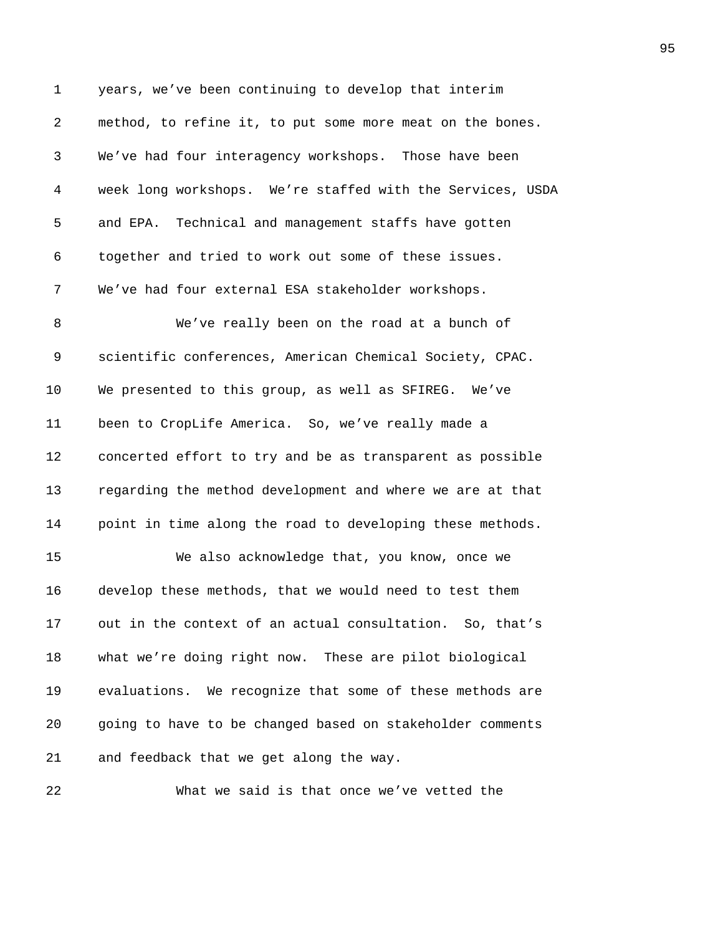1 years, we've been continuing to develop that interim 2 method, to refine it, to put some more meat on the bones. 3 We've had four interagency workshops. Those have been 4 week long workshops. We're staffed with the Services, USDA 5 and EPA. Technical and management staffs have gotten 6 together and tried to work out some of these issues. 7 We've had four external ESA stakeholder workshops. 8 We've really been on the road at a bunch of 9 scientific conferences, American Chemical Society, CPAC. 10 We presented to this group, as well as SFIREG. We've 11 been to CropLife America. So, we've really made a 12 concerted effort to try and be as transparent as possible 13 regarding the method development and where we are at that 14 point in time along the road to developing these methods. 15 We also acknowledge that, you know, once we 16 develop these methods, that we would need to test them 17 out in the context of an actual consultation. So, that's 18 what we're doing right now. These are pilot biological 19 evaluations. We recognize that some of these methods are 20 going to have to be changed based on stakeholder comments 21 and feedback that we get along the way.

22 What we said is that once we've vetted the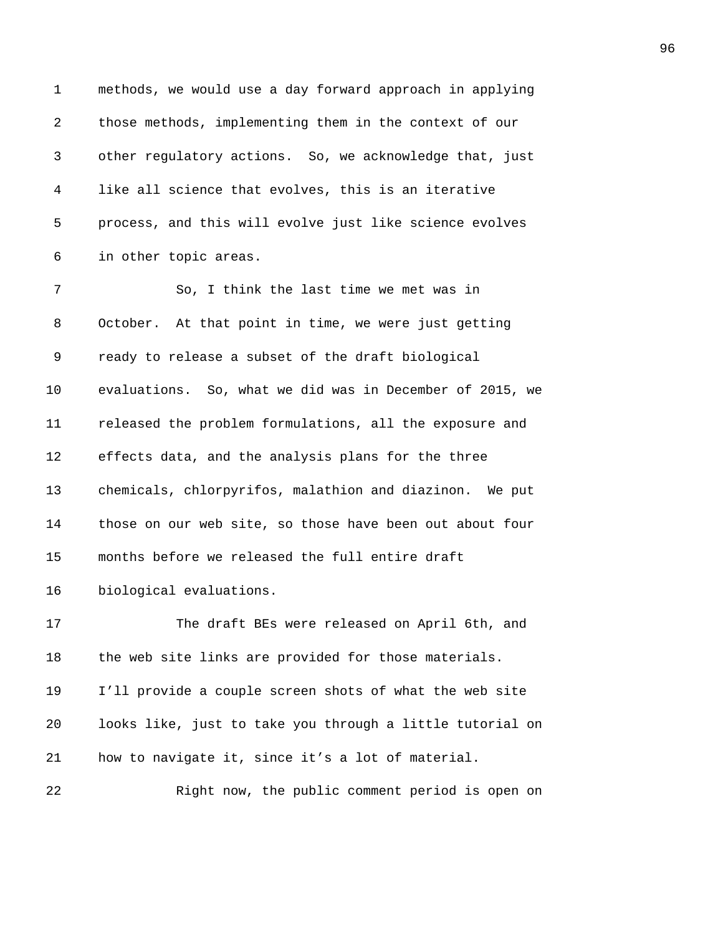| $\mathbf 1$ | methods, we would use a day forward approach in applying  |
|-------------|-----------------------------------------------------------|
| 2           | those methods, implementing them in the context of our    |
| 3           | other regulatory actions. So, we acknowledge that, just   |
| 4           | like all science that evolves, this is an iterative       |
| 5           | process, and this will evolve just like science evolves   |
| 6           | in other topic areas.                                     |
| 7           | So, I think the last time we met was in                   |
| 8           | October. At that point in time, we were just getting      |
| 9           | ready to release a subset of the draft biological         |
| $10 \,$     | evaluations. So, what we did was in December of 2015, we  |
| 11          | released the problem formulations, all the exposure and   |
| 12          | effects data, and the analysis plans for the three        |
| 13          | chemicals, chlorpyrifos, malathion and diazinon. We put   |
| 14          | those on our web site, so those have been out about four  |
| 15          | months before we released the full entire draft           |
| 16          | biological evaluations.                                   |
| 17          | The draft BEs were released on April 6th, and             |
| 18          | the web site links are provided for those materials.      |
| 19          | I'll provide a couple screen shots of what the web site   |
| 20          | looks like, just to take you through a little tutorial on |
| 21          | how to navigate it, since it's a lot of material.         |
| 22          | Right now, the public comment period is open on           |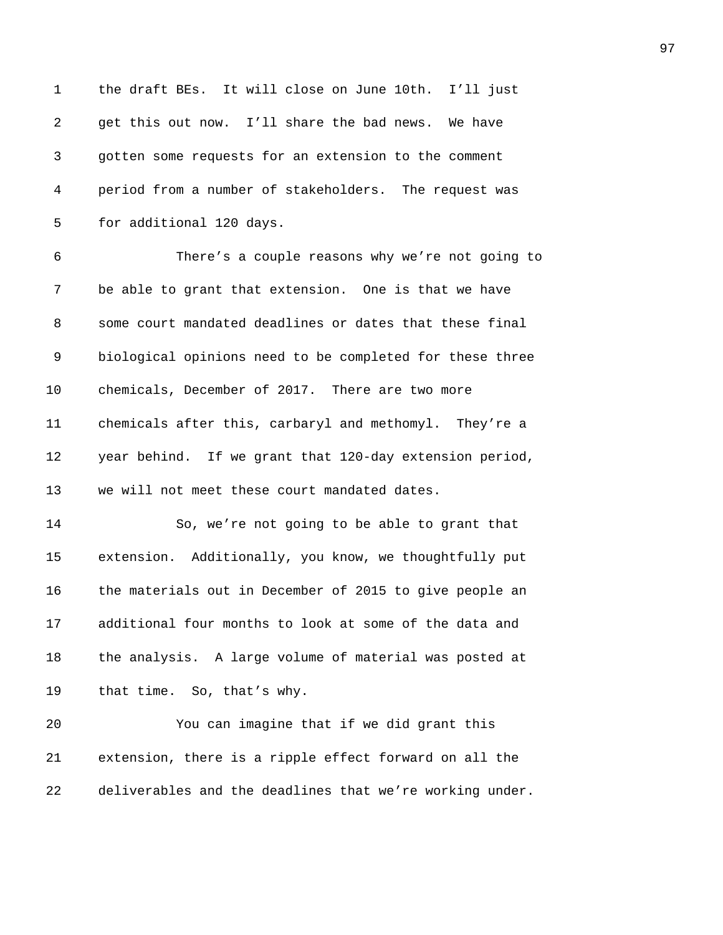| $\mathbf 1$ | the draft BEs. It will close on June 10th. I'll just     |
|-------------|----------------------------------------------------------|
| 2           | get this out now. I'll share the bad news. We have       |
| 3           | gotten some requests for an extension to the comment     |
| 4           | period from a number of stakeholders. The request was    |
| 5           | for additional 120 days.                                 |
| 6           | There's a couple reasons why we're not going to          |
| 7           | be able to grant that extension. One is that we have     |
| 8           | some court mandated deadlines or dates that these final  |
| 9           | biological opinions need to be completed for these three |
| 10          | chemicals, December of 2017. There are two more          |
| 11          | chemicals after this, carbaryl and methomyl. They're a   |
| 12          | year behind. If we grant that 120-day extension period,  |
| 13          | we will not meet these court mandated dates.             |
| 14          | So, we're not going to be able to grant that             |
| 15          | extension. Additionally, you know, we thoughtfully put   |
| 16          | the materials out in December of 2015 to give people an  |
| 17          | additional four months to look at some of the data and   |
| 18          | the analysis. A large volume of material was posted at   |
| 19          | that time. So, that's why.                               |
| 20          | You can imagine that if we did grant this                |
| 21          | extension, there is a ripple effect forward on all the   |
| 22          | deliverables and the deadlines that we're working under. |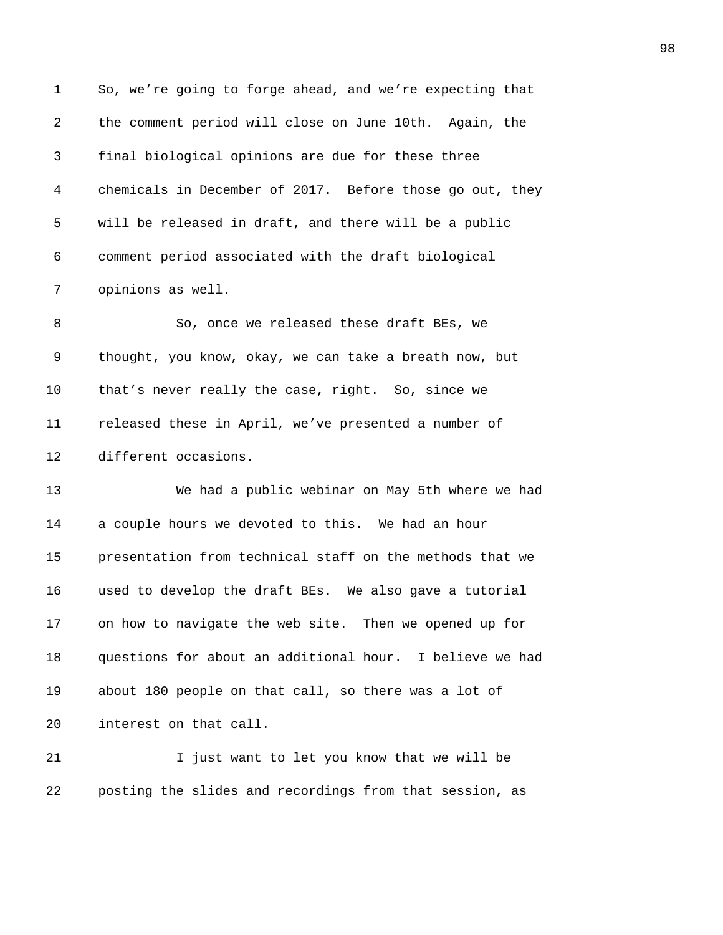| 1       | So, we're going to forge ahead, and we're expecting that |
|---------|----------------------------------------------------------|
| 2       | the comment period will close on June 10th. Again, the   |
| 3       | final biological opinions are due for these three        |
| 4       | chemicals in December of 2017. Before those go out, they |
| 5       | will be released in draft, and there will be a public    |
| 6       | comment period associated with the draft biological      |
| 7       | opinions as well.                                        |
| 8       | So, once we released these draft BEs, we                 |
| 9       | thought, you know, okay, we can take a breath now, but   |
| $10 \,$ | that's never really the case, right. So, since we        |
| 11      | released these in April, we've presented a number of     |
| 12      | different occasions.                                     |
| 13      | We had a public webinar on May 5th where we had          |
| 14      | a couple hours we devoted to this. We had an hour        |
| 15      | presentation from technical staff on the methods that we |
| 16      | used to develop the draft BEs. We also gave a tutorial   |
| 17      | on how to navigate the web site. Then we opened up for   |
| 18      | questions for about an additional hour. I believe we had |
| 19      | about 180 people on that call, so there was a lot of     |
| 20      | interest on that call.                                   |
| 21      | I just want to let you know that we will be              |
| 22      | posting the slides and recordings from that session, as  |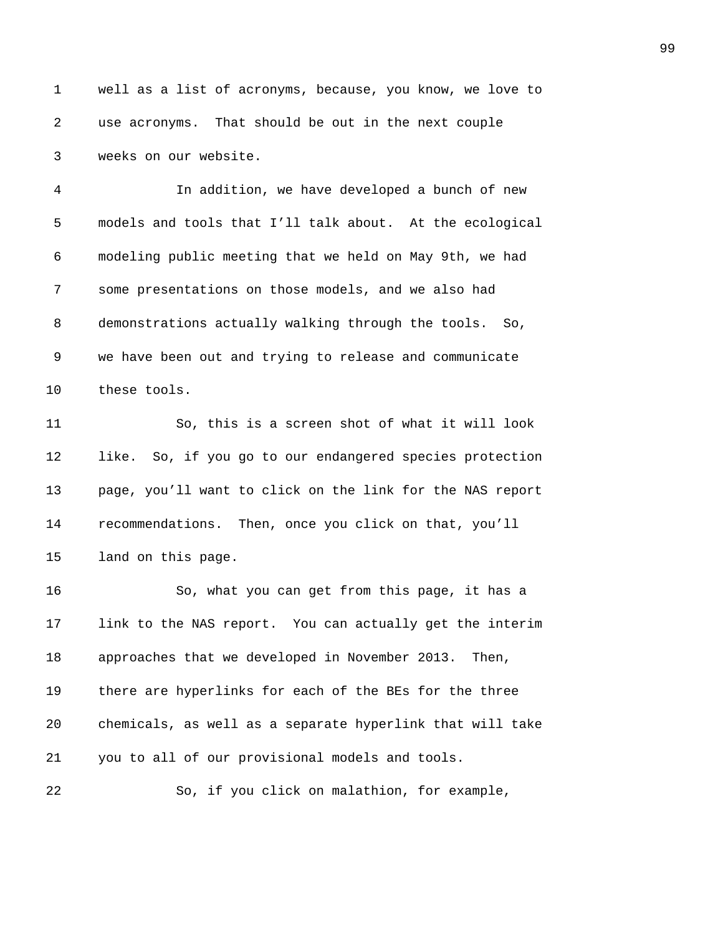1 well as a list of acronyms, because, you know, we love to **2039** use acronyms. That should be out in the next couple 3 weeks on our website.

*2041B*In addition, we have developed a bunch of new *204B*models and tools that I'll talk about. At the ecological *2043B*modeling public meeting that we held on May 9th, we had **2008** some presentations on those models, and we also had 8 demonstrations actually walking through the tools. So, **2046** We have been out and trying to release and communicate 10 these tools.

*2048B*So, this is a screen shot of what it will look **1ike.** So, if you go to our endangered species protection *205B*page, you'll want to click on the link for the NAS report **2008** *recommendations.* Then, once you click on that, you'll **205** land on this page.

*2053B*So, what you can get from this page, it has a **2006** 10 **2066** 2054 Link to the NAS report. You can actually get the interim 18 approaches that we developed in November 2013. Then, **2066** there are hyperlinks for each of the BEs for the three *2057B*chemicals, as well as a separate hyperlink that will take *you to all of our provisional models and tools.* 

**2059** So, if you click on malathion, for example,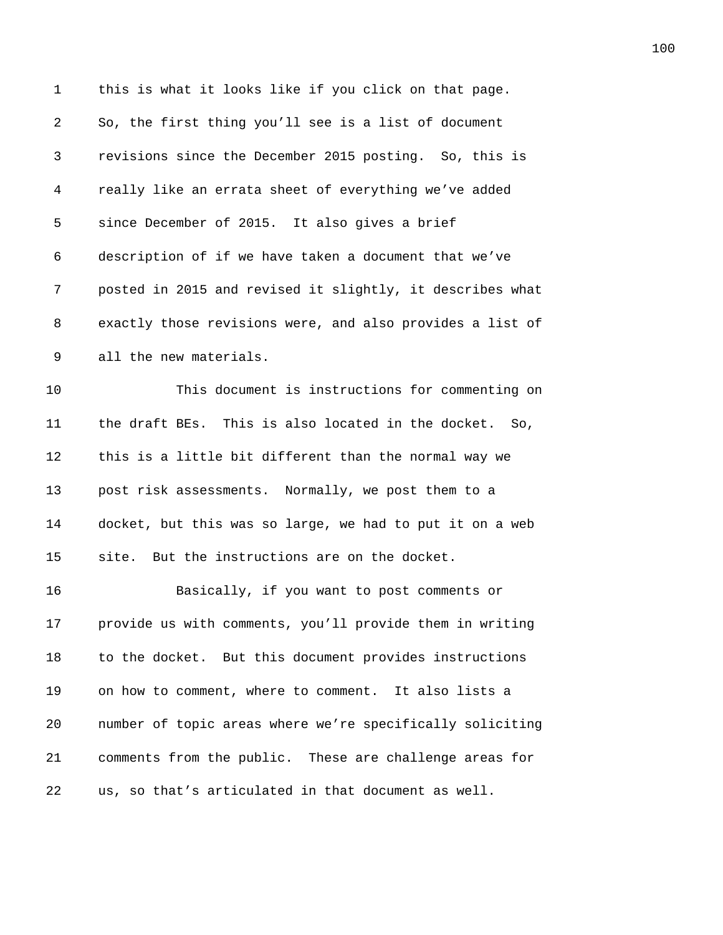| $\mathbf 1$ | this is what it looks like if you click on that page.     |
|-------------|-----------------------------------------------------------|
| 2           | So, the first thing you'll see is a list of document      |
| 3           | revisions since the December 2015 posting. So, this is    |
| 4           | really like an errata sheet of everything we've added     |
| 5           | since December of 2015. It also gives a brief             |
| 6           | description of if we have taken a document that we've     |
| 7           | posted in 2015 and revised it slightly, it describes what |
| 8           | exactly those revisions were, and also provides a list of |
| 9           | all the new materials.                                    |
| 10          | This document is instructions for commenting on           |
| 11          | the draft BEs. This is also located in the docket. So,    |
| 12          | this is a little bit different than the normal way we     |
| 13          | post risk assessments. Normally, we post them to a        |
| 14          | docket, but this was so large, we had to put it on a web  |
| 15          | site. But the instructions are on the docket.             |
| 16          | Basically, if you want to post comments or                |
| 17          | provide us with comments, you'll provide them in writing  |
| 18          | to the docket. But this document provides instructions    |
| 19          | on how to comment, where to comment. It also lists a      |
| 20          | number of topic areas where we're specifically soliciting |
| 21          | comments from the public. These are challenge areas for   |
| 22          | us, so that's articulated in that document as well.       |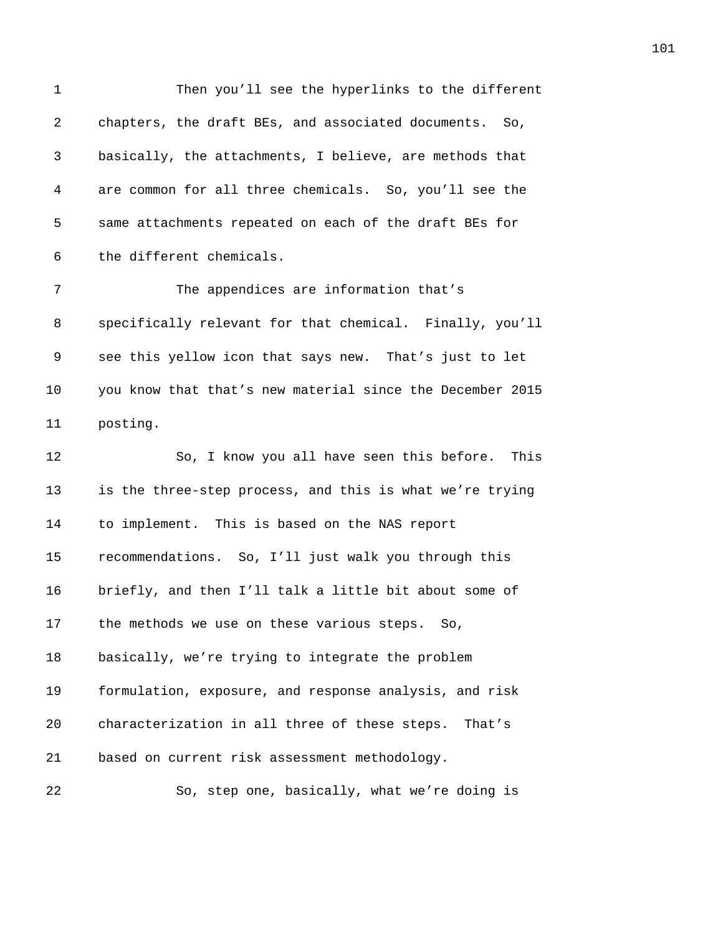| $\mathbf 1$ | Then you'll see the hyperlinks to the different           |
|-------------|-----------------------------------------------------------|
| 2           | chapters, the draft BEs, and associated documents. So,    |
| 3           | basically, the attachments, I believe, are methods that   |
| 4           | are common for all three chemicals. So, you'll see the    |
| 5           | same attachments repeated on each of the draft BEs for    |
| 6           | the different chemicals.                                  |
| 7           | The appendices are information that's                     |
| 8           | specifically relevant for that chemical. Finally, you'll  |
| 9           | see this yellow icon that says new. That's just to let    |
| 10          | you know that that's new material since the December 2015 |
| 11          | posting.                                                  |
| 12          | So, I know you all have seen this before. This            |
| 13          | is the three-step process, and this is what we're trying  |
| 14          | to implement. This is based on the NAS report             |
| 15          | recommendations. So, I'll just walk you through this      |
| 16          | briefly, and then I'll talk a little bit about some of    |
| 17          | the methods we use on these various steps. So,            |
| 18          | basically, we're trying to integrate the problem          |
| 19          | formulation, exposure, and response analysis, and risk    |
| 20          | characterization in all three of these steps.<br>That's   |
| 21          | based on current risk assessment methodology.             |
| 22          | So, step one, basically, what we're doing is              |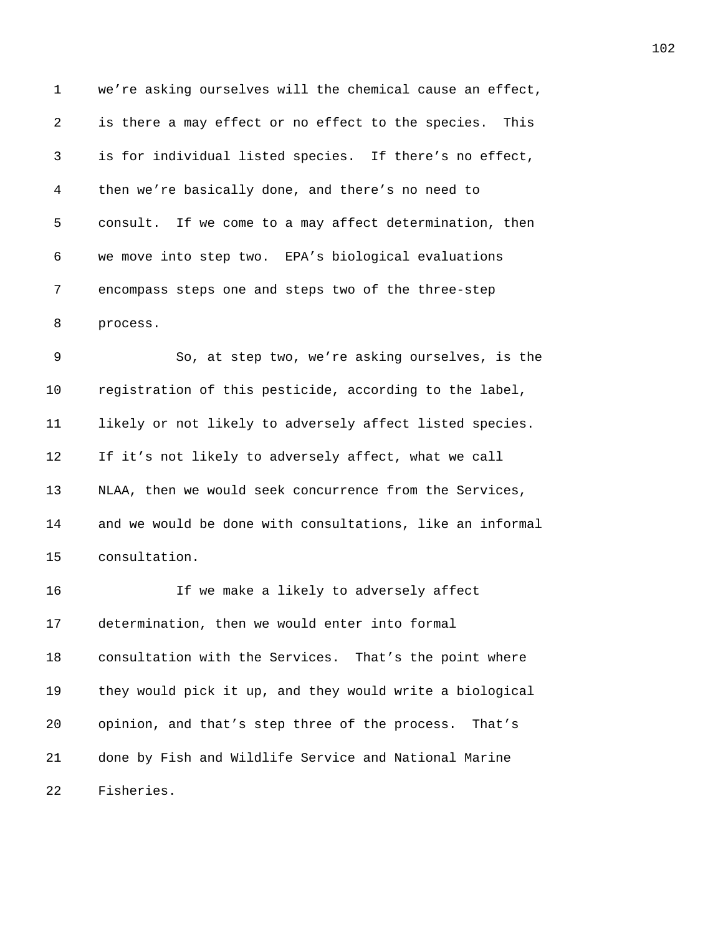1 we're asking ourselves will the chemical cause an effect, 2 is there a may effect or no effect to the species. This 3 *2103B*is for individual listed species. If there's no effect, 4 *2104B*then we're basically done, and there's no need to 5 consult. If we come to a may affect determination, then 6 *2106B*we move into step two. EPA's biological evaluations 7 **211** encompass steps one and steps two of the three-step 8 *process*.

9 2109 2000 So, at step two, we're asking ourselves, is the 10 **221** registration of this pesticide, according to the label, 11 **1ikely or not likely to adversely affect listed species.** 12 If it's not likely to adversely affect, what we call 13 **213** NLAA, then we would seek concurrence from the Services, 14 and we would be done with consultations, like an informal 15 consultation.

16 216 216 <sup>216</sup> If we make a likely to adversely affect 17 determination, then we would enter into formal 18 **2218** *2018 2018 218Boonsultation with the Services. That's the point where* 19 **219** they would pick it up, and they would write a biological 20 *pinion, and that's step three of the process. That's* 21 **21** *done by Fish and Wildlife Service and National Marine* 22 Fisheries.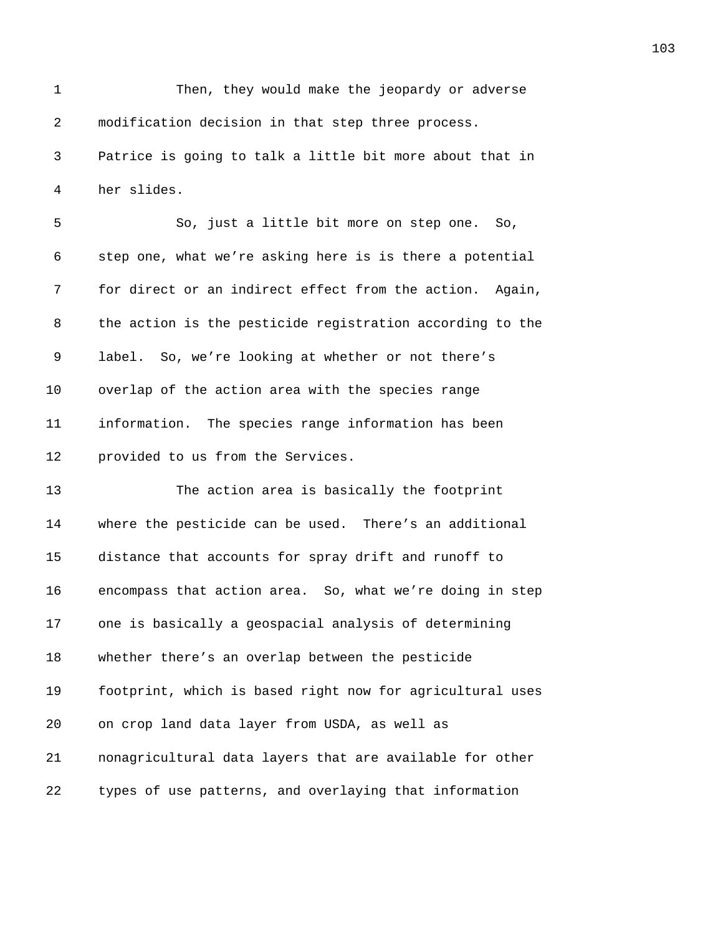1 Then, they would make the jeopardy or adverse 2 modification decision in that step three process. *214B*Patrice is going to talk a little bit more about that in 4 her slides. 5 216 2000 So, just a little bit more on step one. So, **217** step one, what we're asking here is is there a potential **218** for direct or an indirect effect from the action. Again, **219** the action is the pesticide registration according to the **213** label. So, we're looking at whether or not there's 10 overlap of the action area with the species range *213B*information. The species range information has been **provided to us from the Services. 213 2134 The action area is basically the footprint 2135** where the pesticide can be used. There's an additional **2136** distance that accounts for spray drift and runoff to **2137** encompass that action area. So, what we're doing in step **2138** one is basically a geospacial analysis of determining **2139** whether there's an overlap between the pesticide **2141** footprint, which is based right now for agricultural uses 20 on crop land data layer from USDA, as well as **214** *nonagricultural data layers that are available for other Lypes of use patterns, and overlaying that information*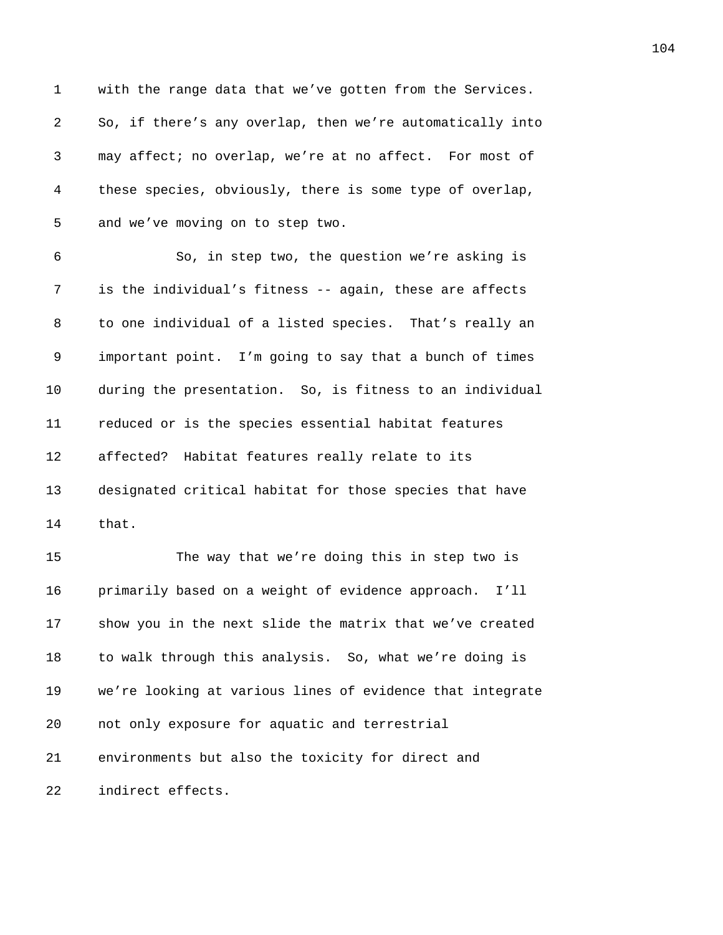1 with the range data that we've gotten from the Services. *2008* So, if there's any overlap, then we're automatically into *2145B*may affect; no overlap, we're at no affect. For most of *2146B*these species, obviously, there is some type of overlap, 5 and we've moving on to step two.

*2148B*So, in step two, the question we're asking is **2149** is the individual's fitness -- again, these are affects *2150* to one individual of a listed species. That's really an *important point.* I'm going to say that a bunch of times 10 during the presentation. So, is fitness to an individual *2153B*reduced or is the species essential habitat features **affected?** Habitat features really relate to its **215B** designated critical habitat for those species that have *z z*<sub>hat</sub>.

15 215 **2157 The way that we're doing this in step two is** *2158B*primarily based on a weight of evidence approach. I'll **2159** show you in the next slide the matrix that we've created *2160B*to walk through this analysis. So, what we're doing is **216By** *216* We're looking at various lines of evidence that integrate **20 20** *not only exposure for aquatic and terrestrial 2163B*environments but also the toxicity for direct and *indirect effects.*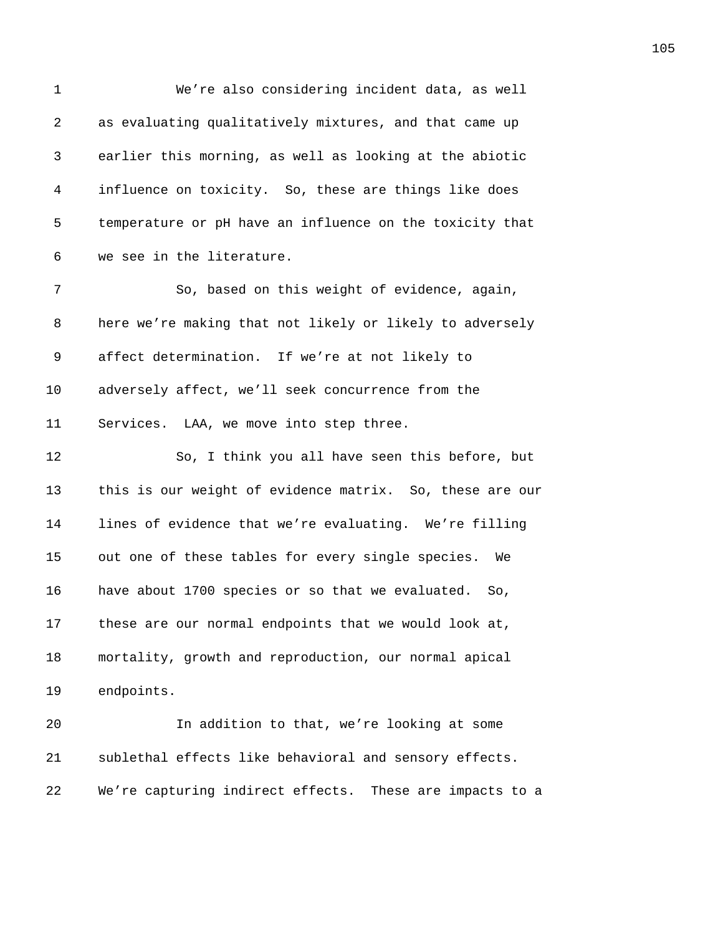1 We're also considering incident data, as well 2 **2165** as evaluating qualitatively mixtures, and that came up 3 *216B*earlier this morning, as well as looking at the abiotic 4 *2167B*influence on toxicity. So, these are things like does 5 *2168 Lemperature or pH have an influence on the toxicity that* 6 we see in the literature. 7 2170 2000 So, based on this weight of evidence, again, 8 **217** here we're making that not likely or likely to adversely 9 affect determination. If we're at not likely to 10 adversely affect, we'll seek concurrence from the 11 Services. LAA, we move into step three. 12 **2175BS** 2007 I think you all have seen this before, but 13 **2176** this is our weight of evidence matrix. So, these are our 14 **217** lines of evidence that we're evaluating. We're filling 15 out one of these tables for every single species. We 16 have about 1700 species or so that we evaluated. So, 17 **218** these are our normal endpoints that we would look at, 18 mortality, growth and reproduction, our normal apical 19 endpoints. 20 *2183B*In addition to that, we're looking at some 21 **2184** Sublethal effects like behavioral and sensory effects. 22 We're capturing indirect effects. These are impacts to a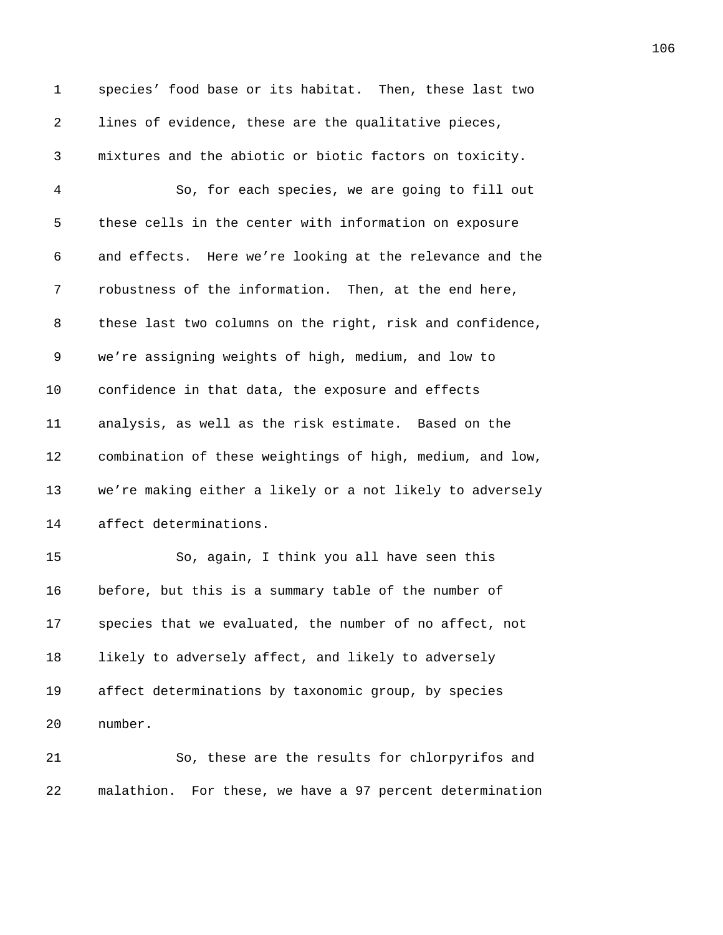1 species' food base or its habitat. Then, these last two **1ines of evidence, these are the qualitative pieces,** *2187B*mixtures and the abiotic or biotic factors on toxicity. *218B*So, for each species, we are going to fill out 5 these cells in the center with information on exposure *2190B*and effects. Here we're looking at the relevance and the *zobustness of the information.* Then, at the end here, **219Bthese** last two columns on the right, risk and confidence, 9 we're assigning weights of high, medium, and low to 10 confidence in that data, the exposure and effects *2195B*analysis, as well as the risk estimate. Based on the *2196B*combination of these weightings of high, medium, and low, **2219** we're making either a likely or a not likely to adversely 14 affect determinations. 15 219 2000 So, again, I think you all have seen this 16 before, but this is a summary table of the number of **2018 2018 2018 2018 2018 2018 2018 2018 2018 2018 2029 2029 2029 2029 2029 2029 2029 2029 2029 2029 2029 2029 2029 2029 2029 2029 2029 2029 2029 2029 2029 2 20** likely to adversely affect, and likely to adversely **203B** affect determinations by taxonomic group, by species 20 number. **205** 205 **205** 205 205 205 205 21 *206B*malathion. For these, we have a 97 percent determination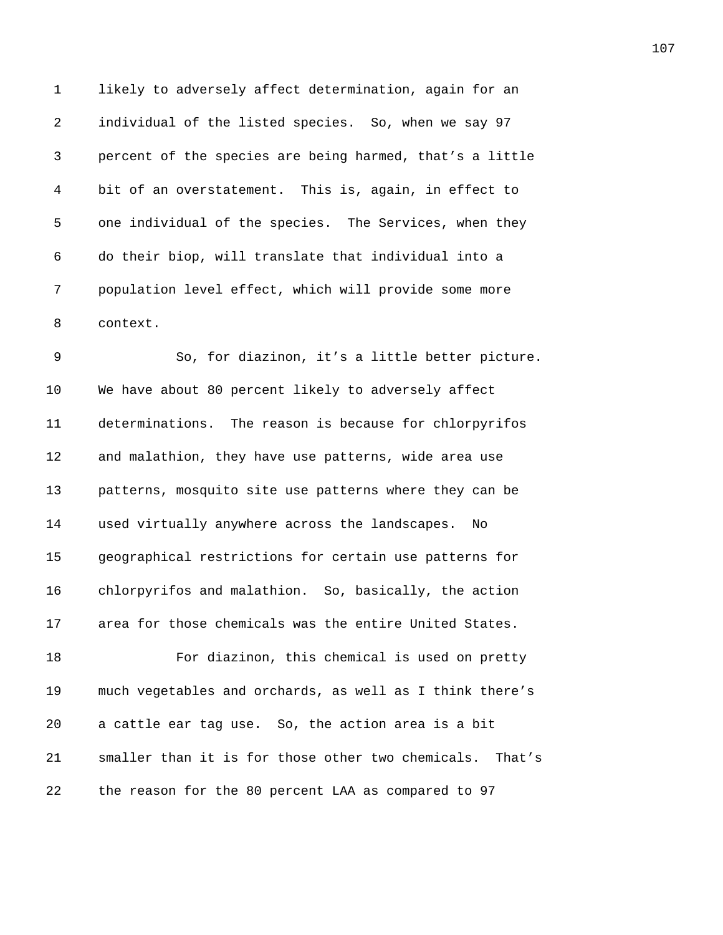1 likely to adversely affect determination, again for an 2 *individual of the listed species. So, when we say 97* 3 *208B*percent of the species are being harmed, that's a little 4 bit of an overstatement. This is, again, in effect to 5 one individual of the species. The Services, when they 6 *21B*do their biop, will translate that individual into a 7 **218** population level effect, which will provide some more 8 context.

9 2148 20, for diazinon, it's a little better picture. 10 We have about 80 percent likely to adversely affect 11 determinations. The reason is because for chlorpyrifos 12 and malathion, they have use patterns, wide area use 13 **218** patterns, mosquito site use patterns where they can be 14 **223** used virtually anywhere across the landscapes. No 15 *20B*geographical restrictions for certain use patterns for 16 chlorpyrifos and malathion. So, basically, the action 17 area for those chemicals was the entire United States. 18 *23B*For diazinon, this chemical is used on pretty

19 much vegetables and orchards, as well as I think there's 20 a cattle ear tag use. So, the action area is a bit 21 **20** *z* maller than it is for those other two chemicals. That's 22 **20** *22 27 22 22 27 28 29 28 29 29 29 29 29 29 29**<b>2 <i>29 29*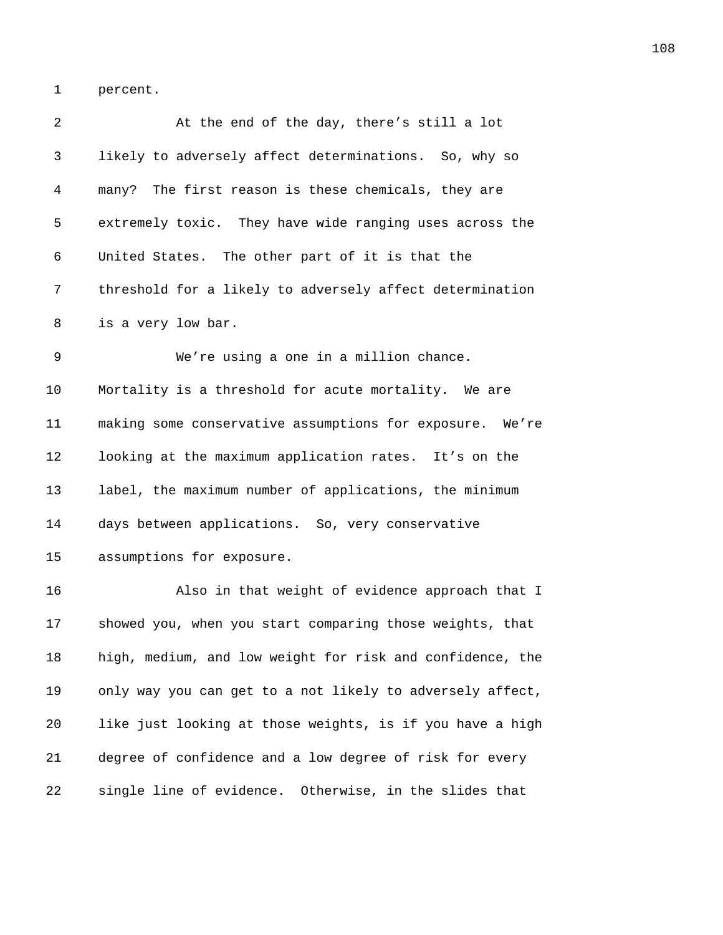1 percent.

| 2  | At the end of the day, there's still a lot                |
|----|-----------------------------------------------------------|
| 3  | likely to adversely affect determinations. So, why so     |
| 4  | many? The first reason is these chemicals, they are       |
| 5  | extremely toxic. They have wide ranging uses across the   |
| 6  | United States. The other part of it is that the           |
| 7  | threshold for a likely to adversely affect determination  |
| 8  | is a very low bar.                                        |
| 9  | We're using a one in a million chance.                    |
| 10 | Mortality is a threshold for acute mortality. We are      |
| 11 | making some conservative assumptions for exposure. We're  |
| 12 | looking at the maximum application rates. It's on the     |
| 13 | label, the maximum number of applications, the minimum    |
| 14 | days between applications. So, very conservative          |
| 15 | assumptions for exposure.                                 |
| 16 | Also in that weight of evidence approach that I           |
| 17 | showed you, when you start comparing those weights, that  |
| 18 | high, medium, and low weight for risk and confidence, the |
| 19 | only way you can get to a not likely to adversely affect, |
| 20 | like just looking at those weights, is if you have a high |
| 21 | degree of confidence and a low degree of risk for every   |
| 22 | single line of evidence. Otherwise, in the slides that    |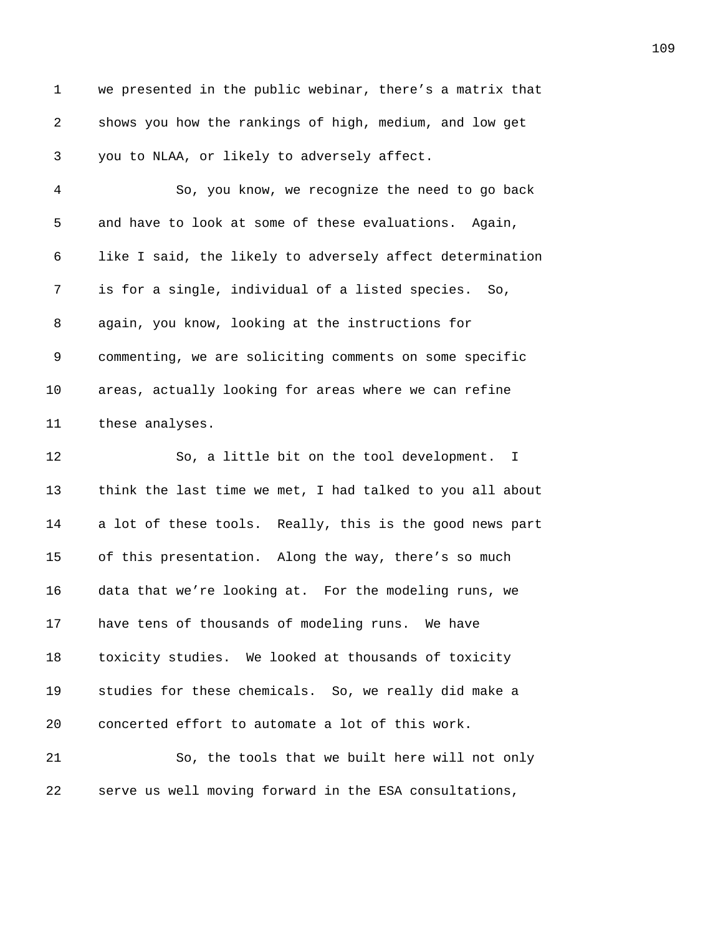1 we presented in the public webinar, there's a matrix that **299** shows you how the rankings of high, medium, and low get *250B*you to NLAA, or likely to adversely affect. *251B*So, you know, we recognize the need to go back 5 and have to look at some of these evaluations. Again, *253B*like I said, the likely to adversely affect determination 7 is for a single, individual of a listed species. So, 8 again, you know, looking at the instructions for *2566 commenting, we are soliciting comments on some specific* **277B** areas, actually looking for areas where we can refine 11 these analyses. **259 I**So, a little bit on the tool development. I **2008** think the last time we met, I had talked to you all about 14 a lot of these tools. Really, this is the good news part 15 of this presentation. Along the way, there's so much 16 data that we're looking at. For the modeling runs, we 17 have tens of thousands of modeling runs. We have **265Btoxicity studies.** We looked at thousands of toxicity **208** *ztudies for these chemicals.* So, we really did make a *concerted effort to automate a lot of this work.* **21 268** So, the tools that we built here will not only **289 289 289 289 289 289 289 289 289 289 289 289 289 289 289 289 289 289 289 289 289 289 289 289 289 289 289 289 289 289 289 289 289 289 289 289 28**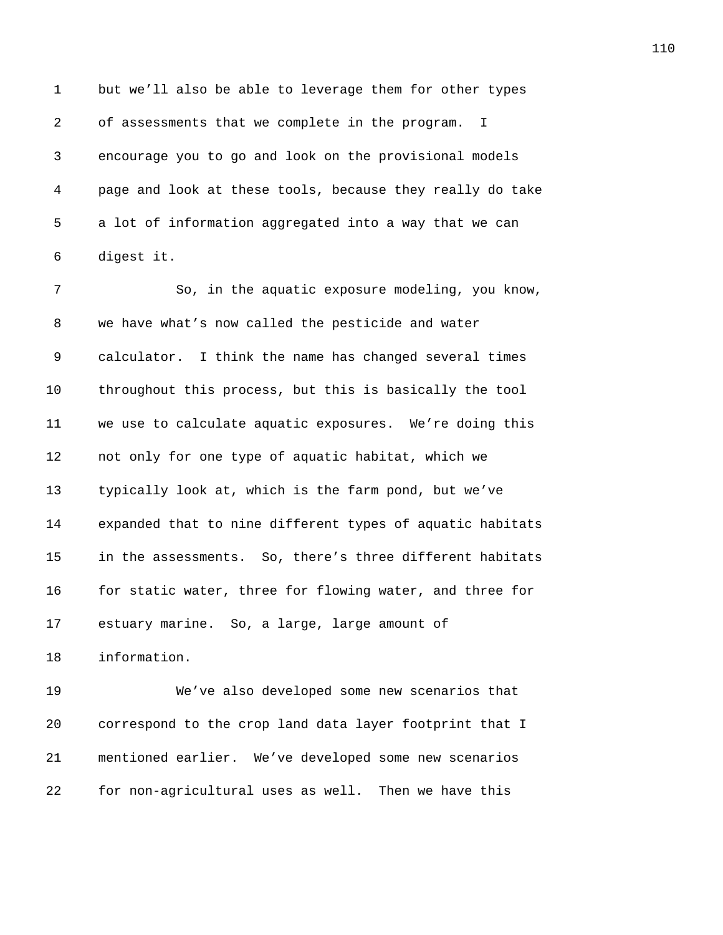1 but we'll also be able to leverage them for other types 2 of assessments that we complete in the program. I *271B*encourage you to go and look on the provisional models *27B*page and look at these tools, because they really do take 5 a lot of information aggregated into a way that we can 6 digest it.

7 2755 2008 2008 1 275 2008 2009 2008 2009 2008 2009 2010 2011 2012 2014 2016 2016 2016 2016 2016 2016 2016 201 **276B** we have what's now called the pesticide and water 9 calculator. I think the name has changed several times *278B*throughout this process, but this is basically the tool *279B*we use to calculate aquatic exposures. We're doing this **280** not only for one type of aquatic habitat, which we *z* typically look at, which is the farm pond, but we've *28B*expanded that to nine different types of aquatic habitats 15 in the assessments. So, there's three different habitats **286** for static water, three for flowing water, and three for 17 estuary marine. So, a large, large amount of *information*.

**287B**We've also developed some new scenarios that *28B*correspond to the crop land data layer footprint that I *21* mentioned earlier. We've developed some new scenarios **2008** for non-agricultural uses as well. Then we have this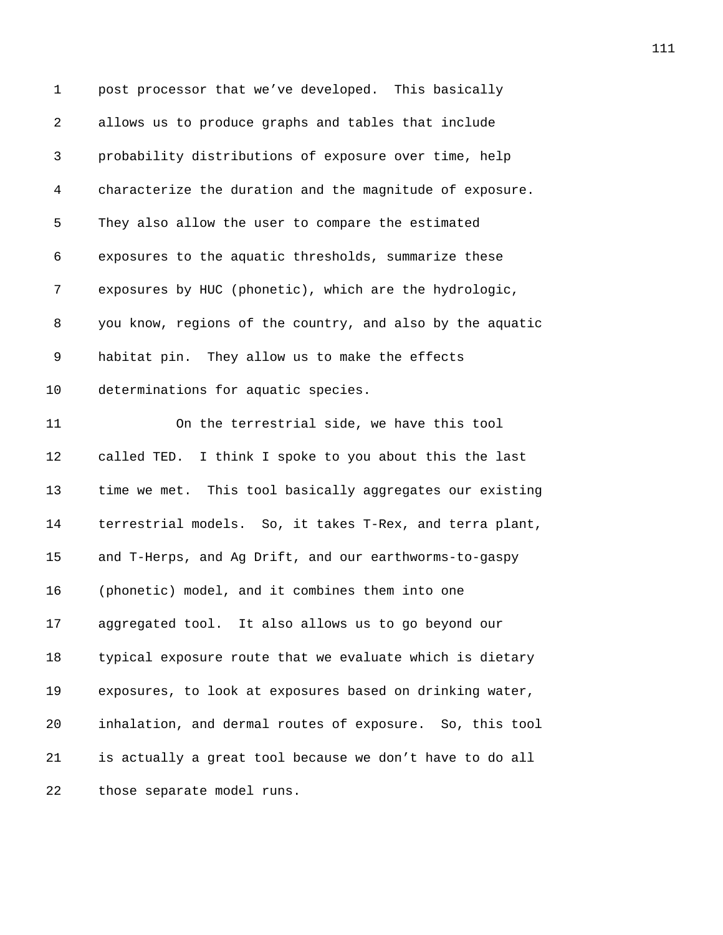| 1  | post processor that we've developed. This basically       |
|----|-----------------------------------------------------------|
| 2  | allows us to produce graphs and tables that include       |
| 3  | probability distributions of exposure over time, help     |
| 4  | characterize the duration and the magnitude of exposure.  |
| 5  | They also allow the user to compare the estimated         |
| 6  | exposures to the aquatic thresholds, summarize these      |
| 7  | exposures by HUC (phonetic), which are the hydrologic,    |
| 8  | you know, regions of the country, and also by the aquatic |
| 9  | habitat pin. They allow us to make the effects            |
| 10 | determinations for aquatic species.                       |
| 11 | On the terrestrial side, we have this tool                |
| 12 | called TED. I think I spoke to you about this the last    |
| 13 | time we met. This tool basically aggregates our existing  |
| 14 | terrestrial models. So, it takes T-Rex, and terra plant,  |
| 15 | and T-Herps, and Ag Drift, and our earthworms-to-gaspy    |
| 16 | (phonetic) model, and it combines them into one           |
| 17 | aggregated tool. It also allows us to go beyond our       |
| 18 | typical exposure route that we evaluate which is dietary  |
| 19 | exposures, to look at exposures based on drinking water,  |
| 20 | inhalation, and dermal routes of exposure. So, this tool  |
| 21 | is actually a great tool because we don't have to do all  |
| 22 | those separate model runs.                                |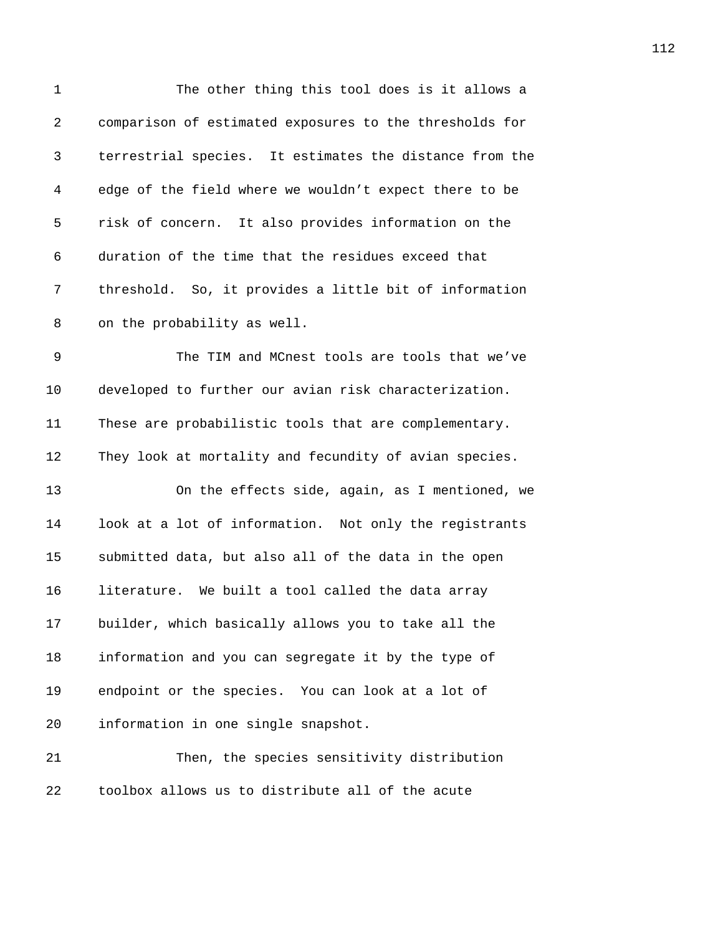| 1  | The other thing this tool does is it allows a           |
|----|---------------------------------------------------------|
| 2  | comparison of estimated exposures to the thresholds for |
| 3  | terrestrial species. It estimates the distance from the |
| 4  | edge of the field where we wouldn't expect there to be  |
| 5  | risk of concern. It also provides information on the    |
| 6  | duration of the time that the residues exceed that      |
| 7  | threshold. So, it provides a little bit of information  |
| 8  | on the probability as well.                             |
| 9  | The TIM and MCnest tools are tools that we've           |
| 10 | developed to further our avian risk characterization.   |
| 11 | These are probabilistic tools that are complementary.   |
| 12 | They look at mortality and fecundity of avian species.  |
| 13 | On the effects side, again, as I mentioned, we          |
| 14 | look at a lot of information. Not only the registrants  |
| 15 | submitted data, but also all of the data in the open    |
| 16 | literature. We built a tool called the data array       |
| 17 | builder, which basically allows you to take all the     |
| 18 | information and you can segregate it by the type of     |
| 19 | endpoint or the species. You can look at a lot of       |
| 20 | information in one single snapshot.                     |
| 21 | Then, the species sensitivity distribution              |
| 22 | toolbox allows us to distribute all of the acute        |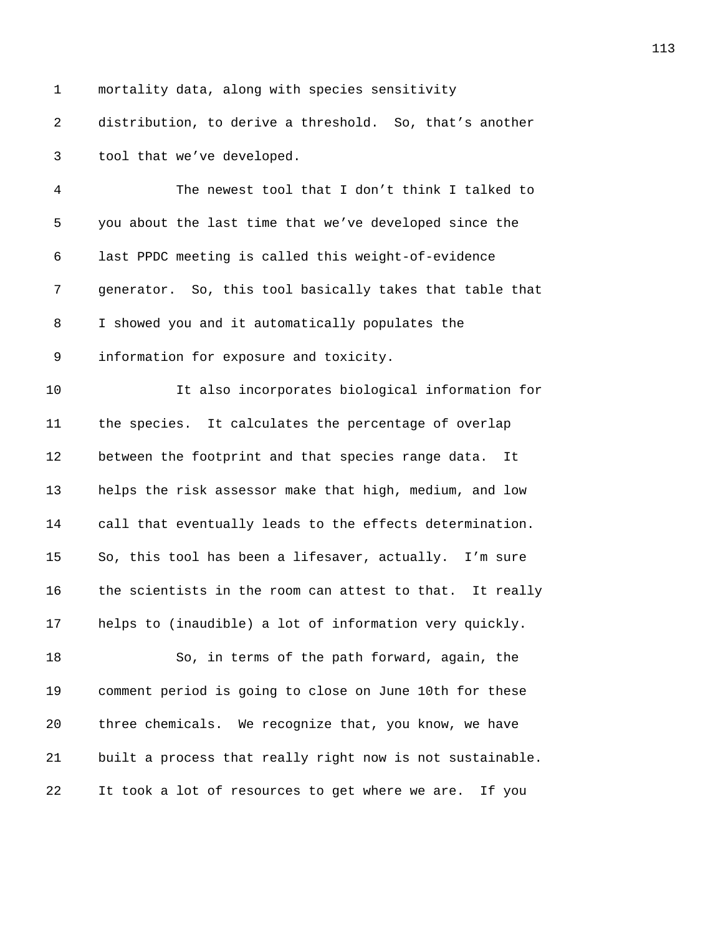1 mortality data, along with species sensitivity 2 distribution, to derive a threshold. So, that's another 3 tool that we've developed.

4 *235B*The newest tool that I don't think I talked to 5 you about the last time that we've developed since the 6 *237B*last PPDC meeting is called this weight-of-evidence 7 *238B*generator. So, this tool basically takes that table that 8 I showed you and it automatically populates the 9 information for exposure and toxicity. 10 *2341B*It also incorporates biological information for

*234 the species.* It calculates the percentage of overlap **between the footprint and that species range data.** It **234** helps the risk assessor make that high, medium, and low 14 call that eventually leads to the effects determination. **2366** So, this tool has been a lifesaver, actually. I'm sure 16 the scientists in the room can attest to that. It really **helps to (inaudible) a lot of information very quickly.** 

18 235 2349 **2349** 2349 **2349** 250, in terms of the path forward, again, the 19 *2350B*comment period is going to close on June 10th for these 20 *2351* three chemicals. We recognize that, you know, we have 21 **built a process that really right now is not sustainable.** 22 It took a lot of resources to get where we are. If you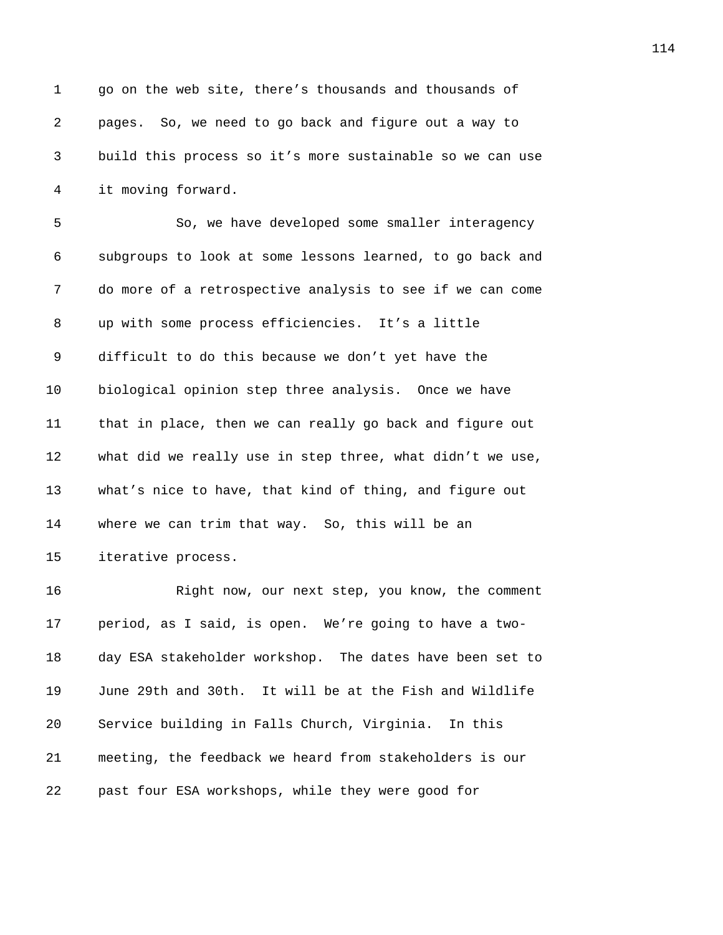1 go on the web site, there's thousands and thousands of 2 *2354B*pages. So, we need to go back and figure out a way to 3 *235B*build this process so it's more sustainable so we can use 4 it moving forward.

5 23578 2357 So, we have developed some smaller interagency 6 *2358B*subgroups to look at some lessons learned, to go back and 7 do more of a retrospective analysis to see if we can come 8 *up with some process efficiencies.* It's a little 9 difficult to do this because we don't yet have the 10 **biological opinion step three analysis.** Once we have 11 *236B*that in place, then we can really go back and figure out 12 what did we really use in step three, what didn't we use, 13 *2365B*what's nice to have, that kind of thing, and figure out 14 where we can trim that way. So, this will be an 15 iterative process.

**2368** 2368 Right now, our next step, you know, the comment **period, as I said, is open.** We're going to have a two-*2370B*day ESA stakeholder workshop. The dates have been set to 19 June 29th and 30th. It will be at the Fish and Wildlife **20** *Service building in Falls Church, Virginia*. In this **237** meeting, the feedback we heard from stakeholders is our 22 past four ESA workshops, while they were good for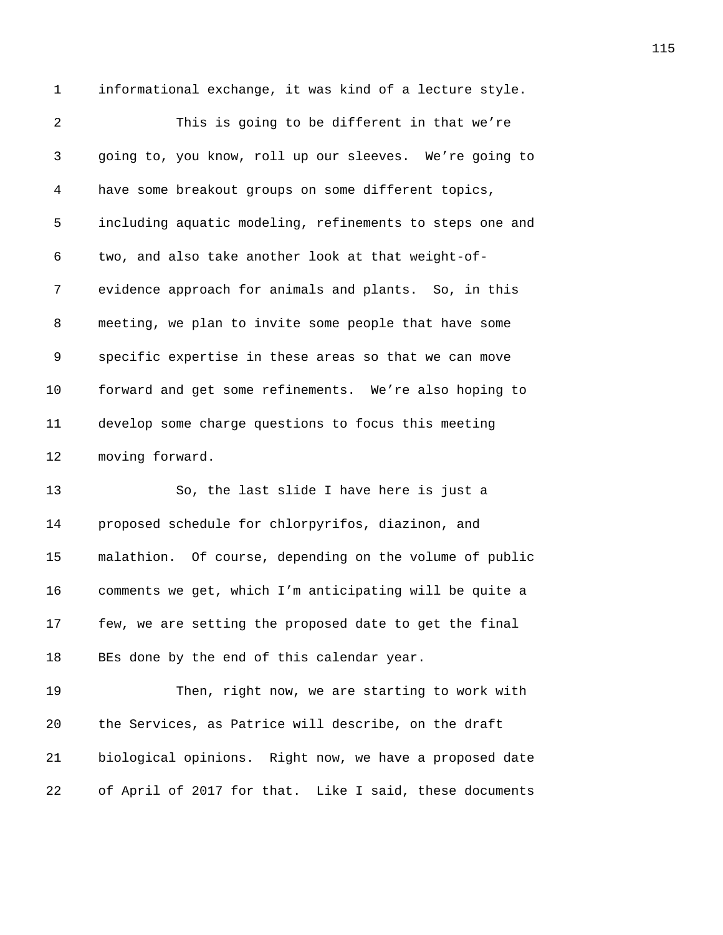1 informational exchange, it was kind of a lecture style.

2 This is going to be different in that we're *2376B*going to, you know, roll up our sleeves. We're going to *237B*have some breakout groups on some different topics, *2378B*including aquatic modeling, refinements to steps one and 6 two, and also take another look at that weight-of-7 evidence approach for animals and plants. So, in this **2381** meeting, we plan to invite some people that have some *238B*specific expertise in these areas so that we can move **2388** forward and get some refinements. We're also hoping to **2384** develop some charge questions to focus this meeting 12 moving forward.

13 236, the last slide I have here is just a *proposed schedule for chlorpyrifos, diazinon, and* **2388** malathion. Of course, depending on the volume of public *2389B*comments we get, which I'm anticipating will be quite a **239** few, we are setting the proposed date to get the final 18 BEs done by the end of this calendar year.

19 239 Then, right now, we are starting to work with **238** the Services, as Patrice will describe, on the draft *2394B*biological opinions. Right now, we have a proposed date 22 of April of 2017 for that. Like I said, these documents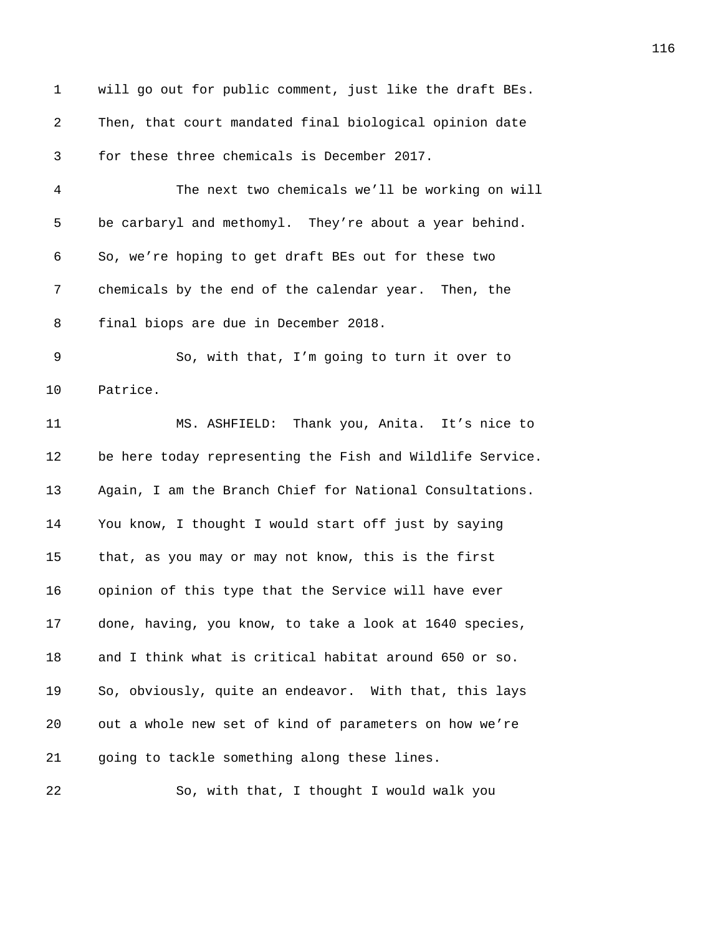| 1  | will go out for public comment, just like the draft BEs.  |
|----|-----------------------------------------------------------|
| 2  | Then, that court mandated final biological opinion date   |
| 3  | for these three chemicals is December 2017.               |
| 4  | The next two chemicals we'll be working on will           |
| 5  | be carbaryl and methomyl. They're about a year behind.    |
| 6  | So, we're hoping to get draft BEs out for these two       |
| 7  | chemicals by the end of the calendar year. Then, the      |
| 8  | final biops are due in December 2018.                     |
| 9  | So, with that, I'm going to turn it over to               |
| 10 | Patrice.                                                  |
| 11 | MS. ASHFIELD: Thank you, Anita. It's nice to              |
| 12 | be here today representing the Fish and Wildlife Service. |
| 13 | Again, I am the Branch Chief for National Consultations.  |
| 14 | You know, I thought I would start off just by saying      |
| 15 | that, as you may or may not know, this is the first       |
| 16 | opinion of this type that the Service will have ever      |
| 17 | done, having, you know, to take a look at 1640 species,   |
| 18 | and I think what is critical habitat around 650 or so.    |
| 19 | So, obviously, quite an endeavor. With that, this lays    |
| 20 | out a whole new set of kind of parameters on how we're    |
| 21 | going to tackle something along these lines.              |
| 22 | So, with that, I thought I would walk you                 |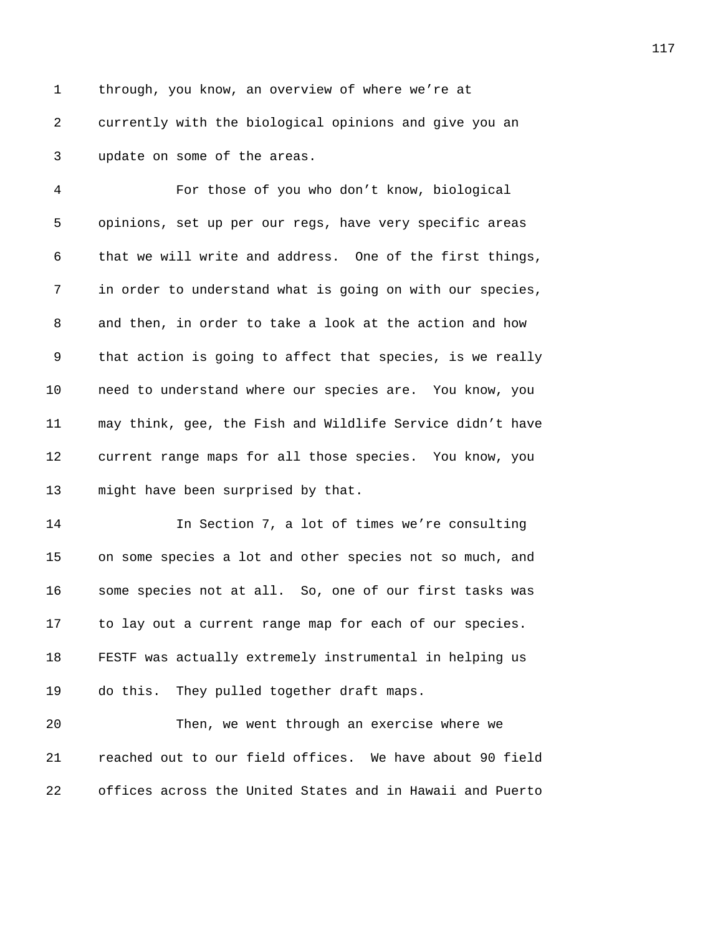1 through, you know, an overview of where we're at 2 **2111** currently with the biological opinions and give you an 3 *update on some of the areas.* 

4 *2419B*For those of you who don't know, biological 5 opinions, set up per our regs, have very specific areas 6 that we will write and address. One of the first things, 7 in order to understand what is going on with our species, 8 and then, in order to take a look at the action and how 9 that action is going to affect that species, is we really 10 **245** need to understand where our species are. You know, you 11 **246** may think, gee, the Fish and Wildlife Service didn't have 12 **2** 247 *2012 247 247 247 247 247 247 247 247 247 247 247 247 247 247 247 247 247 247 247 247 247 247 247 247 247 247 247 247 247 247 247 247 247 247* 13 might have been surprised by that.

14 **249 In Section 7, a lot of times we're consulting** 15 on some species a lot and other species not so much, and 16 **2531** some species not at all. So, one of our first tasks was 17 to lay out a current range map for each of our species. 18 **PESTF** was actually extremely instrumental in helping us 19 do this. They pulled together draft maps.

20 **20 2535** Then, we went through an exercise where we 21 *2436B*reached out to our field offices. We have about 90 field 22 **238** offices across the United States and in Hawaii and Puerto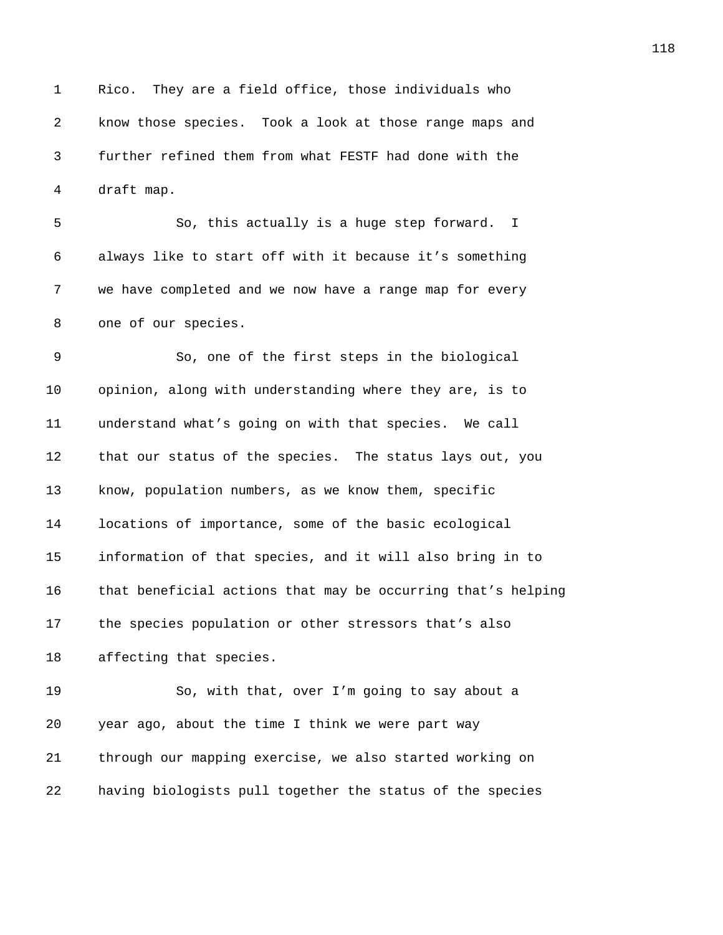1 Rico. They are a field office, those individuals who **2** *know those species.* Took a look at those range maps and *2439B*further refined them from what FESTF had done with the 4 draft map.

5 267 **241BSO**, this actually is a huge step forward. I 6 always like to start off with it because it's something **243** we have completed and we now have a range map for every 8 one of our species.

*245B*So, one of the first steps in the biological *pinion, along with understanding where they are, is to* **277Bunderstand what's going on with that species.** We call **2** 2488 that our status of the species. The status lays out, you **249** know, population numbers, as we know them, specific **2050** locations of importance, some of the basic ecological *2451B*information of that species, and it will also bring in to **215Bthat beneficial actions that may be occurring that's helping 2453** the species population or other stressors that's also 18 affecting that species.

19 25 26, with that, over I'm going to say about a *year ago, about the time I think we were part way 21* through our mapping exercise, we also started working on **having biologists pull together the status of the species**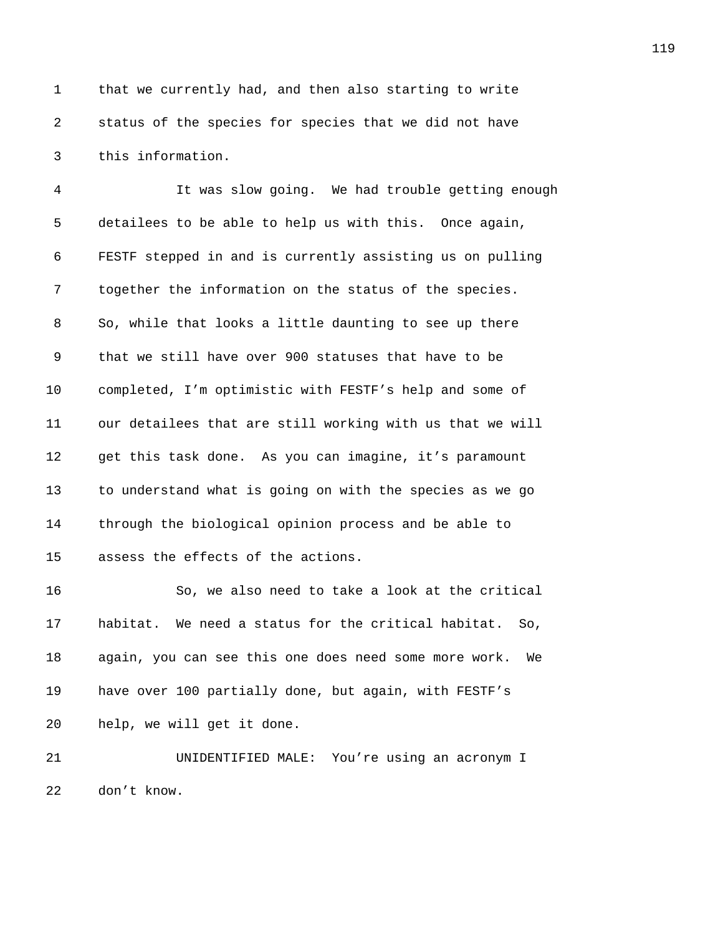1 that we currently had, and then also starting to write 2 *status of the species for species that we did not have* 3 this information.

4 *2461B*It was slow going. We had trouble getting enough 5 detailees to be able to help us with this. Once again, 6 *2463B*FESTF stepped in and is currently assisting us on pulling 7 **246** together the information on the status of the species. 8 25055 80055 Books a little daunting to see up there 9 *246B*that we still have over 900 statuses that have to be 10 *completed, I'm optimistic with FESTF's help and some of* 11 our detailees that are still working with us that we will 12 *get this task done.* As you can imagine, it's paramount 13 to understand what is going on with the species as we go 14 *2471 through the biological opinion process and be able to* 15 assess the effects of the actions.

16 250, we also need to take a look at the critical 17 **habitat.** We need a status for the critical habitat. So, 18 *2475B*again, you can see this one does need some more work. We 19 have over 100 partially done, but again, with FESTF's 20 **help**, we will get it done.

21 **21** *DINIDENTIFIED MALE:* You're using an acronym I 22 don't know.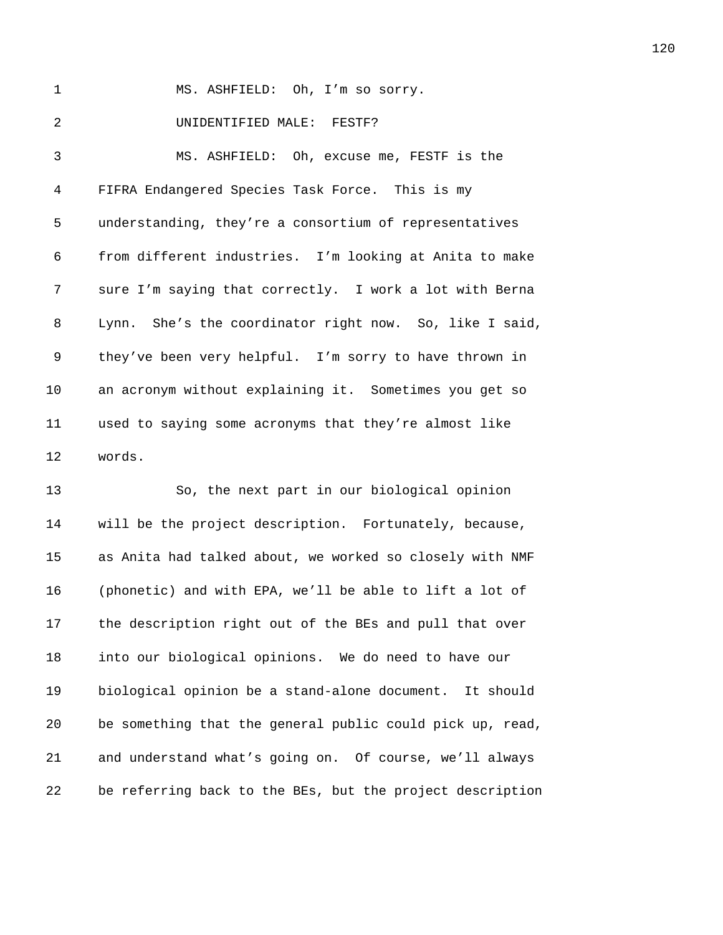| 1              | MS. ASHFIELD: Oh, I'm so sorry.                         |
|----------------|---------------------------------------------------------|
| $\overline{2}$ | UNIDENTIFIED MALE: FESTF?                               |
| 3              | MS. ASHFIELD: Oh, excuse me, FESTF is the               |
| 4              | FIFRA Endangered Species Task Force. This is my         |
| 5              | understanding, they're a consortium of representatives  |
| 6              | from different industries. I'm looking at Anita to make |
| 7              | sure I'm saying that correctly. I work a lot with Berna |
| 8              | Lynn. She's the coordinator right now. So, like I said, |
| 9              | they've been very helpful. I'm sorry to have thrown in  |
| 10             | an acronym without explaining it. Sometimes you get so  |
| 11             | used to saying some acronyms that they're almost like   |
| 12             | words.                                                  |
| 13             | So, the next part in our biological opinion             |

14 will be the project description. Fortunately, because, 15 as Anita had talked about, we worked so closely with NMF 16 (phonetic) and with EPA, we'll be able to lift a lot of 17 the description right out of the BEs and pull that over *into our biological opinions.* We do need to have our 19 biological opinion be a stand-alone document. It should 20 be something that the general public could pick up, read, 21 and understand what's going on. Of course, we'll always 22 be referring back to the BEs, but the project description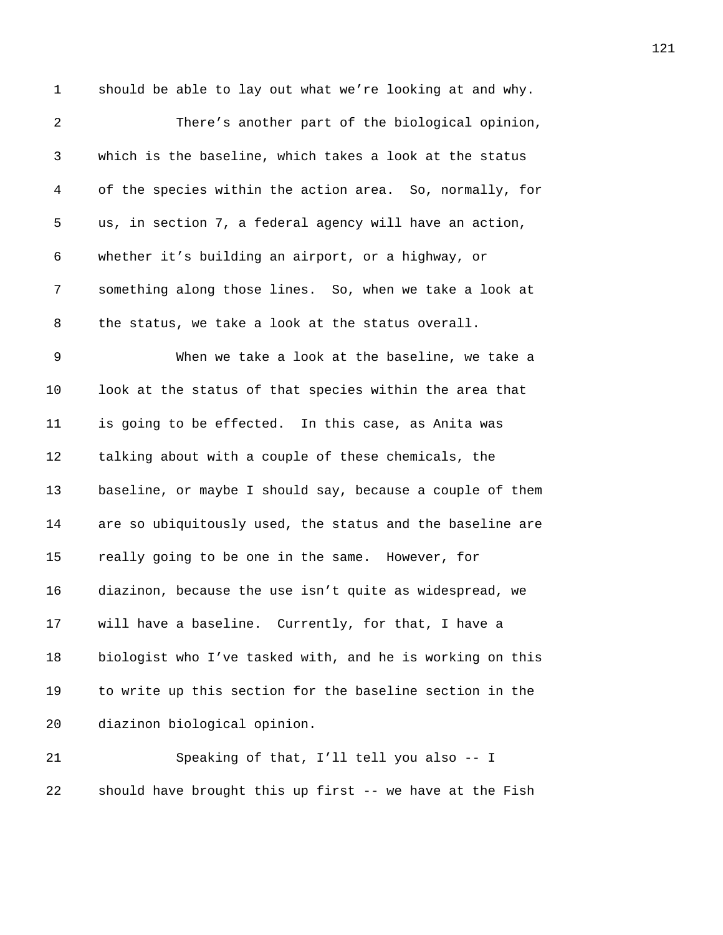1 should be able to lay out what we're looking at and why. **2501** There's another part of the biological opinion, *250B*which is the baseline, which takes a look at the status *2503B*of the species within the action area. So, normally, for *2504B*us, in section 7, a federal agency will have an action, *250B*whether it's building an airport, or a highway, or *2506B*something along those lines. So, when we take a look at **2507** the status, we take a look at the status overall. 9 2508 When we take a look at the baseline, we take a *2509B*look at the status of that species within the area that **2021** is going to be effected. In this case, as Anita was *z* talking about with a couple of these chemicals, the 13 baseline, or maybe I should say, because a couple of them **2013** are so ubiquitously used, the status and the baseline are **2514** really going to be one in the same. However, for *251B*diazinon, because the use isn't quite as widespread, we *2516* Will have a baseline. Currently, for that, I have a **2018** *2517 biologist who I've tasked with, and he is working on this* 19 to write up this section for the baseline section in the 20 diazinon biological opinion. *250B*Speaking of that, I'll tell you also -- I

**218** 22 **21 Should have brought this up first -- we have at the Fish**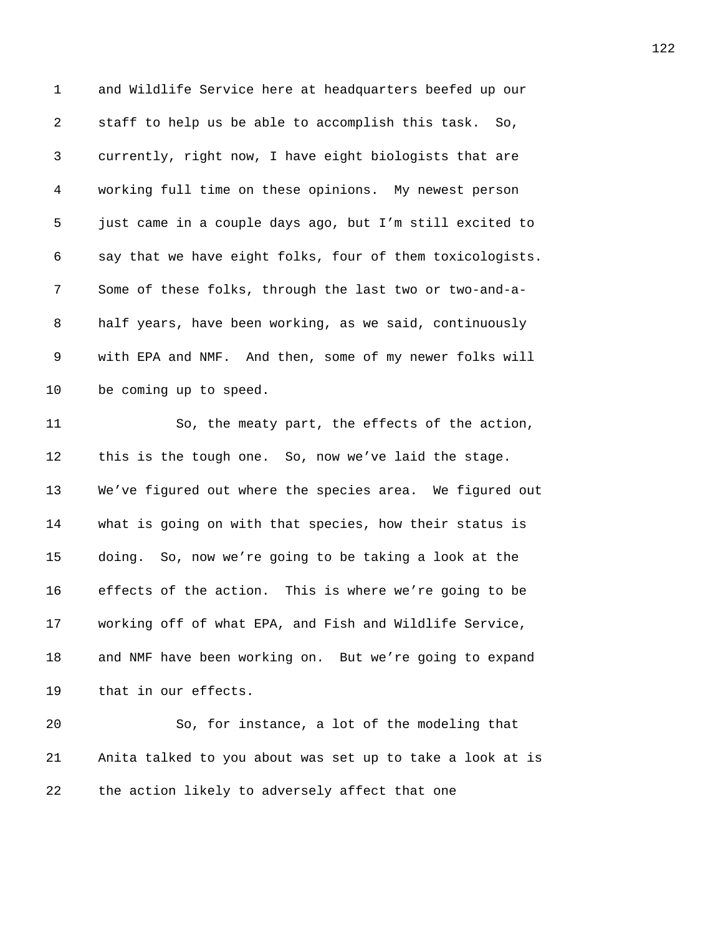| $\mathbf{1}$ | and Wildlife Service here at headquarters beefed up our   |
|--------------|-----------------------------------------------------------|
| 2            | staff to help us be able to accomplish this task. So,     |
| 3            | currently, right now, I have eight biologists that are    |
| 4            | working full time on these opinions. My newest person     |
| 5            | just came in a couple days ago, but I'm still excited to  |
| 6            | say that we have eight folks, four of them toxicologists. |
| 7            | Some of these folks, through the last two or two-and-a-   |
| 8            | half years, have been working, as we said, continuously   |
| 9            | with EPA and NMF. And then, some of my newer folks will   |
| 10           | be coming up to speed.                                    |
| 11           | So, the meaty part, the effects of the action,            |
| 12           | this is the tough one. So, now we've laid the stage.      |
| 13           | We've figured out where the species area. We figured out  |
| 14           | what is going on with that species, how their status is   |
| 15           | doing. So, now we're going to be taking a look at the     |
| 16           | effects of the action. This is where we're going to be    |
| 17           | working off of what EPA, and Fish and Wildlife Service,   |
| 18           | and NMF have been working on. But we're going to expand   |
| 19           | that in our effects.                                      |
| 20           | So, for instance, a lot of the modeling that              |
| 21           | Anita talked to you about was set up to take a look at is |
| 22           | the action likely to adversely affect that one            |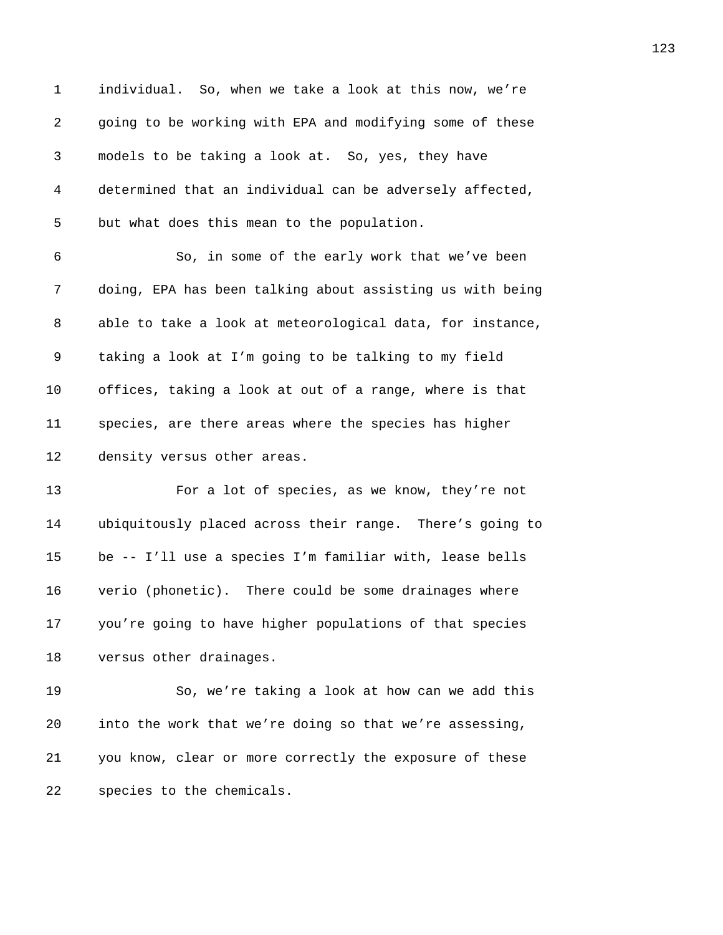| $\mathbf{1}$   | individual. So, when we take a look at this now, we're    |
|----------------|-----------------------------------------------------------|
| $\overline{a}$ | going to be working with EPA and modifying some of these  |
| 3              | models to be taking a look at. So, yes, they have         |
| 4              | determined that an individual can be adversely affected,  |
| 5              | but what does this mean to the population.                |
| 6              | So, in some of the early work that we've been             |
| 7              | doing, EPA has been talking about assisting us with being |
| 8              | able to take a look at meteorological data, for instance, |
| 9              | taking a look at I'm going to be talking to my field      |
| 10             | offices, taking a look at out of a range, where is that   |
| 11             | species, are there areas where the species has higher     |
| 12             | density versus other areas.                               |
| 13             | For a lot of species, as we know, they're not             |
| 14             | ubiquitously placed across their range. There's going to  |
| 15             | be -- I'll use a species I'm familiar with, lease bells   |
| 16             | verio (phonetic). There could be some drainages where     |
| 17             | you're going to have higher populations of that species   |
| 18             | versus other drainages.                                   |
| 19             | So, we're taking a look at how can we add this            |
| 20             | into the work that we're doing so that we're assessing,   |
| 21             | you know, clear or more correctly the exposure of these   |
| 22             | species to the chemicals.                                 |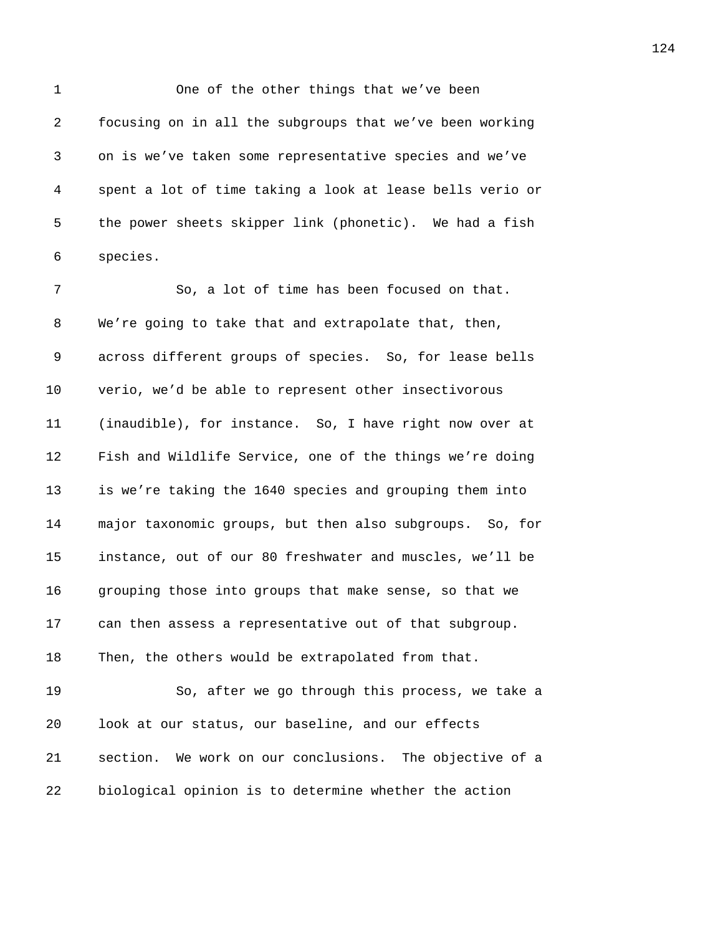1 One of the other things that we've been *2564B*focusing on in all the subgroups that we've been working *256B*on is we've taken some representative species and we've *256B*spent a lot of time taking a look at lease bells verio or 5 the power sheets skipper link (phonetic). We had a fish *2568B*species.

7 256, a lot of time has been focused on that. 8 We're going to take that and extrapolate that, then, 9 across different groups of species. So, for lease bells 10 verio, we'd be able to represent other insectivorous *2573B*(inaudible), for instance. So, I have right now over at **2174** Fish and Wildlife Service, one of the things we're doing **257** is we're taking the 1640 species and grouping them into *2576B*major taxonomic groups, but then also subgroups. So, for *257B*instance, out of our 80 freshwater and muscles, we'll be *2578B*grouping those into groups that make sense, so that we **2579** can then assess a representative out of that subgroup. 18 Then, the others would be extrapolated from that.

*2581B*So, after we go through this process, we take a *look at our status, our baseline, and our effects* **21 2583** *21* **2383** *21 2583* **<b>***28838* **<b>***288388 28838889 <b>28838888 28888889* **<b>288888 28888 288888 28888 28888 28888 28888 28888 28888 28888 28888 28888 28888 28888 28888** *23* biological opinion is to determine whether the action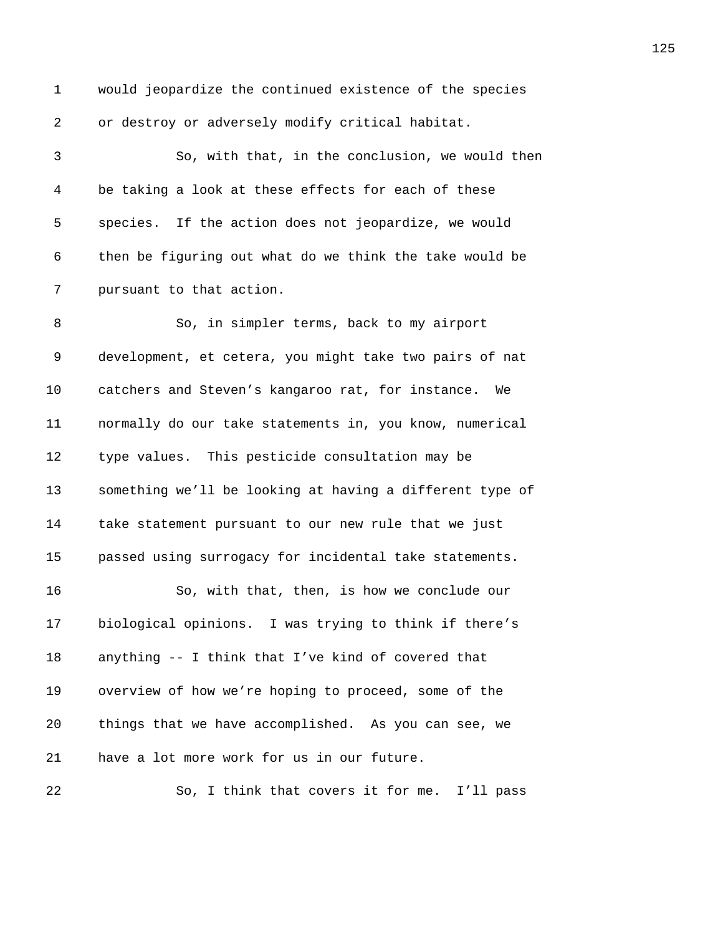1 would jeopardize the continued existence of the species 2 or destroy or adversely modify critical habitat. *2586B*So, with that, in the conclusion, we would then *2587B*be taking a look at these effects for each of these **258Bs** species. If the action does not jeopardize, we would **2589** then be figuring out what do we think the take would be *pursuant to that action.* 8 2591 Bo, in simpler terms, back to my airport 9 development, et cetera, you might take two pairs of nat *catchers and Steven's kangaroo rat, for instance. We 2594B*normally do our take statements in, you know, numerical *zype values.* This pesticide consultation may be **2059** something we'll be looking at having a different type of 14 take statement pursuant to our new rule that we just **25988** passed using surrogacy for incidental take statements. *259B*So, with that, then, is how we conclude our **biological opinions.** I was trying to think if there's **2018 2018 2018 2018 2018 2018 2018 2018 2018 2018 2018 2018 2029 2029 2029 2029 2029 2029 2029 2029 2029 2029 2029 2029 2029 2029 2029 2029 2029 2029 2029 2** 19 overview of how we're hoping to proceed, some of the *2603B*things that we have accomplished. As you can see, we 21 have a lot more work for us in our future.

**265** *26*, I think that covers it for me. I'll pass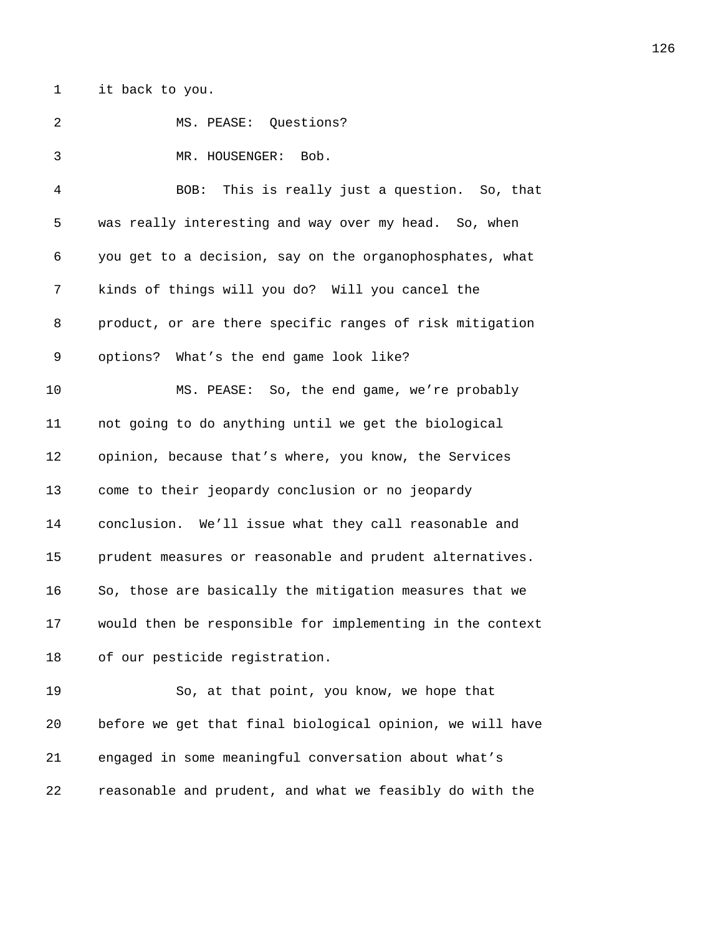1 it back to you.

| 2 | MS. PEASE: Questions?                                    |
|---|----------------------------------------------------------|
|   | MR. HOUSENGER: Bob.                                      |
|   | BOB: This is really just a question. So, that            |
| 5 | was really interesting and way over my head. So, when    |
| 6 | you get to a decision, say on the organophosphates, what |

**2618** 261 kinds of things will you do? Will you cancel the *product, or are there specific ranges of risk mitigation* 9 options? What's the end game look like?

**2614 MS. PEASE:** So, the end game, we're probably **2016** not going to do anything until we get the biological *popinion, because that's where, you know, the Services* 13 come to their jeopardy conclusion or no jeopardy *2618B*conclusion. We'll issue what they call reasonable and *261* prudent measures or reasonable and prudent alternatives. **2008** So, those are basically the mitigation measures that we **2018** 2618 **261B** would then be responsible for implementing in the context 18 of our pesticide registration.

*263B*So, at that point, you know, we hope that *264B*before we get that final biological opinion, we will have *265B*engaged in some meaningful conversation about what's *26B*reasonable and prudent, and what we feasibly do with the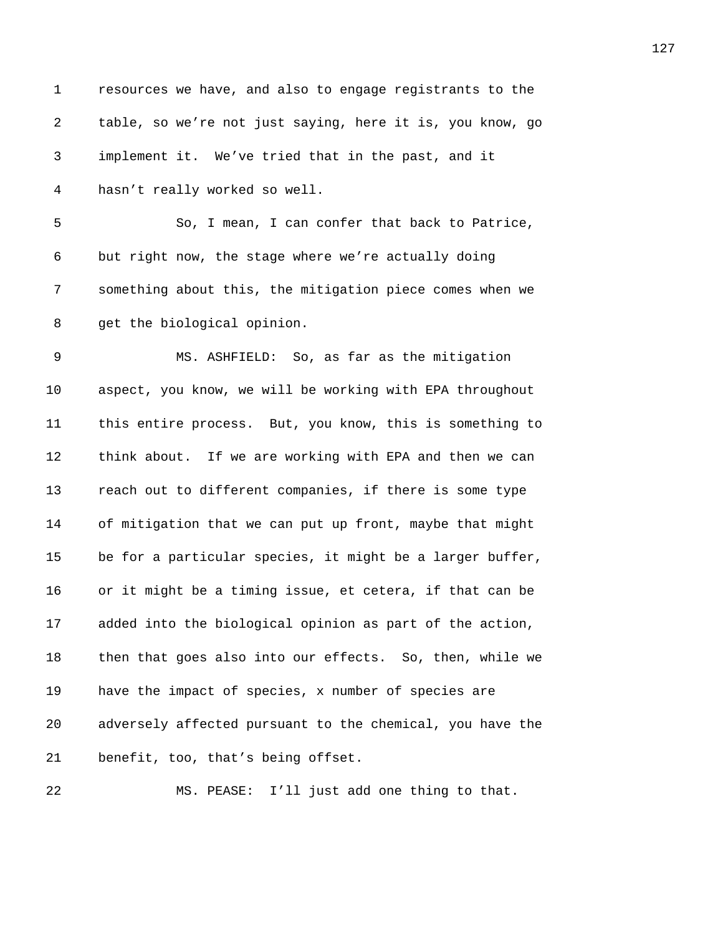| 1  | resources we have, and also to engage registrants to the  |
|----|-----------------------------------------------------------|
| 2  | table, so we're not just saying, here it is, you know, go |
| 3  | implement it. We've tried that in the past, and it        |
| 4  | hasn't really worked so well.                             |
| 5  | So, I mean, I can confer that back to Patrice,            |
| 6  | but right now, the stage where we're actually doing       |
| 7  | something about this, the mitigation piece comes when we  |
| 8  | get the biological opinion.                               |
| 9  | MS. ASHFIELD: So, as far as the mitigation                |
| 10 | aspect, you know, we will be working with EPA throughout  |
| 11 | this entire process. But, you know, this is something to  |
| 12 | think about. If we are working with EPA and then we can   |
| 13 | reach out to different companies, if there is some type   |
| 14 | of mitigation that we can put up front, maybe that might  |
| 15 | be for a particular species, it might be a larger buffer, |
| 16 | or it might be a timing issue, et cetera, if that can be  |
| 17 | added into the biological opinion as part of the action,  |
| 18 | then that goes also into our effects. So, then, while we  |
| 19 | have the impact of species, x number of species are       |
| 20 | adversely affected pursuant to the chemical, you have the |
| 21 | benefit, too, that's being offset.                        |
| 22 | MS. PEASE: I'll just add one thing to that.               |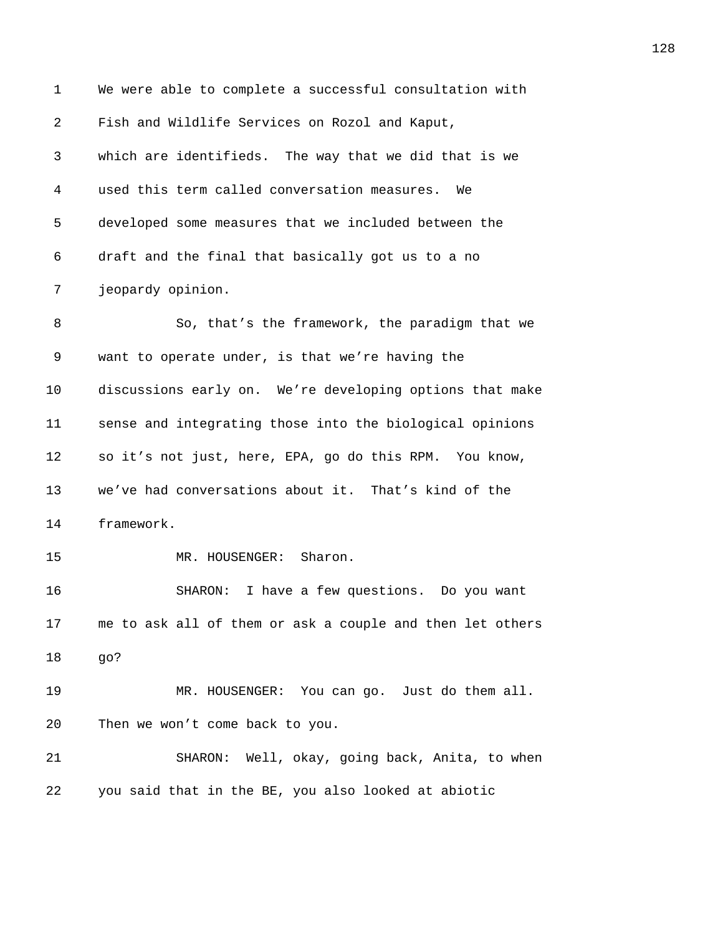1 We were able to complete a successful consultation with 2 Fish and Wildlife Services on Rozol and Kaput, *2649B*which are identifieds. The way that we did that is we *2650B*used this term called conversation measures. We *2651B*developed some measures that we included between the 6 draft and the final that basically got us to a no *jeopardy opinion.* 8 26556 2665 Bo, that's the framework, the paradigm that we 9 want to operate under, is that we're having the 10 discussions early on. We're developing options that make **2057** sense and integrating those into the biological opinions **2058 2658Bs** it's not just, here, EPA, go do this RPM. You know, *2659B*we've had conversations about it. That's kind of the 14 framework. 15 MR. HOUSENGER: Sharon. *26B*SHARON: I have a few questions. Do you want **263** me to ask all of them or ask a couple and then let others *264B*go? **265 MR. HOUSENGER:** You can go. Just do them all. 20 Then we won't come back to you. **21 267** SHARON: Well, okay, going back, Anita, to when *268B*you said that in the BE, you also looked at abiotic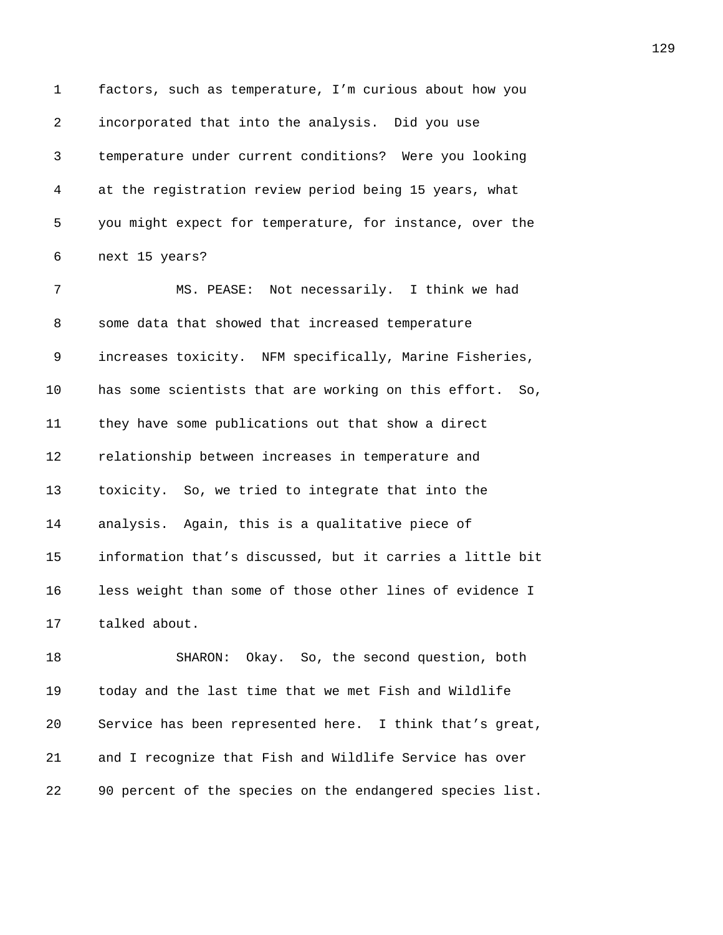1 factors, such as temperature, I'm curious about how you *incorporated that into the analysis.* Did you use *2670B*temperature under current conditions? Were you looking *2671B*at the registration review period being 15 years, what *you might expect for temperature, for instance, over the* **next** 15 years? **2674 MS. PEASE:** Not necessarily. I think we had **2675** some data that showed that increased temperature *increases toxicity.* NFM specifically, Marine Fisheries, 10 has some scientists that are working on this effort. So, *2678 they have some publications out that show a direct* **2679** relationship between increases in temperature and 13 toxicity. So, we tried to integrate that into the **2081** analysis. Again, this is a qualitative piece of *268B*information that's discussed, but it carries a little bit **2083** less weight than some of those other lines of evidence I 17 talked about. *2685B*SHARON: Okay. So, the second question, both **2088** today and the last time that we met Fish and Wildlife

**20** *Service has been represented here.* I think that's great, *268B*and I recognize that Fish and Wildlife Service has over *2689B*90 percent of the species on the endangered species list.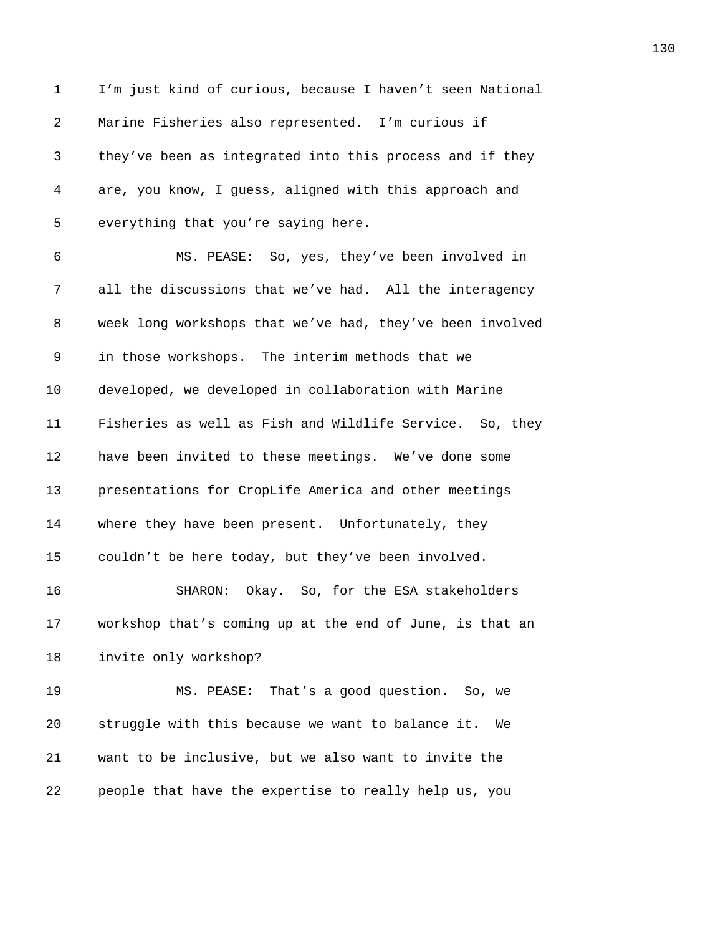| $\mathbf 1$ | I'm just kind of curious, because I haven't seen National |
|-------------|-----------------------------------------------------------|
| 2           | Marine Fisheries also represented. I'm curious if         |
| 3           | they've been as integrated into this process and if they  |
| 4           | are, you know, I guess, aligned with this approach and    |
| 5           | everything that you're saying here.                       |
| 6           | MS. PEASE: So, yes, they've been involved in              |
| 7           | all the discussions that we've had. All the interagency   |
| 8           | week long workshops that we've had, they've been involved |
| 9           | in those workshops. The interim methods that we           |
| 10          | developed, we developed in collaboration with Marine      |
| 11          | Fisheries as well as Fish and Wildlife Service. So, they  |
| 12          | have been invited to these meetings. We've done some      |
| 13          | presentations for CropLife America and other meetings     |
| 14          | where they have been present. Unfortunately, they         |
| 15          | couldn't be here today, but they've been involved.        |
| 16          | SHARON: Okay. So, for the ESA stakeholders                |
| 17          | workshop that's coming up at the end of June, is that an  |
| 18          | invite only workshop?                                     |
| 19          | MS. PEASE: That's a good question. So, we                 |
| 20          | struggle with this because we want to balance it.<br>We   |
| 21          | want to be inclusive, but we also want to invite the      |
| 22          | people that have the expertise to really help us, you     |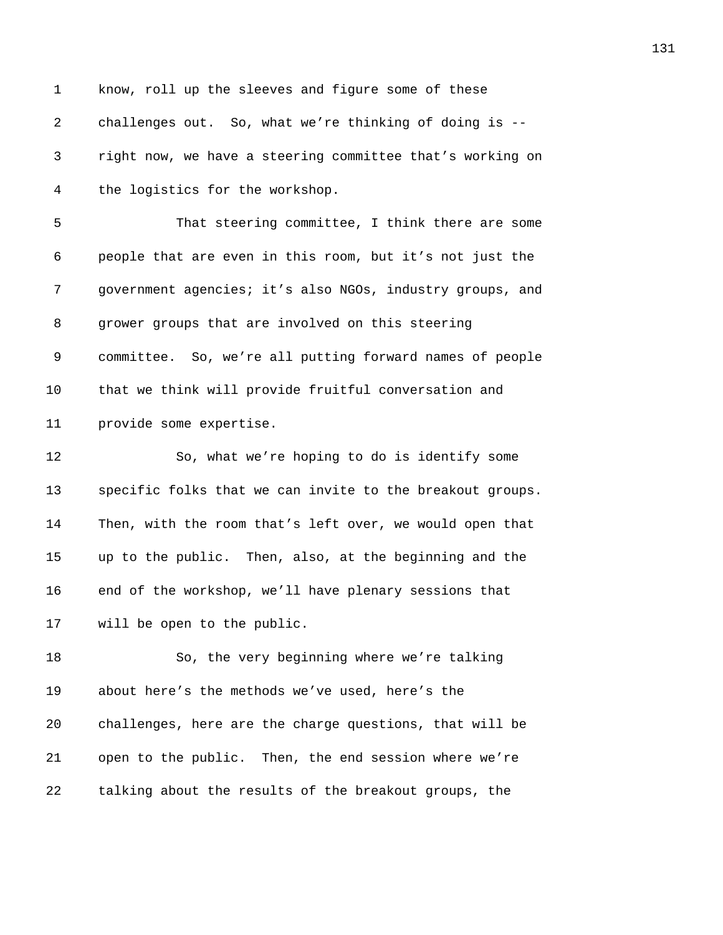| $\mathbf{1}$ | know, roll up the sleeves and figure some of these        |
|--------------|-----------------------------------------------------------|
| 2            | challenges out. So, what we're thinking of doing is --    |
| 3            | right now, we have a steering committee that's working on |
| 4            | the logistics for the workshop.                           |
| 5            | That steering committee, I think there are some           |
| 6            | people that are even in this room, but it's not just the  |
| 7            | government agencies; it's also NGOs, industry groups, and |
| 8            | grower groups that are involved on this steering          |
| 9            | committee. So, we're all putting forward names of people  |
| 10           | that we think will provide fruitful conversation and      |
| 11           | provide some expertise.                                   |
| 12           | So, what we're hoping to do is identify some              |
| 13           | specific folks that we can invite to the breakout groups. |
| 14           | Then, with the room that's left over, we would open that  |
| 15           | up to the public. Then, also, at the beginning and the    |
| 16           | end of the workshop, we'll have plenary sessions that     |
| 17           | will be open to the public.                               |
| 18           | So, the very beginning where we're talking                |
| 19           | about here's the methods we've used, here's the           |
| 20           | challenges, here are the charge questions, that will be   |
| 21           | open to the public. Then, the end session where we're     |
| 22           | talking about the results of the breakout groups, the     |
|              |                                                           |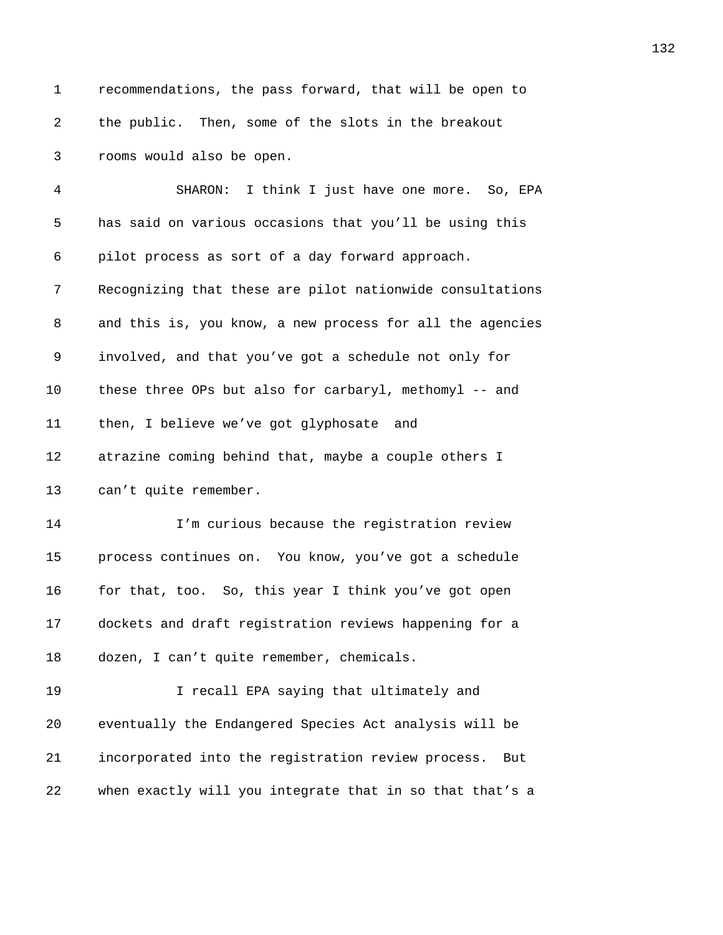| $\mathbf 1$ | recommendations, the pass forward, that will be open to   |
|-------------|-----------------------------------------------------------|
| 2           | the public. Then, some of the slots in the breakout       |
| 3           | rooms would also be open.                                 |
| 4           | SHARON: I think I just have one more. So, EPA             |
| 5           | has said on various occasions that you'll be using this   |
| 6           | pilot process as sort of a day forward approach.          |
| 7           | Recognizing that these are pilot nationwide consultations |
| 8           | and this is, you know, a new process for all the agencies |
| 9           | involved, and that you've got a schedule not only for     |
| 10          | these three OPs but also for carbaryl, methomyl -- and    |
| 11          | then, I believe we've got glyphosate and                  |
| 12          | atrazine coming behind that, maybe a couple others I      |
| 13          | can't quite remember.                                     |
| 14          | I'm curious because the registration review               |
| 15          | process continues on. You know, you've got a schedule     |

**2746** for that, too. So, this year I think you've got open 17 dockets and draft registration reviews happening for a 18 dozen, I can't quite remember, chemicals.

**274** I recall EPA saying that ultimately and **20** eventually the Endangered Species Act analysis will be *incorporated into the registration review process.* But *when exactly will you integrate that in so that that's a*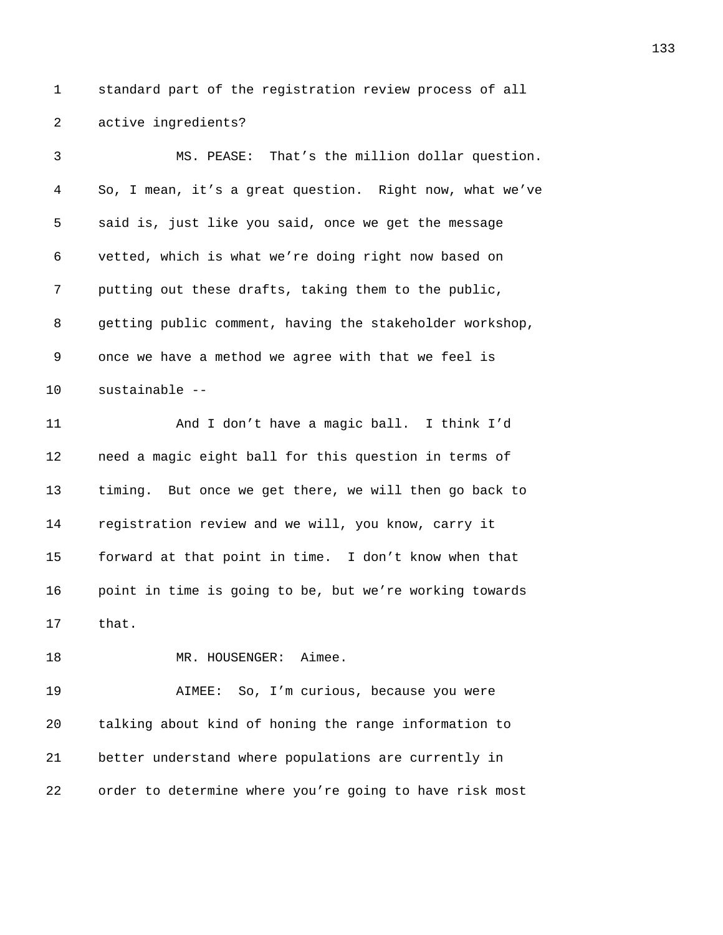1 standard part of the registration review process of all 2 active ingredients?

*2754B*MS. PEASE: That's the million dollar question. *275B*So, I mean, it's a great question. Right now, what we've **2756** said is, just like you said, once we get the message *275B*vetted, which is what we're doing right now based on **2758** putting out these drafts, taking them to the public, *2759* getting public comment, having the stakeholder workshop, 9 once we have a method we agree with that we feel is 10 sustainable --*276B*And I don't have a magic ball. I think I'd **2763** need a magic eight ball for this question in terms of *2764B*timing. But once we get there, we will then go back to *2765B*registration review and we will, you know, carry it **2776** forward at that point in time. I don't know when that **276** point in time is going to be, but we're working towards 17 that. **2761 MR. HOUSENGER:** Aimee. **271** AIMEE: So, I'm curious, because you were *271B*talking about kind of honing the range information to *better understand where populations are currently in* 

*order to determine where you're going to have risk most*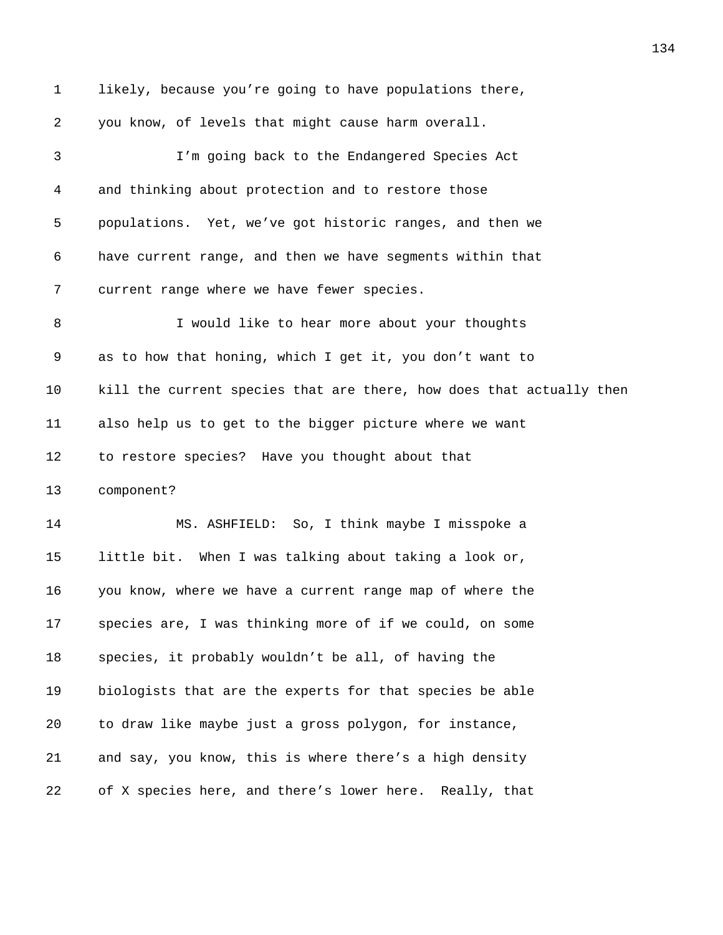1 likely, because you're going to have populations there, *you know, of levels that might cause harm overall. 275B*I'm going back to the Endangered Species Act *276B*and thinking about protection and to restore those *27B*populations. Yet, we've got historic ranges, and then we *278B*have current range, and then we have segments within that **279** current range where we have fewer species. 8 2*1 BI would like to hear more about your thoughts* 9 as to how that honing, which I get it, you don't want to *278B*kill the current species that are there, how does that actually then *2783B*also help us to get to the bigger picture where we want *Lo restore species?* Have you thought about that 13 component? **2786 MS. ASHFIELD:** So, I think maybe I misspoke a **1ittle bit.** When I was talking about taking a look or, *278B*you know, where we have a current range map of where the **2789** species are, I was thinking more of if we could, on some **279** *279* species, it probably wouldn't be all, of having the **2791** biologists that are the experts for that species be able 20 to draw like maybe just a gross polygon, for instance, 21 and say, you know, this is where there's a high density 22 of X species here, and there's lower here. Really, that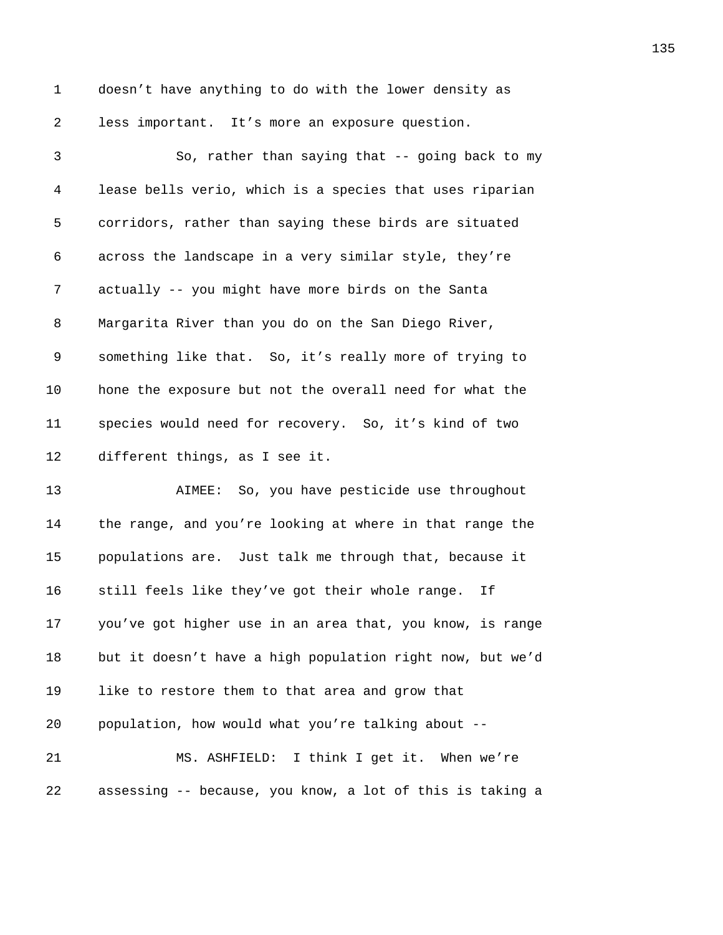1 doesn't have anything to do with the lower density as **2** less important. It's more an exposure question.

3 2796 2007 2008 Bo, rather than saying that  $-$  going back to my *279B*lease bells verio, which is a species that uses riparian *2798B*corridors, rather than saying these birds are situated *279B*across the landscape in a very similar style, they're **281** actually -- you might have more birds on the Santa 8 Margarita River than you do on the San Diego River, 9 something like that. So, it's really more of trying to **2803** hone the exposure but not the overall need for what the *2804B*species would need for recovery. So, it's kind of two 12 different things, as I see it. **2806** AIMEE: So, you have pesticide use throughout

**2807** the range, and you're looking at where in that range the *280B*populations are. Just talk me through that, because it **2818** still feels like they've got their whole range. If *2810B*you've got higher use in an area that, you know, is range *281B*but it doesn't have a high population right now, but we'd 19 1ike to restore them to that area and grow that *population, how would what you're talking about --2814B*MS. ASHFIELD: I think I get it. When we're **281** assessing -- because, you know, a lot of this is taking a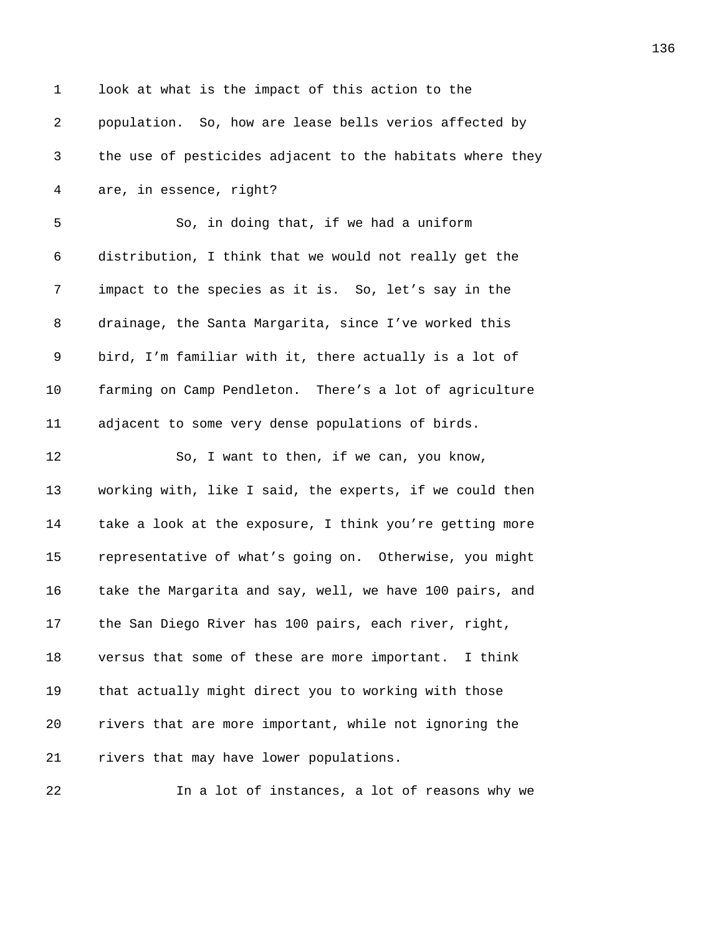| $\mathbf{1}$ | look at what is the impact of this action to the          |
|--------------|-----------------------------------------------------------|
| 2            | population. So, how are lease bells verios affected by    |
| 3            | the use of pesticides adjacent to the habitats where they |
| 4            | are, in essence, right?                                   |
| 5            | So, in doing that, if we had a uniform                    |
| 6            | distribution, I think that we would not really get the    |
| 7            | impact to the species as it is. So, let's say in the      |
| 8            | drainage, the Santa Margarita, since I've worked this     |
| 9            | bird, I'm familiar with it, there actually is a lot of    |
| 10           | farming on Camp Pendleton. There's a lot of agriculture   |
| 11           | adjacent to some very dense populations of birds.         |
| 12           | So, I want to then, if we can, you know,                  |
| 13           | working with, like I said, the experts, if we could then  |
| 14           | take a look at the exposure, I think you're getting more  |
| 15           | representative of what's going on. Otherwise, you might   |
| 16           | take the Margarita and say, well, we have 100 pairs, and  |
| 17           | the San Diego River has 100 pairs, each river, right,     |
| 18           | versus that some of these are more important. I think     |
| 19           | that actually might direct you to working with those      |
| 20           | rivers that are more important, while not ignoring the    |
| 21           | rivers that may have lower populations.                   |
|              |                                                           |

**2836** In a lot of instances, a lot of reasons why we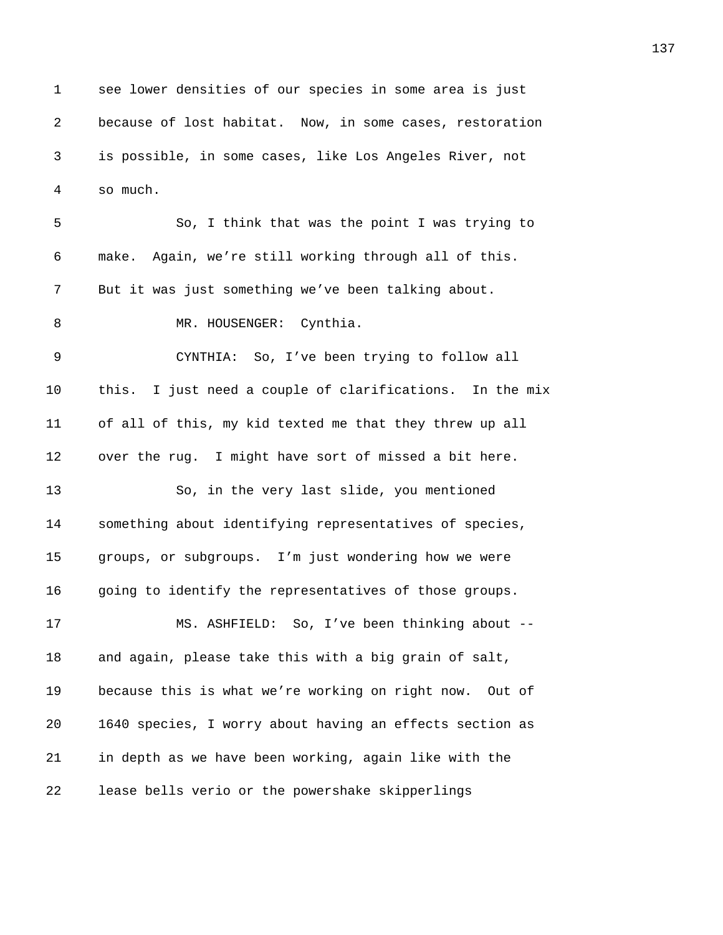1 see lower densities of our species in some area is just **because of lost habitat.** Now, in some cases, restoration *283B*is possible, in some cases, like Los Angeles River, not 4 so much.

*2840B*So, I think that was the point I was trying to *2841B*make. Again, we're still working through all of this. 7 But it was just something we've been talking about. **2843** MR. HOUSENGER: Cynthia. *284B*CYNTHIA: So, I've been trying to follow all 10 this. I just need a couple of clarifications. In the mix 11 of all of this, my kid texted me that they threw up all 12 over the rug. I might have sort of missed a bit here. 13 286, in the very last slide, you mentioned **288** something about identifying representatives of species, *groups, or subgroups.* I'm just wondering how we were *285* going to identify the representatives of those groups. **286 MS. ASHFIELD:** So, I've been thinking about --18 and again, please take this with a big grain of salt, **because this is what we're working on right now.** Out of *285B*1640 species, I worry about having an effects section as **2856** in depth as we have been working, again like with the **2857** lease bells verio or the powershake skipperlings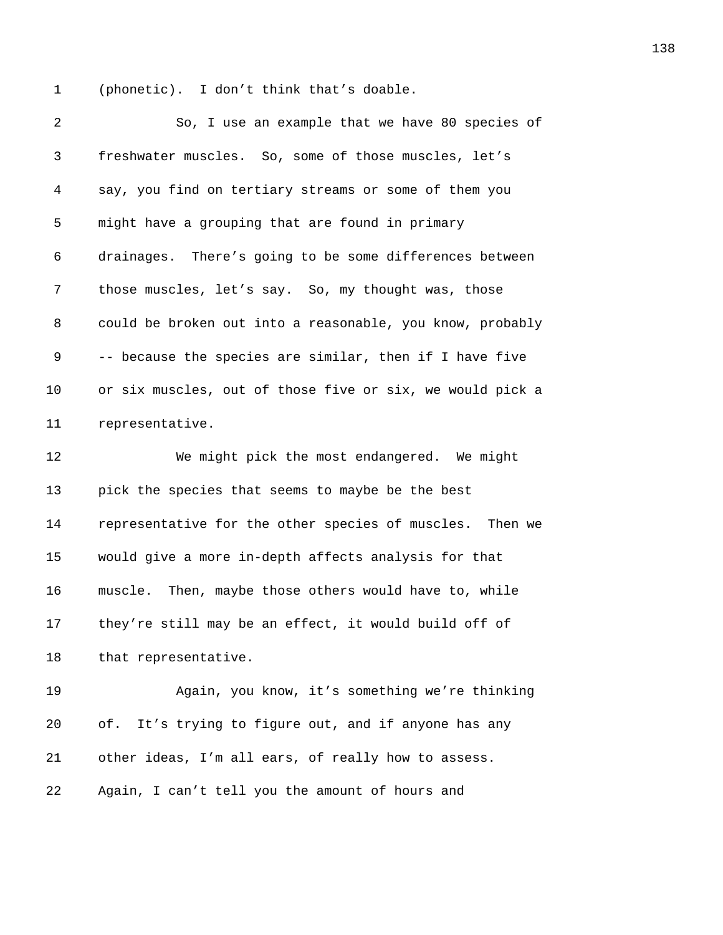1 (phonetic). I don't think that's doable.

| 2  | So, I use an example that we have 80 species of           |
|----|-----------------------------------------------------------|
| 3  | freshwater muscles. So, some of those muscles, let's      |
| 4  | say, you find on tertiary streams or some of them you     |
| 5  | might have a grouping that are found in primary           |
| 6  | drainages. There's going to be some differences between   |
| 7  | those muscles, let's say. So, my thought was, those       |
| 8  | could be broken out into a reasonable, you know, probably |
| 9  | -- because the species are similar, then if I have five   |
| 10 | or six muscles, out of those five or six, we would pick a |
| 11 | representative.                                           |
| 12 | We might pick the most endangered. We might               |
| 13 | pick the species that seems to maybe be the best          |
| 14 | representative for the other species of muscles. Then we  |
| 15 | would give a more in-depth affects analysis for that      |
| 16 | muscle. Then, maybe those others would have to, while     |
| 17 | they're still may be an effect, it would build off of     |
| 18 | that representative.                                      |
| 19 | Again, you know, it's something we're thinking            |
| 20 | It's trying to figure out, and if anyone has any<br>of.   |
| 21 | other ideas, I'm all ears, of really how to assess.       |
| 22 | Again, I can't tell you the amount of hours and           |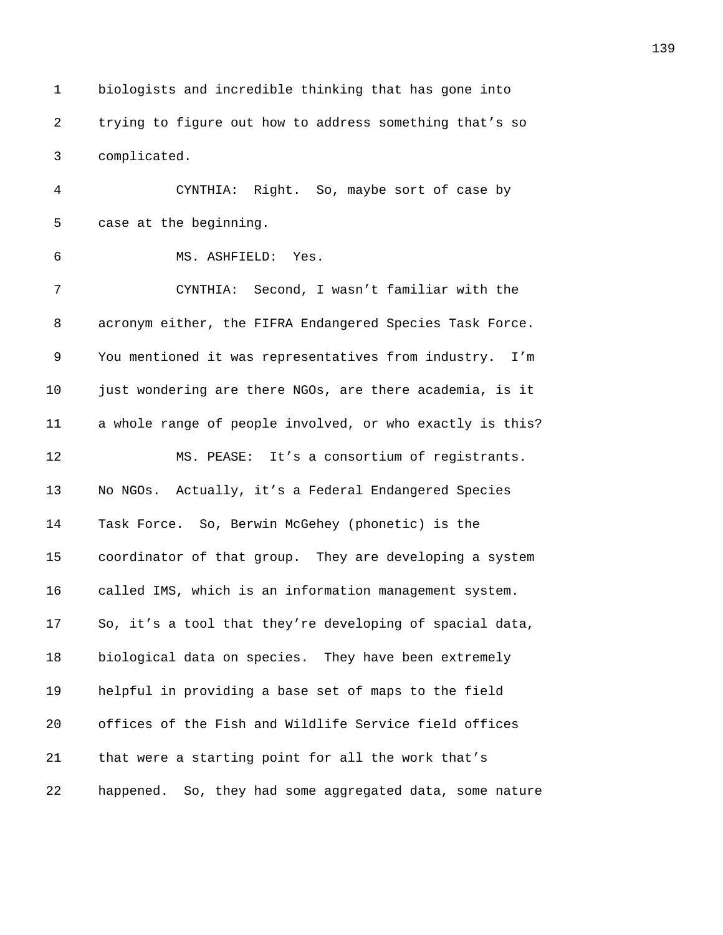1 biologists and incredible thinking that has gone into *2879B*trying to figure out how to address something that's so 3 complicated.

*281B*CYNTHIA: Right. So, maybe sort of case by 5 case at the beginning.

**283** MS. ASHFIELD: Yes.

*284B*CYNTHIA: Second, I wasn't familiar with the 8 acronym either, the FIFRA Endangered Species Task Force. *286B*You mentioned it was representatives from industry. I'm *287B*just wondering are there NGOs, are there academia, is it 11 a whole range of people involved, or who exactly is this? **289 MS. PEASE:** It's a consortium of reqistrants. **289 No NGOs.** Actually, it's a Federal Endangered Species **2881** Task Force. So, Berwin McGehey (phonetic) is the *289 289 coordinator of that group.* They are developing a system 16 called IMS, which is an information management system. **2894** So, it's a tool that they're developing of spacial data, **biological data on species.** They have been extremely **2886** helpful in providing a base set of maps to the field *289* offices of the Fish and Wildlife Service field offices *21* that were a starting point for all the work that's *289B*happened. So, they had some aggregated data, some nature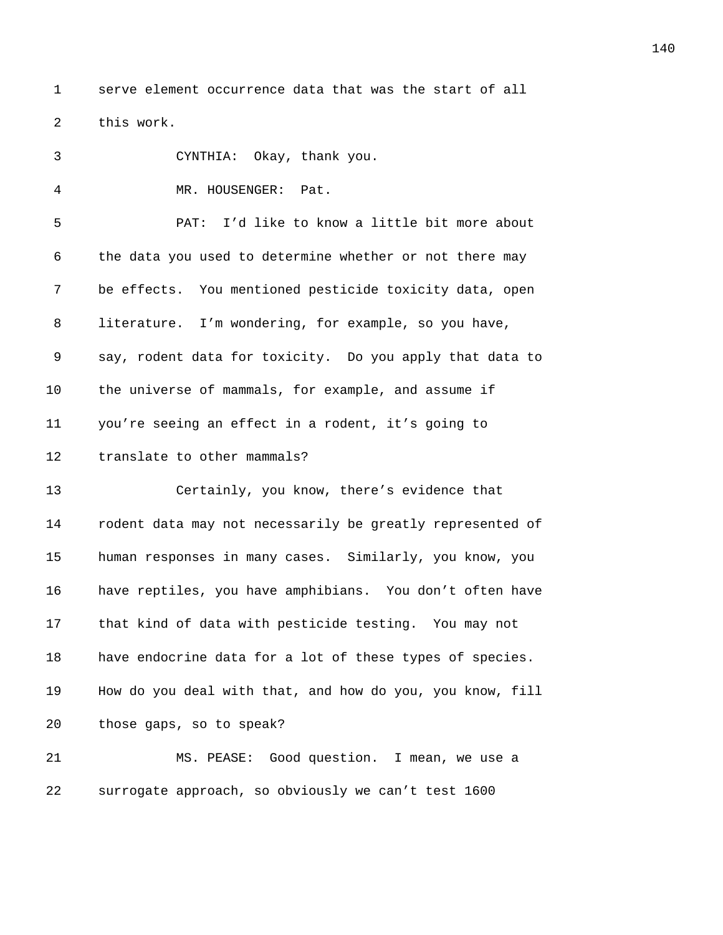1 serve element occurrence data that was the start of all 2 this work.

| 3  | CYNTHIA: Okay, thank you.                                 |
|----|-----------------------------------------------------------|
| 4  | MR. HOUSENGER: Pat.                                       |
| 5  | PAT: I'd like to know a little bit more about             |
| 6  | the data you used to determine whether or not there may   |
| 7  | be effects. You mentioned pesticide toxicity data, open   |
| 8  | literature. I'm wondering, for example, so you have,      |
| 9  | say, rodent data for toxicity. Do you apply that data to  |
| 10 | the universe of mammals, for example, and assume if       |
| 11 | you're seeing an effect in a rodent, it's going to        |
| 12 | translate to other mammals?                               |
| 13 | Certainly, you know, there's evidence that                |
| 14 | rodent data may not necessarily be greatly represented of |
| 15 | human responses in many cases. Similarly, you know, you   |
| 16 | have reptiles, you have amphibians. You don't often have  |
| 17 | that kind of data with pesticide testing. You may not     |
| 18 | have endocrine data for a lot of these types of species.  |
| 19 | How do you deal with that, and how do you, you know, fill |
| 20 | those gaps, so to speak?                                  |
| 21 | MS. PEASE: Good question. I mean, we use a                |
| 22 | surrogate approach, so obviously we can't test 1600       |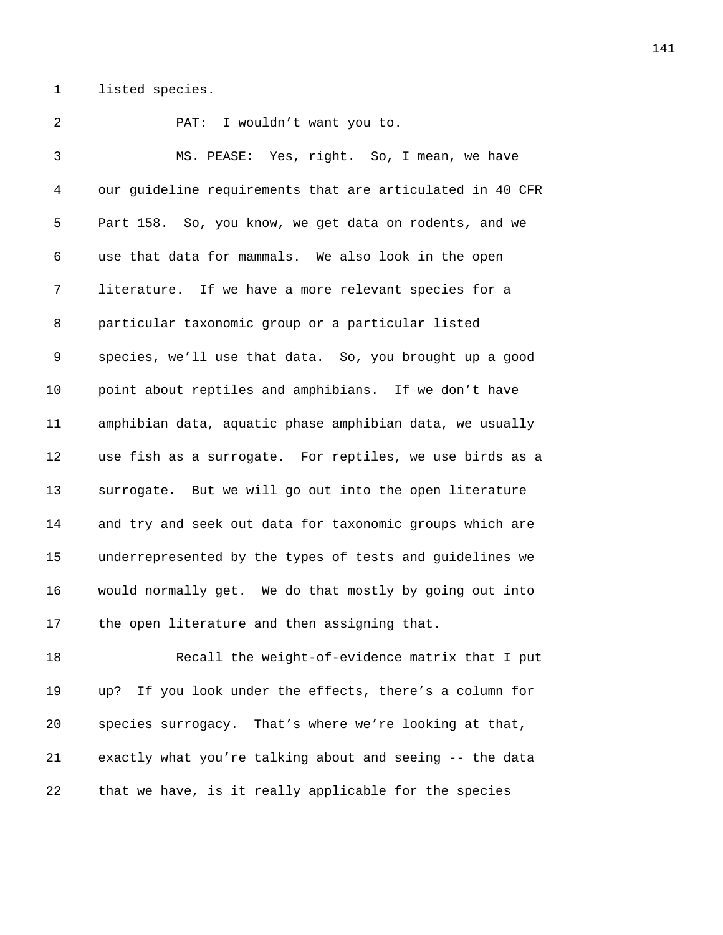1 listed species.

**PAT:** I wouldn't want you to. *29B*MS. PEASE: Yes, right. So, I mean, we have *293B*our guideline requirements that are articulated in 40 CFR 5 Part 158. So, you know, we get data on rodents, and we **295B** use that data for mammals. We also look in the open **296** literature. If we have a more relevant species for a 8 particular taxonomic group or a particular listed *zpecies, we'll use that data.* So, you brought up a good *point about reptiles and amphibians.* If we don't have *2930B*amphibian data, aquatic phase amphibian data, we usually **2931** use fish as a surrogate. For reptiles, we use birds as a **293** *But we will go out into the open literature* 14 and try and seek out data for taxonomic groups which are *2934B*underrepresented by the types of tests and guidelines we *2935B*would normally get. We do that mostly by going out into 17 the open literature and then assigning that. **2937 2937** Recall the weight-of-evidence matrix that I put *2938B*up? If you look under the effects, there's a column for **20** *293 203 203 <i>203 203 <i>204 293* **<b>***2046 2046 2046* **<b>***2046 2046 2046 2046* **<b>***2046 2046 2046 2046**2046* **<b>***2046 2046 2046 2046 2046 2046*

*29 z* that we have, is it really applicable for the species

**21** exactly what you're talking about and seeing -- the data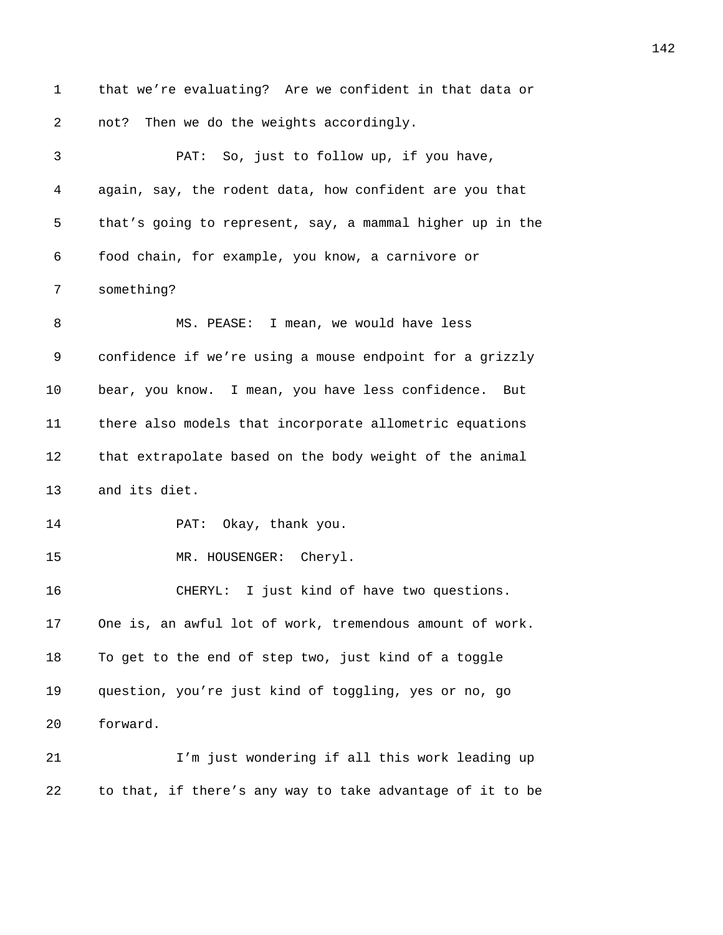1 that we're evaluating? Are we confident in that data or 2 **not?** Then we do the weights accordingly. 3 **2943** PAT: So, just to follow up, if you have, 4 *294B*again, say, the rodent data, how confident are you that 5 that's going to represent, say, a mammal higher up in the 6 *2946B*food chain, for example, you know, a carnivore or 7 something? 8 29 MS. PEASE: I mean, we would have less 9 **2944** 2005 Confidence if we're using a mouse endpoint for a grizzly 10 *bear, you know.* I mean, you have less confidence. But 11 *2951B*there also models that incorporate allometric equations 12 **295** that extrapolate based on the body weight of the animal 13 and its diet. 14 **2954** PAT: Okay, thank you. 15 MR. HOUSENGER: Cheryl. 16 *2956B*CHERYL: I just kind of have two questions. 17 One is, an awful lot of work, tremendous amount of work. 18 To get to the end of step two, just kind of a toggle 19 *295B*question, you're just kind of toggling, yes or no, go 20 forward. 21 **2961** I'm just wondering if all this work leading up 22 to that, if there's any way to take advantage of it to be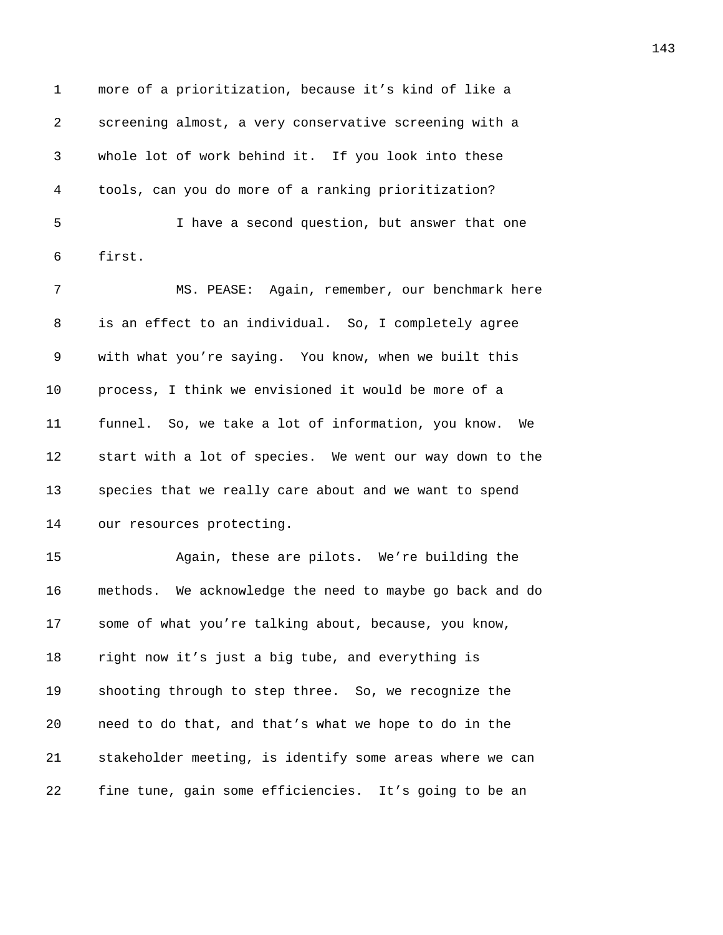1 more of a prioritization, because it's kind of like a **2963** Screening almost, a very conservative screening with a *2964B*whole lot of work behind it. If you look into these *2965B*tools, can you do more of a ranking prioritization? 5 296 <sup>1</sup> 1 have a second question, but answer that one 6 first.

*2968B*MS. PEASE: Again, remember, our benchmark here *is an effect to an individual.* So, I completely agree 9 with what you're saying. You know, when we built this *process, I think we envisioned it would be more of a* 11 funnel. So, we take a lot of information, you know. We **2973** start with a lot of species. We went our way down to the **2974** species that we really care about and we want to spend 14 our resources protecting.

**2976 2016** Again, these are pilots. We're building the *297B*methods. We acknowledge the need to maybe go back and do **2978** some of what you're talking about, because, you know, *right now it's just a big tube, and everything is* **298** *298* Shooting through to step three. So, we recognize the **20 208** *need to do that, and that's what we hope to do in the* **21** *z* stakeholder meeting, is identify some areas where we can 22 fine tune, gain some efficiencies. It's going to be an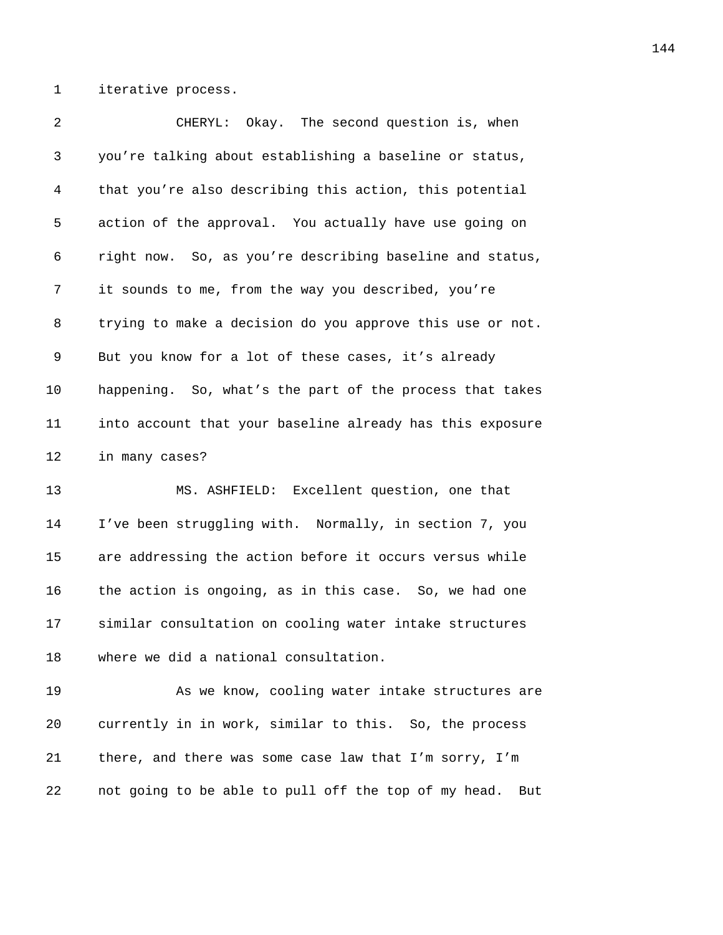1 iterative process.

| 2       | CHERYL: Okay. The second question is, when                |
|---------|-----------------------------------------------------------|
| 3       | you're talking about establishing a baseline or status,   |
| 4       | that you're also describing this action, this potential   |
| 5       | action of the approval. You actually have use going on    |
| 6       | right now. So, as you're describing baseline and status,  |
| 7       | it sounds to me, from the way you described, you're       |
| 8       | trying to make a decision do you approve this use or not. |
| 9       | But you know for a lot of these cases, it's already       |
| $10 \,$ | happening. So, what's the part of the process that takes  |
| 11      | into account that your baseline already has this exposure |
| 12      | in many cases?                                            |
| 13      | MS. ASHFIELD: Excellent question, one that                |
| 14      | I've been struggling with. Normally, in section 7, you    |
| 15      | are addressing the action before it occurs versus while   |
| 16      | the action is ongoing, as in this case. So, we had one    |
| 17      | similar consultation on cooling water intake structures   |
| 18      | where we did a national consultation.                     |
| 19      | As we know, cooling water intake structures are           |
| 20      | currently in in work, similar to this. So, the process    |
| 21      | there, and there was some case law that I'm sorry, I'm    |

*not going to be able to pull off the top of my head.* But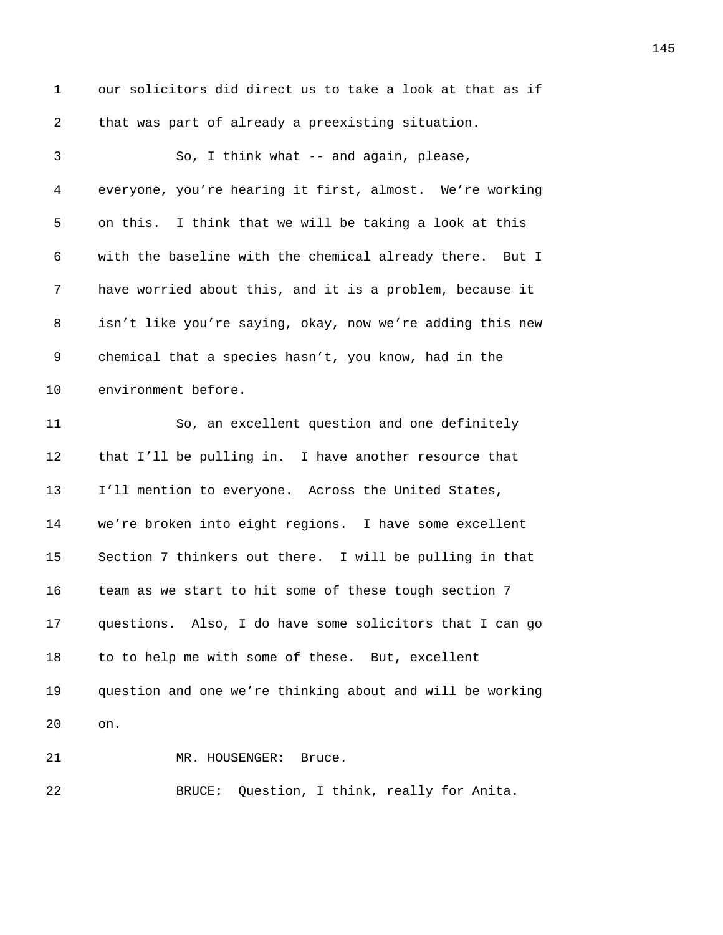| $\mathbf 1$ | our solicitors did direct us to take a look at that as if |
|-------------|-----------------------------------------------------------|
| 2           | that was part of already a preexisting situation.         |
| 3           | So, I think what -- and again, please,                    |
| 4           | everyone, you're hearing it first, almost. We're working  |
| 5           | on this. I think that we will be taking a look at this    |
| 6           | with the baseline with the chemical already there. But I  |
| 7           | have worried about this, and it is a problem, because it  |
| 8           | isn't like you're saying, okay, now we're adding this new |
| 9           | chemical that a species hasn't, you know, had in the      |
| 10          | environment before.                                       |
| 11          | So, an excellent question and one definitely              |
| 12          | that I'll be pulling in. I have another resource that     |
| 13          | I'll mention to everyone. Across the United States,       |
| 14          | we're broken into eight regions. I have some excellent    |
| 15          | Section 7 thinkers out there. I will be pulling in that   |
| 16          | team as we start to hit some of these tough section 7     |
| 17          | questions. Also, I do have some solicitors that I can go  |
| 18          | to to help me with some of these. But, excellent          |
| 19          | question and one we're thinking about and will be working |
| 20          | on.                                                       |
| 21          | MR. HOUSENGER:<br>Bruce.                                  |
| 22          | Question, I think, really for Anita.<br>BRUCE:            |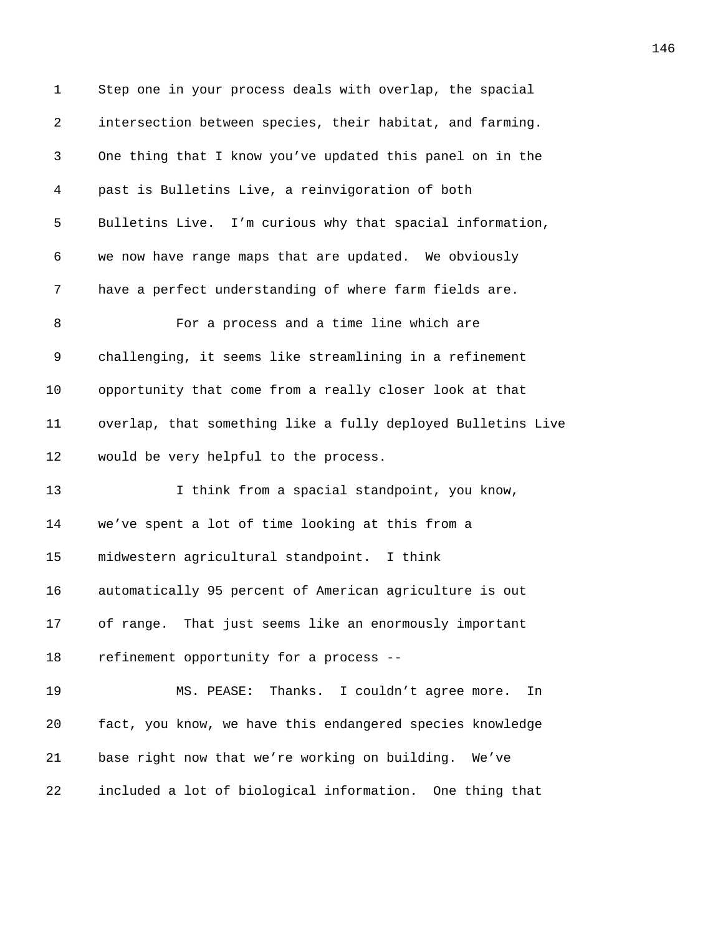| $\mathbf 1$ | Step one in your process deals with overlap, the spacial     |
|-------------|--------------------------------------------------------------|
| 2           | intersection between species, their habitat, and farming.    |
| 3           | One thing that I know you've updated this panel on in the    |
| 4           | past is Bulletins Live, a reinvigoration of both             |
| 5           | Bulletins Live. I'm curious why that spacial information,    |
| 6           | we now have range maps that are updated. We obviously        |
| 7           | have a perfect understanding of where farm fields are.       |
| 8           | For a process and a time line which are                      |
| 9           | challenging, it seems like streamlining in a refinement      |
| 10          | opportunity that come from a really closer look at that      |
| 11          | overlap, that something like a fully deployed Bulletins Live |
| 12          | would be very helpful to the process.                        |
| 13          | I think from a spacial standpoint, you know,                 |
| 14          | we've spent a lot of time looking at this from a             |
| 15          | midwestern agricultural standpoint. I think                  |
| 16          | automatically 95 percent of American agriculture is out      |
| 17          | of range. That just seems like an enormously important       |
| 18          | refinement opportunity for a process --                      |
| 19          | MS. PEASE: Thanks. I couldn't agree more.<br>In              |
| 20          | fact, you know, we have this endangered species knowledge    |
| 21          | base right now that we're working on building. We've         |
| 22          | included a lot of biological information. One thing that     |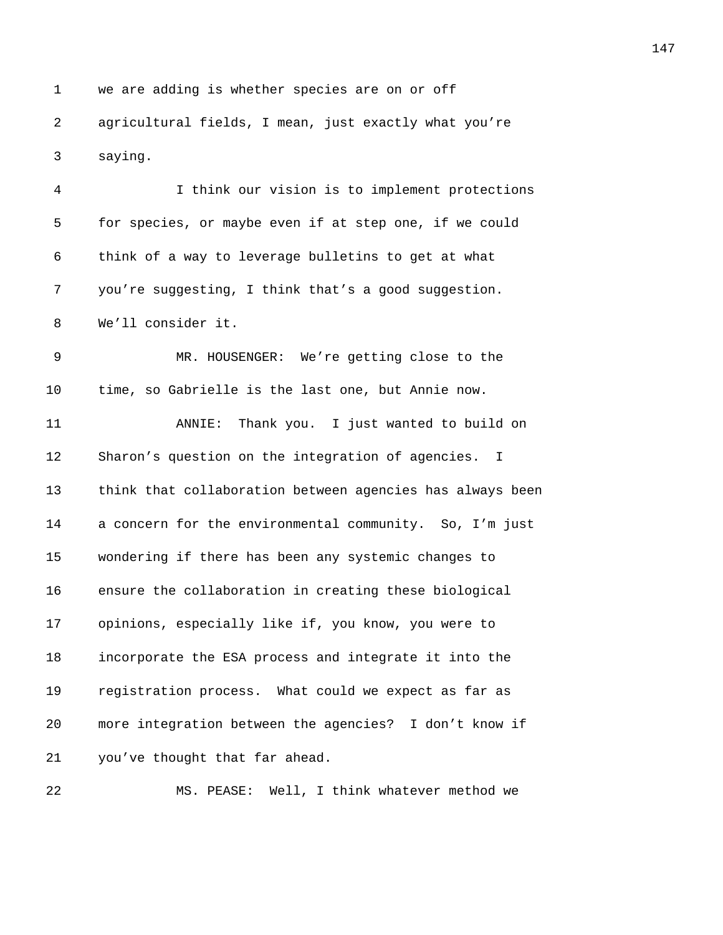1 we are adding is whether species are on or off *3047B*agricultural fields, I mean, just exactly what you're 3 saying.

*3049B*I think our vision is to implement protections 5 for species, or maybe even if at step one, if we could **3051** think of a way to leverage bulletins to get at what *3052B*you're suggesting, I think that's a good suggestion. 8 We'll consider it. **3066 MR. HOUSENGER:** We're getting close to the 10 time, so Gabrielle is the last one, but Annie now. *3056B*ANNIE: Thank you. I just wanted to build on 12 Sharon's question on the integration of agencies. I **13** think that collaboration between agencies has always been 14 a concern for the environmental community. So, I'm just *306B*wondering if there has been any systemic changes to **3061** ansure the collaboration in creating these biological **3062** opinions, especially like if, you know, you were to *306B*incorporate the ESA process and integrate it into the **306** registration process. What could we expect as far as **more integration between the agencies?** I don't know if *you've thought that far ahead.* 

22 MS. PEASE: Well, I think whatever method we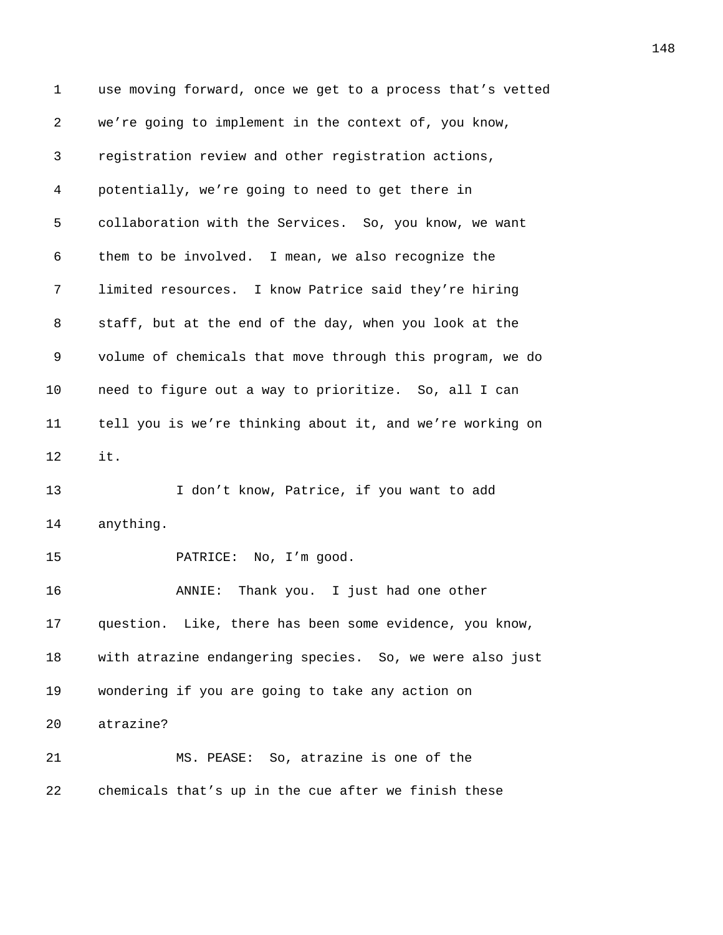1 use moving forward, once we get to a process that's vetted *3068B*we're going to implement in the context of, you know, *3069B*registration review and other registration actions, *307B*potentially, we're going to need to get there in 5 collaboration with the Services. So, you know, we want 6 them to be involved. I mean, we also recognize the *307B*limited resources. I know Patrice said they're hiring *staff, but at the end of the day, when you look at the 3075B*volume of chemicals that move through this program, we do **3076** need to figure out a way to prioritize. So, all I can *307B*tell you is we're thinking about it, and we're working on 12 it. **308** 1 don't know, Patrice, if you want to add 14 anything. **3181** PATRICE: No, I'm good. **308** ANNIE: Thank you. I just had one other *question.* Like, there has been some evidence, you know, *3084B*with atrazine endangering species. So, we were also just **3086** wondering if you are going to take any action on 20 atrazine? *3087B*MS. PEASE: So, atrazine is one of the **308** chemicals that's up in the cue after we finish these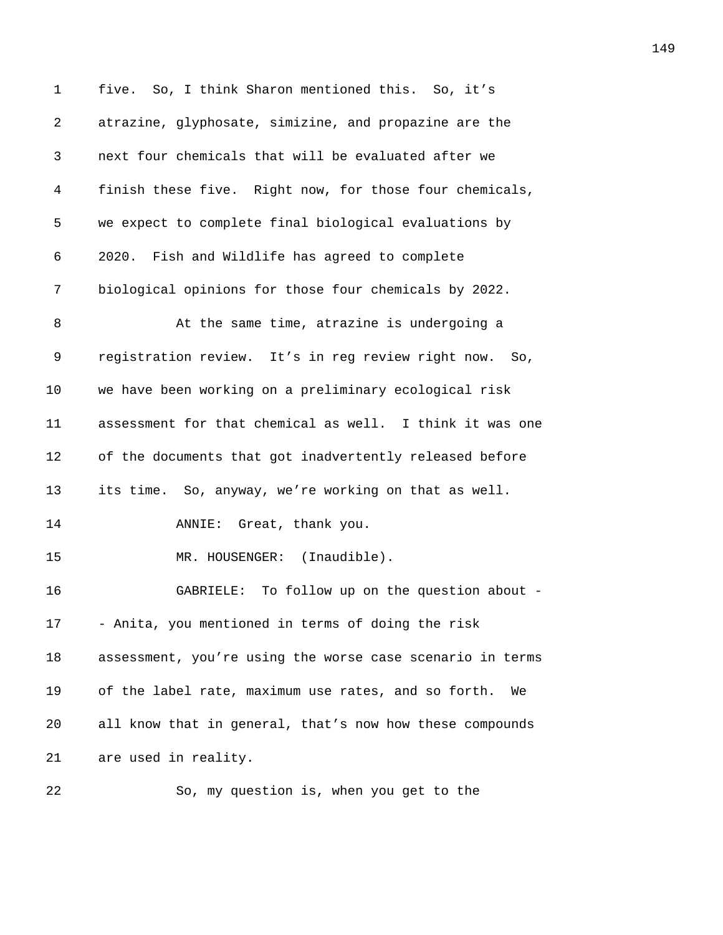1 five. So, I think Sharon mentioned this. So, it's 2 atrazine, glyphosate, simizine, and propazine are the 3 *309B*next four chemicals that will be evaluated after we 4 *3091B*finish these five. Right now, for those four chemicals, 5 we expect to complete final biological evaluations by 6 *309B*2020. Fish and Wildlife has agreed to complete 7 *3094B*biological opinions for those four chemicals by 2022. 8 3095 At the same time, atrazine is undergoing a 9 registration review. It's in reg review right now. So, 10 *we have been working on a preliminary ecological risk* 11 assessment for that chemical as well. I think it was one 12 of the documents that got inadvertently released before 13 *its time.* So, anyway, we're working on that as well. 14 **310** ANNIE: Great, thank you. 15 **3102** MR. HOUSENGER: (Inaudible). 16 *310B*GABRIELE: To follow up on the question about - 17 *3104B*- Anita, you mentioned in terms of doing the risk 18 assessment, you're using the worse case scenario in terms 19 of the label rate, maximum use rates, and so forth. We 20 **310** all know that in general, that's now how these compounds 21 are used in reality. 22 310 So, my question is, when you get to the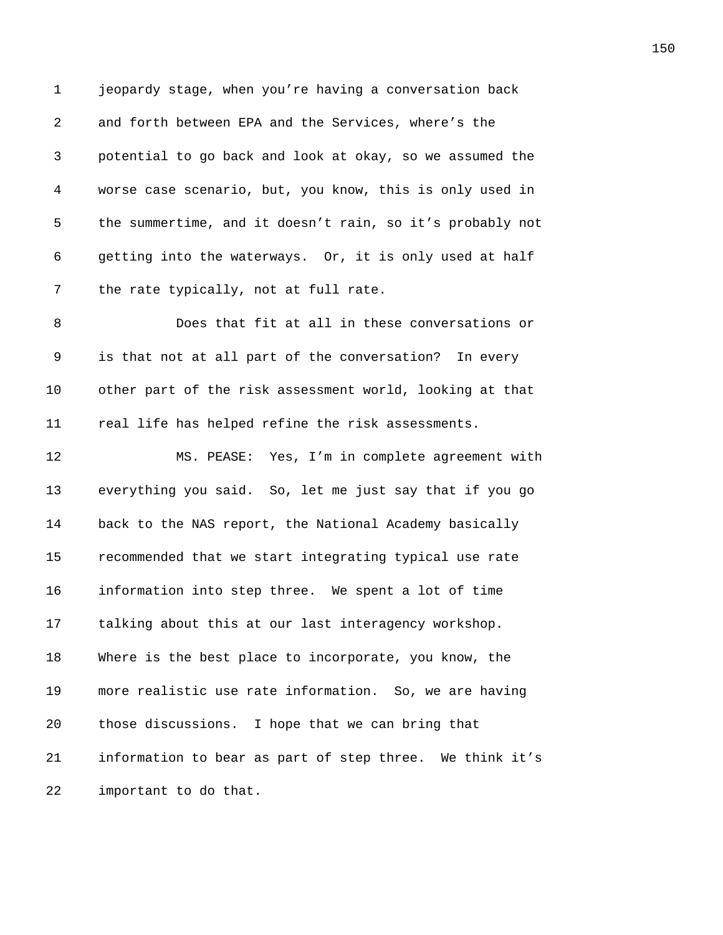1 jeopardy stage, when you're having a conversation back 2 *310B*and forth between EPA and the Services, where's the 3 *31B*potential to go back and look at okay, so we assumed the 4 *312B*worse case scenario, but, you know, this is only used in 5 the summertime, and it doesn't rain, so it's probably not 6 3145 3146 3146 Julian bookstock or, it is only used at half 7 the rate typically, not at full rate. 8 316BDoes that fit at all in these conversations or 9 is that not at all part of the conversation? In every 10 other part of the risk assessment world, looking at that 11 **319** real life has helped refine the risk assessments. 12 **3120** MS. PEASE: Yes, I'm in complete agreement with 13 everything you said. So, let me just say that if you go 14 **312** back to the NAS report, the National Academy basically 15 **312** recommended that we start integrating typical use rate 16 **information into step three.** We spent a lot of time 17 **3125** talking about this at our last interagency workshop. 18 Where is the best place to incorporate, you know, the 19 more realistic use rate information. So, we are having 20 those discussions. I hope that we can bring that 21 **information to bear as part of step three.** We think it's 22 *important* to do that.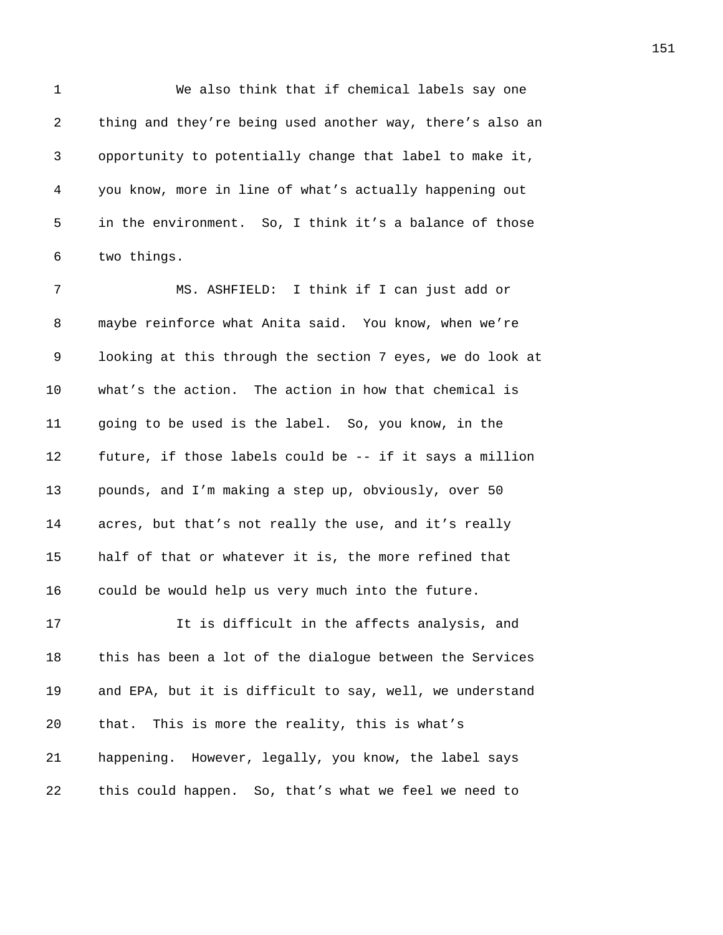1 We also think that if chemical labels say one 2 **ideo** thing and they're being used another way, there's also an 3 *312B*opportunity to potentially change that label to make it, 4 *31B*you know, more in line of what's actually happening out 5 in the environment. So, I think it's a balance of those 6 two things.

*316B*MS. ASHFIELD: I think if I can just add or **318** maybe reinforce what Anita said. You know, when we're 9 100king at this through the section 7 eyes, we do look at 10 what's the action. The action in how that chemical is *3140B*going to be used is the label. So, you know, in the **future, if those labels could be -- if it says a million** *pounds, and I'm making a step up, obviously, over 50* **314 314 314 314 314 314 314 314 326 314 326 326 326 326 326 326 326 336 336 336 336 336 336 336 336 336 336 336 336 336 336 336 336 336 336 336 33 314** *Intident of that or whatever it is, the more refined that* 16 could be would help us very much into the future.

17 3166 1166 1166 1166 11646 11646 11646 11646 11646 11646 11646 11646 11646 11646 11646 11646 11646 11646 116 18 this has been a lot of the dialogue between the Services 19 and EPA, but it is difficult to say, well, we understand 20 that. This is more the reality, this is what's 21 *3150B*happening. However, legally, you know, the label says 22 this could happen. So, that's what we feel we need to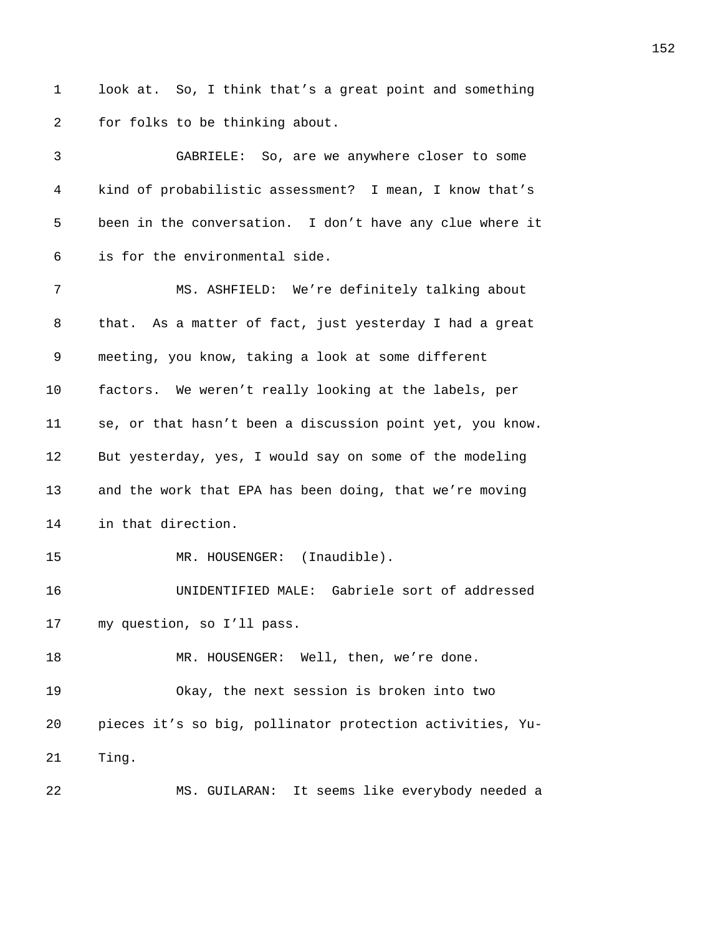1 look at. So, I think that's a great point and something 2 for folks to be thinking about.

| 3  | GABRIELE: So, are we anywhere closer to some              |
|----|-----------------------------------------------------------|
| 4  | kind of probabilistic assessment? I mean, I know that's   |
| 5  | been in the conversation. I don't have any clue where it  |
| 6  | is for the environmental side.                            |
| 7  | MS. ASHFIELD: We're definitely talking about              |
| 8  | that. As a matter of fact, just yesterday I had a great   |
| 9  | meeting, you know, taking a look at some different        |
| 10 | factors. We weren't really looking at the labels, per     |
| 11 | se, or that hasn't been a discussion point yet, you know. |
| 12 | But yesterday, yes, I would say on some of the modeling   |
| 13 | and the work that EPA has been doing, that we're moving   |
| 14 | in that direction.                                        |
| 15 | MR. HOUSENGER: (Inaudible).                               |
| 16 | UNIDENTIFIED MALE: Gabriele sort of addressed             |
| 17 | my question, so I'll pass.                                |
| 18 | MR. HOUSENGER: Well, then, we're done.                    |
| 19 | Okay, the next session is broken into two                 |
| 20 | pieces it's so big, pollinator protection activities, Yu- |
| 21 | Ting.                                                     |
| 22 | It seems like everybody needed a<br>MS. GUILARAN:         |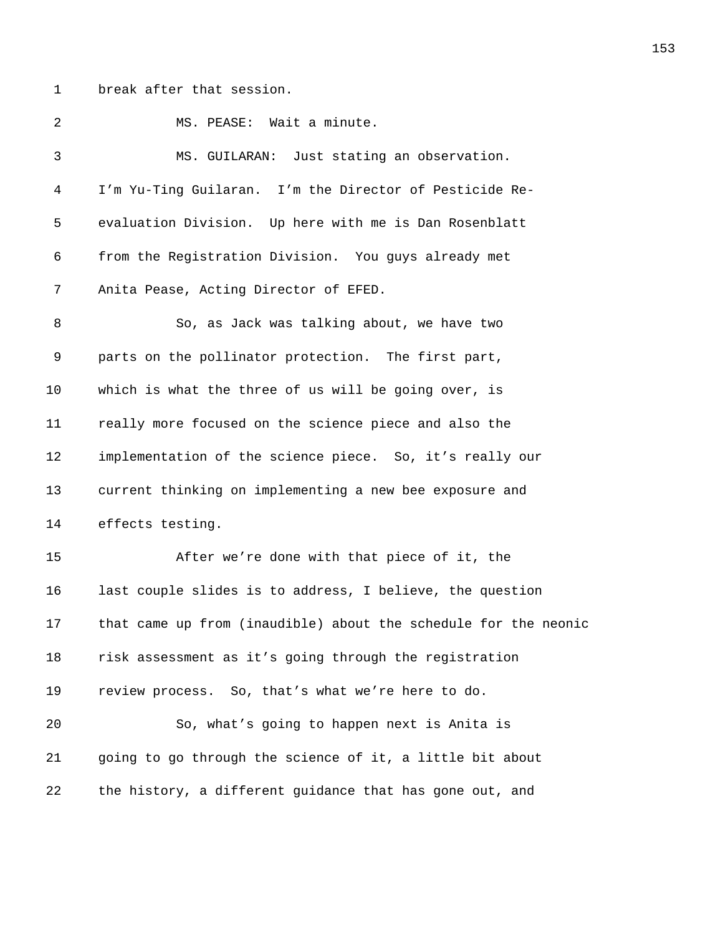1 break after that session.

2 MS. PEASE: Wait a minute. 3 *3174B*MS. GUILARAN: Just stating an observation. 4 *3175B*I'm Yu-Ting Guilaran. I'm the Director of Pesticide Re-5 evaluation Division. Up here with me is Dan Rosenblatt 6 **3178** from the Registration Division. You guys already met 7 **3178** Anita Pease, Acting Director of EFED. 8 3179 So, as Jack was talking about, we have two 9 *3180B*parts on the pollinator protection. The first part, 10 which is what the three of us will be going over, is 11 *3182B*really more focused on the science piece and also the 12 *implementation of the science piece.* So, it's really our 13 **3184** current thinking on implementing a new bee exposure and 14 effects testing. 15 31868 *After we're done with that piece of it, the* 16 **3187** last couple slides is to address, I believe, the question 17 **318Bthat came up from (inaudible) about the schedule for the neonic** 18 *318* 1889 risk assessment as it's going through the registration 19 review process. So, that's what we're here to do. 20 30, what's going to happen next is Anita is 21 *3192B*going to go through the science of it, a little bit about 22 the history, a different guidance that has gone out, and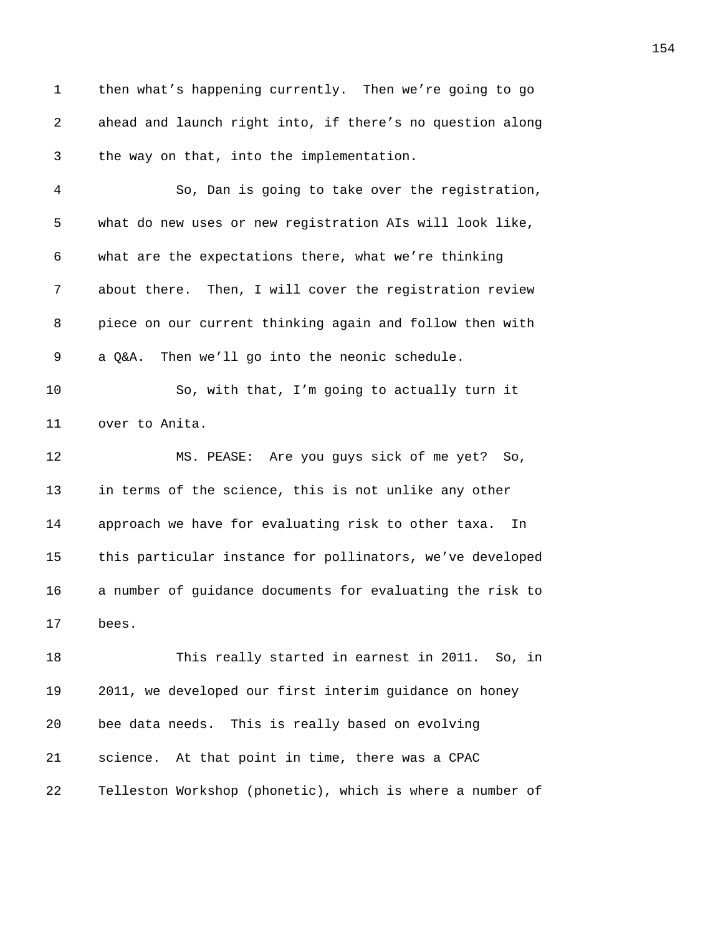1 then what's happening currently. Then we're going to go 2 ahead and launch right into, if there's no question along 3 the way on that, into the implementation.

*3196B*So, Dan is going to take over the registration, 5 what do new uses or new registration AIs will look like, *3198B*what are the expectations there, what we're thinking **319** about there. Then, I will cover the registration review **piece on our current thinking again and follow then with** 9 a Q&A. Then we'll go into the neonic schedule.

10 30, with that, I'm going to actually turn it 11 over to Anita.

12 **320 MS. PEASE:** Are you guys sick of me yet? So, 13 **in terms of the science, this is not unlike any other** 14 approach we have for evaluating risk to other taxa. In 15 this particular instance for pollinators, we've developed 16 a number of guidance documents for evaluating the risk to 17 bees.

18 3210 <sup>This</sup> really started in earnest in 2011. So, in 19 *321B*2011, we developed our first interim guidance on honey 20 bee data needs. This is really based on evolving 21 **321 321 321 321 321 321 321 321 321 321 321 332 332 332 333 333 333 333 333 333 333 333 333 333 333 333 333 333 333 333 333 333 333 333 333 333 33** 22 **321 7 3214 3214 3214 3214 3214 3224 3224 3224 3224 3224 3224 3224 3224 3224 3224 3224 3224 3224 3224 3224 3224 3224 3224 3224 3224 3224 3224 3224 3224 3224**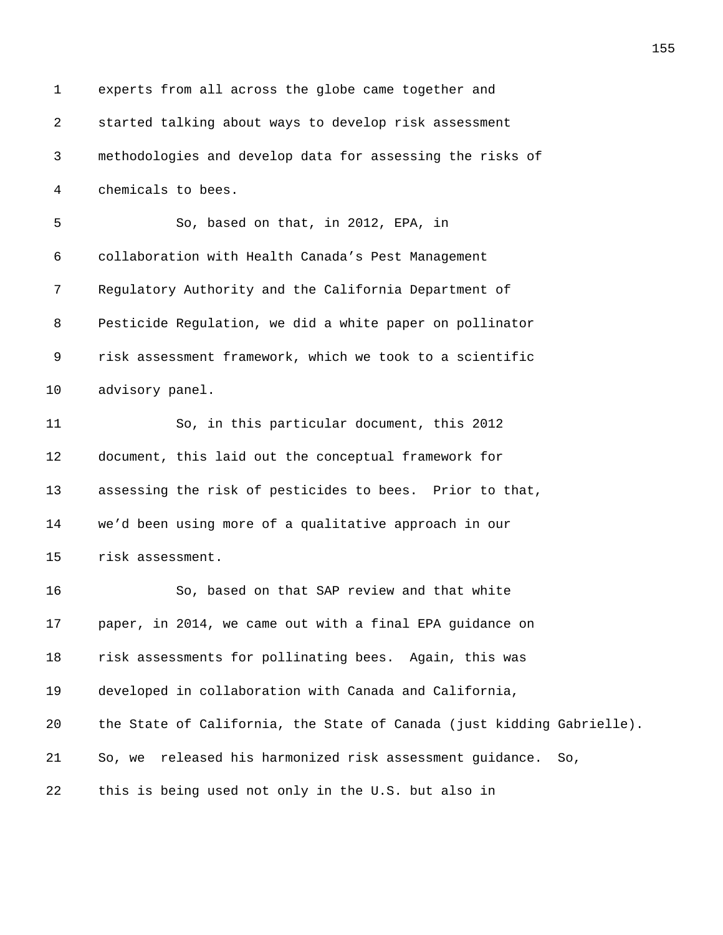| 1  | experts from all across the globe came together and                    |
|----|------------------------------------------------------------------------|
| 2  | started talking about ways to develop risk assessment                  |
| 3  | methodologies and develop data for assessing the risks of              |
| 4  | chemicals to bees.                                                     |
| 5  | So, based on that, in 2012, EPA, in                                    |
| 6  | collaboration with Health Canada's Pest Management                     |
| 7  | Regulatory Authority and the California Department of                  |
| 8  | Pesticide Regulation, we did a white paper on pollinator               |
| 9  | risk assessment framework, which we took to a scientific               |
| 10 | advisory panel.                                                        |
| 11 | So, in this particular document, this 2012                             |
| 12 | document, this laid out the conceptual framework for                   |
| 13 | assessing the risk of pesticides to bees. Prior to that,               |
| 14 | we'd been using more of a qualitative approach in our                  |
| 15 | risk assessment.                                                       |
| 16 | So, based on that SAP review and that white                            |
| 17 | paper, in 2014, we came out with a final EPA guidance on               |
| 18 | risk assessments for pollinating bees. Again, this was                 |
| 19 | developed in collaboration with Canada and California,                 |
| 20 | the State of California, the State of Canada (just kidding Gabrielle). |
| 21 | So, we released his harmonized risk assessment guidance. So,           |
| 22 | this is being used not only in the U.S. but also in                    |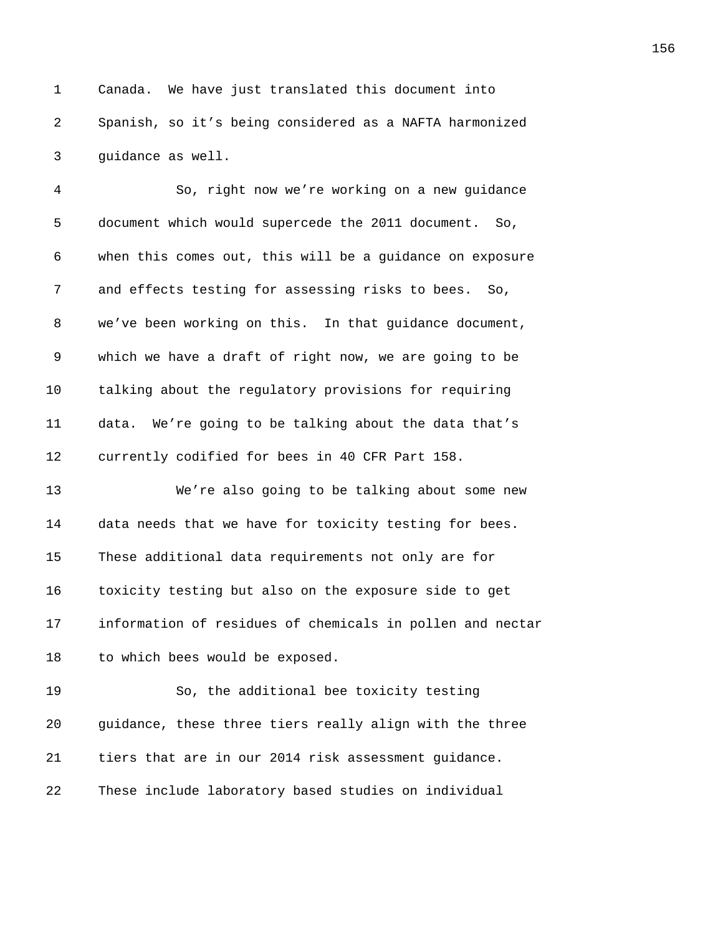1 Canada. We have just translated this document into 2 *326B*Spanish, so it's being considered as a NAFTA harmonized 3 guidance as well.

4 30, right now we're working on a new guidance 5 document which would supercede the 2011 document. So, 6 *3240B*when this comes out, this will be a guidance on exposure 7 and effects testing for assessing risks to bees. So, 8 **324** We've been working on this. In that guidance document, 9 *324B*which we have a draft of right now, we are going to be 10 talking about the regulatory provisions for requiring 11 **3245** data. We're going to be talking about the data that's 12 currently codified for bees in 40 CFR Part 158.

**3 3247 3247 324 324 324 324 324 324 324 325 325 325 325 325 325 325 325 325 325 325 325 325 325 325 325 325 325 325 325 325 325 325 325 325 325 32 3248** data needs that we have for toxicity testing for bees. 15 These additional data requirements not only are for **325** toxicity testing but also on the exposure side to get **information of residues of chemicals in pollen and nectar** 18 to which bees would be exposed.

19 30, the additional bee toxicity testing 20 *3254B*guidance, these three tiers really align with the three 21 *Liers that are in our 2014 risk assessment guidance.* 22 These include laboratory based studies on individual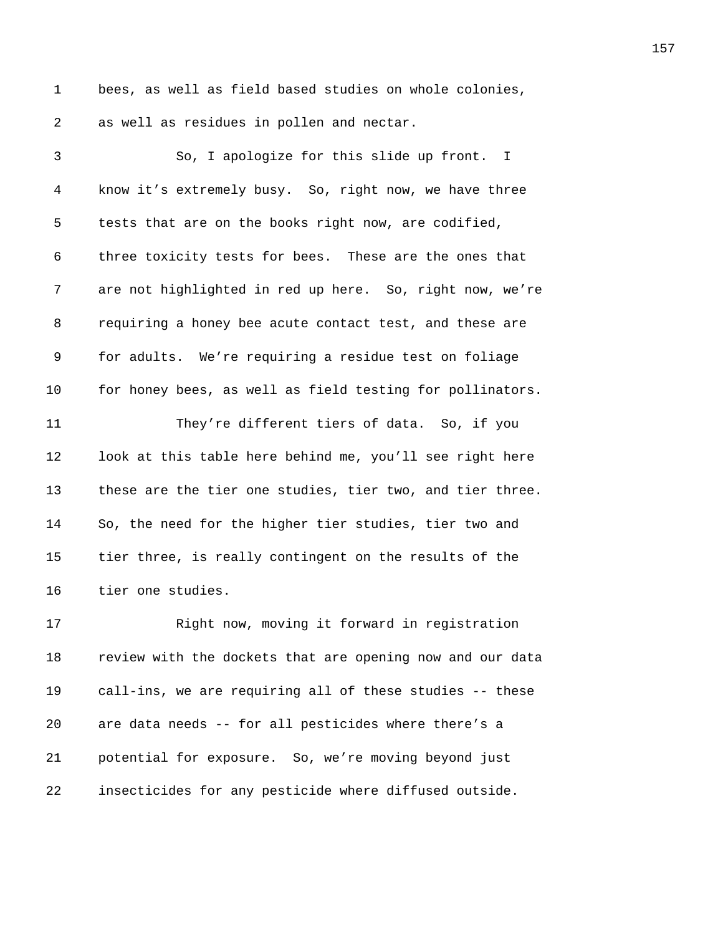1 bees, as well as field based studies on whole colonies, 2 as well as residues in pollen and nectar.

| 3              | So, I apologize for this slide up front. I                |
|----------------|-----------------------------------------------------------|
| $\overline{4}$ | know it's extremely busy. So, right now, we have three    |
| 5              | tests that are on the books right now, are codified,      |
| 6              | three toxicity tests for bees. These are the ones that    |
| 7              | are not highlighted in red up here. So, right now, we're  |
| 8              | requiring a honey bee acute contact test, and these are   |
| 9              | for adults. We're requiring a residue test on foliage     |
| 10             | for honey bees, as well as field testing for pollinators. |
| 11             | They're different tiers of data. So, if you               |
| 12             | look at this table here behind me, you'll see right here  |
| 13             | these are the tier one studies, tier two, and tier three. |
| 14             | So, the need for the higher tier studies, tier two and    |
| 15             | tier three, is really contingent on the results of the    |
| 16             | tier one studies.                                         |
| 17             | Right now, moving it forward in registration              |
| 18             | review with the dockets that are opening now and our data |
| 19             | call-ins, we are requiring all of these studies -- these  |
| 20             | are data needs -- for all pesticides where there's a      |
| 21             | potential for exposure. So, we're moving beyond just      |
| 22             | insecticides for any pesticide where diffused outside.    |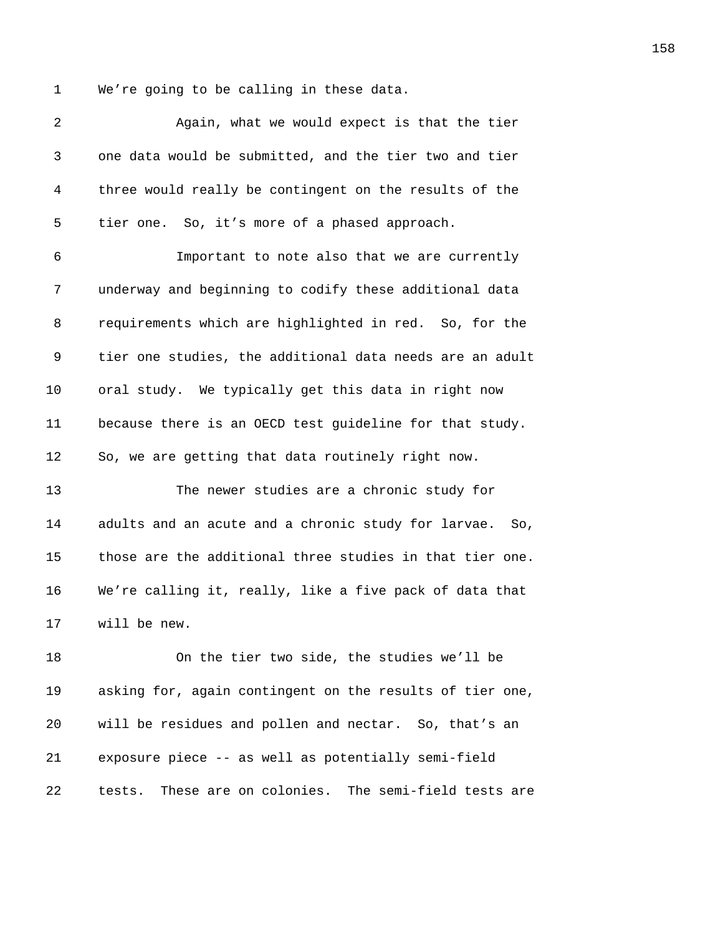1 We're going to be calling in these data.

| 2  | Again, what we would expect is that the tier                 |
|----|--------------------------------------------------------------|
| 3  | one data would be submitted, and the tier two and tier       |
| 4  | three would really be contingent on the results of the       |
| 5  | tier one. So, it's more of a phased approach.                |
| 6  | Important to note also that we are currently                 |
| 7  | underway and beginning to codify these additional data       |
| 8  | requirements which are highlighted in red. So, for the       |
| 9  | tier one studies, the additional data needs are an adult     |
| 10 | oral study. We typically get this data in right now          |
| 11 | because there is an OECD test guideline for that study.      |
| 12 | So, we are getting that data routinely right now.            |
| 13 | The newer studies are a chronic study for                    |
| 14 | adults and an acute and a chronic study for larvae.<br>So,   |
| 15 | those are the additional three studies in that tier one.     |
| 16 | We're calling it, really, like a five pack of data that      |
| 17 | will be new.                                                 |
| 18 | On the tier two side, the studies we'll be                   |
| 19 | asking for, again contingent on the results of tier one,     |
| 20 | will be residues and pollen and nectar. So, that's an        |
| 21 | exposure piece -- as well as potentially semi-field          |
| 22 | These are on colonies.<br>The semi-field tests are<br>tests. |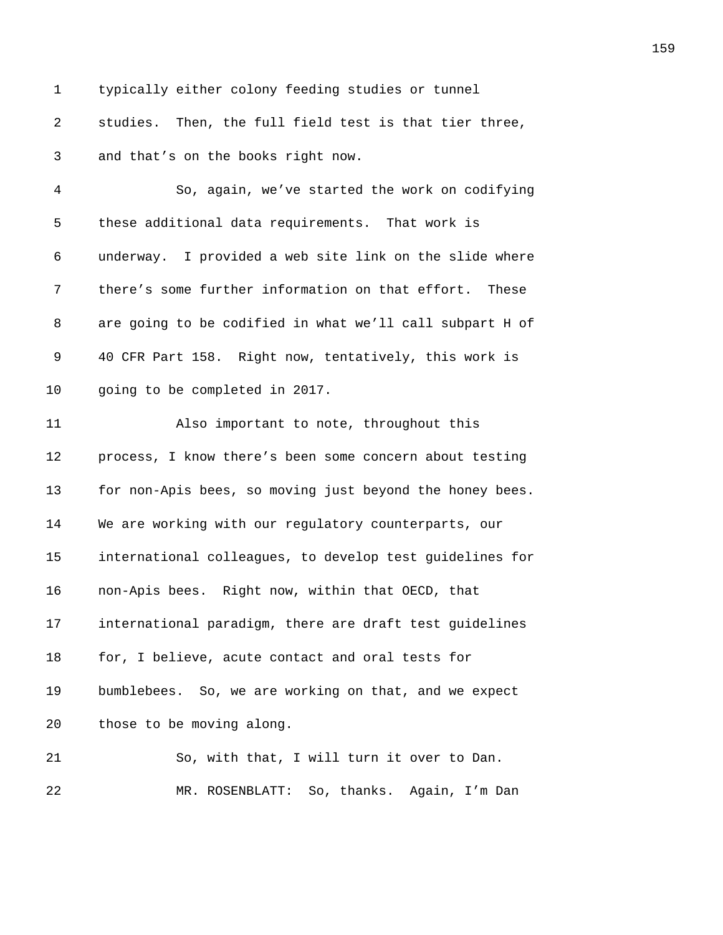1 typically either colony feeding studies or tunnel *studies.* Then, the full field test is that tier three, 3 and that's on the books right now. *301B*So, again, we've started the work on codifying 5 these additional data requirements. That work is *30B*underway. I provided a web site link on the slide where **1** there's some further information on that effort. These 8 are going to be codified in what we'll call subpart H of *306B*40 CFR Part 158. Right now, tentatively, this work is *going to be completed in 2017. 308B*Also important to note, throughout this *process, I know there's been some concern about testing* **310** for non-Apis bees, so moving just beyond the honey bees. 14 We are working with our regulatory counterparts, our *312B*international colleagues, to develop test guidelines for

**318** non-Apis bees. Right now, within that OECD, that **international paradigm, there are draft test guidelines 315** for, I believe, acute contact and oral tests for **316** bumblebees. So, we are working on that, and we expect 20 those to be moving along.

**30** So, with that, I will turn it over to Dan. **319 MR. ROSENBLATT:** So, thanks. Again, I'm Dan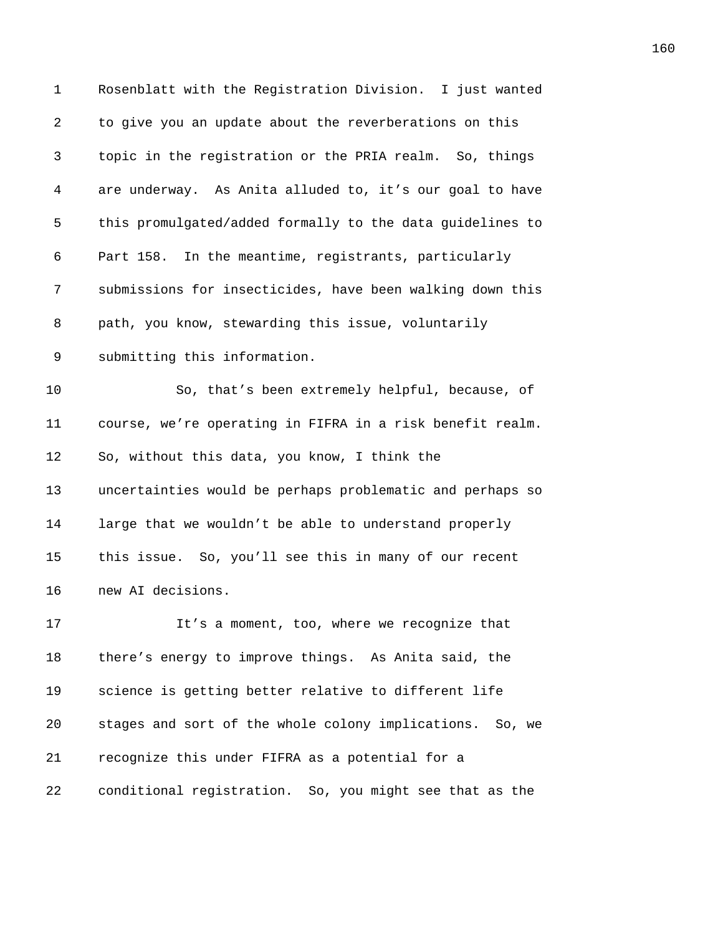| $\mathbf 1$ | Rosenblatt with the Registration Division. I just wanted  |
|-------------|-----------------------------------------------------------|
| 2           | to give you an update about the reverberations on this    |
| 3           | topic in the registration or the PRIA realm. So, things   |
| 4           | are underway. As Anita alluded to, it's our goal to have  |
| 5           | this promulgated/added formally to the data guidelines to |
| 6           | Part 158. In the meantime, registrants, particularly      |
| 7           | submissions for insecticides, have been walking down this |
| 8           | path, you know, stewarding this issue, voluntarily        |
| 9           | submitting this information.                              |
| 10          | So, that's been extremely helpful, because, of            |
| 11          | course, we're operating in FIFRA in a risk benefit realm. |
| 12          | So, without this data, you know, I think the              |
| 13          | uncertainties would be perhaps problematic and perhaps so |
| 14          | large that we wouldn't be able to understand properly     |
| 15          | this issue. So, you'll see this in many of our recent     |
| 16          | new AI decisions.                                         |
| 17          | It's a moment, too, where we recognize that               |
| 18          | there's energy to improve things. As Anita said, the      |
| 19          | science is getting better relative to different life      |
| 20          | stages and sort of the whole colony implications. So, we  |
| 21          | recognize this under FIFRA as a potential for a           |
| 22          | conditional registration. So, you might see that as the   |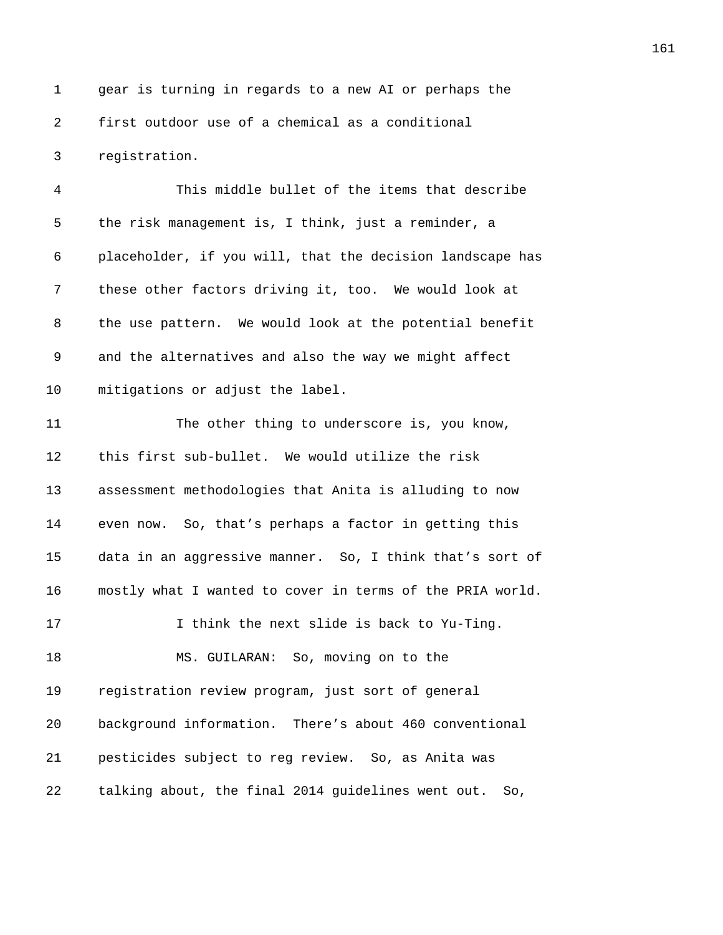1 gear is turning in regards to a new AI or perhaps the **first outdoor use of a chemical as a conditional** 3 reqistration.

*34B*This middle bullet of the items that describe 5 the risk management is, I think, just a reminder, a *345B*placeholder, if you will, that the decision landscape has **these other factors driving it, too.** We would look at **barafat be the use pattern.** We would look at the potential benefit 9 and the alternatives and also the way we might affect 10 mitigations or adjust the label. 11 350 <sup>7</sup> The other thing to underscore is, you know, 12 this first sub-bullet. We would utilize the risk **3** assessment methodologies that Anita is alluding to now **358** even now. So, that's perhaps a factor in getting this 15 data in an aggressive manner. So, I think that's sort of **35** mostly what I wanted to cover in terms of the PRIA world. **3566**I think the next slide is back to Yu-Ting. **3578 MS. GUILARAN:** So, moving on to the 19 registration review program, just sort of general *359B*background information. There's about 460 conventional **300** pesticides subject to reg review. So, as Anita was *361B*talking about, the final 2014 guidelines went out. So,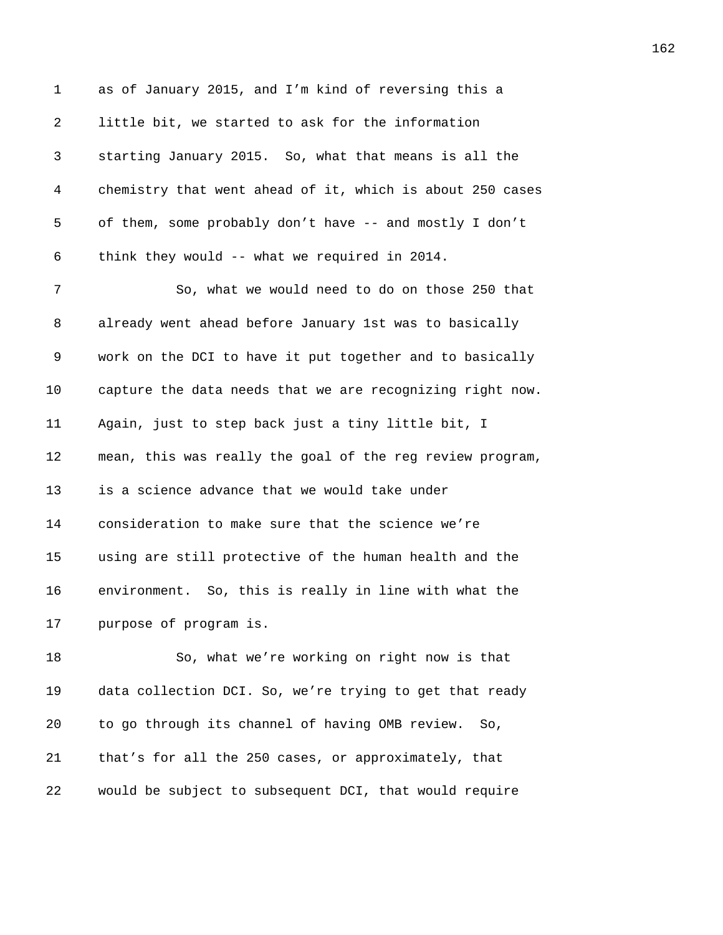1 as of January 2015, and I'm kind of reversing this a 2 1ittle bit, we started to ask for the information *36B*starting January 2015. So, what that means is all the *364B*chemistry that went ahead of it, which is about 250 cases 5 of them, some probably don't have -- and mostly I don't *36B*think they would -- what we required in 2014. 7 367 367 367 So, what we would need to do on those 250 that *already went ahead before January 1st was to basically* 9 work on the DCI to have it put together and to basically 10 capture the data needs that we are recognizing right now. *371B*Again, just to step back just a tiny little bit, I **372** mean, this was really the goal of the reg review program, 13 is a science advance that we would take under **374** consideration to make sure that the science we're *375B*using are still protective of the human health and the **376** environment. So, this is really in line with what the **purpose of program is.** 18 30, what we're working on right now is that

19 data collection DCI. So, we're trying to get that ready *380B*to go through its channel of having OMB review. So, *bat's for all the 250 cases, or approximately, that 382B*would be subject to subsequent DCI, that would require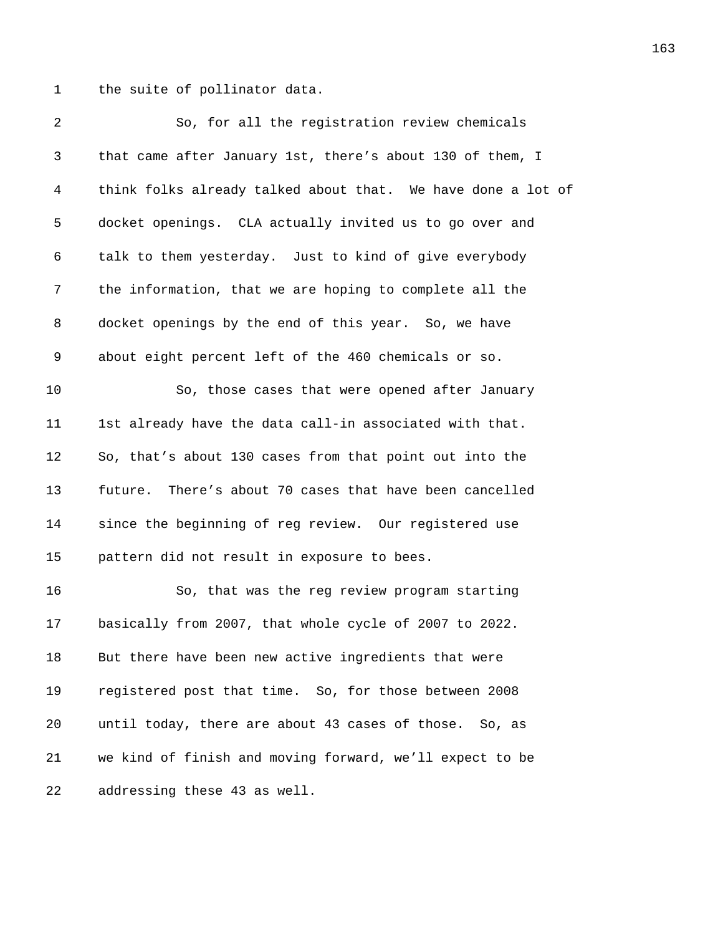1 the suite of pollinator data.

| 2  | So, for all the registration review chemicals                |
|----|--------------------------------------------------------------|
| 3  | that came after January 1st, there's about 130 of them, I    |
| 4  | think folks already talked about that. We have done a lot of |
| 5  | docket openings. CLA actually invited us to go over and      |
| 6  | talk to them yesterday. Just to kind of give everybody       |
| 7  | the information, that we are hoping to complete all the      |
| 8  | docket openings by the end of this year. So, we have         |
| 9  | about eight percent left of the 460 chemicals or so.         |
| 10 | So, those cases that were opened after January               |
| 11 | 1st already have the data call-in associated with that.      |
| 12 | So, that's about 130 cases from that point out into the      |
| 13 | future. There's about 70 cases that have been cancelled      |
| 14 | since the beginning of reg review. Our registered use        |
| 15 | pattern did not result in exposure to bees.                  |
| 16 | So, that was the reg review program starting                 |
| 17 | basically from 2007, that whole cycle of 2007 to 2022.       |
| 18 | But there have been new active ingredients that were         |
| 19 | registered post that time. So, for those between 2008        |
| 20 | until today, there are about 43 cases of those.<br>So, as    |
| 21 | we kind of finish and moving forward, we'll expect to be     |
| 22 | addressing these 43 as well.                                 |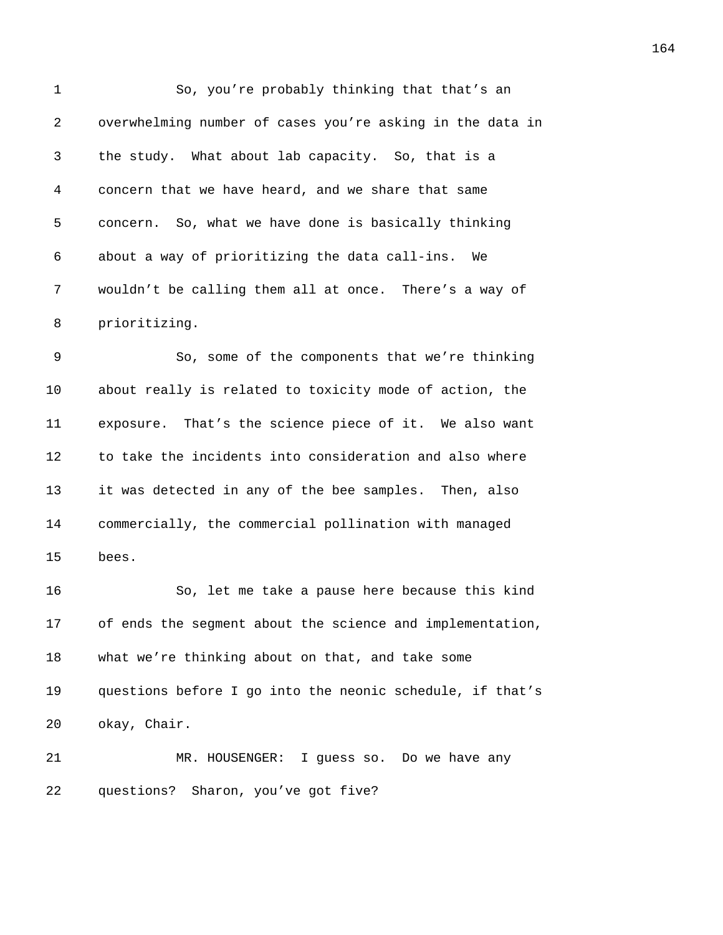| 1  | So, you're probably thinking that that's an               |
|----|-----------------------------------------------------------|
| 2  | overwhelming number of cases you're asking in the data in |
| 3  | the study. What about lab capacity. So, that is a         |
| 4  | concern that we have heard, and we share that same        |
| 5  | concern. So, what we have done is basically thinking      |
| 6  | about a way of prioritizing the data call-ins.<br>We      |
| 7  | wouldn't be calling them all at once. There's a way of    |
| 8  | prioritizing.                                             |
| 9  | So, some of the components that we're thinking            |
| 10 | about really is related to toxicity mode of action, the   |
| 11 | exposure. That's the science piece of it. We also want    |
| 12 | to take the incidents into consideration and also where   |
| 13 | it was detected in any of the bee samples. Then, also     |
| 14 | commercially, the commercial pollination with managed     |
| 15 | bees.                                                     |
| 16 | So, let me take a pause here because this kind            |
| 17 | of ends the segment about the science and implementation, |
| 18 | what we're thinking about on that, and take some          |
| 19 | questions before I go into the neonic schedule, if that's |
| 20 | okay, Chair.                                              |
| 21 | MR. HOUSENGER: I guess so. Do we have any                 |
| 22 | questions? Sharon, you've got five?                       |
|    |                                                           |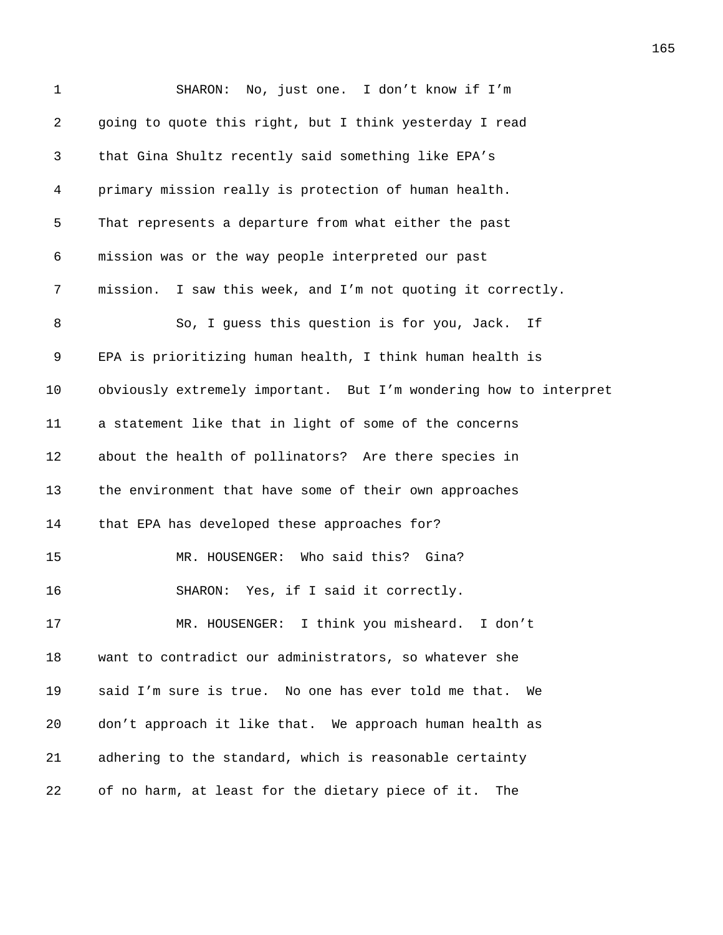| 1  | No, just one. I don't know if I'm<br>SHARON:                      |
|----|-------------------------------------------------------------------|
| 2  | going to quote this right, but I think yesterday I read           |
| 3  | that Gina Shultz recently said something like EPA's               |
| 4  | primary mission really is protection of human health.             |
| 5  | That represents a departure from what either the past             |
| 6  | mission was or the way people interpreted our past                |
| 7  | mission. I saw this week, and I'm not quoting it correctly.       |
| 8  | So, I guess this question is for you, Jack.<br>If                 |
| 9  | EPA is prioritizing human health, I think human health is         |
| 10 | obviously extremely important. But I'm wondering how to interpret |
| 11 | a statement like that in light of some of the concerns            |
| 12 | about the health of pollinators? Are there species in             |
| 13 | the environment that have some of their own approaches            |
| 14 | that EPA has developed these approaches for?                      |
| 15 | MR. HOUSENGER: Who said this? Gina?                               |
| 16 | Yes, if I said it correctly.<br>SHARON:                           |
| 17 | MR. HOUSENGER: I think you misheard. I don't                      |
| 18 | want to contradict our administrators, so whatever she            |
| 19 | said I'm sure is true. No one has ever told me that.<br>We        |
| 20 | don't approach it like that. We approach human health as          |
| 21 | adhering to the standard, which is reasonable certainty           |
| 22 | of no harm, at least for the dietary piece of it.<br>The          |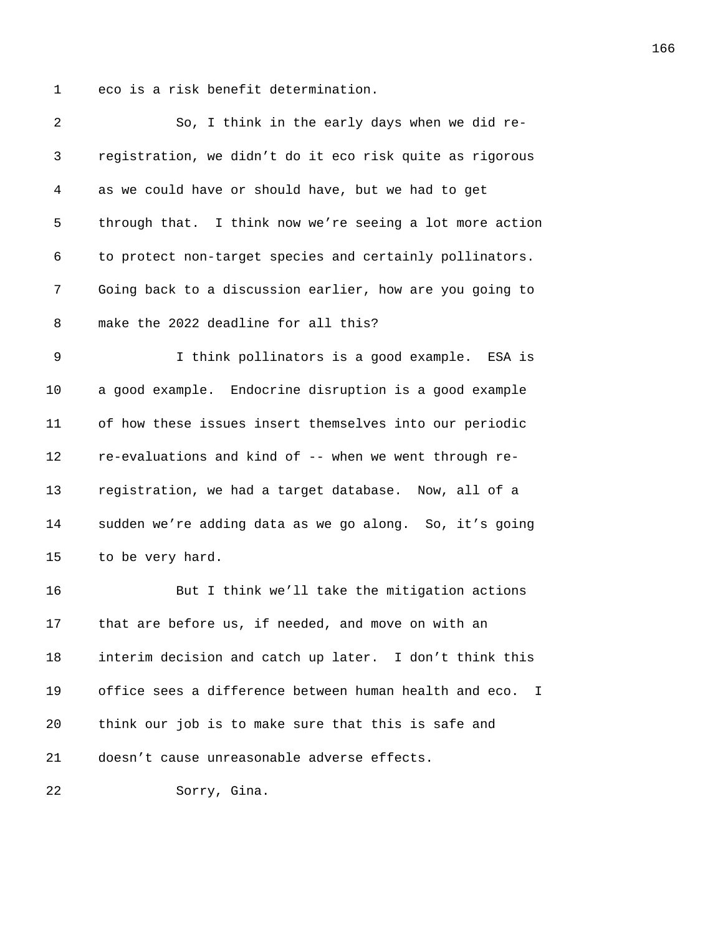1 eco is a risk benefit determination.

| 2  | So, I think in the early days when we did re-                     |
|----|-------------------------------------------------------------------|
| 3  | registration, we didn't do it eco risk quite as rigorous          |
| 4  | as we could have or should have, but we had to get                |
| 5  | through that. I think now we're seeing a lot more action          |
| 6  | to protect non-target species and certainly pollinators.          |
| 7  | Going back to a discussion earlier, how are you going to          |
| 8  | make the 2022 deadline for all this?                              |
| 9  | I think pollinators is a good example. ESA is                     |
| 10 | a good example. Endocrine disruption is a good example            |
| 11 | of how these issues insert themselves into our periodic           |
| 12 | re-evaluations and kind of -- when we went through re-            |
| 13 | registration, we had a target database. Now, all of a             |
| 14 | sudden we're adding data as we go along. So, it's going           |
| 15 | to be very hard.                                                  |
| 16 | But I think we'll take the mitigation actions                     |
| 17 | that are before us, if needed, and move on with an                |
| 18 | interim decision and catch up later. I don't think this           |
| 19 | office sees a difference between human health and eco.<br>$\perp$ |
| 20 | think our job is to make sure that this is safe and               |
| 21 | doesn't cause unreasonable adverse effects.                       |
| 22 | Sorry, Gina.                                                      |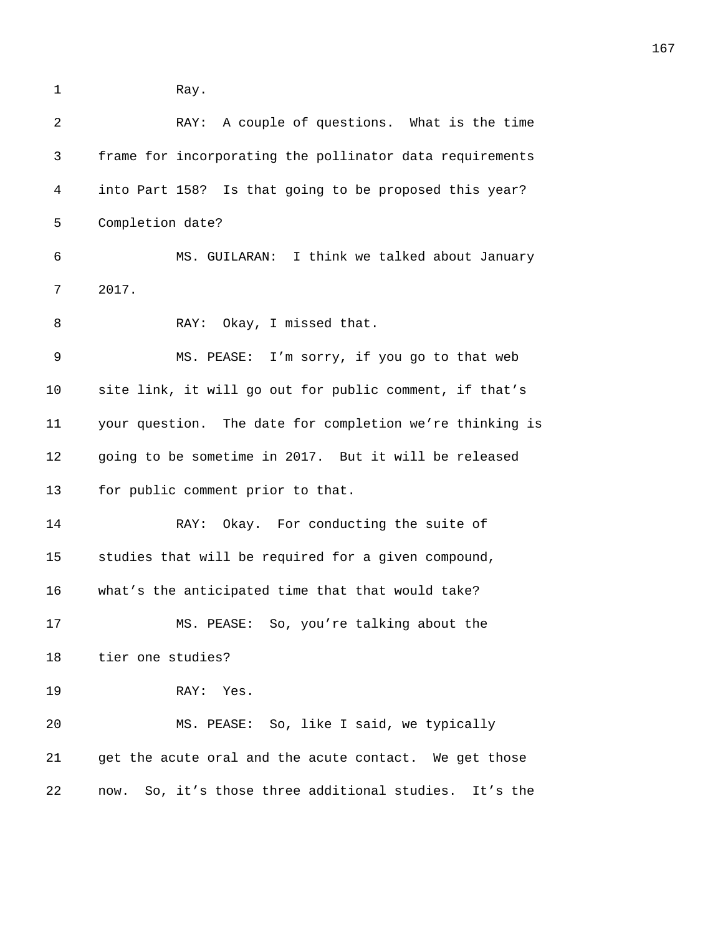1 Ray.

| 2           | RAY: A couple of questions. What is the time              |
|-------------|-----------------------------------------------------------|
| 3           | frame for incorporating the pollinator data requirements  |
| 4           | into Part 158? Is that going to be proposed this year?    |
| 5           | Completion date?                                          |
| 6           | MS. GUILARAN: I think we talked about January             |
| 7           | 2017.                                                     |
| 8           | RAY: Okay, I missed that.                                 |
| $\mathsf 9$ | MS. PEASE: I'm sorry, if you go to that web               |
| 10          | site link, it will go out for public comment, if that's   |
| 11          | your question. The date for completion we're thinking is  |
| 12          | going to be sometime in 2017. But it will be released     |
| 13          | for public comment prior to that.                         |
| 14          | RAY: Okay. For conducting the suite of                    |
| 15          | studies that will be required for a given compound,       |
| 16          | what's the anticipated time that that would take?         |
| 17          | MS. PEASE: So, you're talking about the                   |
| 18          | tier one studies?                                         |
| 19          | RAY: Yes.                                                 |
| 20          | MS. PEASE: So, like I said, we typically                  |
| 21          | get the acute oral and the acute contact. We get those    |
| 22          | So, it's those three additional studies. It's the<br>now. |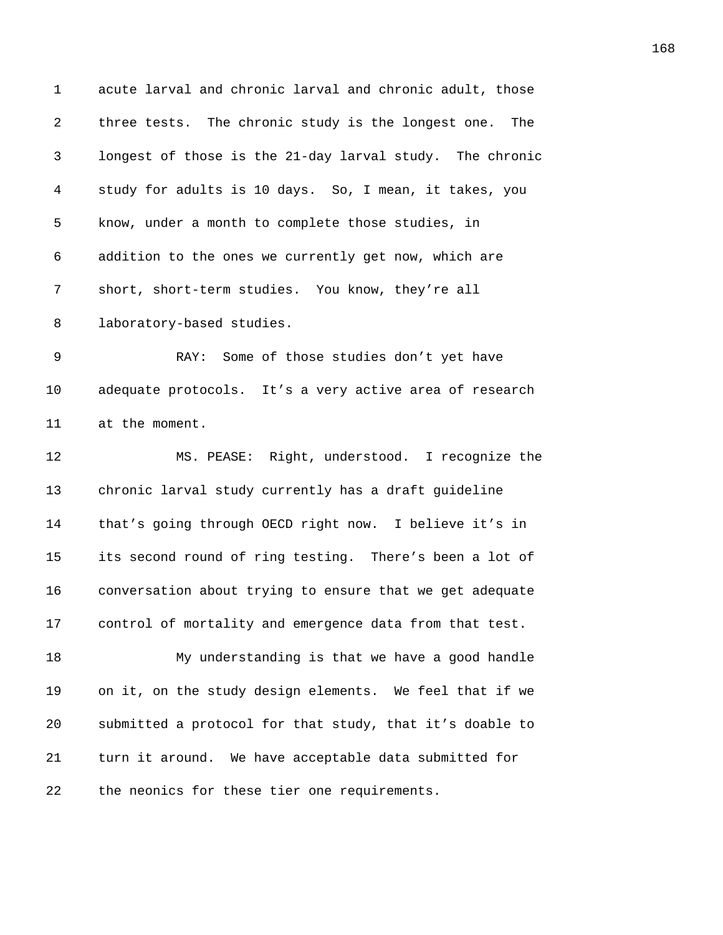1 acute larval and chronic larval and chronic adult, those 2 *i* three tests. The chronic study is the longest one. The 3 *3489B*longest of those is the 21-day larval study. The chronic 4 *study for adults is 10 days. So, I mean, it takes, you* 5 know, under a month to complete those studies, in 6 349326 34926 34926 34926 34926 34926 34926 34926 34926 34926 34926 34926 34926 34926 34926 34926 34926 34926 34 7 short, short-term studies. You know, they're all 8 1aboratory-based studies. 9 3495 RAY: Some of those studies don't yet have 10 adequate protocols. It's a very active area of research 11 at the moment. 12 **349 MS. PEASE:** Right, understood. I recognize the 13 *chronic larval study currently has a draft guideline* 14 *bat's going through OECD right now.* I believe it's in 15 its second round of ring testing. There's been a lot of 16 conversation about trying to ensure that we get adequate 17 **350** control of mortality and emergence data from that test. 18 350 My understanding is that we have a good handle 19 on it, on the study design elements. We feel that if we 20 *3506B*submitted a protocol for that study, that it's doable to 21 *3507B*turn it around. We have acceptable data submitted for 22 the neonics for these tier one requirements.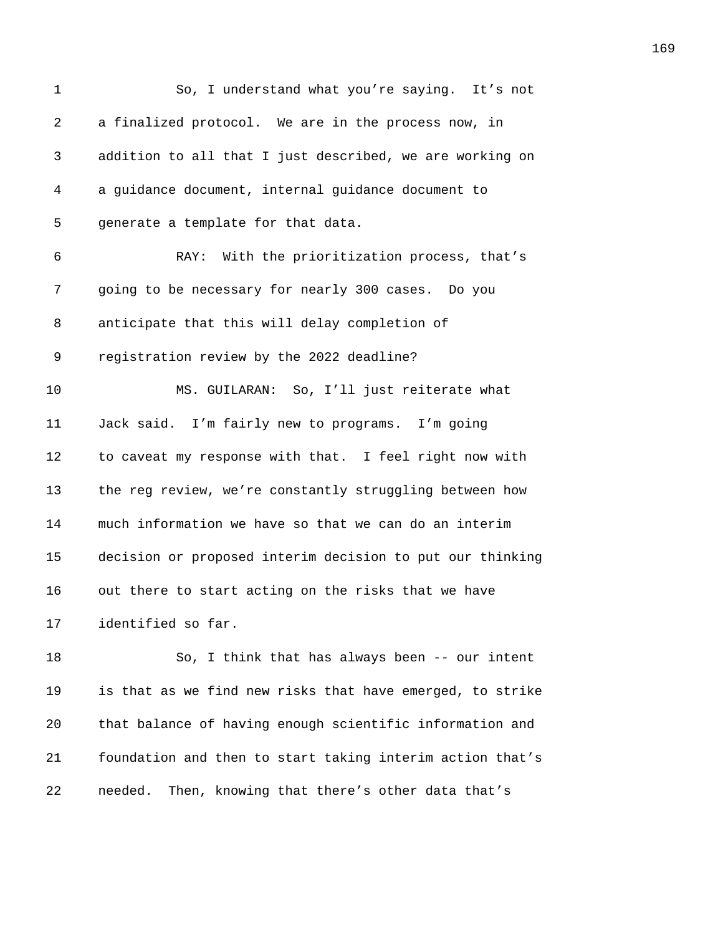| 1              | So, I understand what you're saying. It's not             |
|----------------|-----------------------------------------------------------|
| $\overline{a}$ | a finalized protocol. We are in the process now, in       |
| 3              | addition to all that I just described, we are working on  |
| 4              | a guidance document, internal guidance document to        |
| 5              | generate a template for that data.                        |
| 6              | RAY: With the prioritization process, that's              |
| 7              | going to be necessary for nearly 300 cases. Do you        |
| 8              | anticipate that this will delay completion of             |
| 9              | registration review by the 2022 deadline?                 |
| 10             | MS. GUILARAN: So, I'll just reiterate what                |
| 11             | Jack said. I'm fairly new to programs. I'm going          |
| 12             | to caveat my response with that. I feel right now with    |
| 13             | the reg review, we're constantly struggling between how   |
| 14             | much information we have so that we can do an interim     |
| 15             | decision or proposed interim decision to put our thinking |
| 16             | out there to start acting on the risks that we have       |
| 17             | identified so far.                                        |
| 18             | So, I think that has always been -- our intent            |
| 19             | is that as we find new risks that have emerged, to strike |
| 20             | that balance of having enough scientific information and  |
| 21             | foundation and then to start taking interim action that's |
| 22             | Then, knowing that there's other data that's<br>needed.   |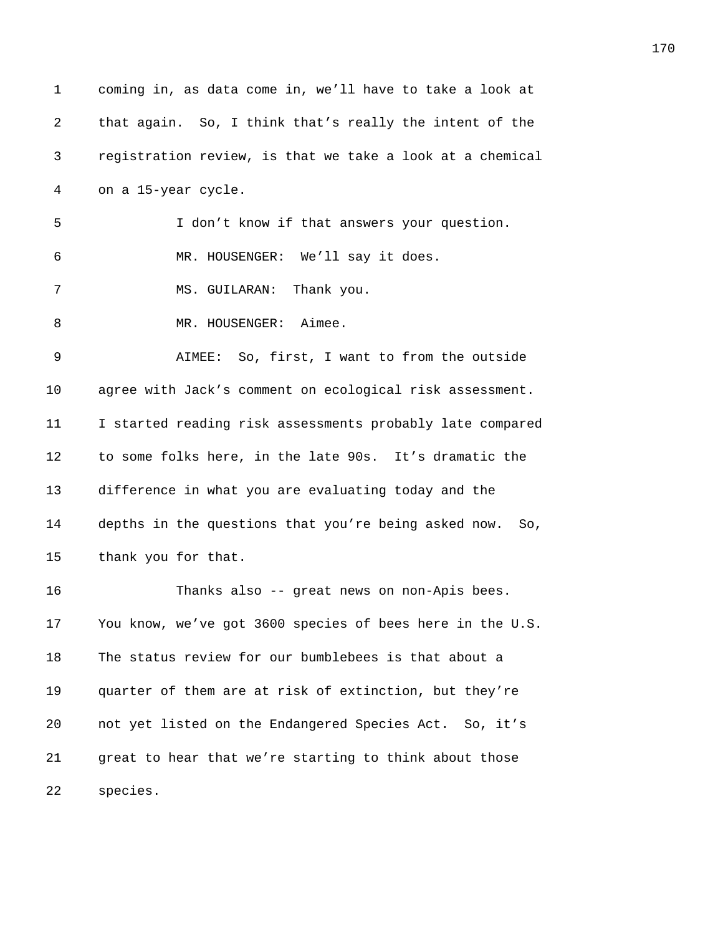1 coming in, as data come in, we'll have to take a look at 2 that again. So, I think that's really the intent of the 3 *351B*registration review, is that we take a look at a chemical 4 on a 15-year cycle. 5 *35B*I don't know if that answers your question. 6 354 MR. HOUSENGER: We'll say it does. 7 35 MS. GUILARAN: Thank you. 8 MR. HOUSENGER: Aimee. 9 *357B*AIMEE: So, first, I want to from the outside 10 agree with Jack's comment on ecological risk assessment. 11 **I** started reading risk assessments probably late compared 12 to some folks here, in the late 90s. It's dramatic the 13 **3151** difference in what you are evaluating today and the 14 **314 354** depths in the questions that you're being asked now. So, 15 thank you for that. 16 3554 Thanks also -- great news on non-Apis bees. 17 You know, we've got 3600 species of bees here in the U.S. 18 The status review for our bumblebees is that about a 19 *quarter of them are at risk of extinction, but they're* 20 **3568** not yet listed on the Endangered Species Act. So, it's 21 **3549** great to hear that we're starting to think about those 22 species.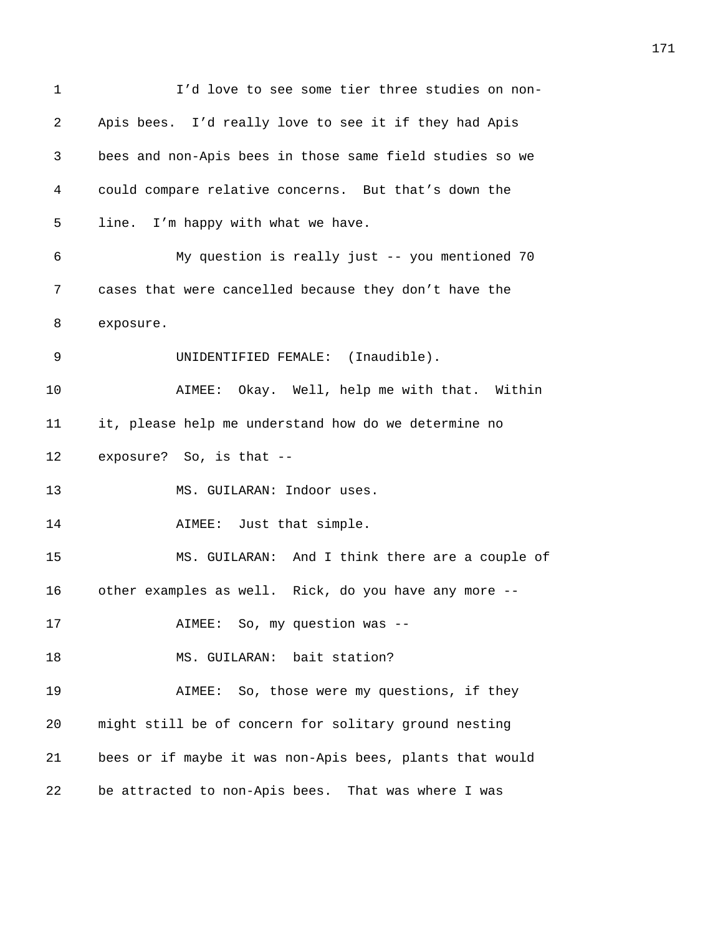| 1  | I'd love to see some tier three studies on non-          |
|----|----------------------------------------------------------|
| 2  | Apis bees. I'd really love to see it if they had Apis    |
| 3  | bees and non-Apis bees in those same field studies so we |
| 4  | could compare relative concerns. But that's down the     |
| 5  | line. I'm happy with what we have.                       |
| 6  | My question is really just -- you mentioned 70           |
| 7  | cases that were cancelled because they don't have the    |
| 8  | exposure.                                                |
| 9  | UNIDENTIFIED FEMALE: (Inaudible).                        |
| 10 | AIMEE: Okay. Well, help me with that. Within             |
| 11 | it, please help me understand how do we determine no     |
| 12 | exposure? So, is that --                                 |
| 13 | MS. GUILARAN: Indoor uses.                               |
| 14 | AIMEE: Just that simple.                                 |
| 15 | MS. GUILARAN: And I think there are a couple of          |
| 16 | other examples as well. Rick, do you have any more --    |
| 17 | AIMEE: So, my question was --                            |
| 18 | MS. GUILARAN: bait station?                              |
| 19 | AIMEE: So, those were my questions, if they              |
| 20 | might still be of concern for solitary ground nesting    |
| 21 | bees or if maybe it was non-Apis bees, plants that would |
| 22 | be attracted to non-Apis bees. That was where I was      |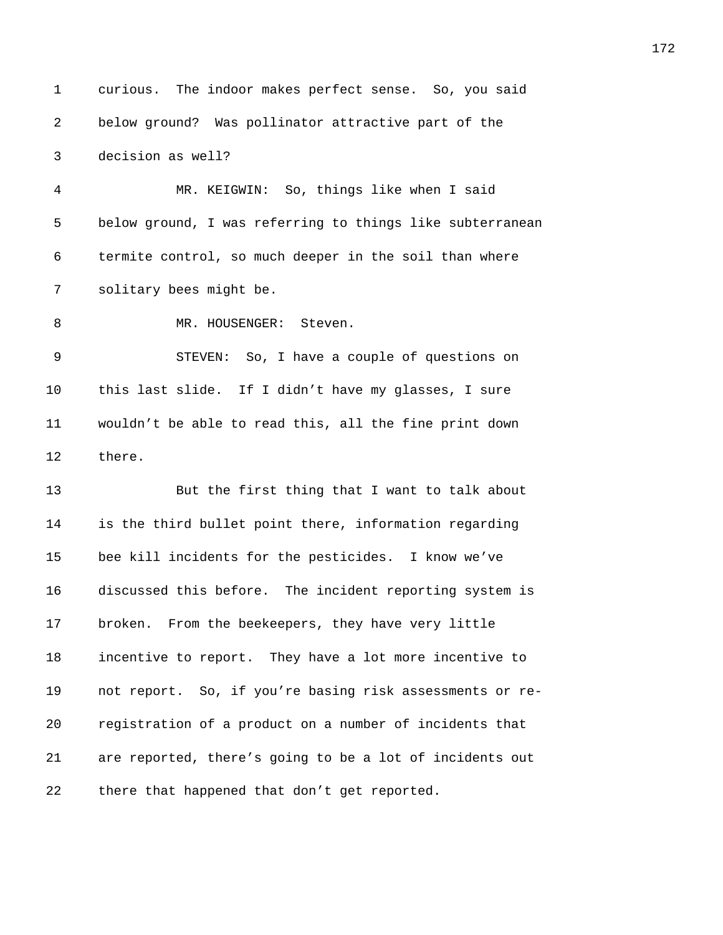1 curious. The indoor makes perfect sense. So, you said 2 *3572B*below ground? Was pollinator attractive part of the 3 **decision** as well? 4 *3574B*MR. KEIGWIN: So, things like when I said 5 below ground, I was referring to things like subterranean 6 **3576** termite control, so much deeper in the soil than where 7 **357 357 357 357 357 358 358 358 358 358 358 358 358 359 359 359 359 359 359 359 359 359 359 359 359 359 359 359 359 359 359 359 359 359 359 359 359** 8 MR. HOUSENGER: Steven. 9 *3579B*STEVEN: So, I have a couple of questions on 10 this last slide. If I didn't have my glasses, I sure 11 *3581B*wouldn't be able to read this, all the fine print down 12 there. 13 3588But the first thing that I want to talk about 14 **3584** is the third bullet point there, information regarding 15 bee kill incidents for the pesticides. I know we've 16 **3186** discussed this before. The incident reporting system is 17 **broken.** From the beekeepers, they have very little 18 incentive to report. They have a lot more incentive to 19 **3589** not report. So, if you're basing risk assessments or re-20 *3590B*registration of a product on a number of incidents that 21 are reported, there's going to be a lot of incidents out 22 there that happened that don't get reported.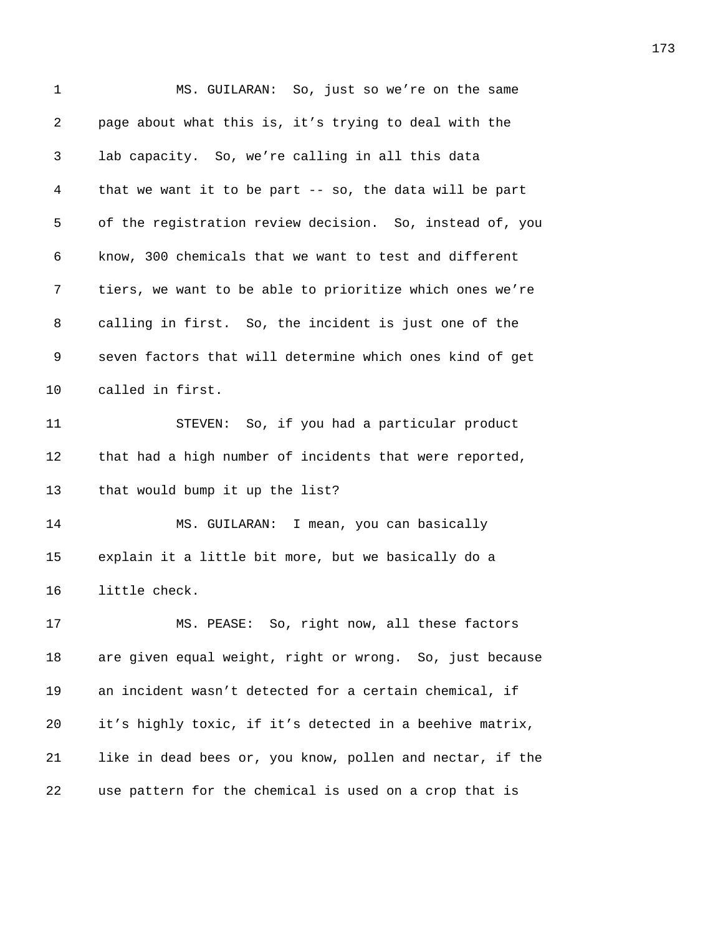| 1  | MS. GUILARAN: So, just so we're on the same               |
|----|-----------------------------------------------------------|
| 2  | page about what this is, it's trying to deal with the     |
| 3  | lab capacity. So, we're calling in all this data          |
| 4  | that we want it to be part -- so, the data will be part   |
| 5  | of the registration review decision. So, instead of, you  |
| 6  | know, 300 chemicals that we want to test and different    |
| 7  | tiers, we want to be able to prioritize which ones we're  |
| 8  | calling in first. So, the incident is just one of the     |
| 9  | seven factors that will determine which ones kind of get  |
| 10 | called in first.                                          |
| 11 | STEVEN: So, if you had a particular product               |
| 12 | that had a high number of incidents that were reported,   |
| 13 | that would bump it up the list?                           |
| 14 | I mean, you can basically<br>MS. GUILARAN:                |
| 15 | explain it a little bit more, but we basically do a       |
| 16 | little check.                                             |
| 17 | MS. PEASE: So, right now, all these factors               |
| 18 | are given equal weight, right or wrong. So, just because  |
| 19 | an incident wasn't detected for a certain chemical, if    |
| 20 | it's highly toxic, if it's detected in a beehive matrix,  |
| 21 | like in dead bees or, you know, pollen and nectar, if the |
| 22 | use pattern for the chemical is used on a crop that is    |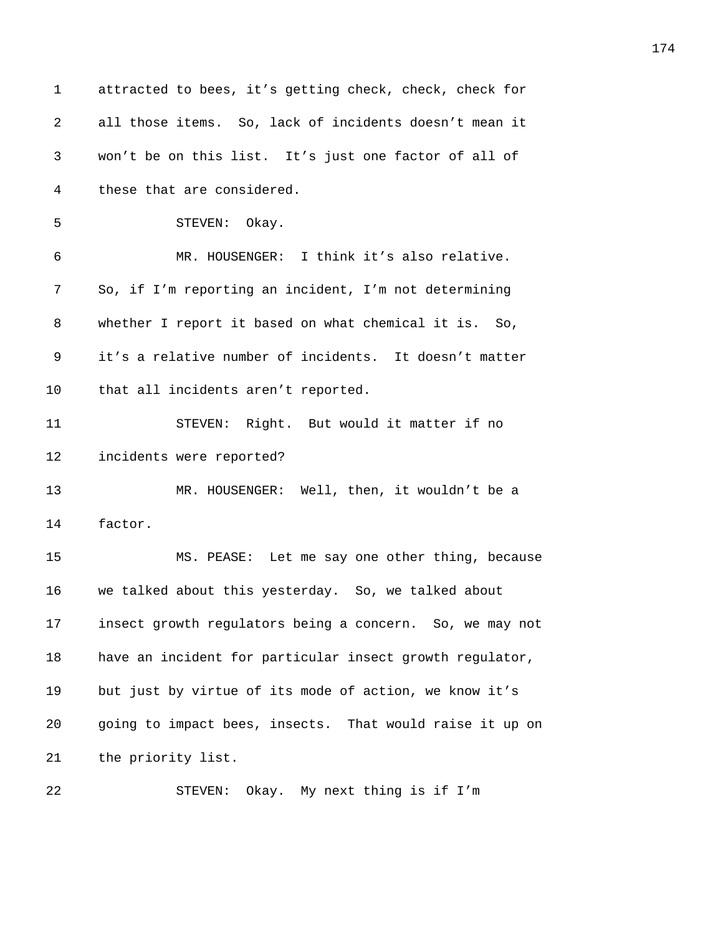| $\mathbf 1$ | attracted to bees, it's getting check, check, check for  |
|-------------|----------------------------------------------------------|
| 2           | all those items. So, lack of incidents doesn't mean it   |
| 3           | won't be on this list. It's just one factor of all of    |
| 4           | these that are considered.                               |
| 5           | STEVEN: Okay.                                            |
| 6           | MR. HOUSENGER: I think it's also relative.               |
| 7           | So, if I'm reporting an incident, I'm not determining    |
| 8           | whether I report it based on what chemical it is. So,    |
| 9           | it's a relative number of incidents. It doesn't matter   |
| 10          | that all incidents aren't reported.                      |
| 11          | STEVEN: Right. But would it matter if no                 |
| 12          | incidents were reported?                                 |
| 13          | MR. HOUSENGER: Well, then, it wouldn't be a              |
| 14          | factor.                                                  |
| 15          | MS. PEASE: Let me say one other thing, because           |
| 16          | we talked about this yesterday. So, we talked about      |
| 17          | insect growth regulators being a concern. So, we may not |
| 18          | have an incident for particular insect growth regulator, |
| 19          | but just by virtue of its mode of action, we know it's   |
| 20          | going to impact bees, insects. That would raise it up on |
| 21          | the priority list.                                       |
| 22          | STEVEN: Okay. My next thing is if I'm                    |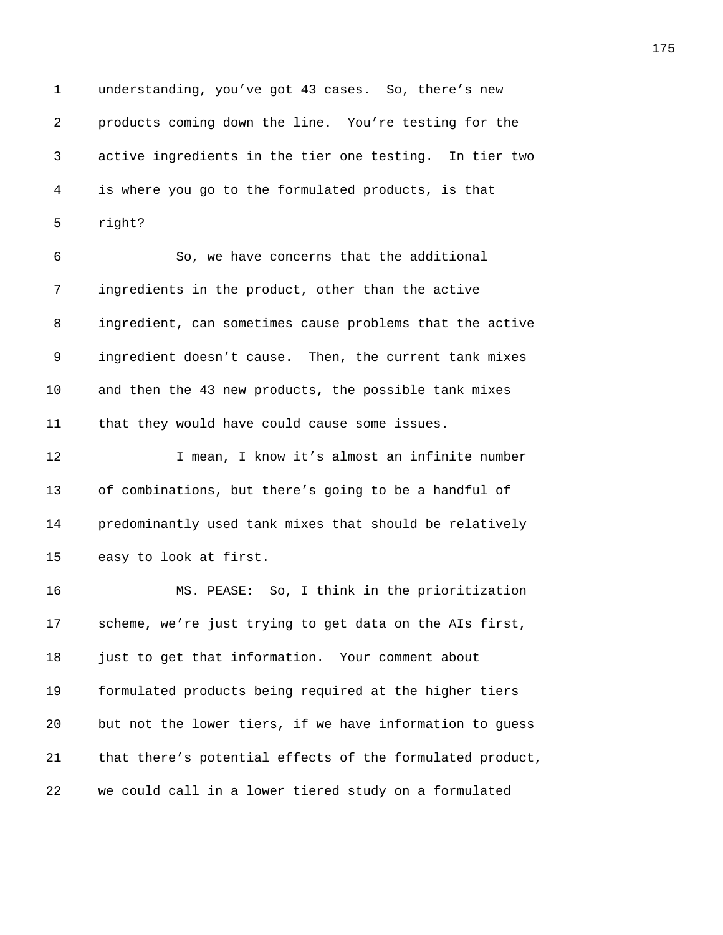1 understanding, you've got 43 cases. So, there's new *365B*products coming down the line. You're testing for the *36B*active ingredients in the tier one testing. In tier two *367B*is where you go to the formulated products, is that *right? 369B*So, we have concerns that the additional *3640B*ingredients in the product, other than the active *3641B*ingredient, can sometimes cause problems that the active *ingredient doesn't cause.* Then, the current tank mixes 10 and then the 43 new products, the possible tank mixes **basabel they would have could cause some issues. 3645** I mean, I know it's almost an infinite number 13 of combinations, but there's going to be a handful of **3647** predominantly used tank mixes that should be relatively 15 easy to look at first. **3649 MS. PEASE:** So, I think in the prioritization **365** scheme, we're just trying to get data on the AIs first, *3651B*just to get that information. Your comment about **365** formulated products being required at the higher tiers *365B*but not the lower tiers, if we have information to guess *bat there's potential effects of the formulated product, we could call in a lower tiered study on a formulated*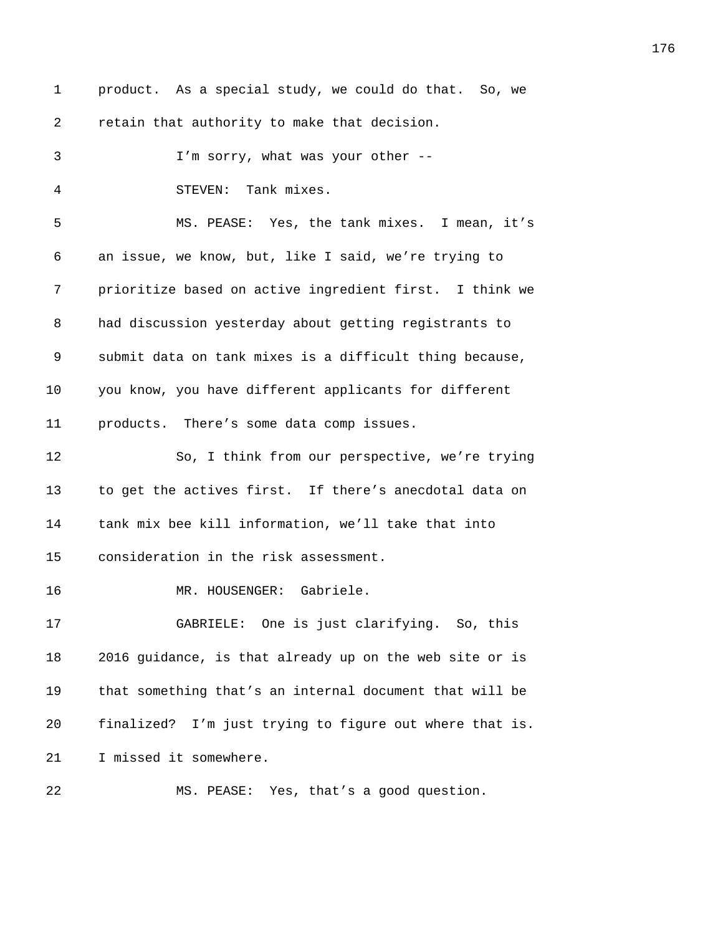| 1  | product. As a special study, we could do that. So, we   |
|----|---------------------------------------------------------|
| 2  | retain that authority to make that decision.            |
| 3  | I'm sorry, what was your other --                       |
| 4  | STEVEN: Tank mixes.                                     |
| 5  | MS. PEASE: Yes, the tank mixes. I mean, it's            |
| 6  | an issue, we know, but, like I said, we're trying to    |
| 7  | prioritize based on active ingredient first. I think we |
| 8  | had discussion yesterday about getting registrants to   |
| 9  | submit data on tank mixes is a difficult thing because, |
| 10 | you know, you have different applicants for different   |
| 11 | products. There's some data comp issues.                |
| 12 | So, I think from our perspective, we're trying          |
| 13 | to get the actives first. If there's anecdotal data on  |
| 14 | tank mix bee kill information, we'll take that into     |
| 15 | consideration in the risk assessment.                   |
| 16 | MR. HOUSENGER: Gabriele.                                |
| 17 | GABRIELE: One is just clarifying. So, this              |
| 18 | 2016 guidance, is that already up on the web site or is |
| 19 | that something that's an internal document that will be |
| 20 | finalized? I'm just trying to figure out where that is. |
| 21 | I missed it somewhere.                                  |
| 22 | MS. PEASE: Yes, that's a good question.                 |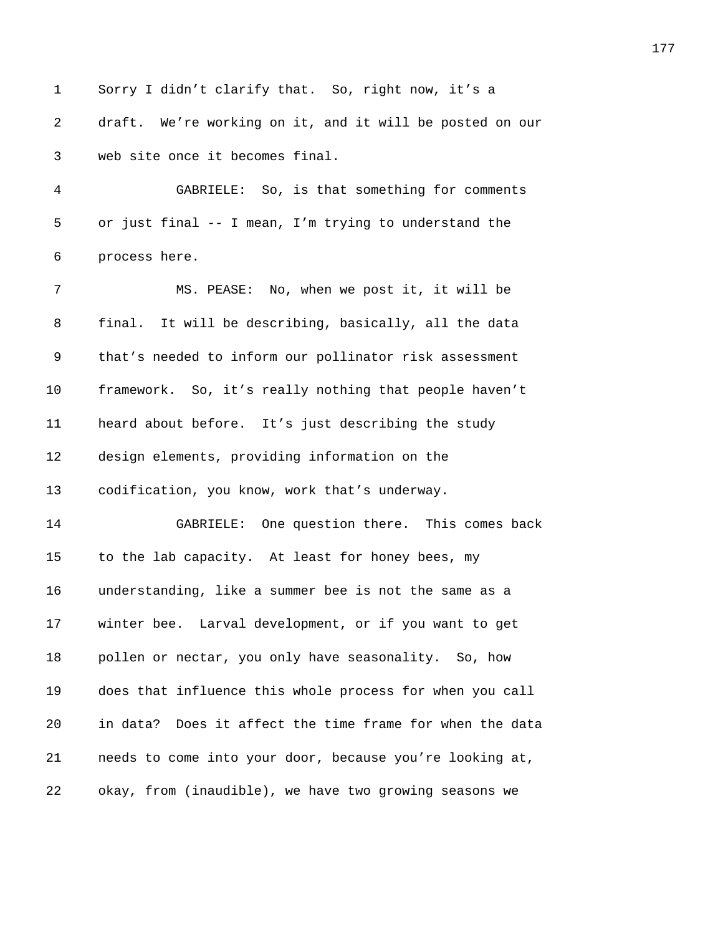1 Sorry I didn't clarify that. So, right now, it's a 2 draft. We're working on it, and it will be posted on our *3678B*web site once it becomes final. *3679B*GABRIELE: So, is that something for comments 5 or just final -- I mean, I'm trying to understand the **process here. 368** MS. PEASE: No, when we post it, it will be **final.** It will be describing, basically, all the data 9 that's needed to inform our pollinator risk assessment **framework.** So, it's really nothing that people haven't **3688** heard about before. It's just describing the study 12 design elements, providing information on the 13 codification, you know, work that's underway. 14 3688BBAGELE: One question there. This comes back 15 to the lab capacity. At least for honey bees, my *369* understanding, like a summer bee is not the same as a **3693** winter bee. Larval development, or if you want to get *pollen or nectar, you only have seasonality.* So, how *3694B*does that influence this whole process for when you call *3695B*in data? Does it affect the time frame for when the data *369B*needs to come into your door, because you're looking at, *3697B*okay, from (inaudible), we have two growing seasons we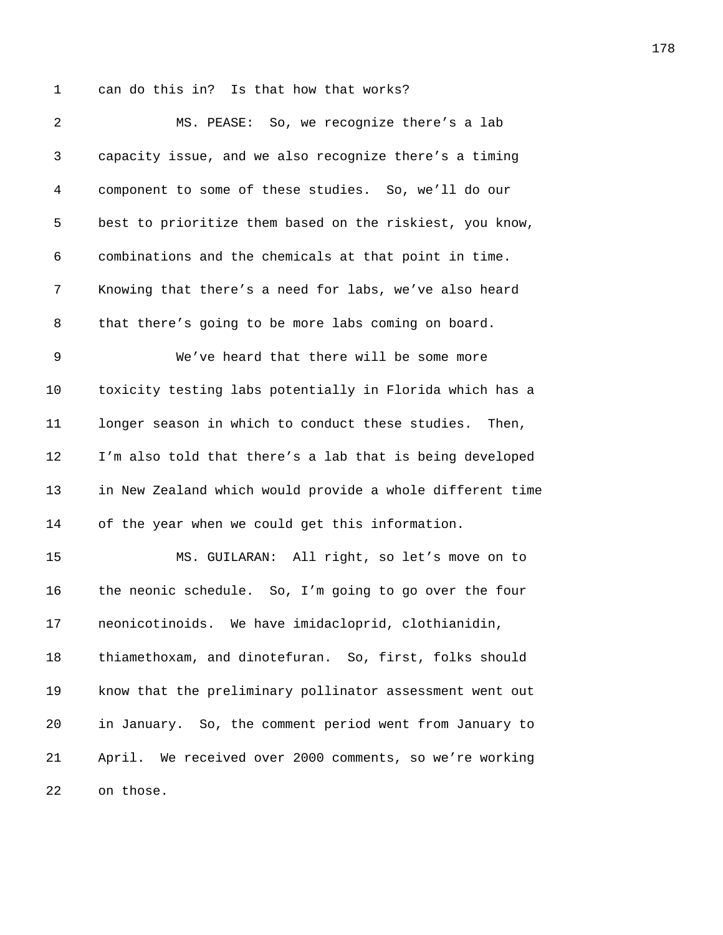1 can do this in? Is that how that works?

| 2  | MS. PEASE: So, we recognize there's a lab                  |
|----|------------------------------------------------------------|
| 3  | capacity issue, and we also recognize there's a timing     |
| 4  | component to some of these studies. So, we'll do our       |
| 5  | best to prioritize them based on the riskiest, you know,   |
| 6  | combinations and the chemicals at that point in time.      |
| 7  | Knowing that there's a need for labs, we've also heard     |
| 8  | that there's going to be more labs coming on board.        |
| 9  | We've heard that there will be some more                   |
| 10 | toxicity testing labs potentially in Florida which has a   |
| 11 | longer season in which to conduct these studies. Then,     |
| 12 | I'm also told that there's a lab that is being developed   |
| 13 | in New Zealand which would provide a whole different time  |
| 14 | of the year when we could get this information.            |
| 15 | MS. GUILARAN: All right, so let's move on to               |
| 16 | the neonic schedule. So, I'm going to go over the four     |
| 17 | neonicotinoids. We have imidacloprid, clothianidin,        |
| 18 | thiamethoxam, and dinotefuran. So, first, folks should     |
| 19 | know that the preliminary pollinator assessment went out   |
| 20 | in January. So, the comment period went from January to    |
| 21 | We received over 2000 comments, so we're working<br>April. |
| 22 | on those.                                                  |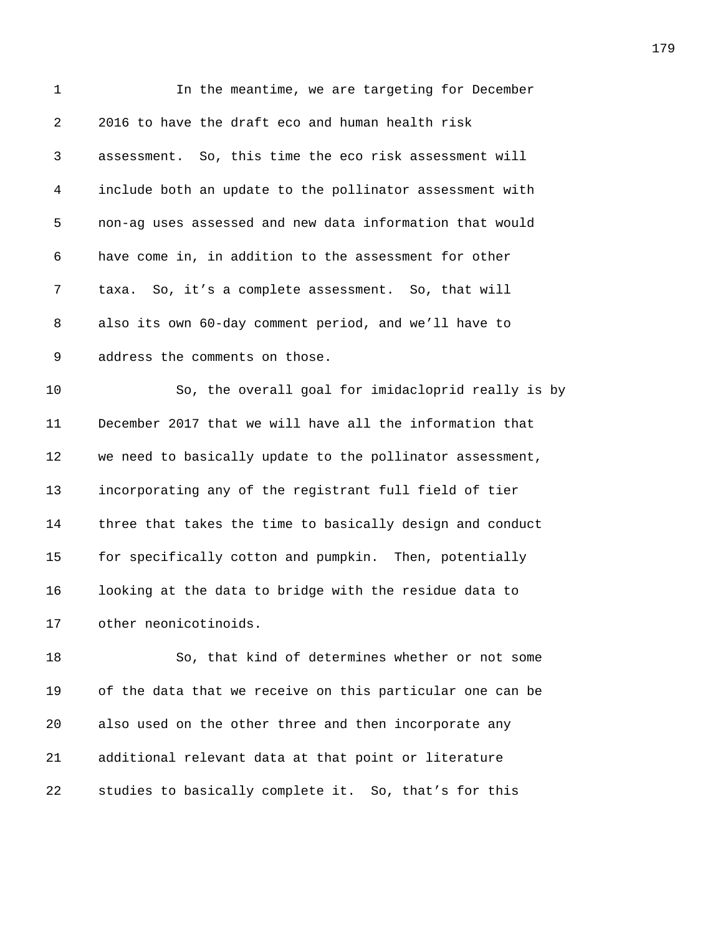| 1  | In the meantime, we are targeting for December            |
|----|-----------------------------------------------------------|
| 2  | 2016 to have the draft eco and human health risk          |
| 3  | assessment. So, this time the eco risk assessment will    |
| 4  | include both an update to the pollinator assessment with  |
| 5  | non-ag uses assessed and new data information that would  |
| 6  | have come in, in addition to the assessment for other     |
| 7  | taxa. So, it's a complete assessment. So, that will       |
| 8  | also its own 60-day comment period, and we'll have to     |
| 9  | address the comments on those.                            |
| 10 | So, the overall goal for imidacloprid really is by        |
| 11 | December 2017 that we will have all the information that  |
| 12 | we need to basically update to the pollinator assessment, |
| 13 | incorporating any of the registrant full field of tier    |
| 14 | three that takes the time to basically design and conduct |
| 15 | for specifically cotton and pumpkin. Then, potentially    |
| 16 | looking at the data to bridge with the residue data to    |
| 17 | other neonicotinoids.                                     |
| 18 | So, that kind of determines whether or not some           |
| 19 | of the data that we receive on this particular one can be |
| 20 | also used on the other three and then incorporate any     |
|    |                                                           |

*studies to basically complete it. So, that's for this* 

*additional relevant data at that point or literature*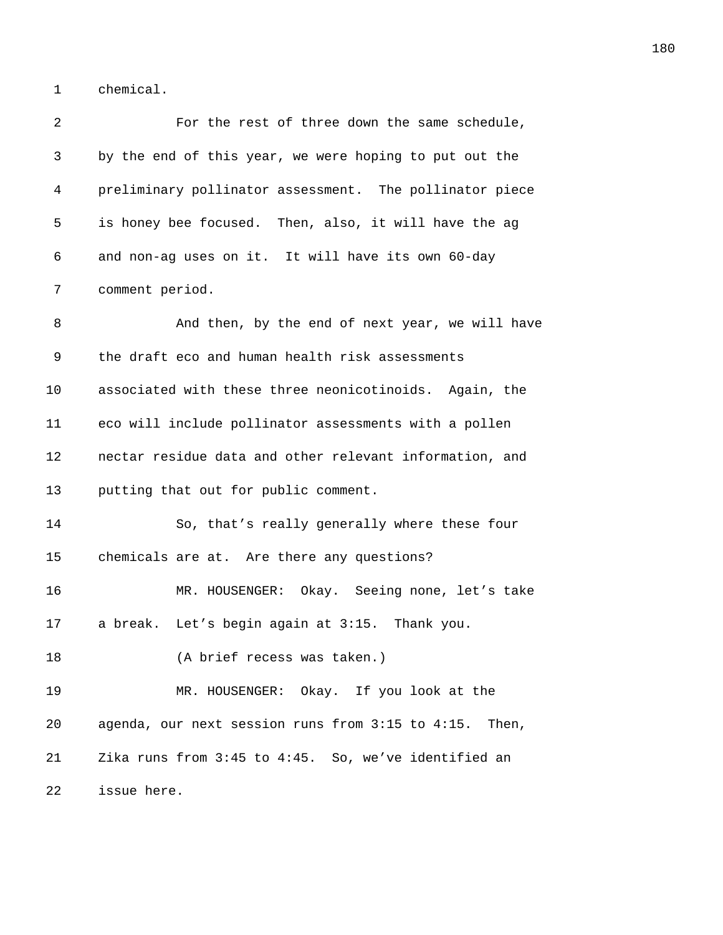1 chemical.

| 2  | For the rest of three down the same schedule,           |
|----|---------------------------------------------------------|
| 3  | by the end of this year, we were hoping to put out the  |
| 4  | preliminary pollinator assessment. The pollinator piece |
| 5  | is honey bee focused. Then, also, it will have the ag   |
| 6  | and non-ag uses on it. It will have its own 60-day      |
| 7  | comment period.                                         |
| 8  | And then, by the end of next year, we will have         |
| 9  | the draft eco and human health risk assessments         |
| 10 | associated with these three neonicotinoids. Again, the  |
| 11 | eco will include pollinator assessments with a pollen   |
| 12 | nectar residue data and other relevant information, and |
| 13 | putting that out for public comment.                    |
| 14 | So, that's really generally where these four            |
| 15 | chemicals are at. Are there any questions?              |
| 16 | MR. HOUSENGER: Okay. Seeing none, let's take            |
| 17 | a break. Let's begin again at 3:15. Thank you.          |
| 18 | (A brief recess was taken.)                             |
| 19 | MR. HOUSENGER: Okay. If you look at the                 |
| 20 | agenda, our next session runs from 3:15 to 4:15. Then,  |
| 21 | Zika runs from 3:45 to 4:45. So, we've identified an    |
| 22 | issue here.                                             |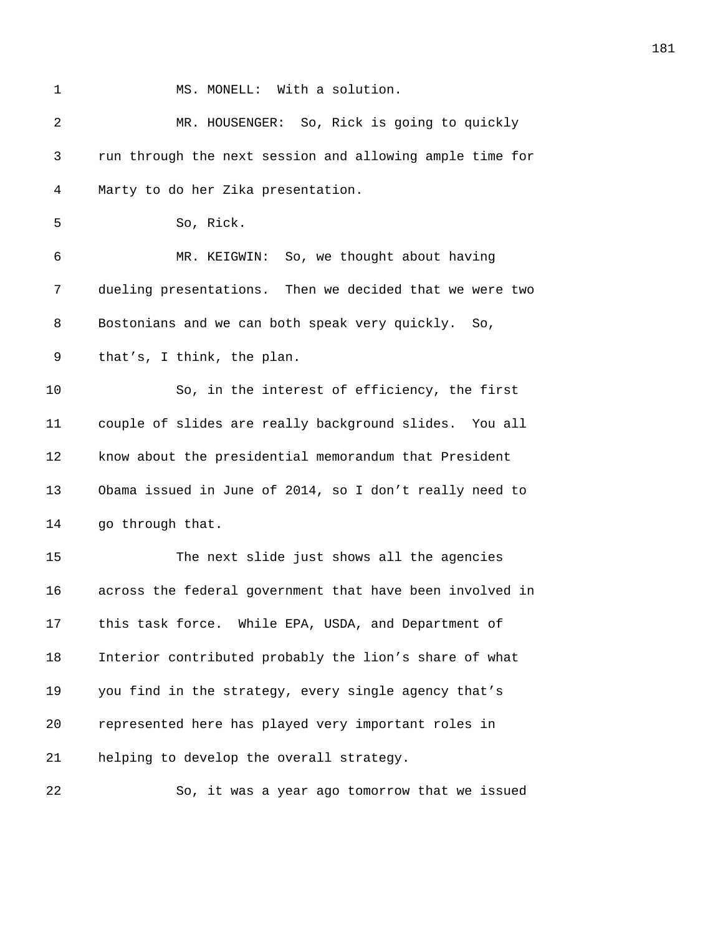| 1  | MS. MONELL: With a solution.                             |
|----|----------------------------------------------------------|
| 2  | MR. HOUSENGER: So, Rick is going to quickly              |
| 3  | run through the next session and allowing ample time for |
| 4  | Marty to do her Zika presentation.                       |
| 5  | So, Rick.                                                |
| 6  | MR. KEIGWIN: So, we thought about having                 |
| 7  | dueling presentations. Then we decided that we were two  |
| 8  | Bostonians and we can both speak very quickly. So,       |
| 9  | that's, I think, the plan.                               |
| 10 | So, in the interest of efficiency, the first             |
| 11 | couple of slides are really background slides. You all   |
| 12 | know about the presidential memorandum that President    |
| 13 | Obama issued in June of 2014, so I don't really need to  |
| 14 | go through that.                                         |
| 15 | The next slide just shows all the agencies               |
| 16 | across the federal government that have been involved in |
| 17 | this task force. While EPA, USDA, and Department of      |
| 18 | Interior contributed probably the lion's share of what   |
| 19 | you find in the strategy, every single agency that's     |
| 20 | represented here has played very important roles in      |
| 21 | helping to develop the overall strategy.                 |
| 22 | So, it was a year ago tomorrow that we issued            |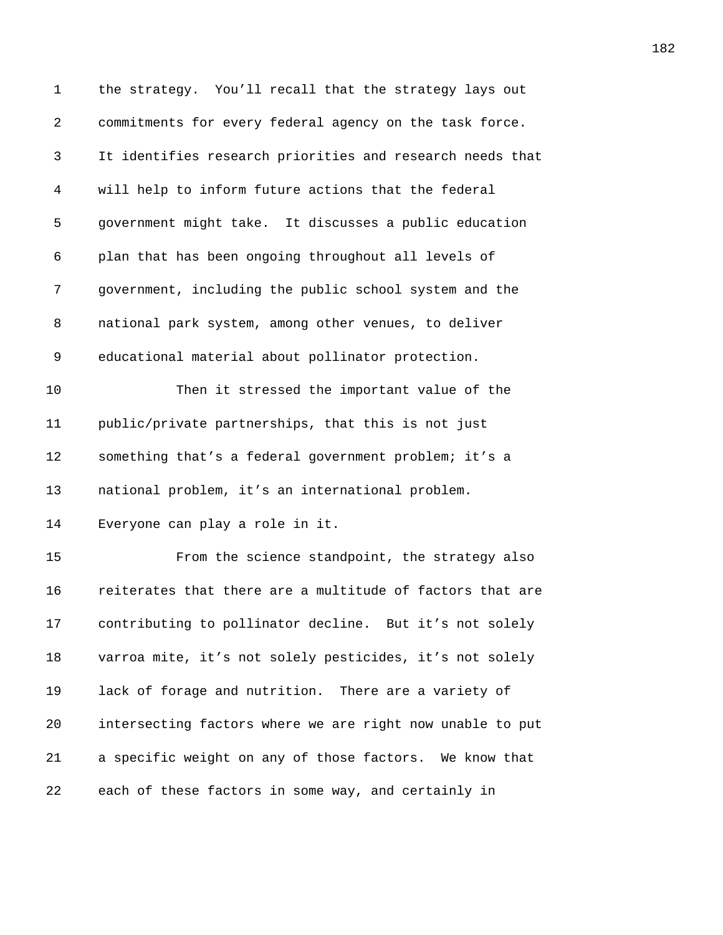| $\mathbf 1$ | the strategy. You'll recall that the strategy lays out    |
|-------------|-----------------------------------------------------------|
| 2           | commitments for every federal agency on the task force.   |
| 3           | It identifies research priorities and research needs that |
| 4           | will help to inform future actions that the federal       |
| 5           | government might take. It discusses a public education    |
| 6           | plan that has been ongoing throughout all levels of       |
| 7           | government, including the public school system and the    |
| 8           | national park system, among other venues, to deliver      |
| 9           | educational material about pollinator protection.         |
| 10          | Then it stressed the important value of the               |
| 11          | public/private partnerships, that this is not just        |
| 12          | something that's a federal government problem; it's a     |
| 13          | national problem, it's an international problem.          |
| 14          | Everyone can play a role in it.                           |
| 15          | From the science standpoint, the strategy also            |
| 16          | reiterates that there are a multitude of factors that are |
| 17          | contributing to pollinator decline. But it's not solely   |
| 18          | varroa mite, it's not solely pesticides, it's not solely  |
| 19          | lack of forage and nutrition. There are a variety of      |
| 20          | intersecting factors where we are right now unable to put |
| 21          | a specific weight on any of those factors. We know that   |
| 22          | each of these factors in some way, and certainly in       |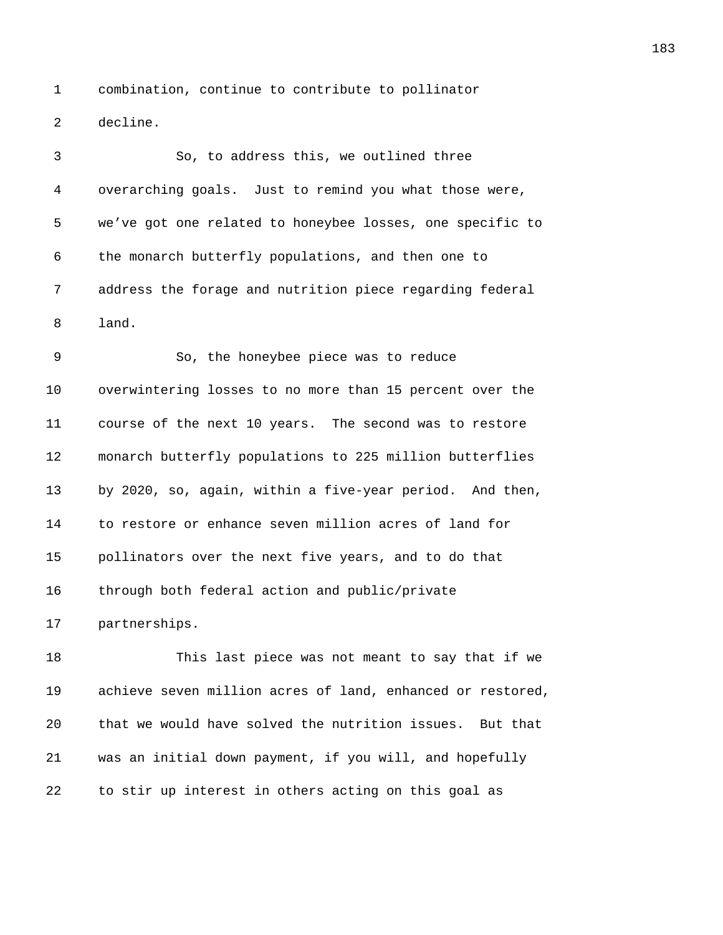1 combination, continue to contribute to pollinator 2 decline.

3 30, to address this, we outlined three 4 *3805B*overarching goals. Just to remind you what those were, 5 we've got one related to honeybee losses, one specific to 6 the monarch butterfly populations, and then one to 7 *380B*address the forage and nutrition piece regarding federal 8 land.

9 380, the honeybee piece was to reduce 10 overwintering losses to no more than 15 percent over the 11 **3812** course of the next 10 years. The second was to restore 12 **381** monarch butterfly populations to 225 million butterflies 13 *3814B*by 2020, so, again, within a five-year period. And then, 14 **3815** to restore or enhance seven million acres of land for 15 *pollinators over the next five years, and to do that* 16 through both federal action and public/private 17 partnerships.

18 3818 3819 This last piece was not meant to say that if we 19 achieve seven million acres of land, enhanced or restored, 20 *3821B*that we would have solved the nutrition issues. But that 21 *382B*was an initial down payment, if you will, and hopefully 22 bo stir up interest in others acting on this goal as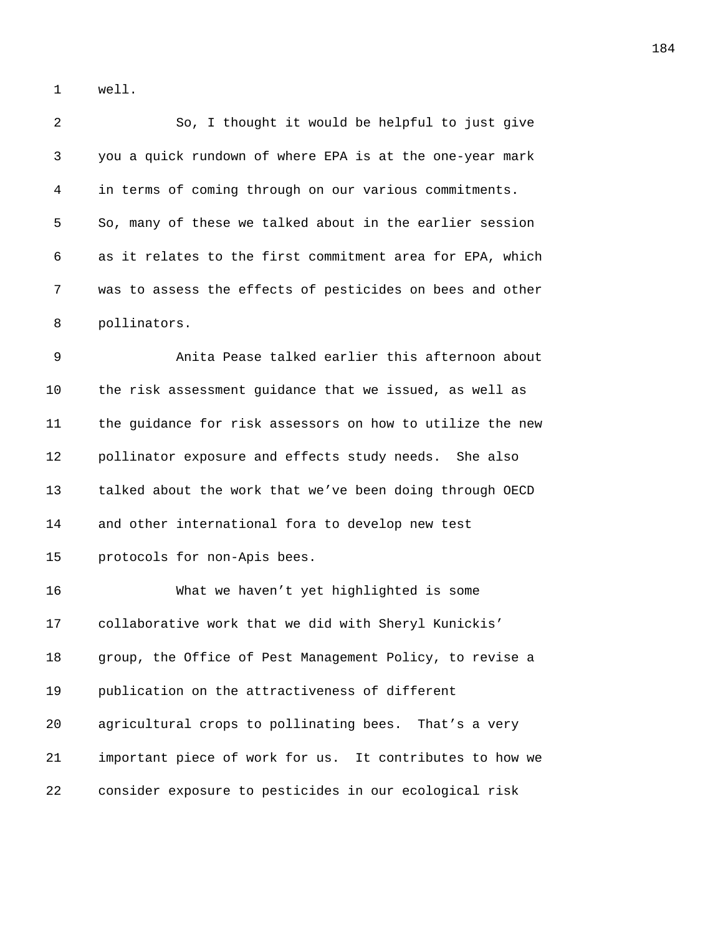1 well.

| 2  | So, I thought it would be helpful to just give            |
|----|-----------------------------------------------------------|
| 3  | you a quick rundown of where EPA is at the one-year mark  |
| 4  | in terms of coming through on our various commitments.    |
| 5  | So, many of these we talked about in the earlier session  |
| 6  | as it relates to the first commitment area for EPA, which |
| 7  | was to assess the effects of pesticides on bees and other |
| 8  | pollinators.                                              |
| 9  | Anita Pease talked earlier this afternoon about           |
| 10 | the risk assessment guidance that we issued, as well as   |
| 11 | the guidance for risk assessors on how to utilize the new |
| 12 | pollinator exposure and effects study needs. She also     |
| 13 | talked about the work that we've been doing through OECD  |
| 14 | and other international fora to develop new test          |
| 15 | protocols for non-Apis bees.                              |
| 16 | What we haven't yet highlighted is some                   |
| 17 | collaborative work that we did with Sheryl Kunickis'      |
| 18 | group, the Office of Pest Management Policy, to revise a  |
| 19 | publication on the attractiveness of different            |
| 20 | agricultural crops to pollinating bees. That's a very     |
| 21 | important piece of work for us. It contributes to how we  |
| 22 | consider exposure to pesticides in our ecological risk    |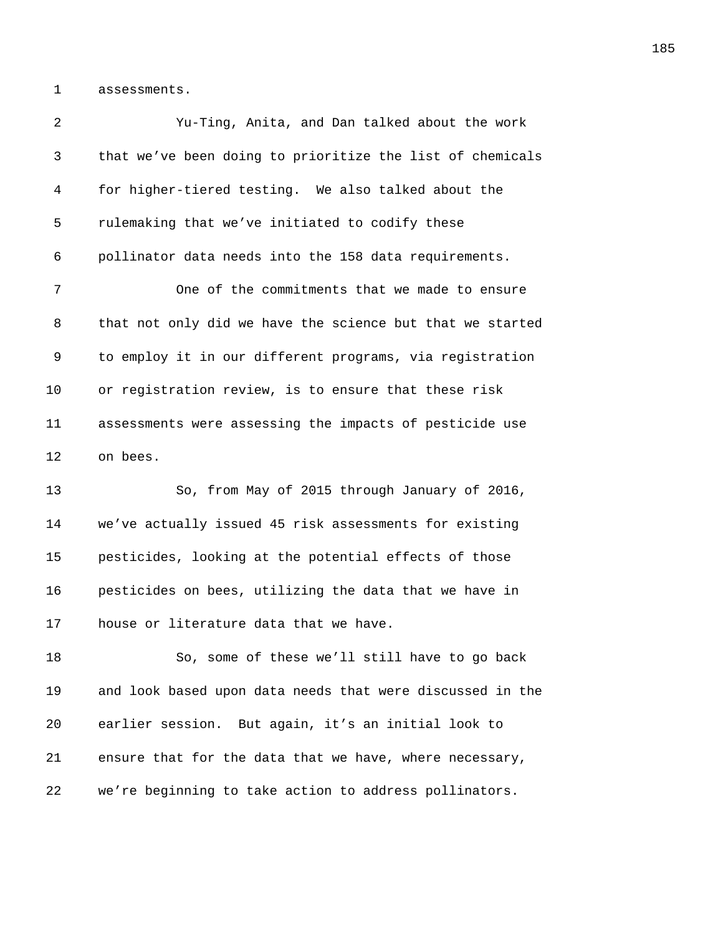1 assessments.

| 2  | Yu-Ting, Anita, and Dan talked about the work             |
|----|-----------------------------------------------------------|
| 3  | that we've been doing to prioritize the list of chemicals |
| 4  | for higher-tiered testing. We also talked about the       |
| 5  | rulemaking that we've initiated to codify these           |
| 6  | pollinator data needs into the 158 data requirements.     |
| 7  | One of the commitments that we made to ensure             |
| 8  | that not only did we have the science but that we started |
| 9  | to employ it in our different programs, via registration  |
| 10 | or registration review, is to ensure that these risk      |
| 11 | assessments were assessing the impacts of pesticide use   |
| 12 | on bees.                                                  |
| 13 | So, from May of 2015 through January of 2016,             |
| 14 | we've actually issued 45 risk assessments for existing    |
| 15 | pesticides, looking at the potential effects of those     |
| 16 | pesticides on bees, utilizing the data that we have in    |
| 17 | house or literature data that we have.                    |
| 18 | So, some of these we'll still have to go back             |
| 19 | and look based upon data needs that were discussed in the |
| 20 | earlier session. But again, it's an initial look to       |
| 21 | ensure that for the data that we have, where necessary,   |
| 22 | we're beginning to take action to address pollinators.    |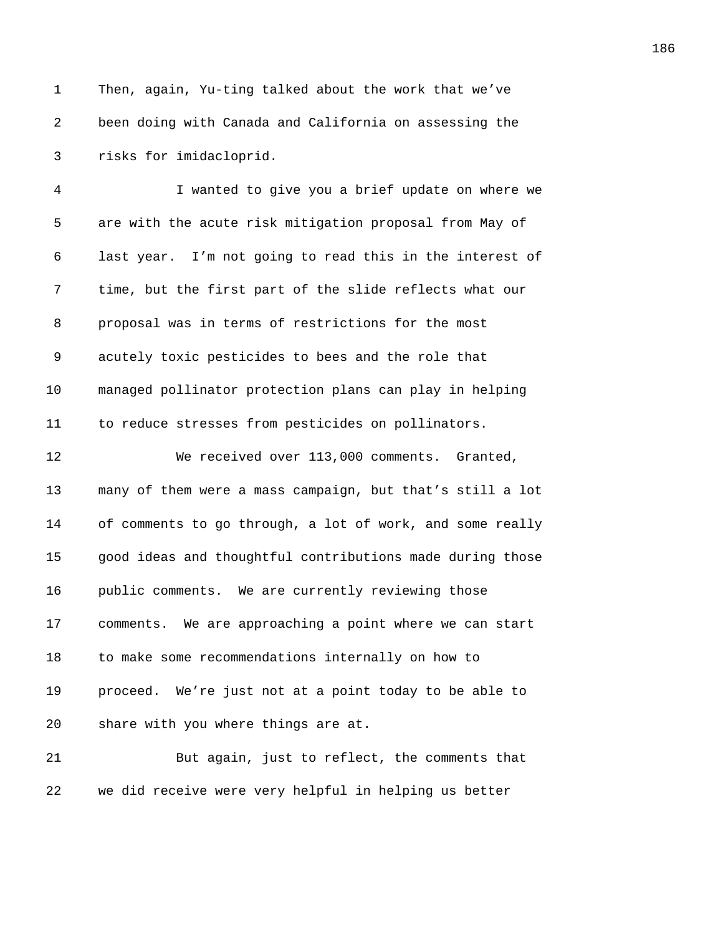1 Then, again, Yu-ting talked about the work that we've *386B*been doing with Canada and California on assessing the 3 risks for imidacloprid.

*386B*I wanted to give you a brief update on where we 5 are with the acute risk mitigation proposal from May of *3870B*last year. I'm not going to read this in the interest of 7 time, but the first part of the slide reflects what our **proposal was in terms of restrictions for the most** 9 acutely toxic pesticides to bees and the role that *3874B*managed pollinator protection plans can play in helping **3875** to reduce stresses from pesticides on pollinators.

**3876** We received over 113,000 comments. Granted, **387** many of them were a mass campaign, but that's still a lot 14 of comments to go through, a lot of work, and some really *3879B*good ideas and thoughtful contributions made during those *public comments.* We are currently reviewing those **3818** comments. We are approaching a point where we can start 18 to make some recommendations internally on how to *38B*proceed. We're just not at a point today to be able to **3** share with you where things are at.

**385 But again, just to reflect, the comments that** 22 we did receive were very helpful in helping us better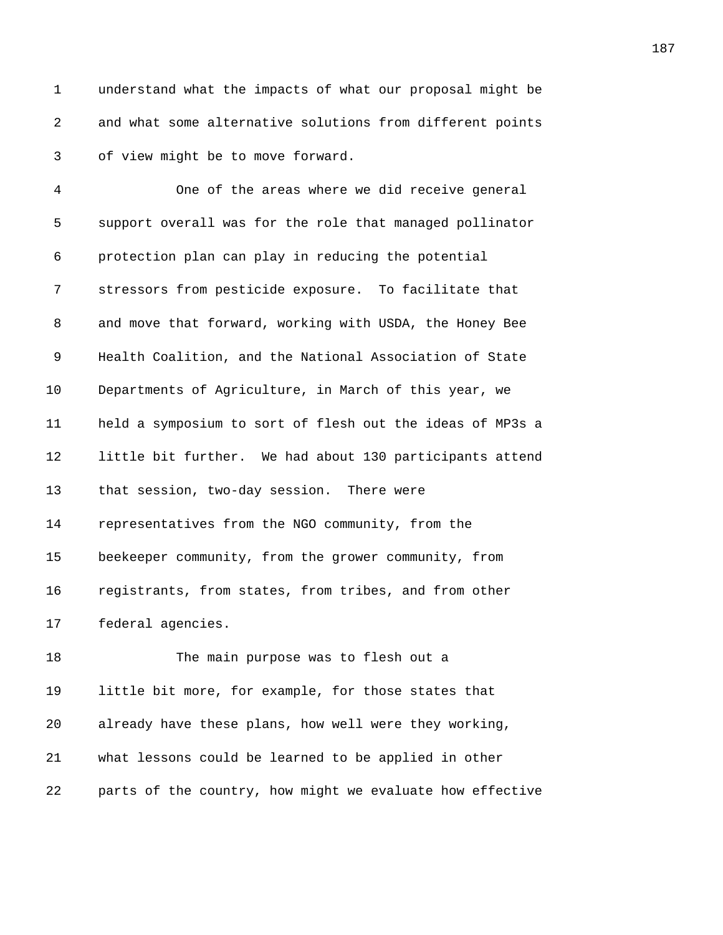1 understand what the impacts of what our proposal might be *387B*and what some alternative solutions from different points 3 of view might be to move forward.

*389B*One of the areas where we did receive general **389** support overall was for the role that managed pollinator **protection plan can play in reducing the potential 388** *stressors from pesticide exposure.* To facilitate that 8 3899 and move that forward, working with USDA, the Honey Bee *3894B*Health Coalition, and the National Association of State **Departments of Agriculture, in March of this year, we 3886** held a symposium to sort of flesh out the ideas of MP3s a **388** 1ittle bit further. We had about 130 participants attend 13 that session, two-day session. There were **388** representatives from the NGO community, from the 15 beekeeper community, from the grower community, from **3901** registrants, from states, from tribes, and from other 17 federal agencies.

18 390 <sup>The main purpose was to flesh out a</sup> **1** little bit more, for example, for those states that *3905B*already have these plans, how well were they working, *3906B*what lessons could be learned to be applied in other **parts of the country, how might we evaluate how effective**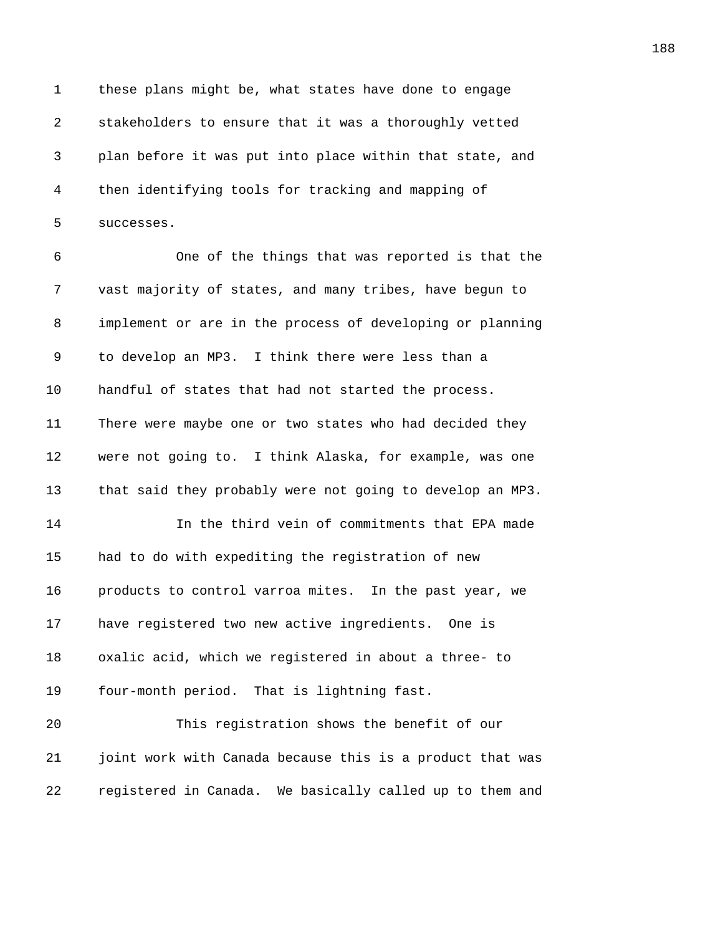1 these plans might be, what states have done to engage 2 3008Bstakeholders to ensure that it was a thoroughly vetted *390B*plan before it was put into place within that state, and *3910B*then identifying tools for tracking and mapping of 5 successes.

*3912B*One of the things that was reported is that the *391B*vast majority of states, and many tribes, have begun to *implement or are in the process of developing or planning* 9 to develop an MP3. I think there were less than a **3916** handful of states that had not started the process. 11 There were maybe one or two states who had decided they **3928** were not going to. I think Alaska, for example, was one **budies that said they probably were not going to develop an MP3.** *3920B*In the third vein of commitments that EPA made 15 had to do with expediting the registration of new **392** products to control varroa mites. In the past year, we **392** have registered two new active ingredients. One is *3924B*oxalic acid, which we registered in about a three- to 19 four-month period. That is lightning fast. *3926B*This registration shows the benefit of our

*3928B*registered in Canada. We basically called up to them and

*3927B*joint work with Canada because this is a product that was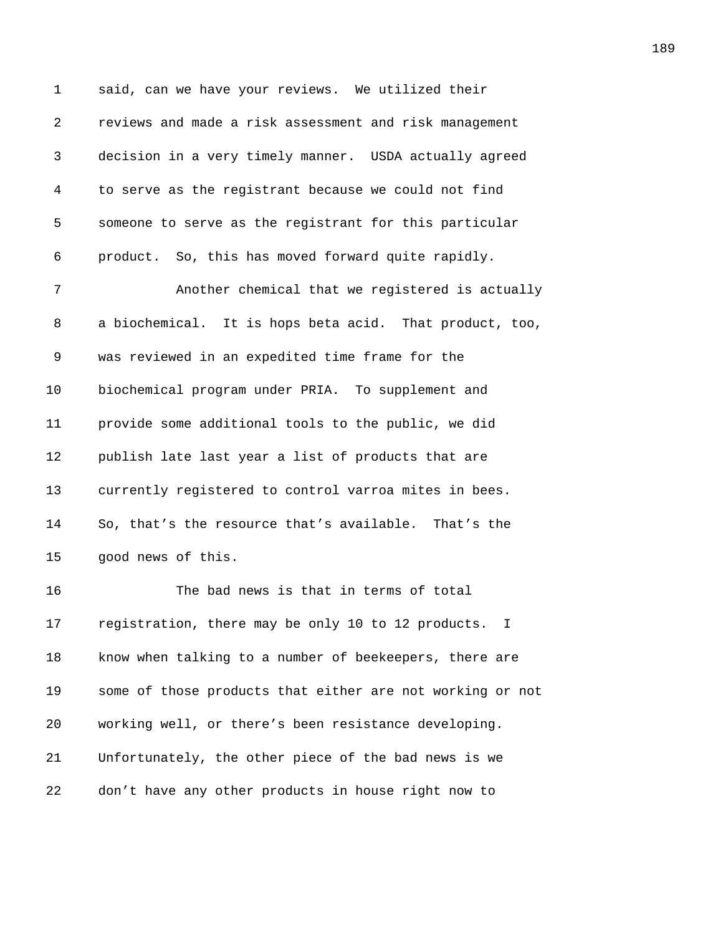1 said, can we have your reviews. We utilized their 2 *392B*reviews and made a risk assessment and risk management 3 *390B*decision in a very timely manner. USDA actually agreed 4 *391B*to serve as the registrant because we could not find 5 3939 someone to serve as the registrant for this particular 6 **product.** So, this has moved forward quite rapidly. 7 3944 *3944 Another chemical that we registered is actually* 8 a biochemical. It is hops beta acid. That product, too, 9 was reviewed in an expedited time frame for the 10 biochemical program under PRIA. To supplement and 11 *provide some additional tools to the public, we did* 12 *publish late last year a list of products that are* 13 *currently registered to control varroa mites in bees.* 14 So, that's the resource that's available. That's the 15 900d news of this. 16 394<sup>The bad news is that in terms of total</sup> 17 **3944** registration, there may be only 10 to 12 products. I 18 **3945** know when talking to a number of beekeepers, there are 19 **3956** some of those products that either are not working or not 20 *working well, or there's been resistance developing.* 21 **3948** Unfortunately, the other piece of the bad news is we 22 don't have any other products in house right now to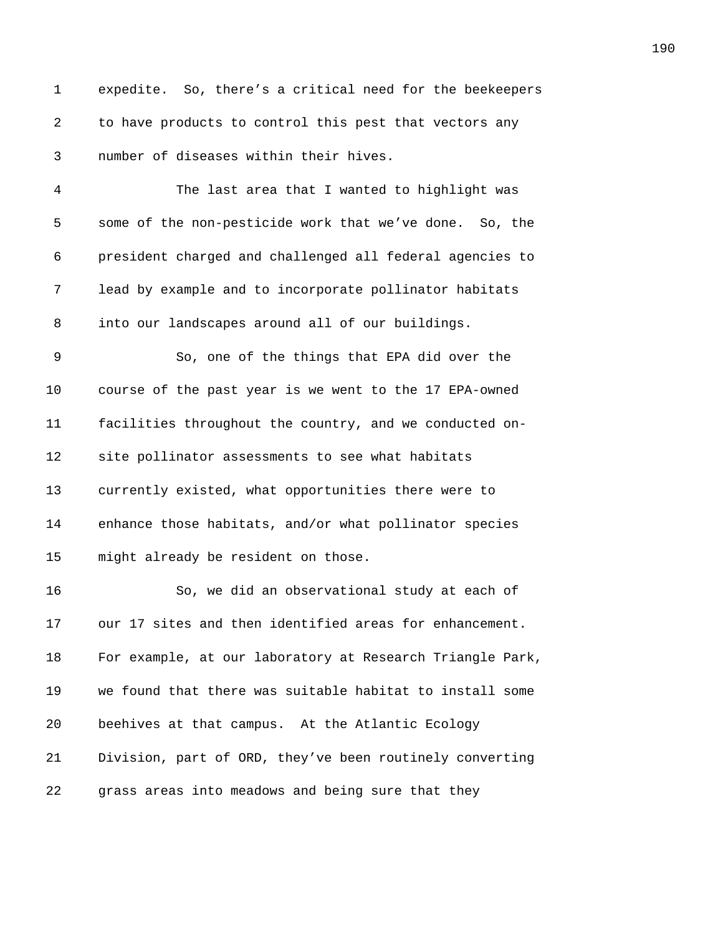1 expedite. So, there's a critical need for the beekeepers 2 3650 to have products to control this pest that vectors any *number of diseases within their hives. 3952B*The last area that I wanted to highlight was **395** some of the non-pesticide work that we've done. So, the *3954B*president charged and challenged all federal agencies to *395B*lead by example and to incorporate pollinator habitats 8 into our landscapes around all of our buildings. 9 3957 So, one of the things that EPA did over the 10 course of the past year is we went to the 17 EPA-owned *395B*facilities throughout the country, and we conducted on-**3960** site pollinator assessments to see what habitats *currently existed, what opportunities there were to* **396** anhance those habitats, and/or what pollinator species **396** might already be resident on those. 16 3966 3964 BSo, we did an observational study at each of 17 our 17 sites and then identified areas for enhancement. 18 For example, at our laboratory at Research Triangle Park, **3967** we found that there was suitable habitat to install some *3968B*beehives at that campus. At the Atlantic Ecology **Division, part of ORD, they've been routinely converting** *grass areas into meadows and being sure that they*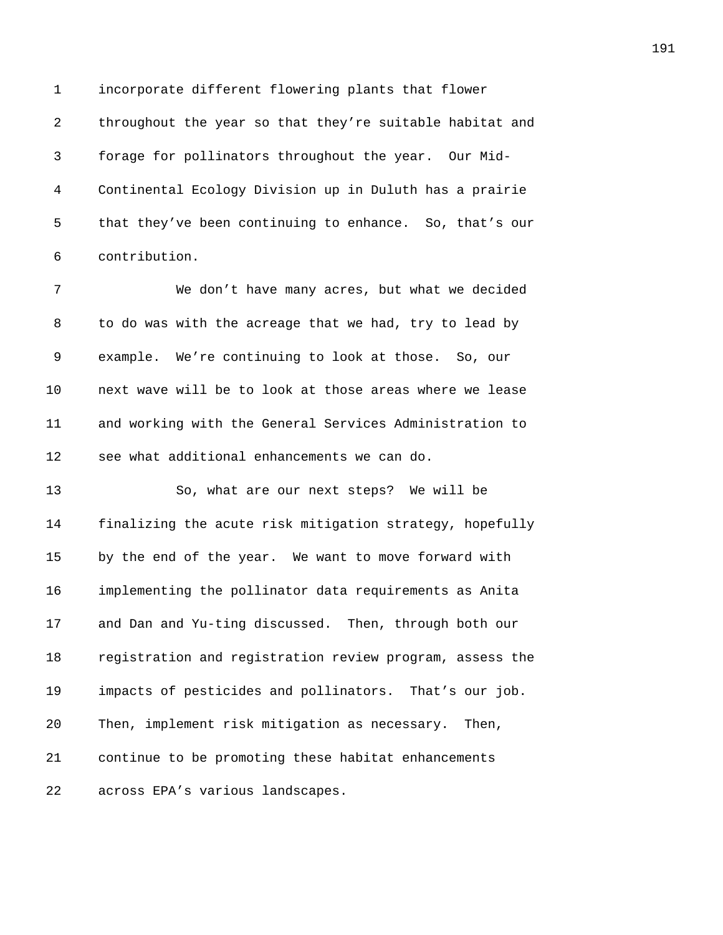1 incorporate different flowering plants that flower **1977** throughout the year so that they're suitable habitat and *3972B*forage for pollinators throughout the year. Our Mid-*397B*Continental Ecology Division up in Duluth has a prairie 5 that they've been continuing to enhance. So, that's our 6 contribution.

*3976B*We don't have many acres, but what we decided 8 <sup>3</sup> bo do was with the acreage that we had, try to lead by 9 example. We're continuing to look at those. So, our **397** next wave will be to look at those areas where we lease *3980B*and working with the General Services Administration to **398** see what additional enhancements we can do.

13 39885 3986, what are our next steps? We will be **1888** finalizing the acute risk mitigation strategy, hopefully 15 by the end of the year. We want to move forward with *3985B*implementing the pollinator data requirements as Anita **3986** and Dan and Yu-ting discussed. Then, through both our **3987** registration and registration review program, assess the **impacts of pesticides and pollinators.** That's our job. 20 Then, implement risk mitigation as necessary. Then, **300** continue to be promoting these habitat enhancements 22 across EPA's various landscapes.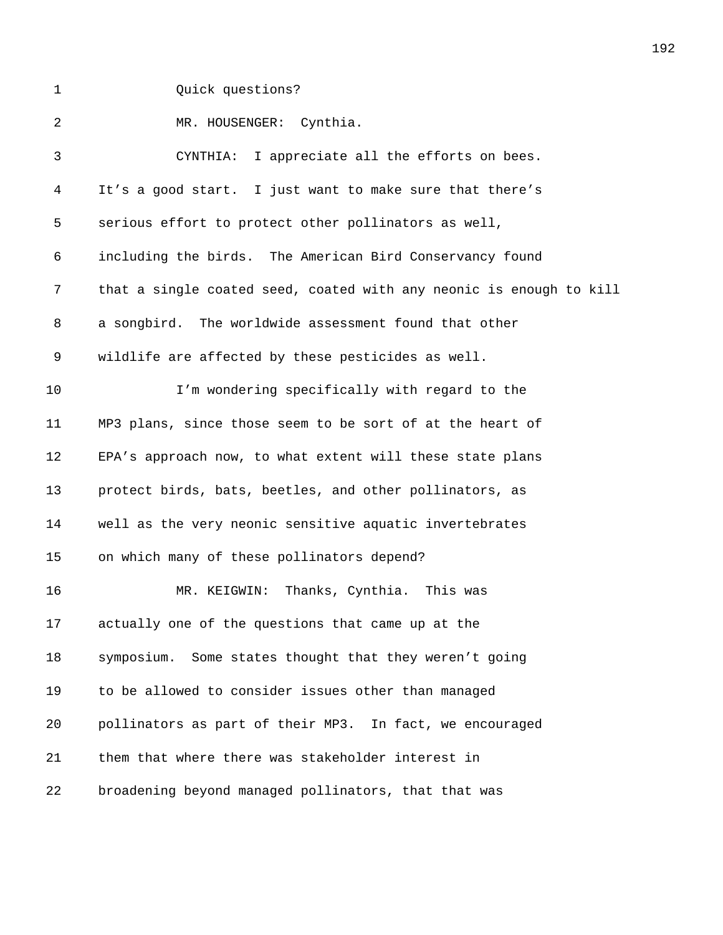1 Quick questions?

**3922 MR. HOUSENGER:** Cynthia. 3 3 CYNTHIA: I appreciate all the efforts on bees. *394B*It's a good start. I just want to make sure that there's 5 serious effort to protect other pollinators as well, *396B*including the birds. The American Bird Conservancy found *397B*that a single coated seed, coated with any neonic is enough to kill 8 a songbird. The worldwide assessment found that other *wildlife are affected by these pesticides as well.* **10** I'm wondering specifically with regard to the *401B*MP3 plans, since those seem to be sort of at the heart of **EPA's approach now, to what extent will these state plans protect birds, bats, beetles, and other pollinators, as b** well as the very neonic sensitive aquatic invertebrates 15 on which many of these pollinators depend? **406 MR. KEIGWIN: Thanks, Cynthia.** This was **actually one of the questions that came up at the 5** symposium. Some states thought that they weren't going 19 to be allowed to consider issues other than managed **pollinators as part of their MP3.** In fact, we encouraged **them that where there was stakeholder interest in broadening beyond managed pollinators, that that was**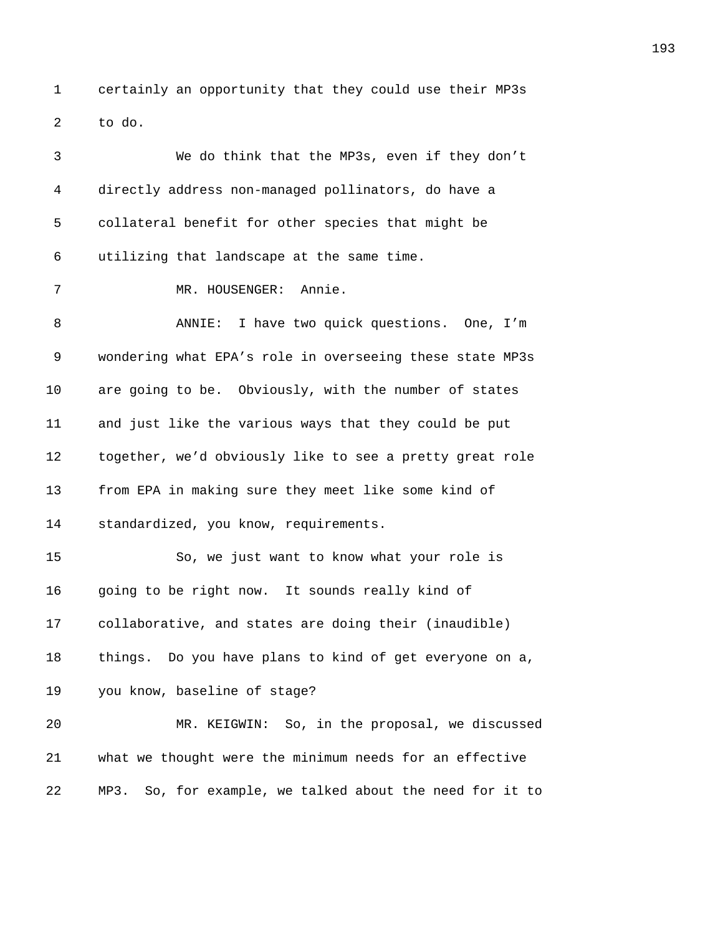1 certainly an opportunity that they could use their MP3s *4013B*to do.

| 3  | We do think that the MP3s, even if they don't                  |
|----|----------------------------------------------------------------|
| 4  | directly address non-managed pollinators, do have a            |
| 5  | collateral benefit for other species that might be             |
| 6  | utilizing that landscape at the same time.                     |
| 7  | MR. HOUSENGER: Annie.                                          |
| 8  | I have two quick questions. One, I'm<br>ANNIE:                 |
| 9  | wondering what EPA's role in overseeing these state MP3s       |
| 10 | are going to be. Obviously, with the number of states          |
| 11 | and just like the various ways that they could be put          |
| 12 | together, we'd obviously like to see a pretty great role       |
| 13 | from EPA in making sure they meet like some kind of            |
| 14 | standardized, you know, requirements.                          |
| 15 | So, we just want to know what your role is                     |
| 16 | going to be right now. It sounds really kind of                |
| 17 | collaborative, and states are doing their (inaudible)          |
| 18 | things. Do you have plans to kind of get everyone on a,        |
| 19 | you know, baseline of stage?                                   |
| 20 | MR. KEIGWIN: So, in the proposal, we discussed                 |
| 21 | what we thought were the minimum needs for an effective        |
| 22 | So, for example, we talked about the need for it to<br>$MP3$ . |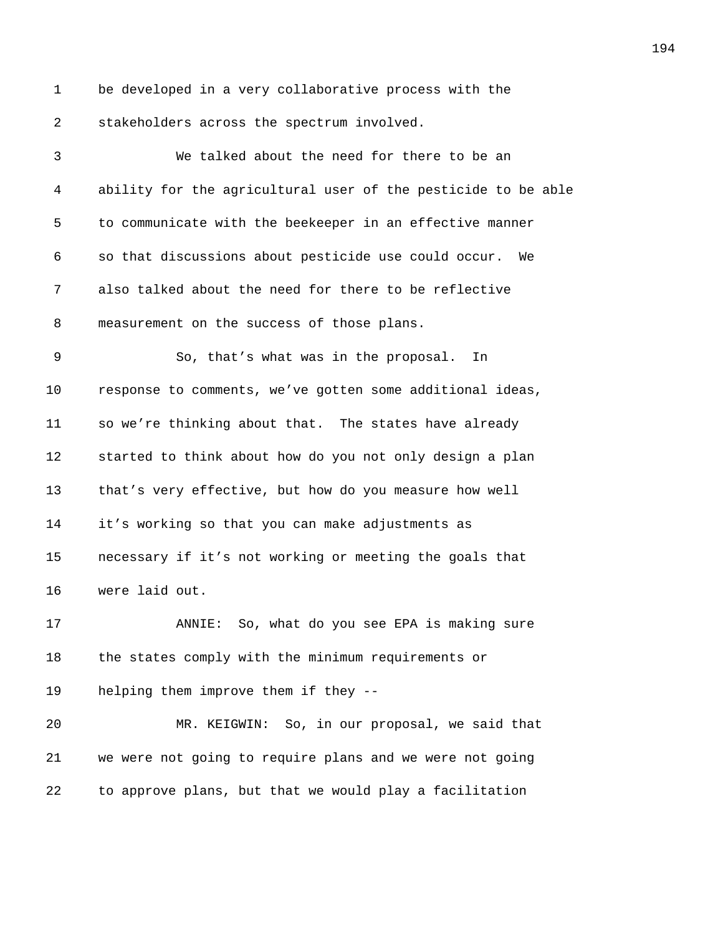1 be developed in a very collaborative process with the 2 stakeholders across the spectrum involved.

*4035B*We talked about the need for there to be an *4036B*ability for the agricultural user of the pesticide to be able 5 to communicate with the beekeeper in an effective manner *4038B*so that discussions about pesticide use could occur. We 7 also talked about the need for there to be reflective 8 measurement on the success of those plans. 9 600 So, that's what was in the proposal. In *402* response to comments, we've gotten some additional ideas, **508** so we're thinking about that. The states have already **50** started to think about how do you not only design a plan 13 that's very effective, but how do you measure how well **it's working so that you can make adjustments as h** necessary if it's not working or meeting the goals that 16 were laid out. **408** ANNIE: So, what do you see EPA is making sure **the states comply with the minimum requirements or helping them improve them if they --405 MR. KEIGWIN:** So, in our proposal, we said that *4053B*we were not going to require plans and we were not going

*405B*to approve plans, but that we would play a facilitation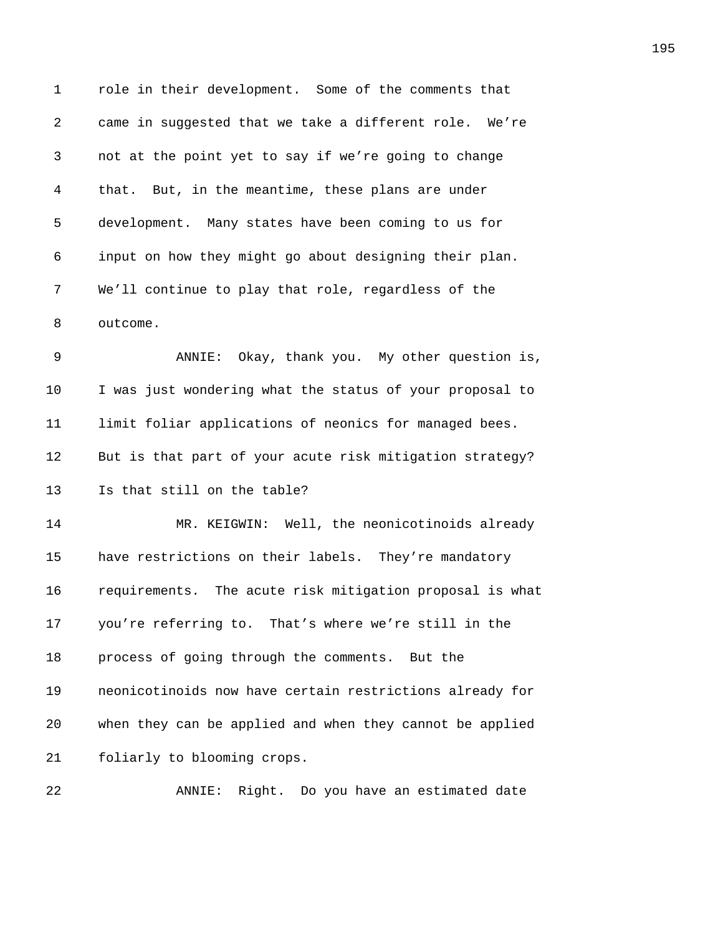1 role in their development. Some of the comments that 2 came in suggested that we take a different role. We're **hot at the point yet to say if we're going to change** *4057B*that. But, in the meantime, these plans are under 5 development. Many states have been coming to us for *4059B*input on how they might go about designing their plan. 7 We'll continue to play that role, regardless of the 8 outcome. *4062B*ANNIE: Okay, thank you. My other question is, 10 I was just wondering what the status of your proposal to **106** limit foliar applications of neonics for managed bees. 12 But is that part of your acute risk mitigation strategy? **15** Is that still on the table? *4067B*MR. KEIGWIN: Well, the neonicotinoids already 15 have restrictions on their labels. They're mandatory *16* requirements. The acute risk mitigation proposal is what *you're referring to.* That's where we're still in the **process of going through the comments.** But the **1072 1072 1072 1072 1072 1072 1072 1072 1072 1072 1072 1072 1072 1072 1072 1072 1072 1072 1072 1072 1072 1072 1072 1072 1072 1072 1072 1072 1072 1072 1072 1** *4073B*when they can be applied and when they cannot be applied **601** foliarly to blooming crops.

**407 ANNIE:** Right. Do you have an estimated date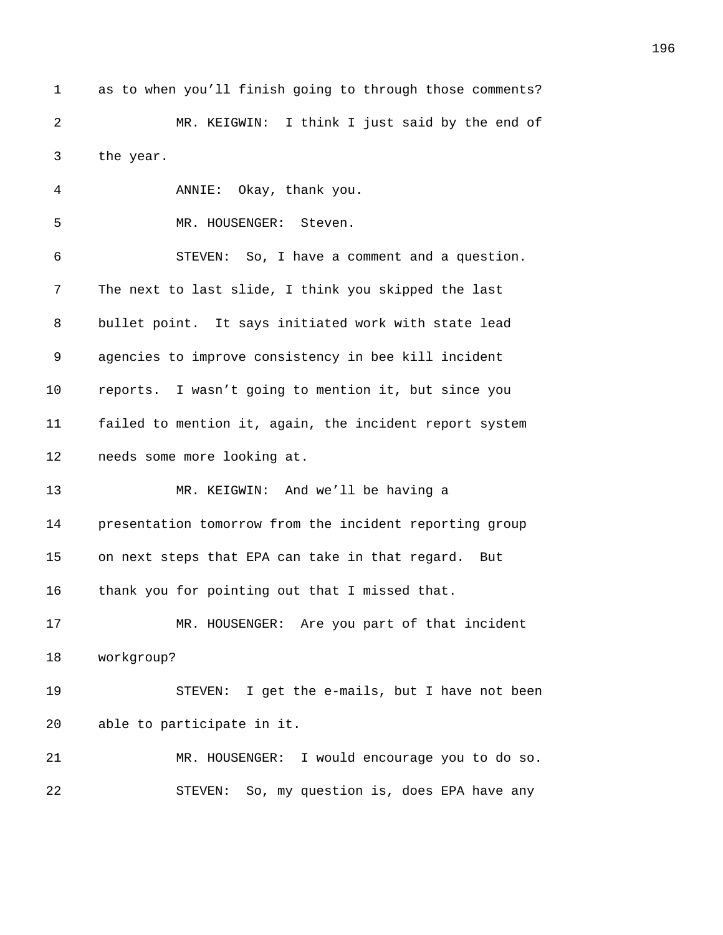1 as to when you'll finish going to through those comments? **407 MR. KEIGWIN:** I think I just said by the end of 3 the year.

**ANNIE:** Okay, thank you. 5 MR. HOUSENGER: Steven. *408B*STEVEN: So, I have a comment and a question. 7 The next to last slide, I think you skipped the last 8 bullet point. It says initiated work with state lead *4083B*agencies to improve consistency in bee kill incident *reports.* I wasn't going to mention it, but since you **failed to mention it, again, the incident report system heeds** some more looking at. 13 MR. KEIGWIN: And we'll be having a *presentation tomorrow from the incident reporting group* 15 on next steps that EPA can take in that regard. But 16 thank you for pointing out that I missed that. **Annual MR. HOUSENGER:** Are you part of that incident **workgroup? 409 ADAPE STEVEN:** I get the e-mails, but I have not been 20 able to participate in it.

**Annual MR. HOUSENGER:** I would encourage you to do so. **408** STEVEN: So, my question is, does EPA have any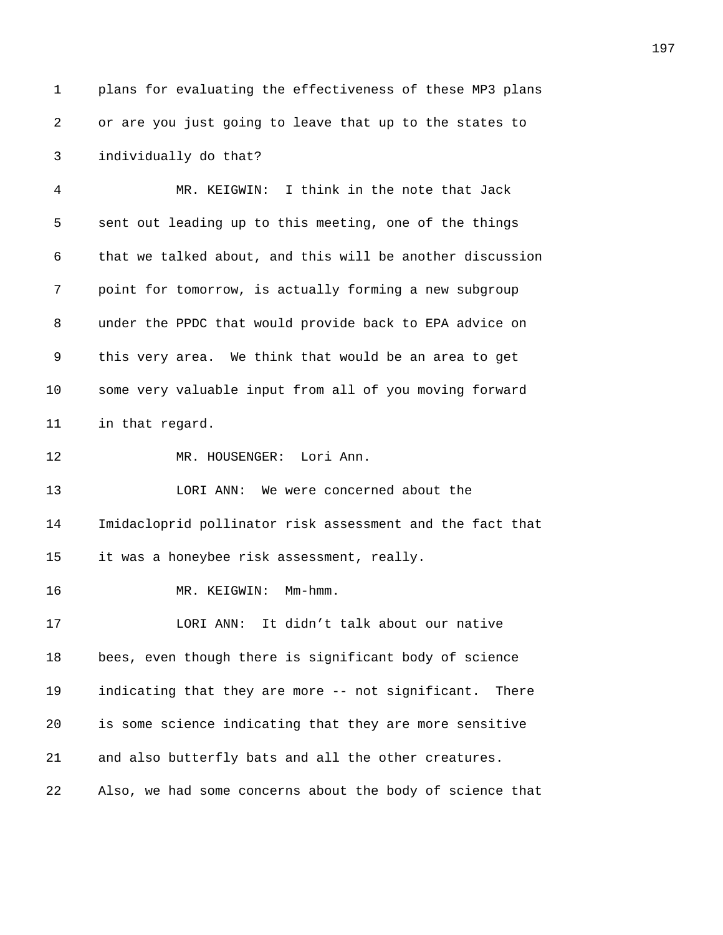1 plans for evaluating the effectiveness of these MP3 plans 2 or are you just going to leave that up to the states to *individually do that? 409B*MR. KEIGWIN: I think in the note that Jack **5 6** sent out leading up to this meeting, one of the things 6 that we talked about, and this will be another discussion **budge 102** point for tomorrow, is actually forming a new subgroup **4103** under the PPDC that would provide back to EPA advice on **this very area.** We think that would be an area to get **5006** some very valuable input from all of you moving forward **in that regard. Annual MR. HOUSENGER:** Lori Ann. *4108B*LORI ANN: We were concerned about the *4109B*Imidacloprid pollinator risk assessment and the fact that 15 it was a honeybee risk assessment, really. **Annual MR. KEIGWIN: Mm-hmm.** *412B*LORI ANN: It didn't talk about our native 18 bees, even though there is significant body of science **indicating that they are more -- not significant.** There **415** is some science indicating that they are more sensitive 21 and also butterfly bats and all the other creatures. *417B*Also, we had some concerns about the body of science that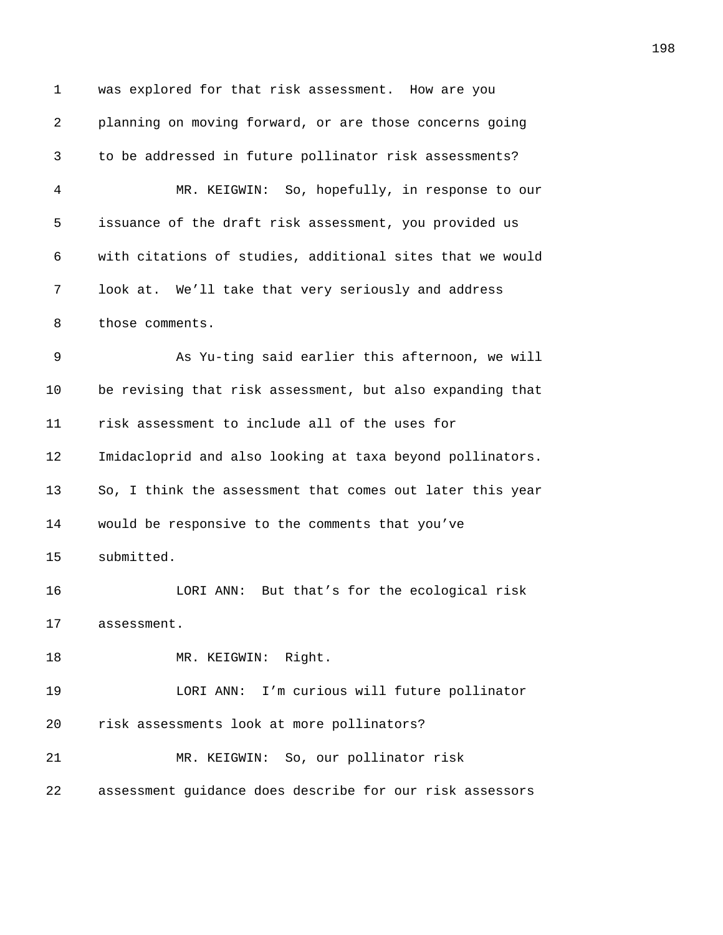1 was explored for that risk assessment. How are you *418B*planning on moving forward, or are those concerns going *419B*to be addressed in future pollinator risk assessments? **120 MR. KEIGWIN:** So, hopefully, in response to our **112** issuance of the draft risk assessment, you provided us *412B*with citations of studies, additional sites that we would **100k at.** We'll take that very seriously and address 8 those comments. **4125 Bas Yu-ting said earlier this afternoon, we will** 10 be revising that risk assessment, but also expanding that *tisk assessment to include all of the uses for* 12 Imidacloprid and also looking at taxa beyond pollinators. 13 60, I think the assessment that comes out later this year 14 would be responsive to the comments that you've 15 submitted. **413** LORI ANN: But that's for the ecological risk 17 assessment. 18 MR. KEIGWIN: Right. **4136 IORI ANN:** I'm curious will future pollinator *1136* risk assessments look at more pollinators? **413 MR. KEIGWIN:** So, our pollinator risk *4138B*assessment guidance does describe for our risk assessors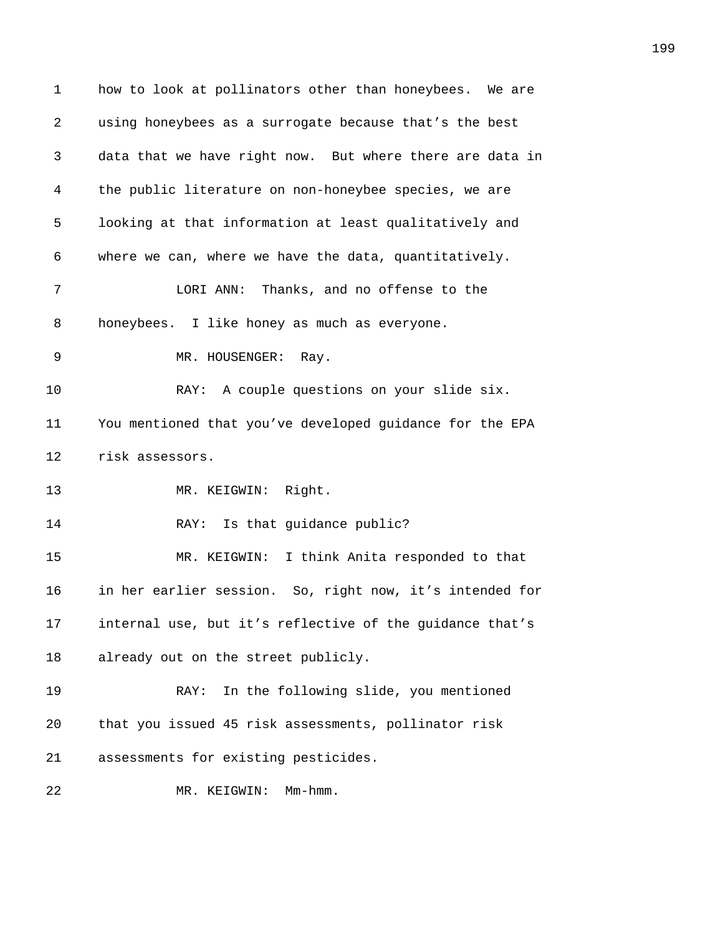| $\mathbf 1$ | how to look at pollinators other than honeybees. We are  |
|-------------|----------------------------------------------------------|
| 2           | using honeybees as a surrogate because that's the best   |
| 3           | data that we have right now. But where there are data in |
| 4           | the public literature on non-honeybee species, we are    |
| 5           | looking at that information at least qualitatively and   |
| 6           | where we can, where we have the data, quantitatively.    |
| 7           | LORI ANN: Thanks, and no offense to the                  |
| 8           | honeybees. I like honey as much as everyone.             |
| 9           | MR. HOUSENGER:<br>Ray.                                   |
| 10          | RAY: A couple questions on your slide six.               |
| 11          | You mentioned that you've developed guidance for the EPA |
| 12          | risk assessors.                                          |
| 13          | MR. KEIGWIN: Right.                                      |
| 14          | Is that guidance public?<br>RAY:                         |
| 15          | I think Anita responded to that<br>MR. KEIGWIN:          |
| 16          | in her earlier session. So, right now, it's intended for |
| 17          | internal use, but it's reflective of the guidance that's |
| 18          | already out on the street publicly.                      |
| 19          | In the following slide, you mentioned<br>RAY:            |
| 20          | that you issued 45 risk assessments, pollinator risk     |
| 21          | assessments for existing pesticides.                     |
| 22          | $Mm-hmm.$<br>MR. KEIGWIN:                                |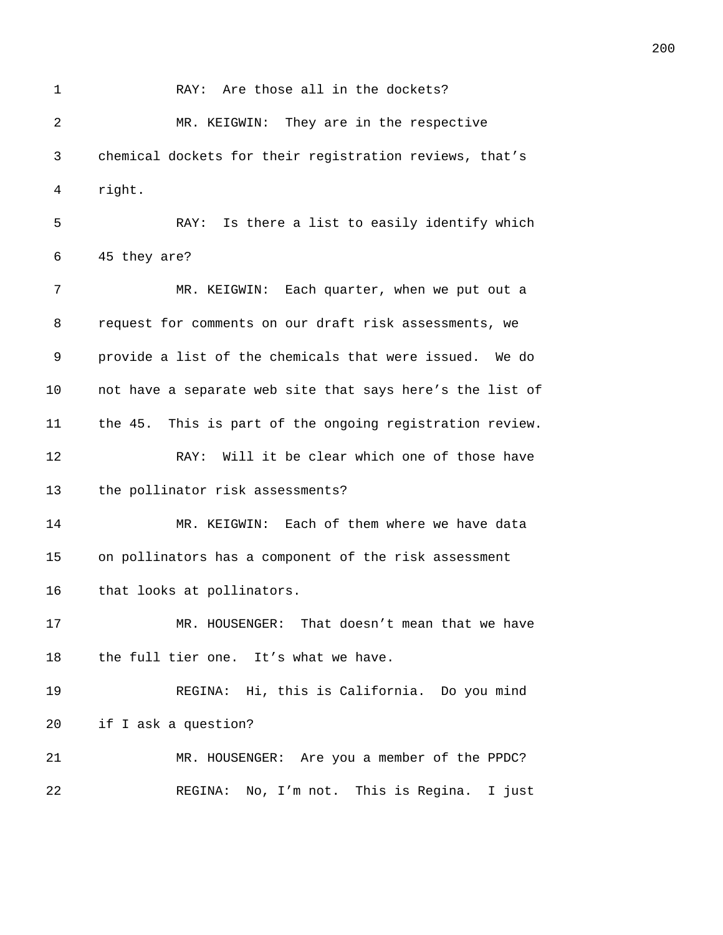| $\mathbf{1}$ | RAY: Are those all in the dockets?                        |
|--------------|-----------------------------------------------------------|
| 2            | MR. KEIGWIN: They are in the respective                   |
| 3            | chemical dockets for their registration reviews, that's   |
| 4            | right.                                                    |
| 5            | Is there a list to easily identify which<br>RAY:          |
| 6            | 45 they are?                                              |
| 7            | MR. KEIGWIN: Each quarter, when we put out a              |
| 8            | request for comments on our draft risk assessments, we    |
| 9            | provide a list of the chemicals that were issued. We do   |
| 10           | not have a separate web site that says here's the list of |
| 11           | the 45. This is part of the ongoing registration review.  |
| 12           | Will it be clear which one of those have<br>RAY:          |
| 13           | the pollinator risk assessments?                          |
| 14           | MR. KEIGWIN: Each of them where we have data              |
| 15           | on pollinators has a component of the risk assessment     |
| 16           | that looks at pollinators.                                |
| 17           | MR. HOUSENGER: That doesn't mean that we have             |
| 18           | the full tier one. It's what we have.                     |
| 19           | REGINA: Hi, this is California. Do you mind               |
| 20           | if I ask a question?                                      |
| 21           | MR. HOUSENGER: Are you a member of the PPDC?              |
| 22           | REGINA: No, I'm not. This is Regina. I just               |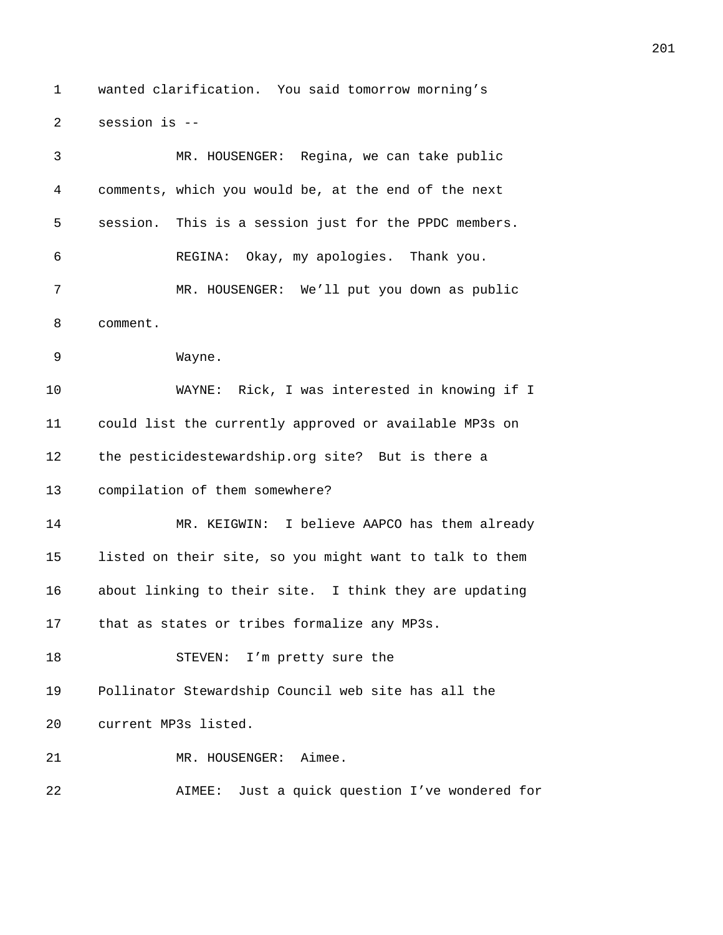1 wanted clarification. You said tomorrow morning's 2 session is --

| 3  | MR. HOUSENGER: Regina, we can take public               |
|----|---------------------------------------------------------|
| 4  | comments, which you would be, at the end of the next    |
| 5  | session. This is a session just for the PPDC members.   |
| 6  | REGINA: Okay, my apologies. Thank you.                  |
| 7  | MR. HOUSENGER: We'll put you down as public             |
| 8  | comment.                                                |
| 9  | Wayne.                                                  |
| 10 | WAYNE: Rick, I was interested in knowing if I           |
| 11 | could list the currently approved or available MP3s on  |
| 12 | the pesticidestewardship.org site? But is there a       |
| 13 | compilation of them somewhere?                          |
| 14 | MR. KEIGWIN: I believe AAPCO has them already           |
| 15 | listed on their site, so you might want to talk to them |
| 16 | about linking to their site. I think they are updating  |
| 17 | that as states or tribes formalize any MP3s.            |
| 18 | STEVEN: I'm pretty sure the                             |
| 19 | Pollinator Stewardship Council web site has all the     |
| 20 | current MP3s listed.                                    |
| 21 | MR. HOUSENGER:<br>Aimee.                                |
| 22 | Just a quick question I've wondered for<br>AIMEE:       |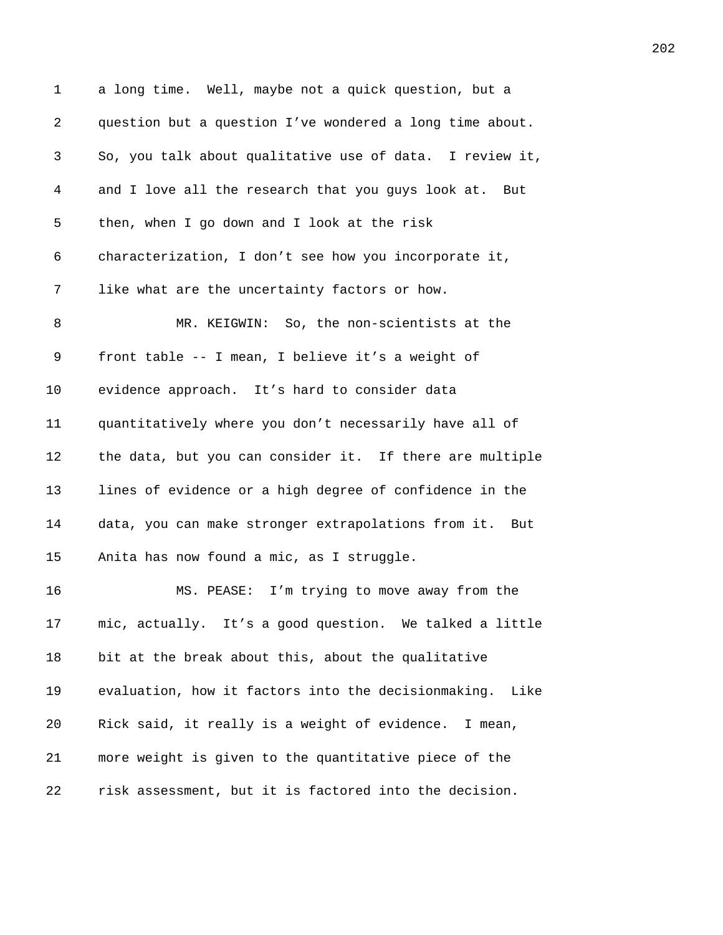| 1  | a long time. Well, maybe not a quick question, but a     |
|----|----------------------------------------------------------|
| 2  | question but a question I've wondered a long time about. |
| 3  | So, you talk about qualitative use of data. I review it, |
| 4  | and I love all the research that you guys look at. But   |
| 5  | then, when I go down and I look at the risk              |
| 6  | characterization, I don't see how you incorporate it,    |
| 7  | like what are the uncertainty factors or how.            |
| 8  | MR. KEIGWIN: So, the non-scientists at the               |
| 9  | front table -- I mean, I believe it's a weight of        |
| 10 | evidence approach. It's hard to consider data            |
| 11 | quantitatively where you don't necessarily have all of   |
| 12 | the data, but you can consider it. If there are multiple |
| 13 | lines of evidence or a high degree of confidence in the  |
| 14 | data, you can make stronger extrapolations from it. But  |
| 15 | Anita has now found a mic, as I struggle.                |
| 16 | MS. PEASE: I'm trying to move away from the              |
| 17 | mic, actually. It's a good question. We talked a little  |
| 18 | bit at the break about this, about the qualitative       |
| 19 | evaluation, how it factors into the decisionmaking. Like |
| 20 | Rick said, it really is a weight of evidence. I mean,    |
| 21 | more weight is given to the quantitative piece of the    |
| 22 | risk assessment, but it is factored into the decision.   |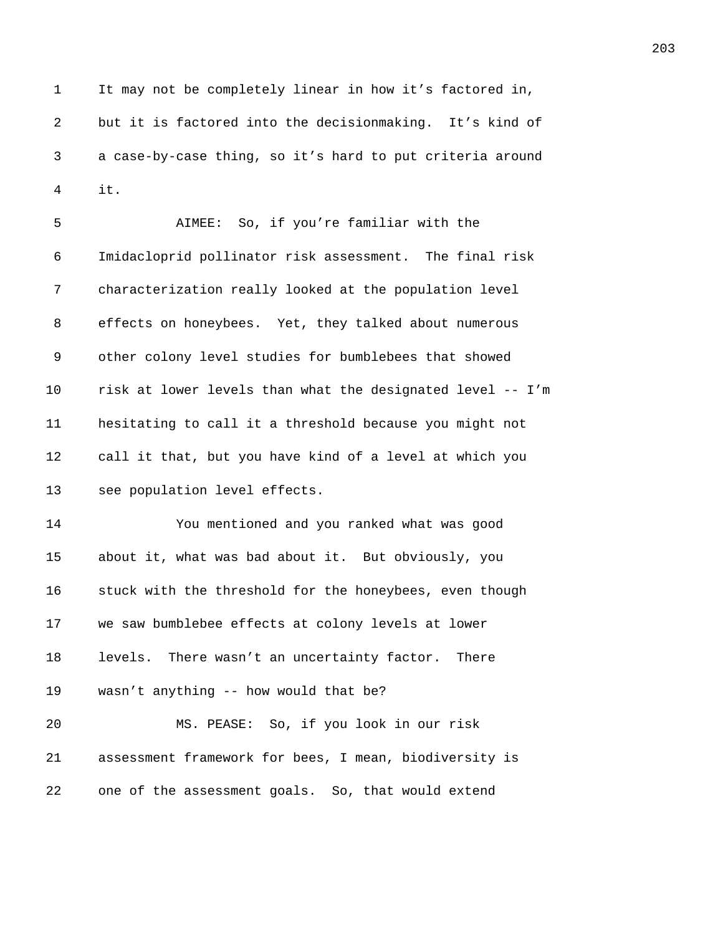1 It may not be completely linear in how it's factored in, 2 but it is factored into the decisionmaking. It's kind of 3 *42B*a case-by-case thing, so it's hard to put criteria around 4 *425B*it.

5 *426B*AIMEE: So, if you're familiar with the 6 Imidacloprid pollinator risk assessment. The final risk 7 **628** characterization really looked at the population level 8 effects on honeybees. Yet, they talked about numerous 9 other colony level studies for bumblebees that showed 10 *risk* at lower levels than what the designated level -- I'm 11 *423B*hesitating to call it a threshold because you might not 12 call it that, but you have kind of a level at which you 13 **523** see population level effects. 14 *4235B*You mentioned and you ranked what was good 15 about it, what was bad about it. But obviously, you 16 **5237** stuck with the threshold for the honeybees, even though

17 **we saw bumblebee effects at colony levels at lower** 

18 **1888** levels. There wasn't an uncertainty factor. There

19 wasn't anything -- how would that be?

20 **421 MS. PEASE:** So, if you look in our risk 21 assessment framework for bees, I mean, biodiversity is 22 one of the assessment goals. So, that would extend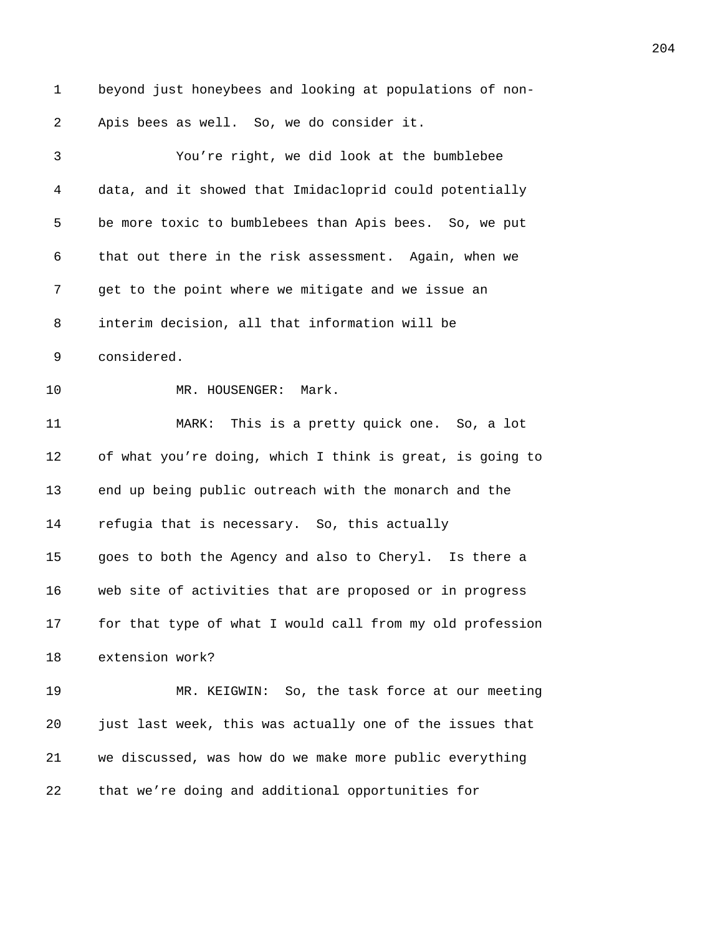1 beyond just honeybees and looking at populations of non-2 Apis bees as well. So, we do consider it. *425B*You're right, we did look at the bumblebee *426B*data, and it showed that Imidacloprid could potentially 5 be more toxic to bumblebees than Apis bees. So, we put **that out there in the risk assessment.** Again, when we **929** get to the point where we mitigate and we issue an 8 interim decision, all that information will be 9 considered. **425 MR. HOUSENGER: Mark. 4253 MARK:** This is a pretty quick one. So, a lot 12 of what you're doing, which I think is great, is going to **425 and up being public outreach with the monarch and the 11 1256** refugia that is necessary. So, this actually *4257B*goes to both the Agency and also to Cheryl. Is there a 16 web site of activities that are proposed or in progress **for that type of what I would call from my old profession** 18 extension work? **426** MR. KEIGWIN: So, the task force at our meeting *426B*just last week, this was actually one of the issues that *4263B*we discussed, was how do we make more public everything 22 that we're doing and additional opportunities for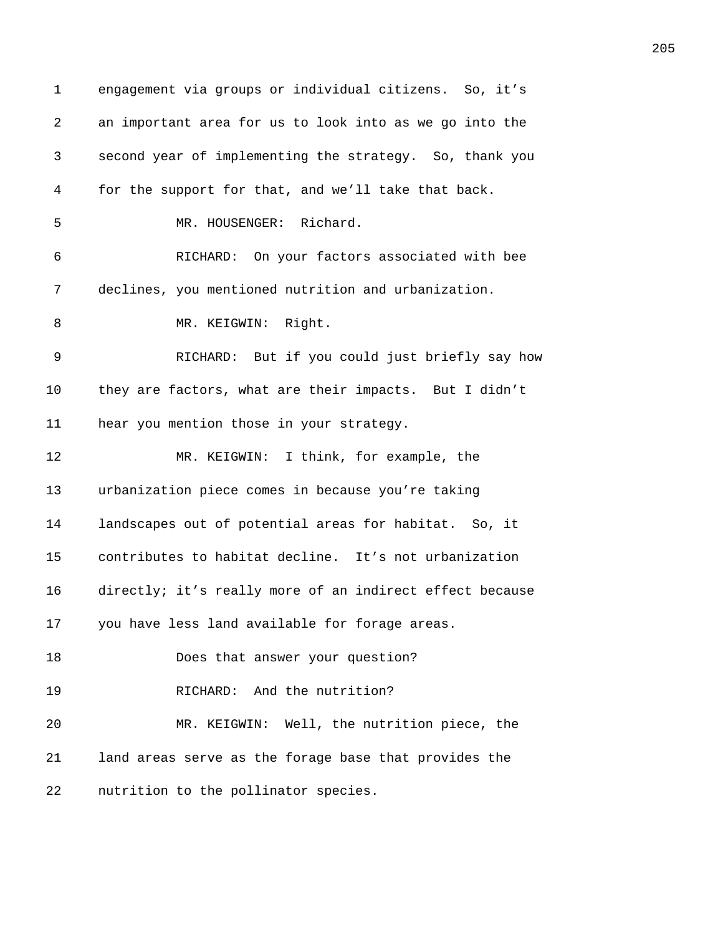1 engagement via groups or individual citizens. So, it's *4265B*an important area for us to look into as we go into the *426B*second year of implementing the strategy. So, thank you *4267B*for the support for that, and we'll take that back. **426 MR. HOUSENGER:** Richard. *4269B*RICHARD: On your factors associated with bee **declines, you mentioned nutrition and urbanization.** 8 MR. KEIGWIN: Right. **427** RICHARD: But if you could just briefly say how 10 they are factors, what are their impacts. But I didn't **hear you mention those in your strategy. 427 MR. KEIGWIN:** I think, for example, the **4276** urbanization piece comes in because you're taking **1** landscapes out of potential areas for habitat. So, it 15 contributes to habitat decline. It's not urbanization **directly; it's really more of an indirect effect because** *you have less land available for forage areas. 4281B*Does that answer your question? **ANDERICHARD:** And the nutrition? **4283 MR. KEIGWIN:** Well, the nutrition piece, the *428B*land areas serve as the forage base that provides the **hutrition to the pollinator species.**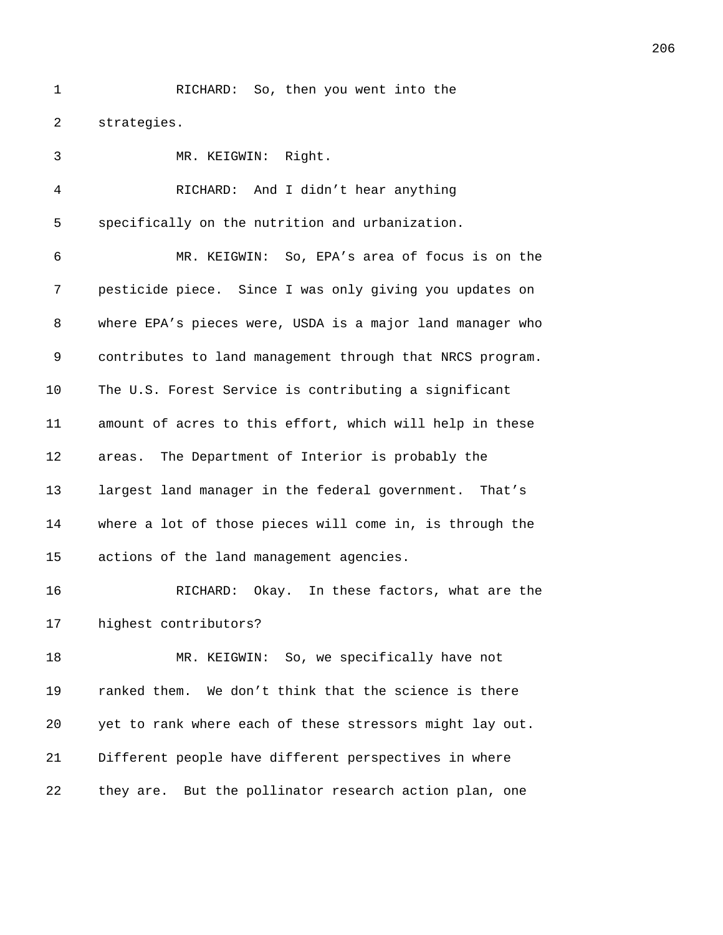1 RICHARD: So, then you went into the 2 strategies.

3 MR. KEIGWIN: Right. 4 *428B*RICHARD: And I didn't hear anything 5 specifically on the nutrition and urbanization. 6 *4290B*MR. KEIGWIN: So, EPA's area of focus is on the 7 **pesticide piece.** Since I was only giving you updates on 8 where EPA's pieces were, USDA is a major land manager who 9 contributes to land management through that NRCS program. 10 The U.S. Forest Service is contributing a significant 11 amount of acres to this effort, which will help in these 12 **areas.** The Department of Interior is probably the 13 **12** largest land manager in the federal government. That's 14 *where a lot of those pieces will come in, is through the* 15 actions of the land management agencies. 16 **A30**RICHARD: Okay. In these factors, what are the 17 **highest contributors?** 18 **A30** MR. KEIGWIN: So, we specifically have not 19 *f* ranked them. We don't think that the science is there 20 *430B*yet to rank where each of these stressors might lay out. 21 **bifferent people have different perspectives in where** 22 they are. But the pollinator research action plan, one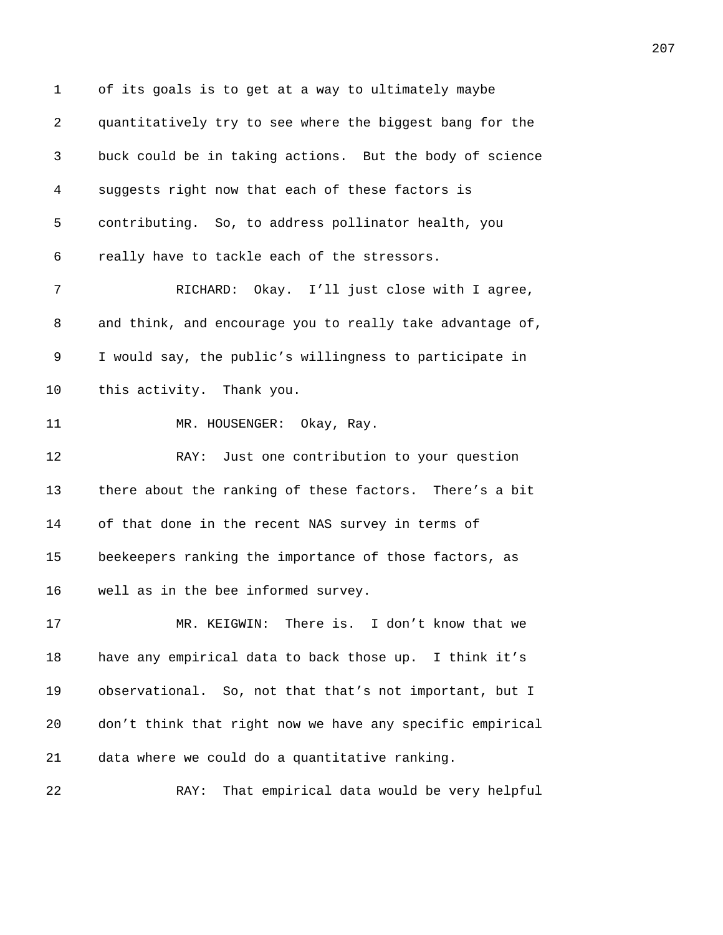1 of its goals is to get at a way to ultimately maybe 2 *4307B*quantitatively try to see where the biggest bang for the 3 *4308B*buck could be in taking actions. But the body of science 4 *4309B*suggests right now that each of these factors is 5 contributing. So, to address pollinator health, you 6 really have to tackle each of the stressors. 7 **4313** RICHARD: Okay. I'll just close with I agree, 8 and think, and encourage you to really take advantage of, 9 *431B*I would say, the public's willingness to participate in 10 this activity. Thank you. 11 MR. HOUSENGER: Okay, Ray. 12 **4311 RAY:** Just one contribution to your question 13 **there about the ranking of these factors.** There's a bit 14 of that done in the recent NAS survey in terms of 15 beekeepers ranking the importance of those factors, as 16 well as in the bee informed survey. 17 **432 MR. KEIGWIN:** There is. I don't know that we 18 have any empirical data to back those up. I think it's 19 observational. So, not that that's not important, but I 20 don't think that right now we have any specific empirical 21 data where we could do a quantitative ranking. 22 **433** RAY: That empirical data would be very helpful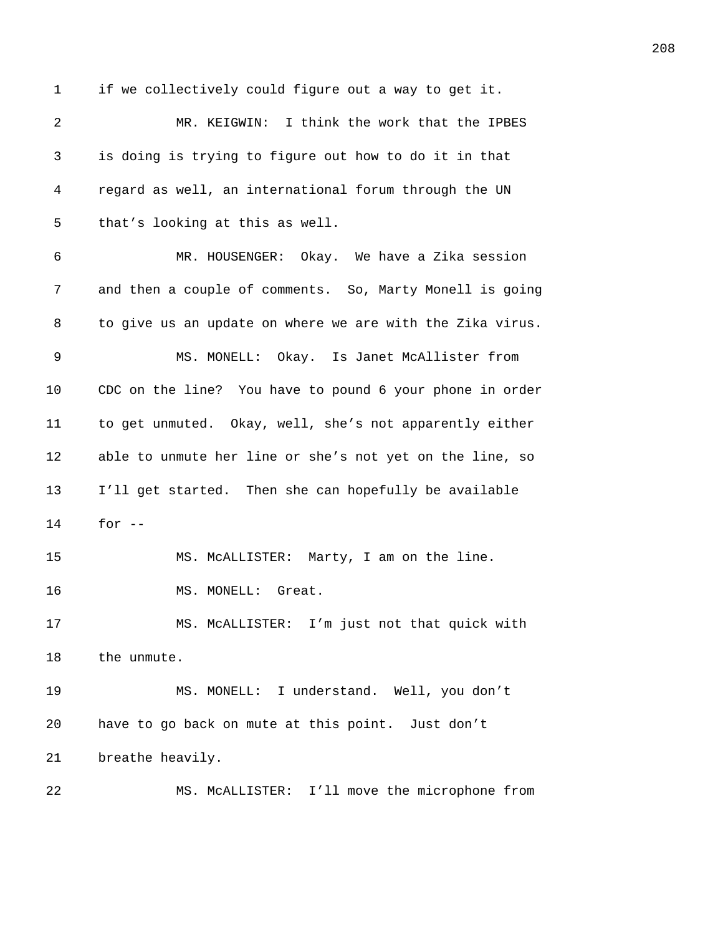1 if we collectively could figure out a way to get it. 2 **433** MR. KEIGWIN: I think the work that the IPBES 3 *4329B*is doing is trying to figure out how to do it in that 4 *430B*regard as well, an international forum through the UN 5 that's looking at this as well. 6 *432B*MR. HOUSENGER: Okay. We have a Zika session 7 and then a couple of comments. So, Marty Monell is going 8 to give us an update on where we are with the Zika virus. 9 MS. MONELL: Okay. Is Janet McAllister from 10 CDC on the line? You have to pound 6 your phone in order 11 to get unmuted. Okay, well, she's not apparently either 12 able to unmute her line or she's not yet on the line, so 13 **I'll get started.** Then she can hopefully be available 14 for  $-$ 15 **431 MS. McALLISTER:** Marty, I am on the line. 16 MS. MONELL: Great. 17 **43B**MS. McALLISTER: I'm just not that quick with 18 the unmute.

19 **435 MS. MONELL:** I understand. Well, you don't 20 have to go back on mute at this point. Just don't 21 breathe heavily.

22 MS. McALLISTER: I'll move the microphone from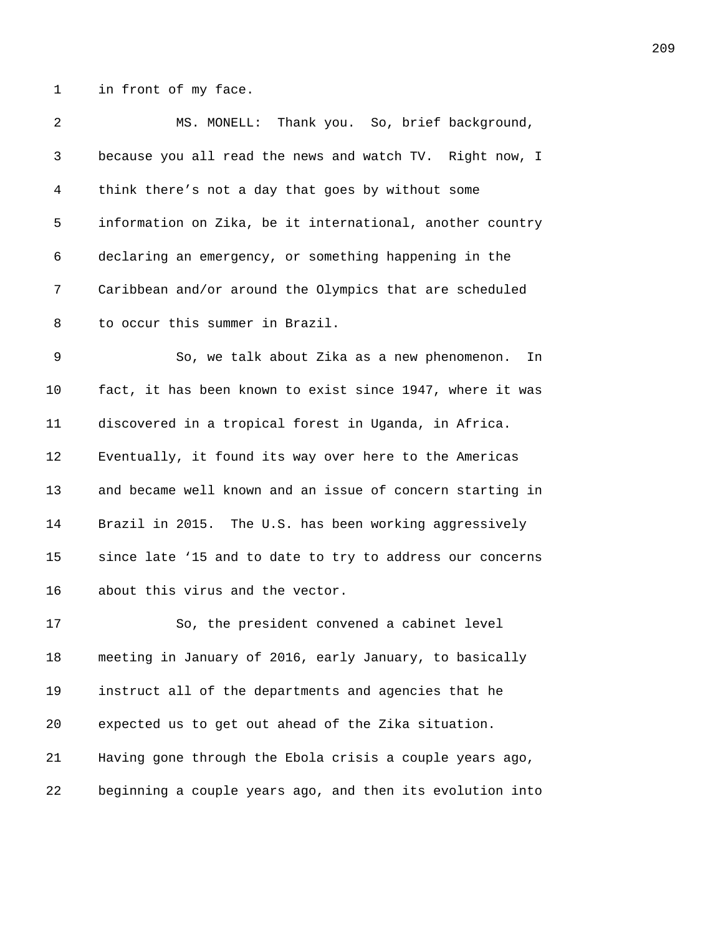1 in front of my face.

| 2  | MS. MONELL: Thank you. So, brief background,              |
|----|-----------------------------------------------------------|
| 3  | because you all read the news and watch TV. Right now, I  |
| 4  | think there's not a day that goes by without some         |
| 5  | information on Zika, be it international, another country |
| 6  | declaring an emergency, or something happening in the     |
| 7  | Caribbean and/or around the Olympics that are scheduled   |
| 8  | to occur this summer in Brazil.                           |
| 9  | So, we talk about Zika as a new phenomenon.<br>In         |
| 10 | fact, it has been known to exist since 1947, where it was |
| 11 | discovered in a tropical forest in Uganda, in Africa.     |
| 12 | Eventually, it found its way over here to the Americas    |
| 13 | and became well known and an issue of concern starting in |
| 14 | Brazil in 2015. The U.S. has been working aggressively    |
| 15 | since late '15 and to date to try to address our concerns |
| 16 | about this virus and the vector.                          |
| 17 | So, the president convened a cabinet level                |
| 18 | meeting in January of 2016, early January, to basically   |
| 19 | instruct all of the departments and agencies that he      |
| 20 | expected us to get out ahead of the Zika situation.       |
| 21 | Having gone through the Ebola crisis a couple years ago,  |
| 22 | beginning a couple years ago, and then its evolution into |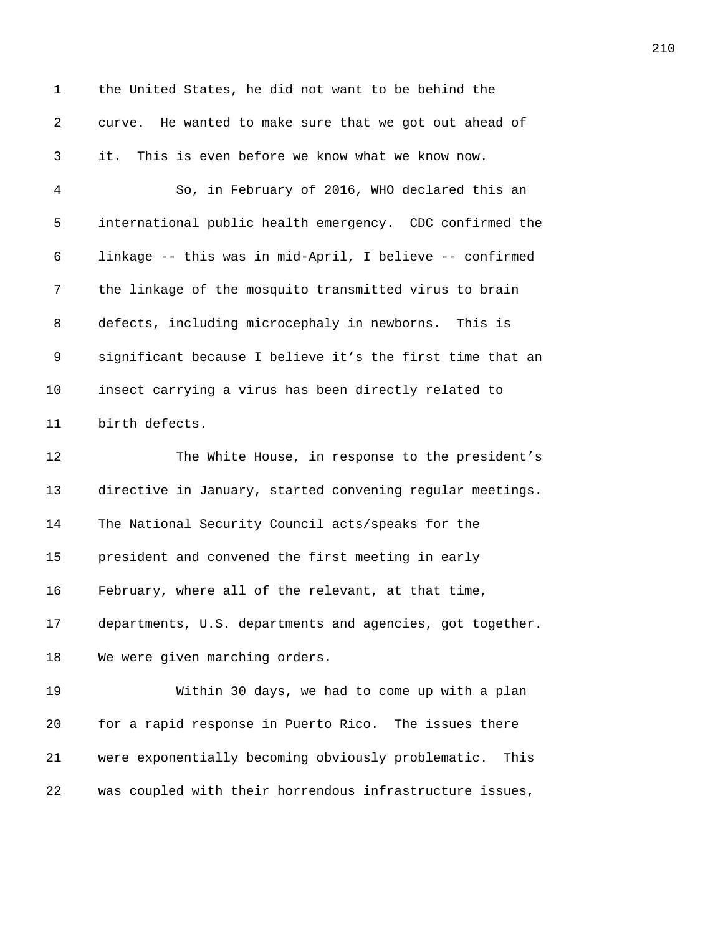1 the United States, he did not want to be behind the 2 curve. He wanted to make sure that we got out ahead of *4371B*it. This is even before we know what we know now. *4372B*So, in February of 2016, WHO declared this an *437B*international public health emergency. CDC confirmed the *437B*linkage -- this was in mid-April, I believe -- confirmed 7 the linkage of the mosquito transmitted virus to brain 8 defects, including microcephaly in newborns. This is **537** significant because I believe it's the first time that an **insect carrying a virus has been directly related to** 11 birth defects. **438** The White House, in response to the president's **directive in January, started convening regular meetings.** 14 The National Security Council acts/speaks for the **president and convened the first meeting in early** 16 February, where all of the relevant, at that time, 17 departments, U.S. departments and agencies, got together. 18 We were given marching orders. **4387** Within 30 days, we had to come up with a plan **6** for a rapid response in Puerto Rico. The issues there **4389** were exponentially becoming obviously problematic. This *4390B*was coupled with their horrendous infrastructure issues,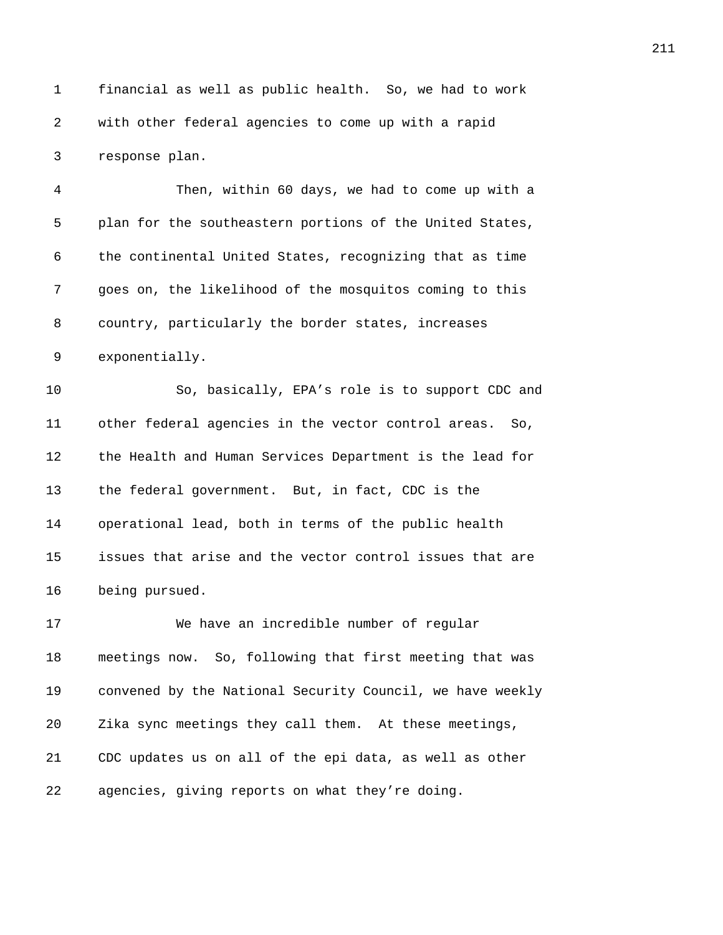1 financial as well as public health. So, we had to work 2 with other federal agencies to come up with a rapid 3 response plan.

4 *439B*Then, within 60 days, we had to come up with a 5 **plan for the southeastern portions of the United States,** 6 the continental United States, recognizing that as time 7 *4396B*goes on, the likelihood of the mosquitos coming to this 8 country, particularly the border states, increases 9 exponentially.

**439 Bo**, basically, EPA's role is to support CDC and *40B*other federal agencies in the vector control areas. So, 12 the Health and Human Services Department is the lead for 13 the federal government. But, in fact, CDC is the **belage operational lead, both in terms of the public health** *40B*issues that arise and the vector control issues that are **being pursued.** 

**406** We have an incredible number of regular **II** meetings now. So, following that first meeting that was **408** convened by the National Security Council, we have weekly *Zika sync meetings they call them.* At these meetings, 21 CDC updates us on all of the epi data, as well as other 22 agencies, giving reports on what they're doing.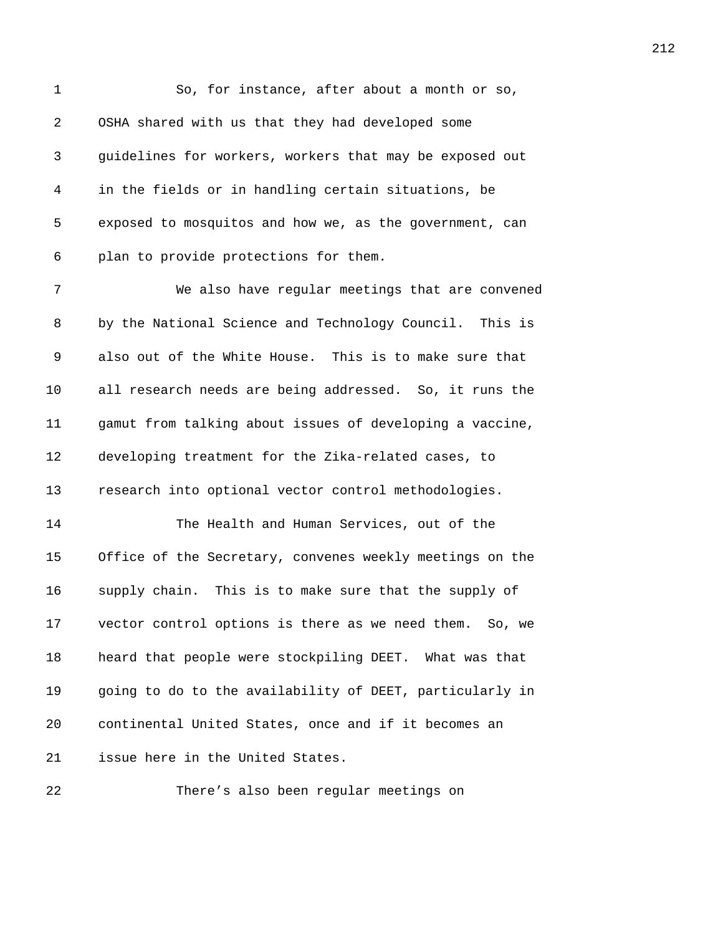| 1  | So, for instance, after about a month or so,             |
|----|----------------------------------------------------------|
| 2  | OSHA shared with us that they had developed some         |
| 3  | guidelines for workers, workers that may be exposed out  |
| 4  | in the fields or in handling certain situations, be      |
| 5  | exposed to mosquitos and how we, as the government, can  |
| 6  | plan to provide protections for them.                    |
| 7  | We also have regular meetings that are convened          |
| 8  | by the National Science and Technology Council. This is  |
| 9  | also out of the White House. This is to make sure that   |
| 10 | all research needs are being addressed. So, it runs the  |
| 11 | gamut from talking about issues of developing a vaccine, |
| 12 | developing treatment for the Zika-related cases, to      |
| 13 | research into optional vector control methodologies.     |
| 14 | The Health and Human Services, out of the                |
| 15 | Office of the Secretary, convenes weekly meetings on the |
| 16 | supply chain. This is to make sure that the supply of    |
| 17 | vector control options is there as we need them. So, we  |
| 18 | heard that people were stockpiling DEET. What was that   |
| 19 | going to do to the availability of DEET, particularly in |
| 20 | continental United States, once and if it becomes an     |
| 21 | issue here in the United States.                         |
|    |                                                          |

**4333** There's also been regular meetings on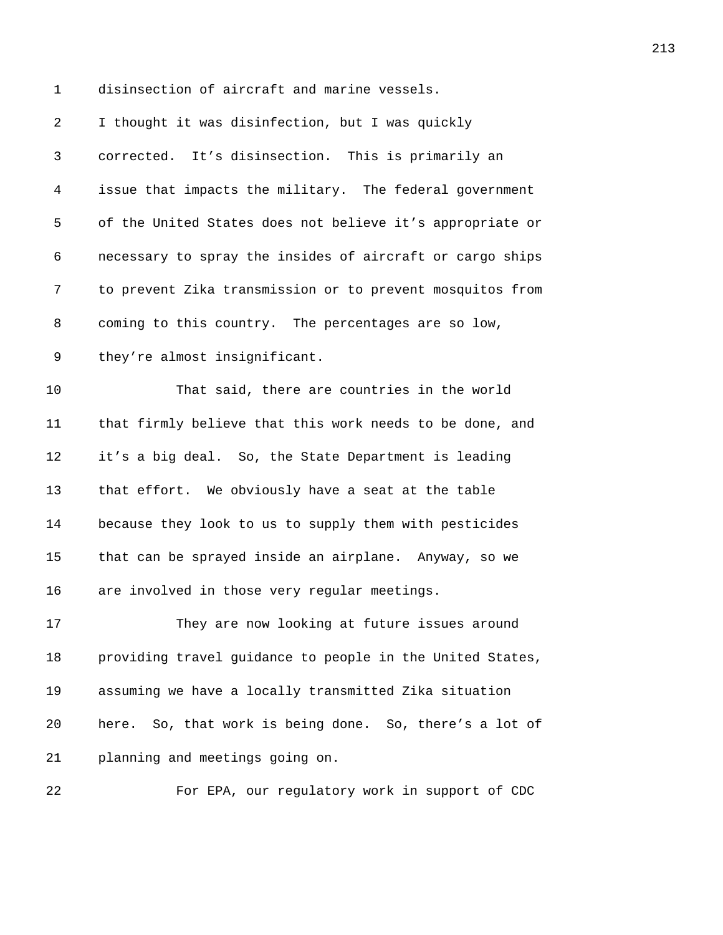1 disinsection of aircraft and marine vessels.

| 2  | I thought it was disinfection, but I was quickly          |
|----|-----------------------------------------------------------|
| 3  | corrected. It's disinsection. This is primarily an        |
| 4  | issue that impacts the military. The federal government   |
| 5  | of the United States does not believe it's appropriate or |
| 6  | necessary to spray the insides of aircraft or cargo ships |
| 7  | to prevent Zika transmission or to prevent mosquitos from |
| 8  | coming to this country. The percentages are so low,       |
| 9  | they're almost insignificant.                             |
| 10 | That said, there are countries in the world               |
| 11 | that firmly believe that this work needs to be done, and  |
| 12 | it's a big deal. So, the State Department is leading      |
| 13 | that effort. We obviously have a seat at the table        |
| 14 | because they look to us to supply them with pesticides    |
| 15 | that can be sprayed inside an airplane. Anyway, so we     |
| 16 | are involved in those very regular meetings.              |
| 17 | They are now looking at future issues around              |
| 18 | providing travel guidance to people in the United States, |
| 19 | assuming we have a locally transmitted Zika situation     |
| 20 | here. So, that work is being done. So, there's a lot of   |
| 21 | planning and meetings going on.                           |
| 22 | For EPA, our regulatory work in support of CDC            |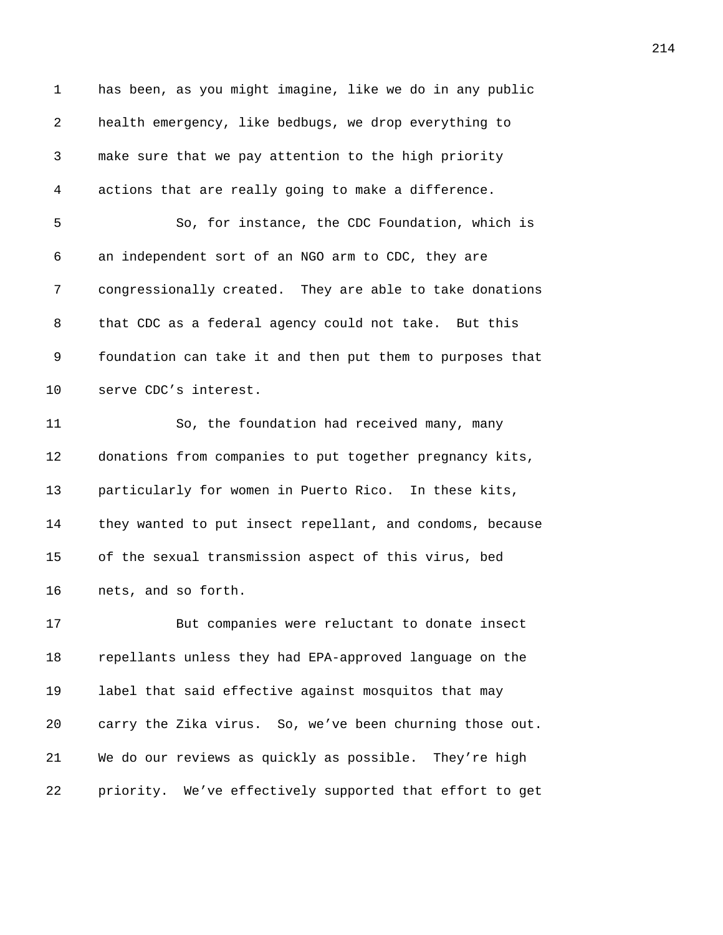| $\mathbf 1$ | has been, as you might imagine, like we do in any public  |
|-------------|-----------------------------------------------------------|
| 2           | health emergency, like bedbugs, we drop everything to     |
| 3           | make sure that we pay attention to the high priority      |
| 4           | actions that are really going to make a difference.       |
| 5           | So, for instance, the CDC Foundation, which is            |
| 6           | an independent sort of an NGO arm to CDC, they are        |
| 7           | congressionally created. They are able to take donations  |
| 8           | that CDC as a federal agency could not take. But this     |
| 9           | foundation can take it and then put them to purposes that |
| 10          | serve CDC's interest.                                     |
| 11          | So, the foundation had received many, many                |
| 12          | donations from companies to put together pregnancy kits,  |
| 13          | particularly for women in Puerto Rico. In these kits,     |
| 14          | they wanted to put insect repellant, and condoms, because |
| 15          | of the sexual transmission aspect of this virus, bed      |
| 16          | nets, and so forth.                                       |
| 17          | But companies were reluctant to donate insect             |
| 18          | repellants unless they had EPA-approved language on the   |
| 19          | label that said effective against mosquitos that may      |
| 20          | carry the Zika virus. So, we've been churning those out.  |
| 21          | We do our reviews as quickly as possible. They're high    |
| 22          | priority. We've effectively supported that effort to get  |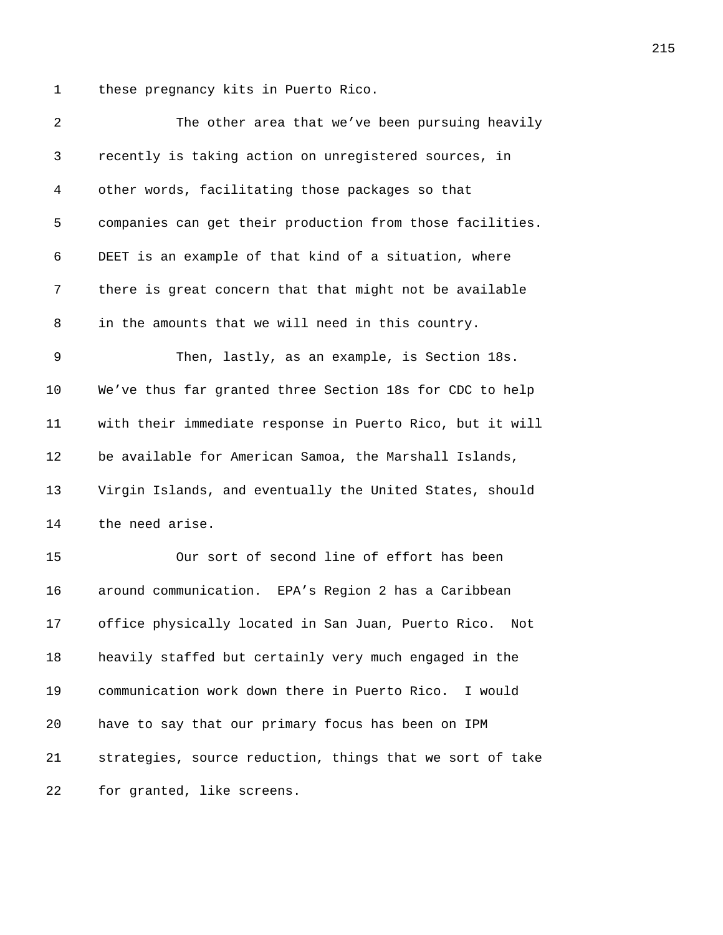1 these pregnancy kits in Puerto Rico.

| 2  | The other area that we've been pursuing heavily            |
|----|------------------------------------------------------------|
| 3  | recently is taking action on unregistered sources, in      |
| 4  | other words, facilitating those packages so that           |
| 5  | companies can get their production from those facilities.  |
| 6  | DEET is an example of that kind of a situation, where      |
| 7  | there is great concern that that might not be available    |
| 8  | in the amounts that we will need in this country.          |
| 9  | Then, lastly, as an example, is Section 18s.               |
| 10 | We've thus far granted three Section 18s for CDC to help   |
| 11 | with their immediate response in Puerto Rico, but it will  |
| 12 | be available for American Samoa, the Marshall Islands,     |
| 13 | Virgin Islands, and eventually the United States, should   |
| 14 | the need arise.                                            |
| 15 | Our sort of second line of effort has been                 |
| 16 | around communication. EPA's Region 2 has a Caribbean       |
| 17 | office physically located in San Juan, Puerto Rico.<br>Not |
| 18 | heavily staffed but certainly very much engaged in the     |
| 19 | communication work down there in Puerto Rico.<br>I would   |
| 20 | have to say that our primary focus has been on IPM         |
| 21 | strategies, source reduction, things that we sort of take  |
| 22 | for granted, like screens.                                 |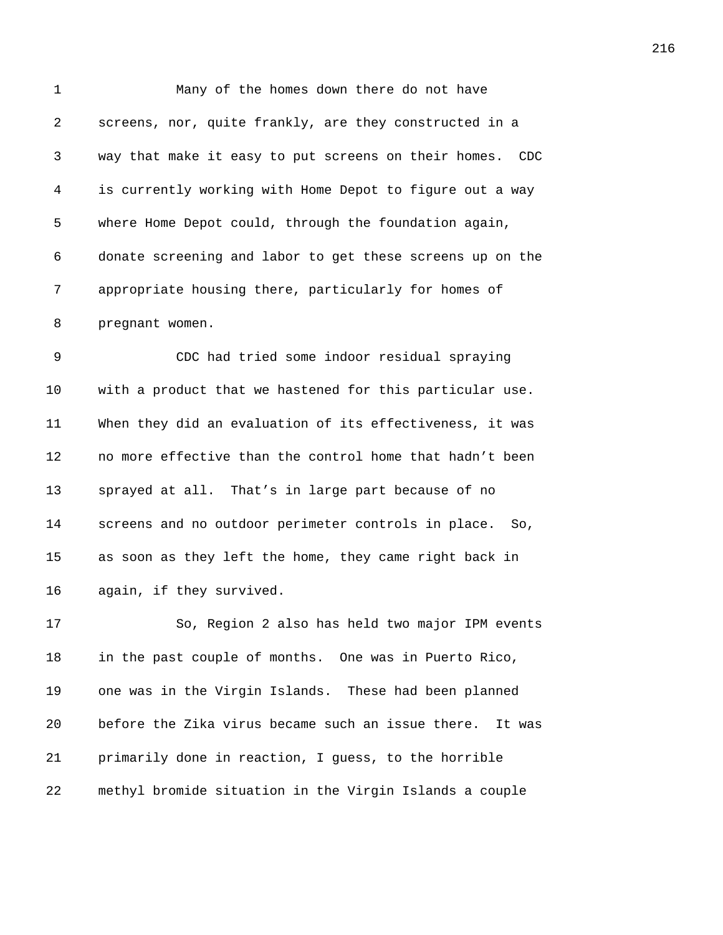| 1  | Many of the homes down there do not have                    |
|----|-------------------------------------------------------------|
| 2  | screens, nor, quite frankly, are they constructed in a      |
| 3  | way that make it easy to put screens on their homes.<br>CDC |
| 4  | is currently working with Home Depot to figure out a way    |
| 5  | where Home Depot could, through the foundation again,       |
| 6  | donate screening and labor to get these screens up on the   |
| 7  | appropriate housing there, particularly for homes of        |
| 8  | pregnant women.                                             |
| 9  | CDC had tried some indoor residual spraying                 |
| 10 | with a product that we hastened for this particular use.    |
| 11 | When they did an evaluation of its effectiveness, it was    |
| 12 | no more effective than the control home that hadn't been    |
| 13 | sprayed at all. That's in large part because of no          |
| 14 | screens and no outdoor perimeter controls in place.<br>So,  |
| 15 | as soon as they left the home, they came right back in      |
| 16 | again, if they survived.                                    |
| 17 | So, Region 2 also has held two major IPM events             |
| 18 | in the past couple of months. One was in Puerto Rico,       |
| 19 | one was in the Virgin Islands. These had been planned       |
| 20 | before the Zika virus became such an issue there.<br>It was |
| 21 | primarily done in reaction, I guess, to the horrible        |
| 22 | methyl bromide situation in the Virgin Islands a couple     |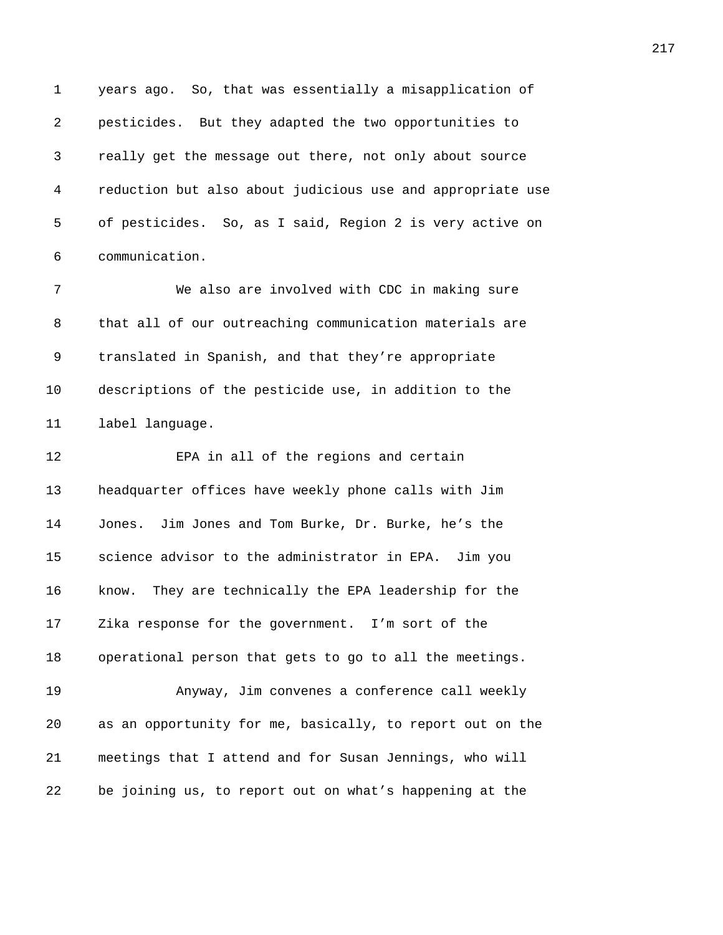1 years ago. So, that was essentially a misapplication of *4517B*pesticides. But they adapted the two opportunities to *4518B*really get the message out there, not only about source *4519B*reduction but also about judicious use and appropriate use 5 of pesticides. So, as I said, Region 2 is very active on 6 communication. **652BPD** We also are involved with CDC in making sure 8 that all of our outreaching communication materials are

9 translated in Spanish, and that they're appropriate **descriptions of the pesticide use, in addition to the 1abel language.** 

**4527 EPA** in all of the regions and certain **headquarter offices have weekly phone calls with Jim** 14 Jones. Jim Jones and Tom Burke, Dr. Burke, he's the **53131 55316 55316 55316 55316 55316 55316 55316 65316 65316 65316 65316 65316 65316 65316 65316 65316 65316 65316 65316 65316 65316 65316 65316 65316 65316 65316 65 4531** know. They are technically the EPA leadership for the **Zika response for the government.** I'm sort of the **b**operational person that gets to go to all the meetings. *453B*Anyway, Jim convenes a conference call weekly

*453B*as an opportunity for me, basically, to report out on the *4536B*meetings that I attend and for Susan Jennings, who will *4537B*be joining us, to report out on what's happening at the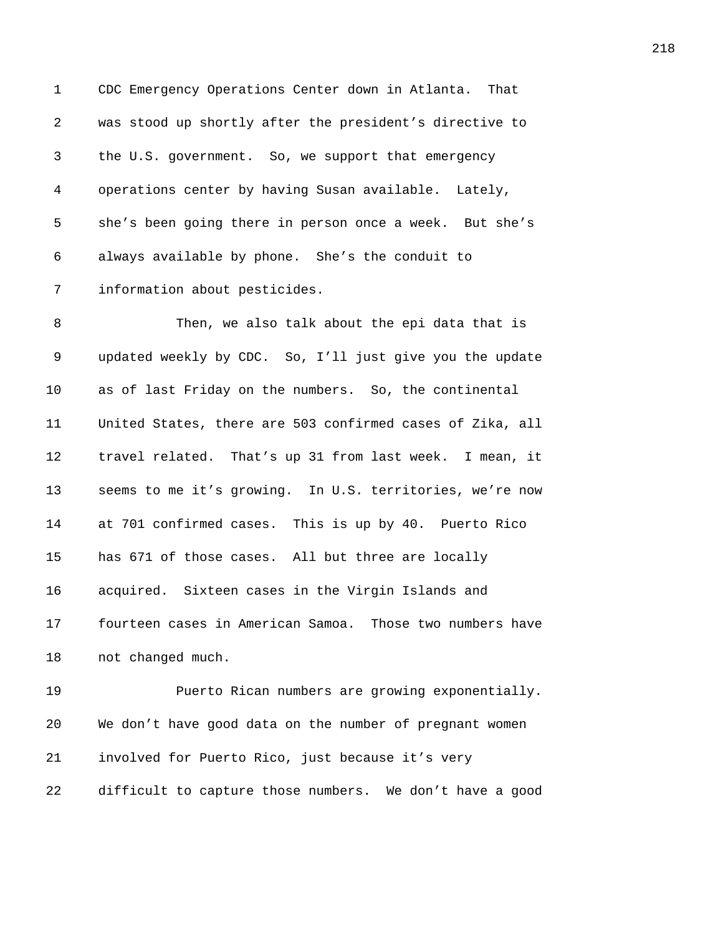1 CDC Emergency Operations Center down in Atlanta. That *4538B*was stood up shortly after the president's directive to 3 the U.S. government. So, we support that emergency *450B*operations center by having Susan available. Lately, 5 she's been going there in person once a week. But she's 6 always available by phone. She's the conduit to **information about pesticides.** 

**45 Then, we also talk about the epi data that is** *updated weekly by CDC.* So, I'll just give you the update 10 as of last Friday on the numbers. So, the continental *457B*United States, there are 503 confirmed cases of Zika, all 12 travel related. That's up 31 from last week. I mean, it **5988** seems to me it's growing. In U.S. territories, we're now **at 701 confirmed cases. This is up by 40. Puerto Rico** 15 has 671 of those cases. All but three are locally **acquired.** Sixteen cases in the Virgin Islands and **6** fourteen cases in American Samoa. Those two numbers have *not changed much.* 

**45 • Puerto Rican numbers are growing exponentially.** 20 We don't have good data on the number of pregnant women *involved for Puerto Rico, just because it's very* **difficult to capture those numbers.** We don't have a good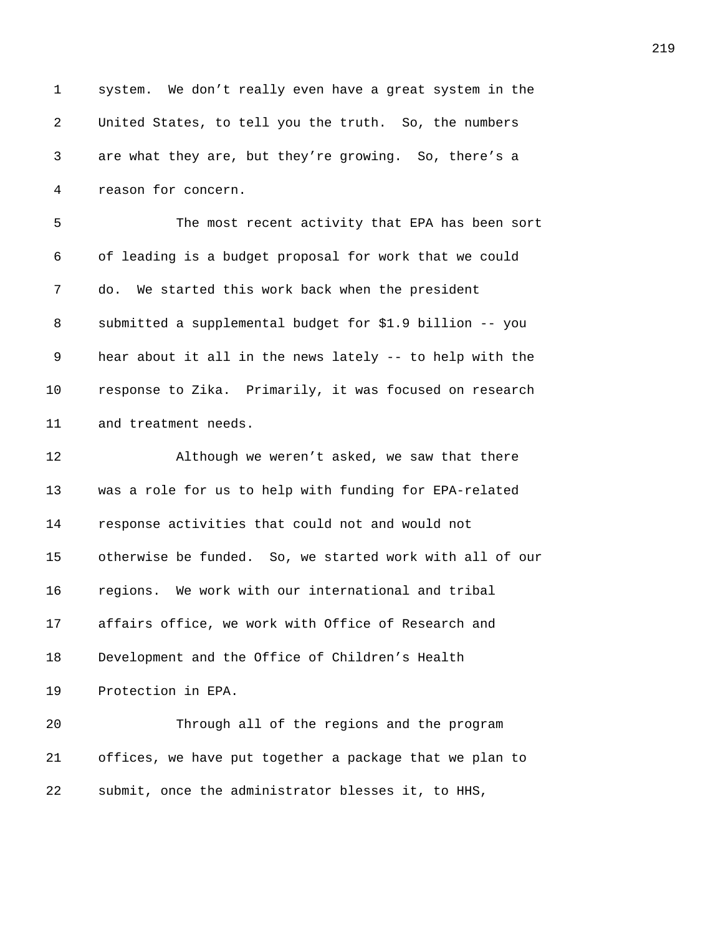| $\mathbf{1}$ | system. We don't really even have a great system in the  |
|--------------|----------------------------------------------------------|
| 2            | United States, to tell you the truth. So, the numbers    |
| 3            | are what they are, but they're growing. So, there's a    |
| 4            | reason for concern.                                      |
| 5            | The most recent activity that EPA has been sort          |
| 6            | of leading is a budget proposal for work that we could   |
| 7            | do. We started this work back when the president         |
| 8            | submitted a supplemental budget for \$1.9 billion -- you |
| 9            | hear about it all in the news lately -- to help with the |
| 10           | response to Zika. Primarily, it was focused on research  |
| 11           | and treatment needs.                                     |
| 12           | Although we weren't asked, we saw that there             |
| 13           | was a role for us to help with funding for EPA-related   |
| 14           | response activities that could not and would not         |
| 15           | otherwise be funded. So, we started work with all of our |
| 16           | regions. We work with our international and tribal       |
| 17           | affairs office, we work with Office of Research and      |
| 18           | Development and the Office of Children's Health          |
| 19           | Protection in EPA.                                       |
| 20           | Through all of the regions and the program               |
| 21           | offices, we have put together a package that we plan to  |
| 22           | submit, once the administrator blesses it, to HHS,       |
|              |                                                          |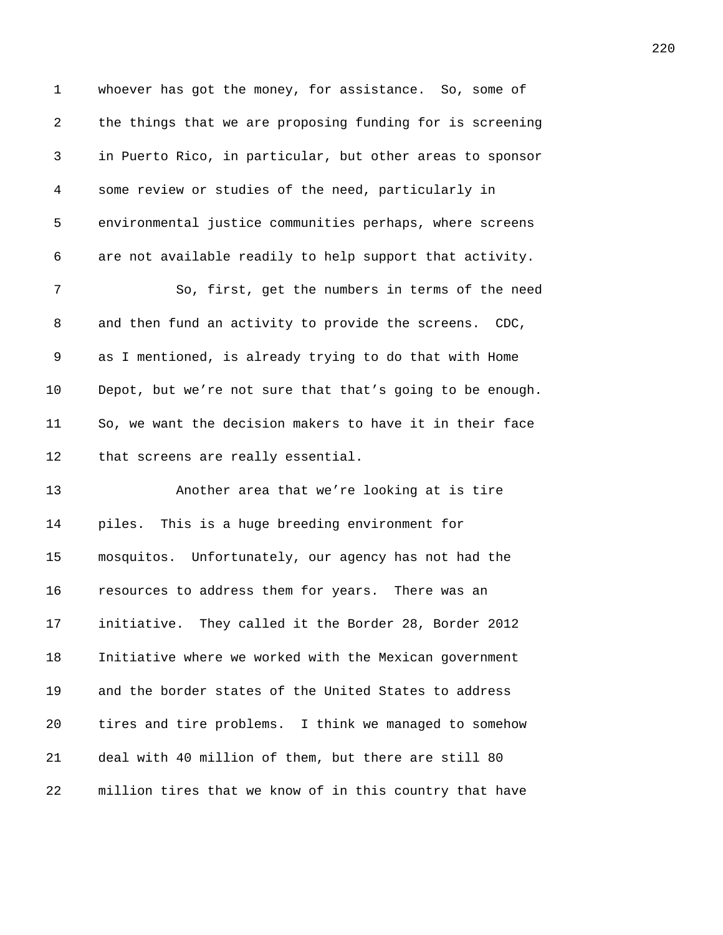| $\mathbf 1$ | whoever has got the money, for assistance. So, some of    |
|-------------|-----------------------------------------------------------|
| 2           | the things that we are proposing funding for is screening |
| 3           | in Puerto Rico, in particular, but other areas to sponsor |
| 4           | some review or studies of the need, particularly in       |
| 5           | environmental justice communities perhaps, where screens  |
| 6           | are not available readily to help support that activity.  |
| 7           | So, first, get the numbers in terms of the need           |
| 8           | and then fund an activity to provide the screens. CDC,    |
| 9           | as I mentioned, is already trying to do that with Home    |
| 10          | Depot, but we're not sure that that's going to be enough. |
| 11          | So, we want the decision makers to have it in their face  |
| 12          | that screens are really essential.                        |
| 13          | Another area that we're looking at is tire                |
| 14          | piles. This is a huge breeding environment for            |
| 15          | mosquitos. Unfortunately, our agency has not had the      |
| 16          | resources to address them for years. There was an         |
| 17          | initiative. They called it the Border 28, Border 2012     |
| 18          | Initiative where we worked with the Mexican government    |
| 19          | and the border states of the United States to address     |
| 20          | tires and tire problems. I think we managed to somehow    |
| 21          | deal with 40 million of them, but there are still 80      |
| 22          | million tires that we know of in this country that have   |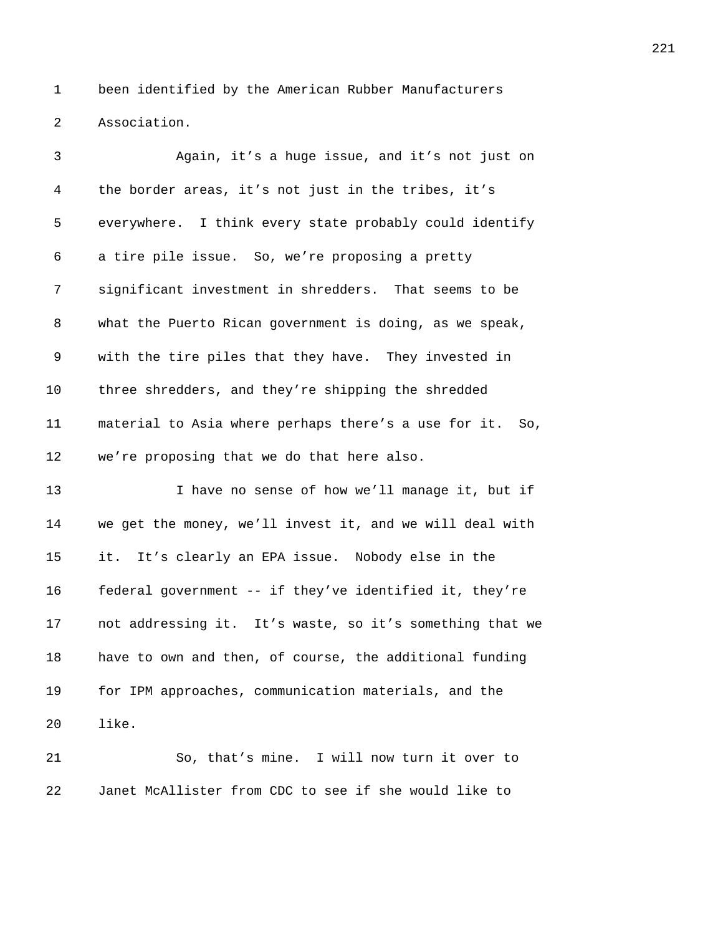1 been identified by the American Rubber Manufacturers **Association**.

| 3              | Again, it's a huge issue, and it's not just on           |
|----------------|----------------------------------------------------------|
| $\overline{4}$ | the border areas, it's not just in the tribes, it's      |
| 5              | everywhere. I think every state probably could identify  |
| 6              | a tire pile issue. So, we're proposing a pretty          |
| 7              | significant investment in shredders. That seems to be    |
| 8              | what the Puerto Rican government is doing, as we speak,  |
| 9              | with the tire piles that they have. They invested in     |
| 10             | three shredders, and they're shipping the shredded       |
| 11             | material to Asia where perhaps there's a use for it. So, |
| 12             | we're proposing that we do that here also.               |
| 13             | I have no sense of how we'll manage it, but if           |
| 14             | we get the money, we'll invest it, and we will deal with |
| 15             | it. It's clearly an EPA issue. Nobody else in the        |
| 16             | federal government -- if they've identified it, they're  |
| 17             | not addressing it. It's waste, so it's something that we |
| 18             | have to own and then, of course, the additional funding  |
| 19             | for IPM approaches, communication materials, and the     |
| 20             | like.                                                    |
| 21             | So, that's mine. I will now turn it over to              |

22 Janet McAllister from CDC to see if she would like to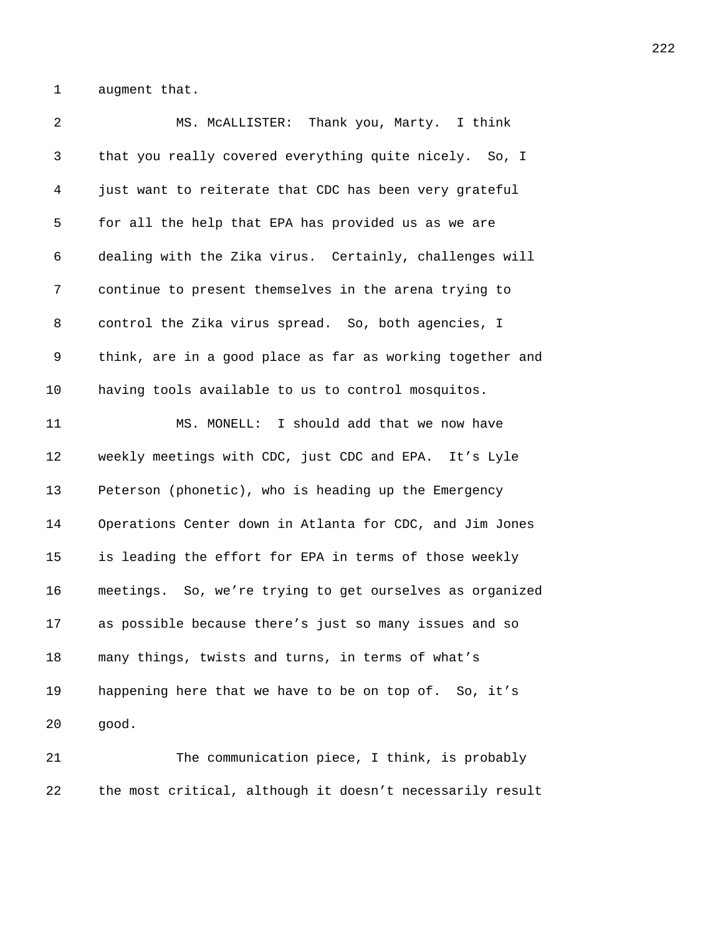1 augment that.

| 2  | MS. MCALLISTER: Thank you, Marty. I think                 |
|----|-----------------------------------------------------------|
| 3  | that you really covered everything quite nicely. So, I    |
| 4  | just want to reiterate that CDC has been very grateful    |
| 5  | for all the help that EPA has provided us as we are       |
| 6  | dealing with the Zika virus. Certainly, challenges will   |
| 7  | continue to present themselves in the arena trying to     |
| 8  | control the Zika virus spread. So, both agencies, I       |
| 9  | think, are in a good place as far as working together and |
| 10 | having tools available to us to control mosquitos.        |
| 11 | MS. MONELL: I should add that we now have                 |
| 12 | weekly meetings with CDC, just CDC and EPA. It's Lyle     |
| 13 | Peterson (phonetic), who is heading up the Emergency      |
| 14 | Operations Center down in Atlanta for CDC, and Jim Jones  |
| 15 | is leading the effort for EPA in terms of those weekly    |
| 16 | meetings. So, we're trying to get ourselves as organized  |
| 17 | as possible because there's just so many issues and so    |
| 18 | many things, twists and turns, in terms of what's         |
| 19 | happening here that we have to be on top of. So, it's     |
| 20 | good.                                                     |
| 21 | The communication piece, I think, is probably             |

22 the most critical, although it doesn't necessarily result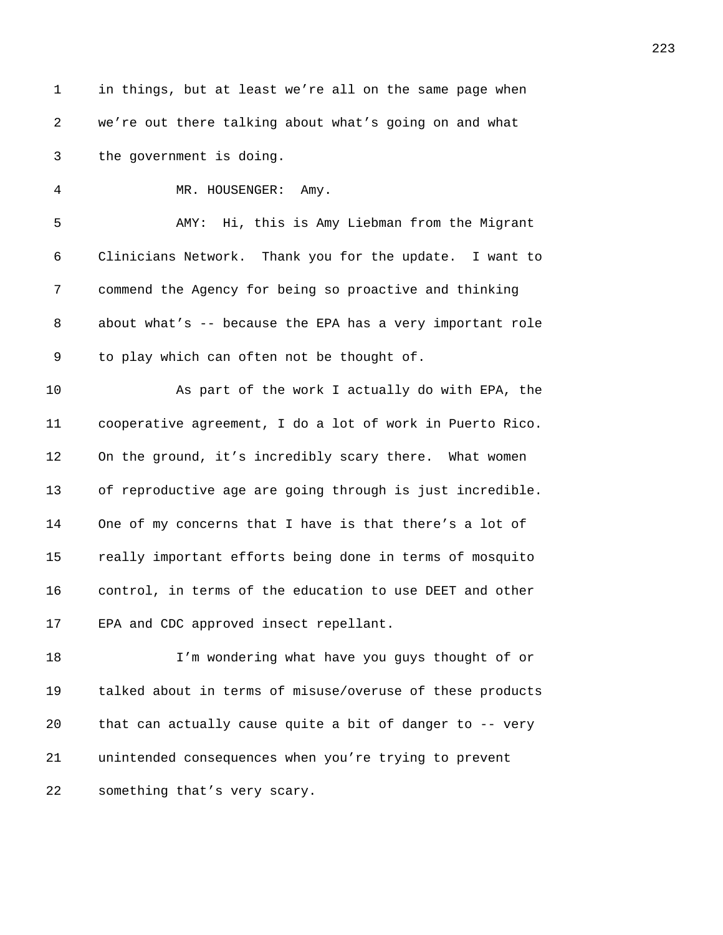| $\mathbf 1$ | in things, but at least we're all on the same page when   |
|-------------|-----------------------------------------------------------|
| 2           | we're out there talking about what's going on and what    |
| 3           | the government is doing.                                  |
| 4           | MR. HOUSENGER: Amy.                                       |
| 5           | AMY: Hi, this is Amy Liebman from the Migrant             |
| 6           | Clinicians Network. Thank you for the update. I want to   |
| 7           | commend the Agency for being so proactive and thinking    |
| 8           | about what's -- because the EPA has a very important role |
| 9           | to play which can often not be thought of.                |
| 10          | As part of the work I actually do with EPA, the           |
| 11          | cooperative agreement, I do a lot of work in Puerto Rico. |
| 12          | On the ground, it's incredibly scary there. What women    |
| 13          | of reproductive age are going through is just incredible. |
| 14          | One of my concerns that I have is that there's a lot of   |
| 15          | really important efforts being done in terms of mosquito  |
| 16          | control, in terms of the education to use DEET and other  |
| 17          | EPA and CDC approved insect repellant.                    |
| 18          | I'm wondering what have you guys thought of or            |
| 19          | talked about in terms of misuse/overuse of these products |
| 20          | that can actually cause quite a bit of danger to -- very  |
| 21          | unintended consequences when you're trying to prevent     |
| 22          | something that's very scary.                              |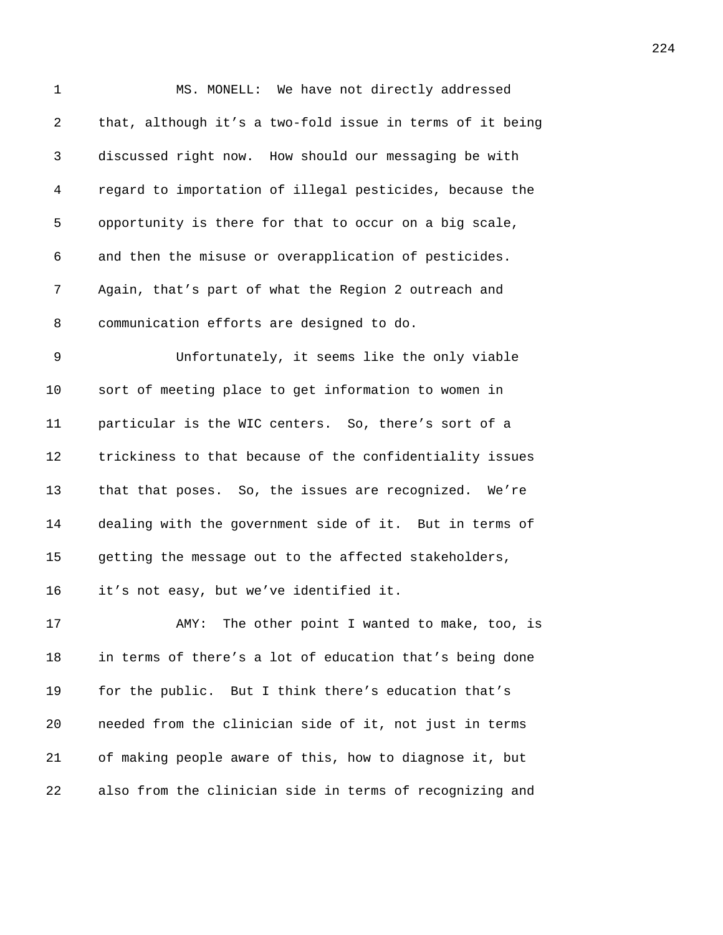| $\mathbf 1$ | MS. MONELL: We have not directly addressed                |
|-------------|-----------------------------------------------------------|
| 2           | that, although it's a two-fold issue in terms of it being |
| 3           | discussed right now. How should our messaging be with     |
| 4           | regard to importation of illegal pesticides, because the  |
| 5           | opportunity is there for that to occur on a big scale,    |
| 6           | and then the misuse or overapplication of pesticides.     |
| 7           | Again, that's part of what the Region 2 outreach and      |
| 8           | communication efforts are designed to do.                 |
| 9           | Unfortunately, it seems like the only viable              |
| 10          | sort of meeting place to get information to women in      |
| 11          | particular is the WIC centers. So, there's sort of a      |
| 12          | trickiness to that because of the confidentiality issues  |
| 13          | that that poses. So, the issues are recognized. We're     |
| 14          | dealing with the government side of it. But in terms of   |
| 15          | getting the message out to the affected stakeholders,     |
| 16          | it's not easy, but we've identified it.                   |
| 17          | AMY: The other point I wanted to make, too, is            |
| 18          | in terms of there's a lot of education that's being done  |
| 19          | for the public. But I think there's education that's      |
| 20          | needed from the clinician side of it, not just in terms   |
| 21          | of making people aware of this, how to diagnose it, but   |

*468B*also from the clinician side in terms of recognizing and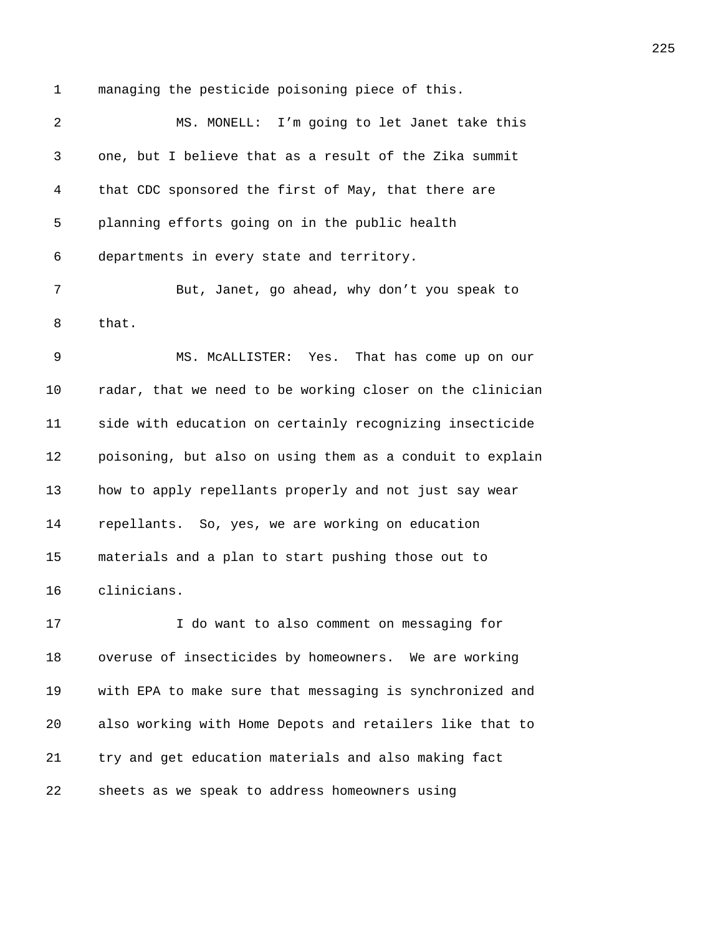1 managing the pesticide poisoning piece of this.

2 MS. MONELL: I'm going to let Janet take this *468B*one, but I believe that as a result of the Zika summit *4687B*that CDC sponsored the first of May, that there are **planning efforts going on in the public health** 6 departments in every state and territory. **469** But, Janet, go ahead, why don't you speak to 8 that. 9 MS. McALLISTER: Yes. That has come up on our *radar, that we need to be working closer on the clinician 469B*side with education on certainly recognizing insecticide **poisoning, but also on using them as a conduit to explain how to apply repellants properly and not just say wear** *preafferents.* So, yes, we are working on education **materials and a plan to start pushing those out to** 16 clinicians. **17 17 1** do want to also comment on messaging for

18 overuse of insecticides by homeowners. We are working **4702** with EPA to make sure that messaging is synchronized and *4703B*also working with Home Depots and retailers like that to *470B*try and get education materials and also making fact **6705** sheets as we speak to address homeowners using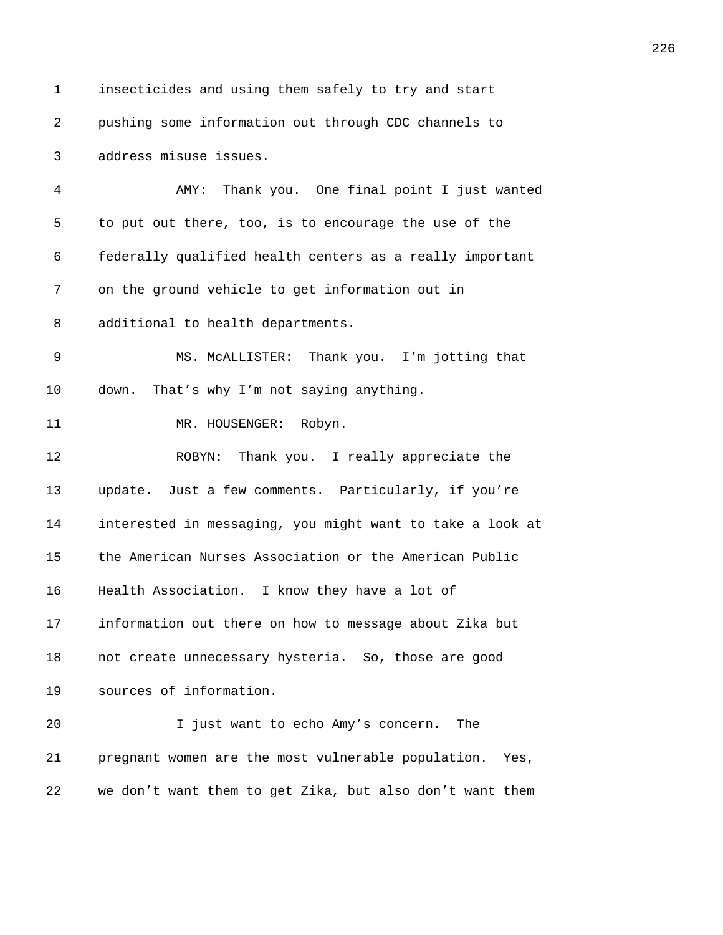1 insecticides and using them safely to try and start *4706B*pushing some information out through CDC channels to *470B*address misuse issues. *4708B*AMY: Thank you. One final point I just wanted 5 to put out there, too, is to encourage the use of the *4710B*federally qualified health centers as a really important 7 on the ground vehicle to get information out in 8 additional to health departments. **4713 MS. McALLISTER:** Thank you. I'm jotting that 10 down. That's why I'm not saying anything. 11 MR. HOUSENGER: Robyn. **4716 ROBYN:** Thank you. I really appreciate the *update.* Just a few comments. Particularly, if you're **interested in messaging, you might want to take a look at the American Nurses Association or the American Public** 16 Health Association. I know they have a lot of **information out there on how to message about Zika but harabbe numecessary hysteria.** So, those are good **5723 5011 50235 5023 6023 6023 6023 6023 6023 6023 6023 6023 6023 6023 6023 6023 6023 6023 6023 6023 6023 6023 6023 6023 602 602 602 602 602 602 602 602 6** 20 1 just want to echo Amy's concern. The **pregnant women are the most vulnerable population.** Yes, 22 we don't want them to get Zika, but also don't want them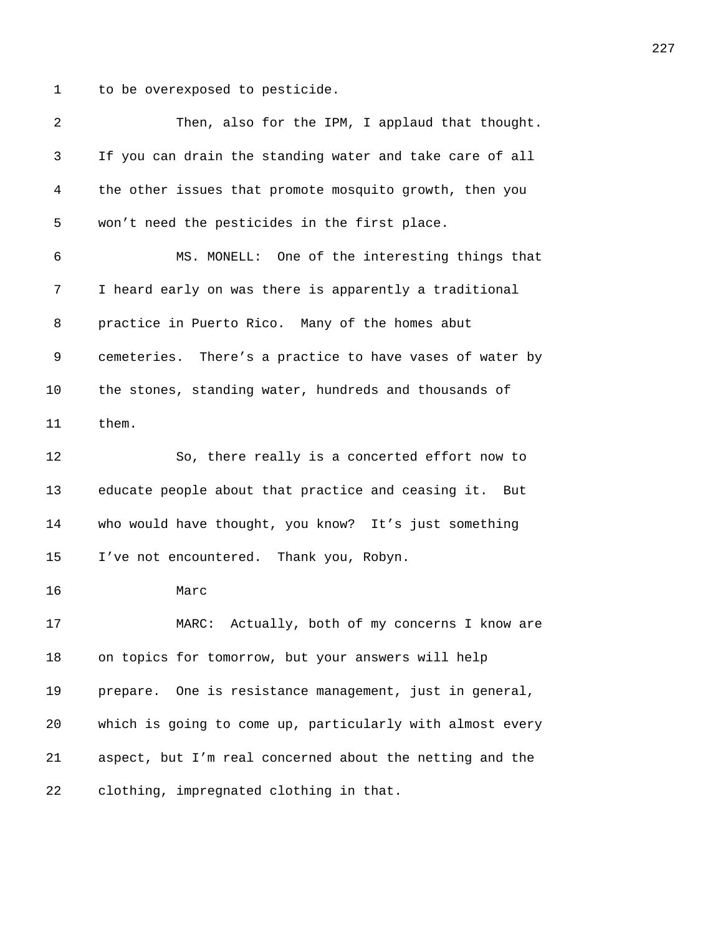1 to be overexposed to pesticide.

| 2  | Then, also for the IPM, I applaud that thought.           |
|----|-----------------------------------------------------------|
| 3  | If you can drain the standing water and take care of all  |
| 4  | the other issues that promote mosquito growth, then you   |
| 5  | won't need the pesticides in the first place.             |
| 6  | MS. MONELL: One of the interesting things that            |
| 7  | I heard early on was there is apparently a traditional    |
| 8  | practice in Puerto Rico. Many of the homes abut           |
| 9  | cemeteries. There's a practice to have vases of water by  |
| 10 | the stones, standing water, hundreds and thousands of     |
| 11 | them.                                                     |
| 12 | So, there really is a concerted effort now to             |
| 13 | educate people about that practice and ceasing it. But    |
| 14 | who would have thought, you know? It's just something     |
| 15 | I've not encountered. Thank you, Robyn.                   |
| 16 | Marc                                                      |
| 17 | Actually, both of my concerns I know are<br>MARC:         |
| 18 | on topics for tomorrow, but your answers will help        |
| 19 | prepare. One is resistance management, just in general,   |
| 20 | which is going to come up, particularly with almost every |
| 21 | aspect, but I'm real concerned about the netting and the  |
| 22 | clothing, impregnated clothing in that.                   |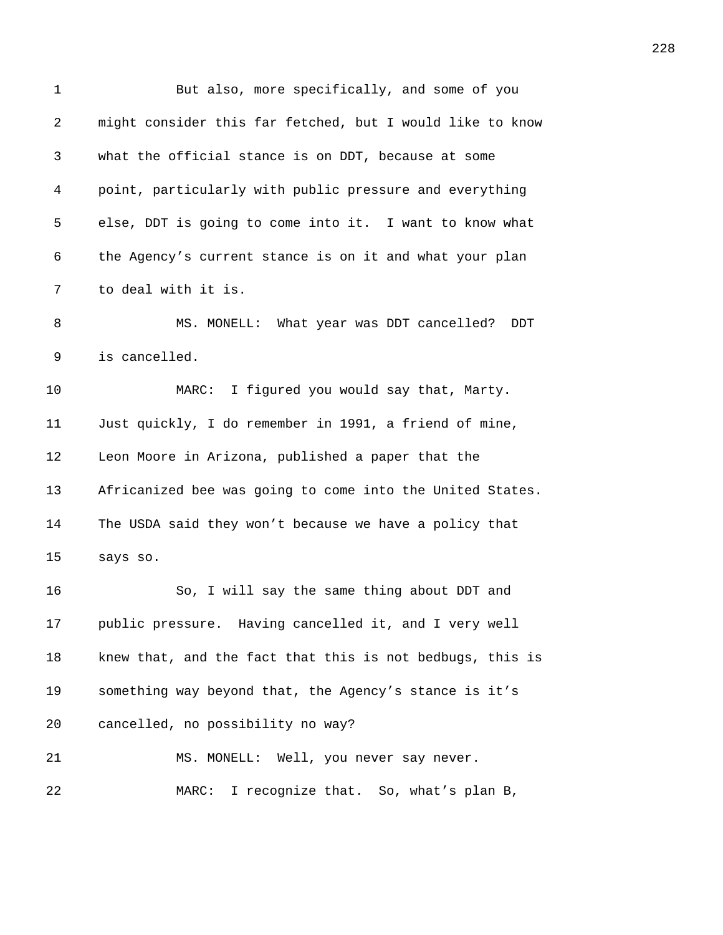| $\mathbf 1$ | But also, more specifically, and some of you              |
|-------------|-----------------------------------------------------------|
| 2           | might consider this far fetched, but I would like to know |
| 3           | what the official stance is on DDT, because at some       |
| 4           | point, particularly with public pressure and everything   |
| 5           | else, DDT is going to come into it. I want to know what   |
| 6           | the Agency's current stance is on it and what your plan   |
| 7           | to deal with it is.                                       |
| 8           | MS. MONELL: What year was DDT cancelled?<br>DDT           |
| 9           | is cancelled.                                             |
| 10          | I figured you would say that, Marty.<br>MARC:             |
| 11          | Just quickly, I do remember in 1991, a friend of mine,    |
| 12          | Leon Moore in Arizona, published a paper that the         |
| 13          | Africanized bee was going to come into the United States. |
| 14          | The USDA said they won't because we have a policy that    |
| 15          | says so.                                                  |
| 16          | So, I will say the same thing about DDT and               |
| 17          | public pressure. Having cancelled it, and I very well     |
| 18          | knew that, and the fact that this is not bedbugs, this is |
| 19          | something way beyond that, the Agency's stance is it's    |
| 20          | cancelled, no possibility no way?                         |
| 21          | MS. MONELL: Well, you never say never.                    |
| 22          | MARC: I recognize that. So, what's plan B,                |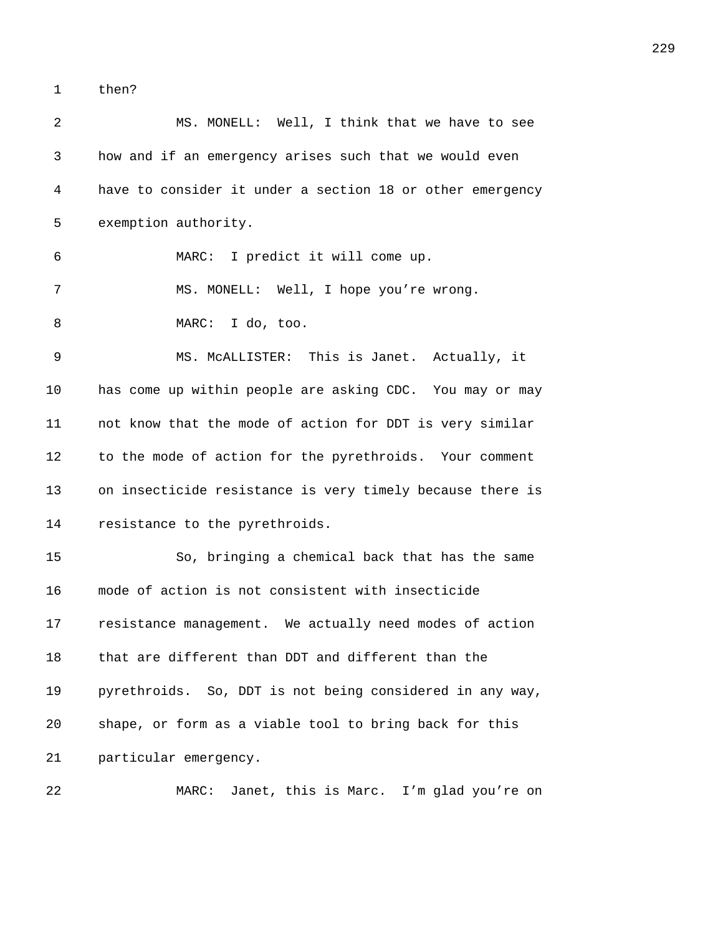1 then?

| 2  | MS. MONELL: Well, I think that we have to see             |
|----|-----------------------------------------------------------|
| 3  | how and if an emergency arises such that we would even    |
| 4  | have to consider it under a section 18 or other emergency |
| 5  | exemption authority.                                      |
| 6  | MARC: I predict it will come up.                          |
| 7  | MS. MONELL: Well, I hope you're wrong.                    |
| 8  | MARC: I do, too.                                          |
| 9  | MS. MCALLISTER: This is Janet. Actually, it               |
| 10 | has come up within people are asking CDC. You may or may  |
| 11 | not know that the mode of action for DDT is very similar  |
| 12 | to the mode of action for the pyrethroids. Your comment   |
| 13 | on insecticide resistance is very timely because there is |
| 14 | resistance to the pyrethroids.                            |
| 15 | So, bringing a chemical back that has the same            |
| 16 | mode of action is not consistent with insecticide         |
| 17 | resistance management. We actually need modes of action   |
| 18 | that are different than DDT and different than the        |
| 19 | pyrethroids. So, DDT is not being considered in any way,  |
| 20 | shape, or form as a viable tool to bring back for this    |
| 21 | particular emergency.                                     |
| 22 | Janet, this is Marc. I'm glad you're on<br>MARC:          |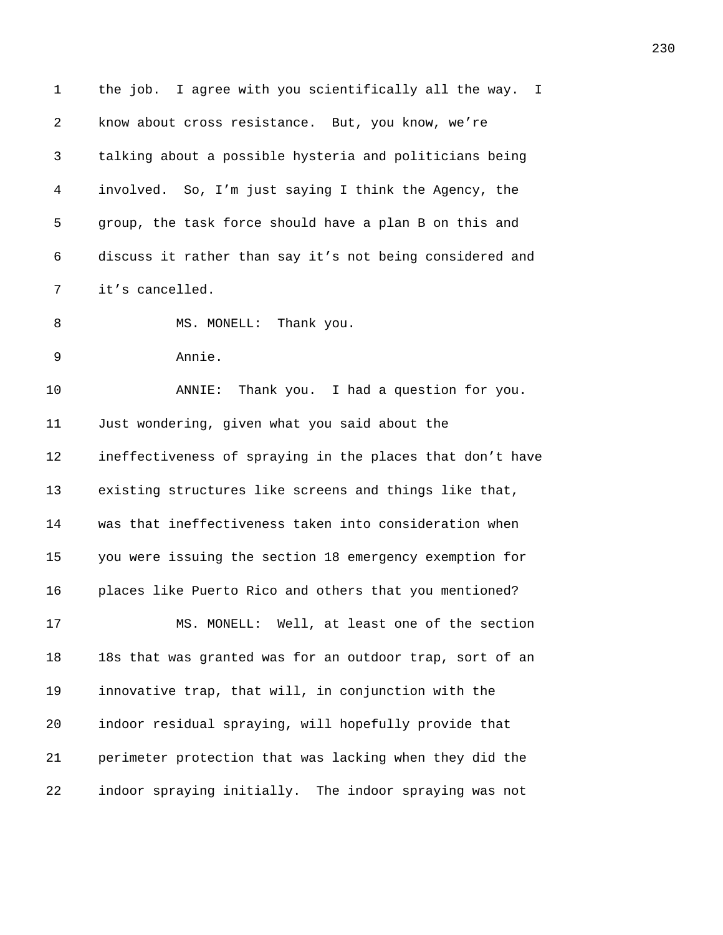| 1  | the job. I agree with you scientifically all the way.<br>T. |
|----|-------------------------------------------------------------|
| 2  | know about cross resistance. But, you know, we're           |
| 3  | talking about a possible hysteria and politicians being     |
| 4  | involved. So, I'm just saying I think the Agency, the       |
| 5  | group, the task force should have a plan B on this and      |
| 6  | discuss it rather than say it's not being considered and    |
| 7  | it's cancelled.                                             |
| 8  | MS. MONELL:<br>Thank you.                                   |
| 9  | Annie.                                                      |
| 10 | Thank you. I had a question for you.<br>ANNIE:              |
| 11 | Just wondering, given what you said about the               |
| 12 | ineffectiveness of spraying in the places that don't have   |
| 13 | existing structures like screens and things like that,      |
| 14 | was that ineffectiveness taken into consideration when      |
| 15 | you were issuing the section 18 emergency exemption for     |
| 16 | places like Puerto Rico and others that you mentioned?      |
| 17 | MS. MONELL: Well, at least one of the section               |
| 18 | 18s that was granted was for an outdoor trap, sort of an    |
| 19 | innovative trap, that will, in conjunction with the         |
| 20 | indoor residual spraying, will hopefully provide that       |
| 21 | perimeter protection that was lacking when they did the     |
| 22 | indoor spraying initially. The indoor spraying was not      |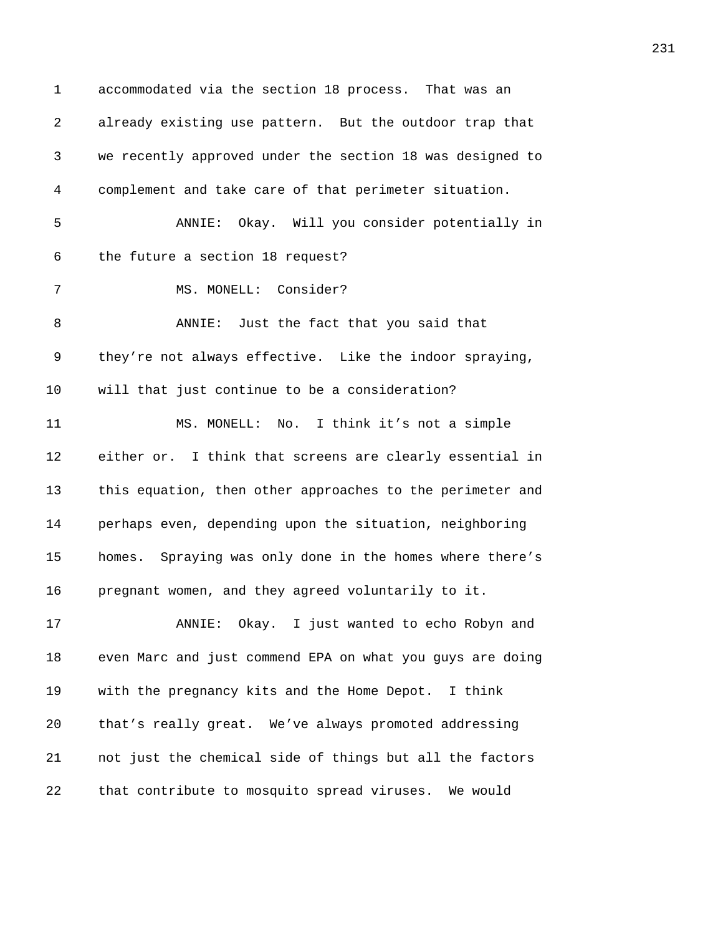1 accommodated via the section 18 process. That was an *481B*already existing use pattern. But the outdoor trap that *4812B*we recently approved under the section 18 was designed to *4813B*complement and take care of that perimeter situation. *481B*ANNIE: Okay. Will you consider potentially in 6 the future a section 18 request? 7 MS. MONELL: Consider? **4818** ANNIE: Just the fact that you said that 9 they're not always effective. Like the indoor spraying, 10 will that just continue to be a consideration? *4820B*MS. MONELL: No. I think it's not a simple 12 either or. I think that screens are clearly essential in 13 this equation, then other approaches to the perimeter and **perhaps even, depending upon the situation, neighboring homes.** Spraying was only done in the homes where there's **pregnant women, and they agreed voluntarily to it. 4826 1926** ANNIE: Okay. I just wanted to echo Robyn and **6** even Marc and just commend EPA on what you guys are doing **482** with the pregnancy kits and the Home Depot. I think 20 that's really great. We've always promoted addressing **483** not just the chemical side of things but all the factors **that contribute to mosquito spread viruses.** We would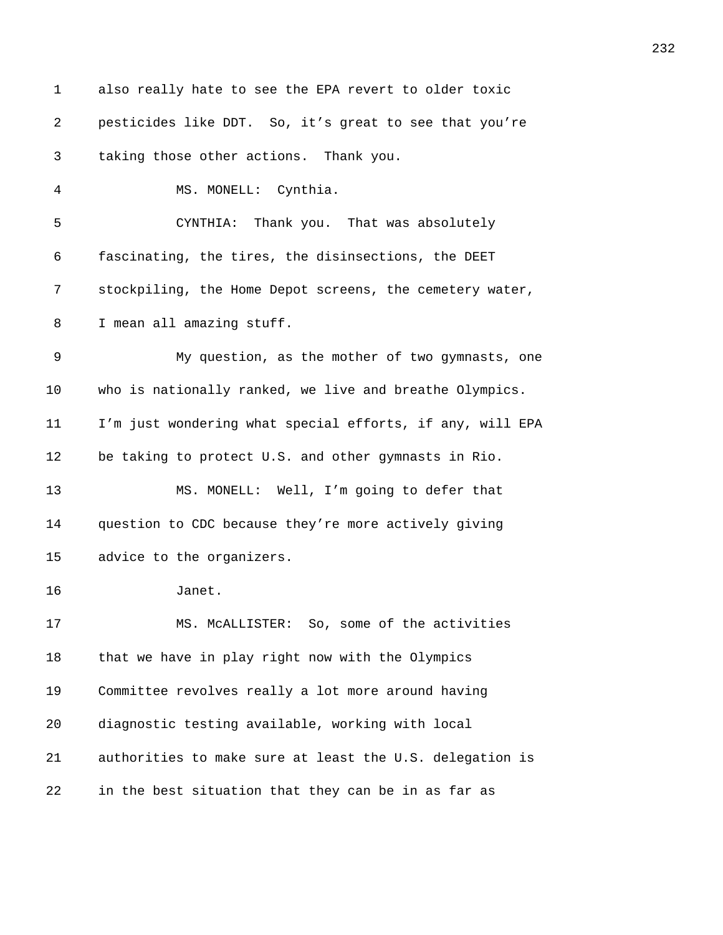| 1  | also really hate to see the EPA revert to older toxic     |
|----|-----------------------------------------------------------|
| 2  | pesticides like DDT. So, it's great to see that you're    |
| 3  | taking those other actions. Thank you.                    |
| 4  | MS. MONELL: Cynthia.                                      |
| 5  | CYNTHIA: Thank you. That was absolutely                   |
| 6  | fascinating, the tires, the disinsections, the DEET       |
| 7  | stockpiling, the Home Depot screens, the cemetery water,  |
| 8  | I mean all amazing stuff.                                 |
| 9  | My question, as the mother of two gymnasts, one           |
| 10 | who is nationally ranked, we live and breathe Olympics.   |
| 11 | I'm just wondering what special efforts, if any, will EPA |
| 12 | be taking to protect U.S. and other gymnasts in Rio.      |
| 13 | MS. MONELL: Well, I'm going to defer that                 |
| 14 | question to CDC because they're more actively giving      |
| 15 | advice to the organizers.                                 |
| 16 | Janet.                                                    |
| 17 | MS. MCALLISTER: So, some of the activities                |
| 18 | that we have in play right now with the Olympics          |
| 19 | Committee revolves really a lot more around having        |
| 20 | diagnostic testing available, working with local          |
| 21 | authorities to make sure at least the U.S. delegation is  |
| 22 | in the best situation that they can be in as far as       |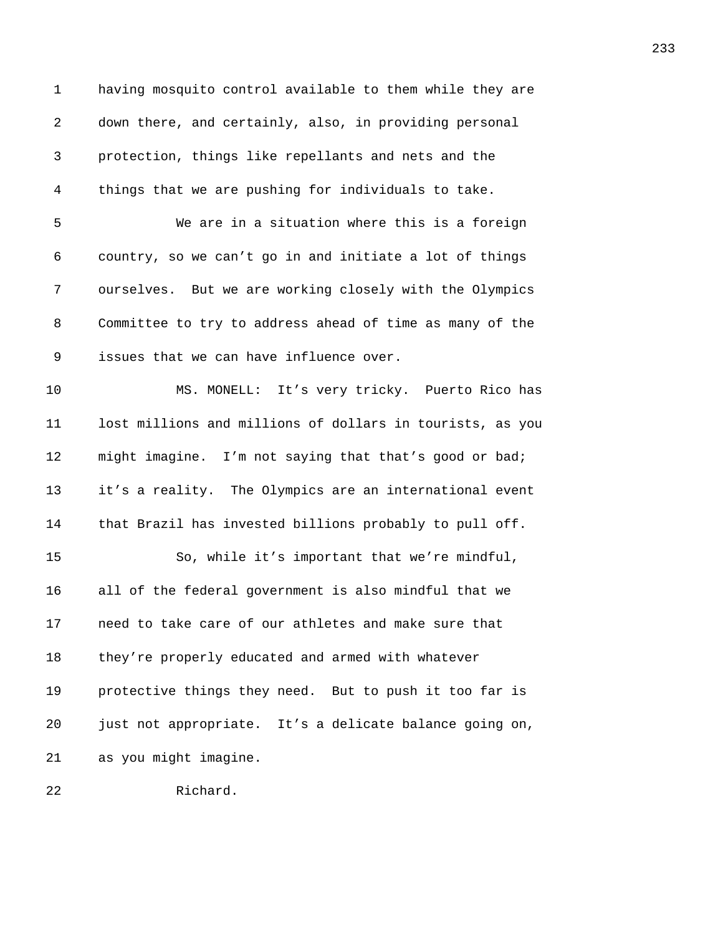| $\mathbf 1$ | having mosquito control available to them while they are  |
|-------------|-----------------------------------------------------------|
| 2           | down there, and certainly, also, in providing personal    |
| 3           | protection, things like repellants and nets and the       |
| 4           | things that we are pushing for individuals to take.       |
| 5           | We are in a situation where this is a foreign             |
| 6           | country, so we can't go in and initiate a lot of things   |
| 7           | ourselves. But we are working closely with the Olympics   |
| 8           | Committee to try to address ahead of time as many of the  |
| 9           | issues that we can have influence over.                   |
| 10          | MS. MONELL: It's very tricky. Puerto Rico has             |
| 11          | lost millions and millions of dollars in tourists, as you |
| 12          | might imagine. I'm not saying that that's good or bad;    |
| 13          | it's a reality. The Olympics are an international event   |
| 14          | that Brazil has invested billions probably to pull off.   |
| 15          | So, while it's important that we're mindful,              |
| 16          | all of the federal government is also mindful that we     |
| 17          | need to take care of our athletes and make sure that      |
| 18          | they're properly educated and armed with whatever         |
| 19          | protective things they need. But to push it too far is    |
| 20          | just not appropriate. It's a delicate balance going on,   |
| 21          | as you might imagine.                                     |
| 22          | Richard.                                                  |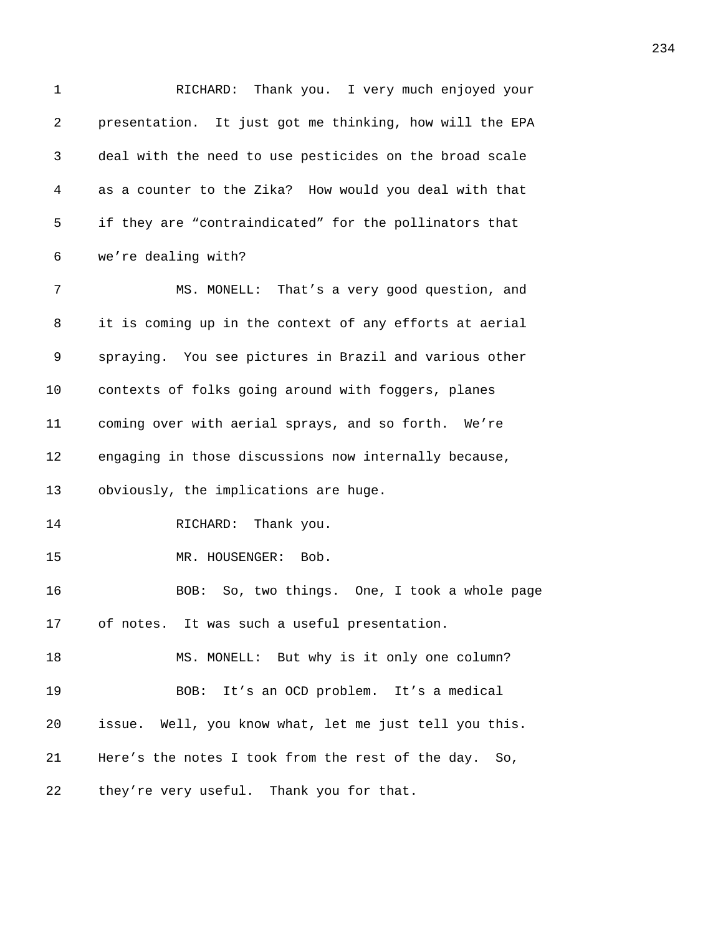1 RICHARD: Thank you. I very much enjoyed your 2 **presentation.** It just got me thinking, how will the EPA 3 *4875B*deal with the need to use pesticides on the broad scale 4 *4876B*as a counter to the Zika? How would you deal with that 5 *487* if they are "contraindicated" for the pollinators that 6 we're dealing with? 7 MS. MONELL: That's a very good question, and 8 it is coming up in the context of any efforts at aerial 9 **5818** spraying. You see pictures in Brazil and various other 10 **482** contexts of folks going around with foggers, planes 11 **683** coming over with aerial sprays, and so forth. We're 12 **48** engaging in those discussions now internally because, 13 obviously, the implications are huge. 14 RICHARD: Thank you. 15 MR. HOUSENGER: Bob. 16 **488BOB:** So, two things. One, I took a whole page 17 of notes. It was such a useful presentation. 18 **489 MS. MONELL:** But why is it only one column? 19 **489** BOB: It's an OCD problem. It's a medical 20 *4892B*issue. Well, you know what, let me just tell you this. 21 Here's the notes I took from the rest of the day. So, 22 they're very useful. Thank you for that.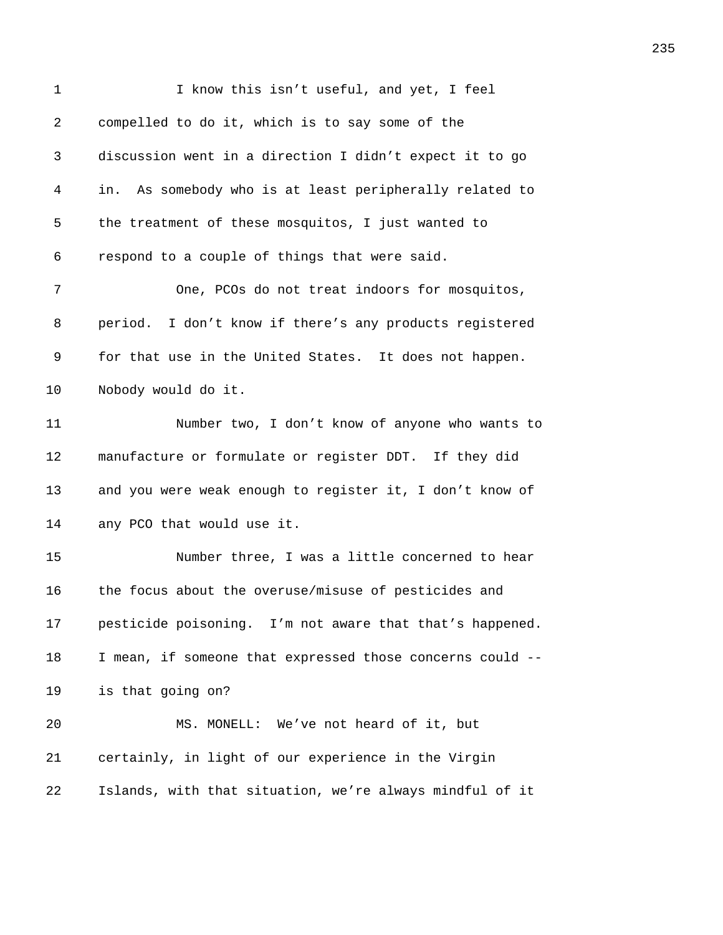| $\mathbf 1$ | I know this isn't useful, and yet, I feel                  |
|-------------|------------------------------------------------------------|
| 2           | compelled to do it, which is to say some of the            |
| 3           | discussion went in a direction I didn't expect it to go    |
| 4           | As somebody who is at least peripherally related to<br>in. |
| 5           | the treatment of these mosquitos, I just wanted to         |
| 6           | respond to a couple of things that were said.              |
| 7           | One, PCOs do not treat indoors for mosquitos,              |
| 8           | period. I don't know if there's any products registered    |
| 9           | for that use in the United States. It does not happen.     |
| 10          | Nobody would do it.                                        |
| 11          | Number two, I don't know of anyone who wants to            |
| 12          | manufacture or formulate or register DDT. If they did      |
| 13          | and you were weak enough to register it, I don't know of   |
| 14          | any PCO that would use it.                                 |
| 15          | Number three, I was a little concerned to hear             |
| 16          | the focus about the overuse/misuse of pesticides and       |
| 17          | pesticide poisoning. I'm not aware that that's happened.   |
| 18          | I mean, if someone that expressed those concerns could --  |
| 19          | is that going on?                                          |
| 20          | MS. MONELL: We've not heard of it, but                     |
| 21          | certainly, in light of our experience in the Virgin        |
| 22          | Islands, with that situation, we're always mindful of it   |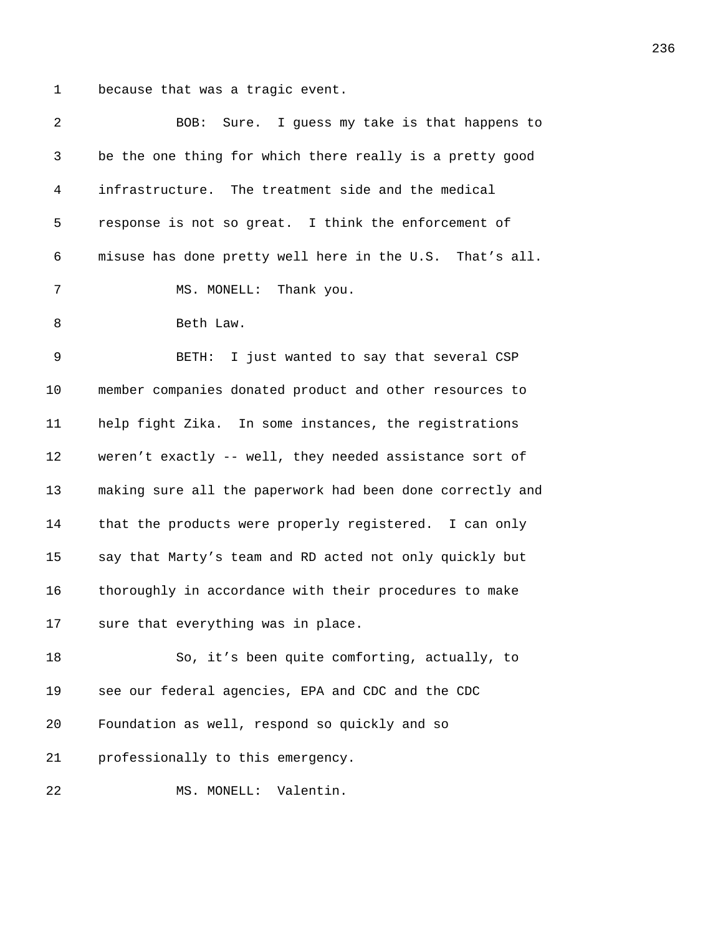1 because that was a tragic event.

| 2  | Sure. I guess my take is that happens to<br>BOB:          |
|----|-----------------------------------------------------------|
| 3  | be the one thing for which there really is a pretty good  |
| 4  | infrastructure. The treatment side and the medical        |
| 5  | response is not so great. I think the enforcement of      |
| 6  | misuse has done pretty well here in the U.S. That's all.  |
| 7  | MS. MONELL: Thank you.                                    |
| 8  | Beth Law.                                                 |
| 9  | BETH: I just wanted to say that several CSP               |
| 10 | member companies donated product and other resources to   |
| 11 | help fight Zika. In some instances, the registrations     |
| 12 | weren't exactly -- well, they needed assistance sort of   |
| 13 | making sure all the paperwork had been done correctly and |
| 14 | that the products were properly registered. I can only    |
| 15 | say that Marty's team and RD acted not only quickly but   |
| 16 | thoroughly in accordance with their procedures to make    |
| 17 | sure that everything was in place.                        |
| 18 | So, it's been quite comforting, actually, to              |
| 19 | see our federal agencies, EPA and CDC and the CDC         |
| 20 | Foundation as well, respond so quickly and so             |
| 21 | professionally to this emergency.                         |
| 22 | Valentin.<br>MS. MONELL:                                  |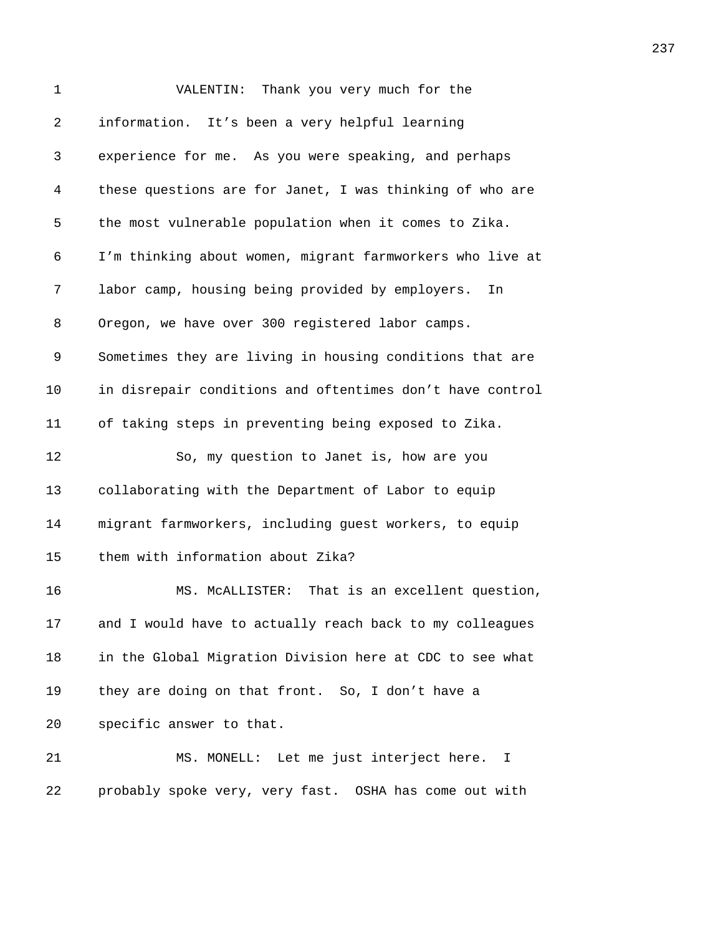| 1  | Thank you very much for the<br>VALENTIN:                  |
|----|-----------------------------------------------------------|
| 2  | information. It's been a very helpful learning            |
| 3  | experience for me. As you were speaking, and perhaps      |
| 4  | these questions are for Janet, I was thinking of who are  |
| 5  | the most vulnerable population when it comes to Zika.     |
| 6  | I'm thinking about women, migrant farmworkers who live at |
| 7  | labor camp, housing being provided by employers.<br>In    |
| 8  | Oregon, we have over 300 registered labor camps.          |
| 9  | Sometimes they are living in housing conditions that are  |
| 10 | in disrepair conditions and oftentimes don't have control |
| 11 | of taking steps in preventing being exposed to Zika.      |
| 12 | So, my question to Janet is, how are you                  |
| 13 | collaborating with the Department of Labor to equip       |
| 14 | migrant farmworkers, including guest workers, to equip    |
| 15 | them with information about Zika?                         |
| 16 | MS. MCALLISTER: That is an excellent question,            |
| 17 | and I would have to actually reach back to my colleagues  |
| 18 | in the Global Migration Division here at CDC to see what  |
| 19 | they are doing on that front. So, I don't have a          |
| 20 | specific answer to that.                                  |
| 21 | MS. MONELL: Let me just interject here.<br>I              |
| 22 | probably spoke very, very fast. OSHA has come out with    |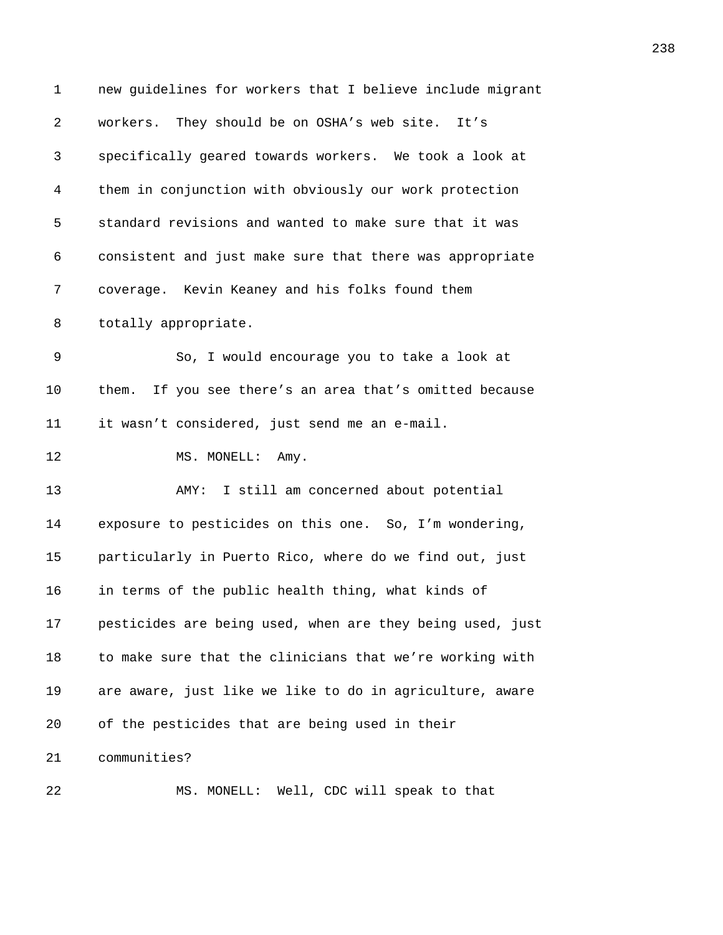| 1              | new guidelines for workers that I believe include migrant  |
|----------------|------------------------------------------------------------|
| $\overline{a}$ | workers. They should be on OSHA's web site. It's           |
| 3              | specifically geared towards workers. We took a look at     |
| 4              | them in conjunction with obviously our work protection     |
| 5              | standard revisions and wanted to make sure that it was     |
| 6              | consistent and just make sure that there was appropriate   |
| 7              | coverage. Kevin Keaney and his folks found them            |
| 8              | totally appropriate.                                       |
| 9              | So, I would encourage you to take a look at                |
| 10             | If you see there's an area that's omitted because<br>them. |
| 11             | it wasn't considered, just send me an e-mail.              |
| 12             | MS. MONELL: Amy.                                           |
| 13             | I still am concerned about potential<br>AMY:               |
| 14             | exposure to pesticides on this one. So, I'm wondering,     |
| 15             | particularly in Puerto Rico, where do we find out, just    |
| 16             | in terms of the public health thing, what kinds of         |
| 17             | pesticides are being used, when are they being used, just  |
| 18             | to make sure that the clinicians that we're working with   |
| 19             | are aware, just like we like to do in agriculture, aware   |
| 20             | of the pesticides that are being used in their             |
| 21             | communities?                                               |
| 22             | MS. MONELL: Well, CDC will speak to that                   |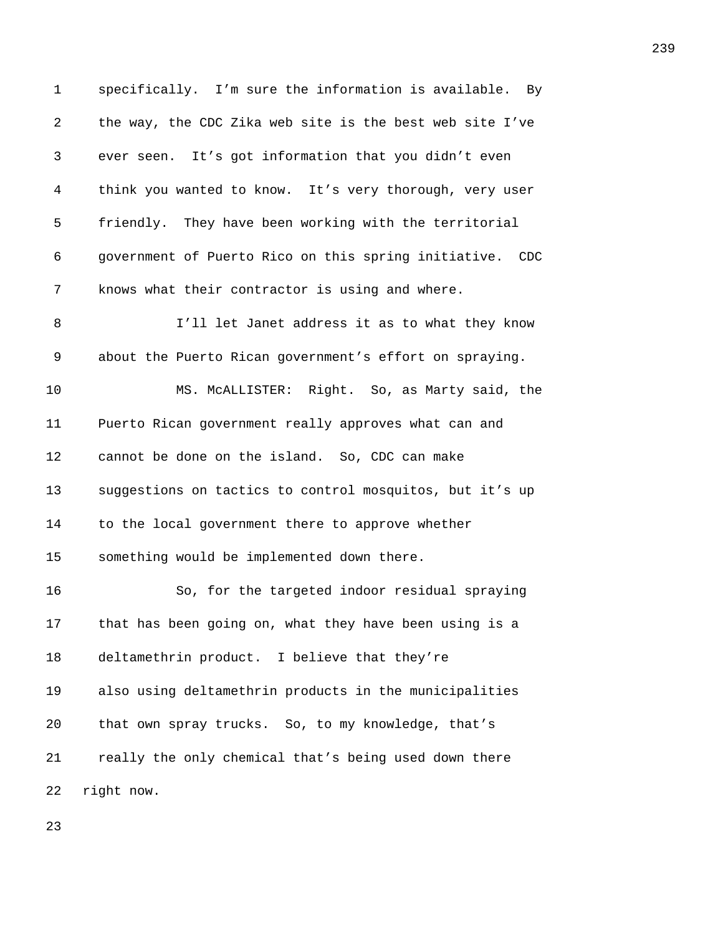1 specifically. I'm sure the information is available. By 2 the way, the CDC Zika web site is the best web site I've 3 ever seen. It's got information that you didn't even 4 think you wanted to know. It's very thorough, very user 5 **friendly.** They have been working with the territorial 6 *4983B*government of Puerto Rico on this spring initiative. CDC 7 **4988** knows what their contractor is using and where. 8 **498** I'll let Janet address it as to what they know 9 about the Puerto Rican government's effort on spraying. 10 **498** MS. McALLISTER: Right. So, as Marty said, the 11 Puerto Rican government really approves what can and 12 cannot be done on the island. So, CDC can make 13 **490** suggestions on tactics to control mosquitos, but it's up 14 **to the local government there to approve whether** 15 something would be implemented down there. 16 **493** So, for the targeted indoor residual spraying 17 that has been going on, what they have been using is a 18 deltamethrin product. I believe that they're 19 **496** also using deltamethrin products in the municipalities 20 that own spray trucks. So, to my knowledge, that's 21 *4988 really the only chemical that's being used down there* 22 right now.

23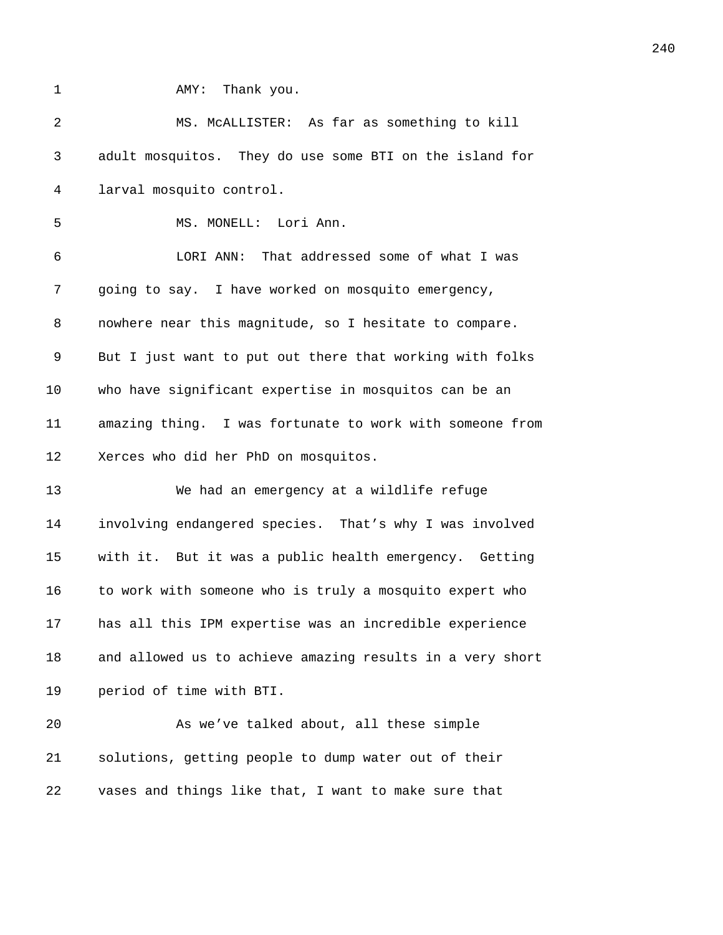**AMY:** Thank you.

| 2  | MS. MCALLISTER: As far as something to kill               |
|----|-----------------------------------------------------------|
| 3  | adult mosquitos. They do use some BTI on the island for   |
| 4  | larval mosquito control.                                  |
| 5  | MS. MONELL: Lori Ann.                                     |
| 6  | LORI ANN: That addressed some of what I was               |
| 7  | going to say. I have worked on mosquito emergency,        |
| 8  | nowhere near this magnitude, so I hesitate to compare.    |
| 9  | But I just want to put out there that working with folks  |
| 10 | who have significant expertise in mosquitos can be an     |
| 11 | amazing thing. I was fortunate to work with someone from  |
| 12 | Xerces who did her PhD on mosquitos.                      |
| 13 | We had an emergency at a wildlife refuge                  |
| 14 | involving endangered species. That's why I was involved   |
| 15 | with it. But it was a public health emergency. Getting    |
| 16 | to work with someone who is truly a mosquito expert who   |
| 17 | has all this IPM expertise was an incredible experience   |
| 18 | and allowed us to achieve amazing results in a very short |
| 19 | period of time with BTI.                                  |
| 20 | As we've talked about, all these simple                   |
| 21 | solutions, getting people to dump water out of their      |
| 22 | vases and things like that, I want to make sure that      |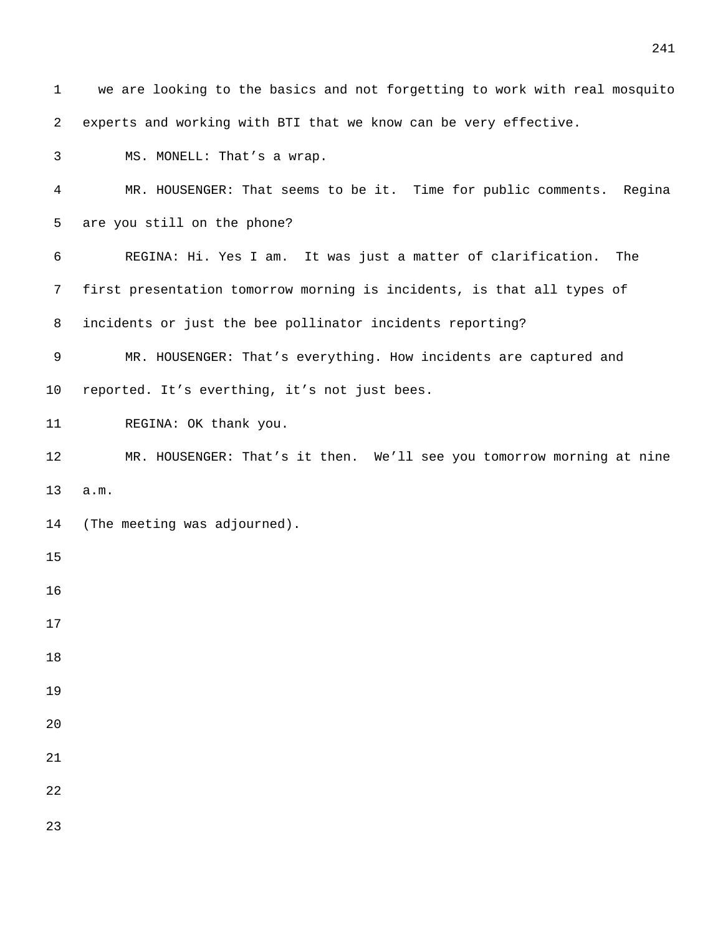| $\mathbf{1}$ | we are looking to the basics and not forgetting to work with real mosquito |
|--------------|----------------------------------------------------------------------------|
| 2            | experts and working with BTI that we know can be very effective.           |
| 3            | MS. MONELL: That's a wrap.                                                 |
| 4            | MR. HOUSENGER: That seems to be it. Time for public comments. Regina       |
| 5            | are you still on the phone?                                                |
| 6            | REGINA: Hi. Yes I am. It was just a matter of clarification.<br>The        |
| 7            | first presentation tomorrow morning is incidents, is that all types of     |
| 8            | incidents or just the bee pollinator incidents reporting?                  |
| 9            | MR. HOUSENGER: That's everything. How incidents are captured and           |
| $10 \,$      | reported. It's everthing, it's not just bees.                              |
| 11           | REGINA: OK thank you.                                                      |
| 12           | MR. HOUSENGER: That's it then. We'll see you tomorrow morning at nine      |
| 13           | a.m.                                                                       |
| 14           | (The meeting was adjourned).                                               |
| 15           |                                                                            |
| 16           |                                                                            |
| 17           |                                                                            |
| 18           |                                                                            |
| 19           |                                                                            |
| 20           |                                                                            |
| 21           |                                                                            |
| 22           |                                                                            |
| 23           |                                                                            |